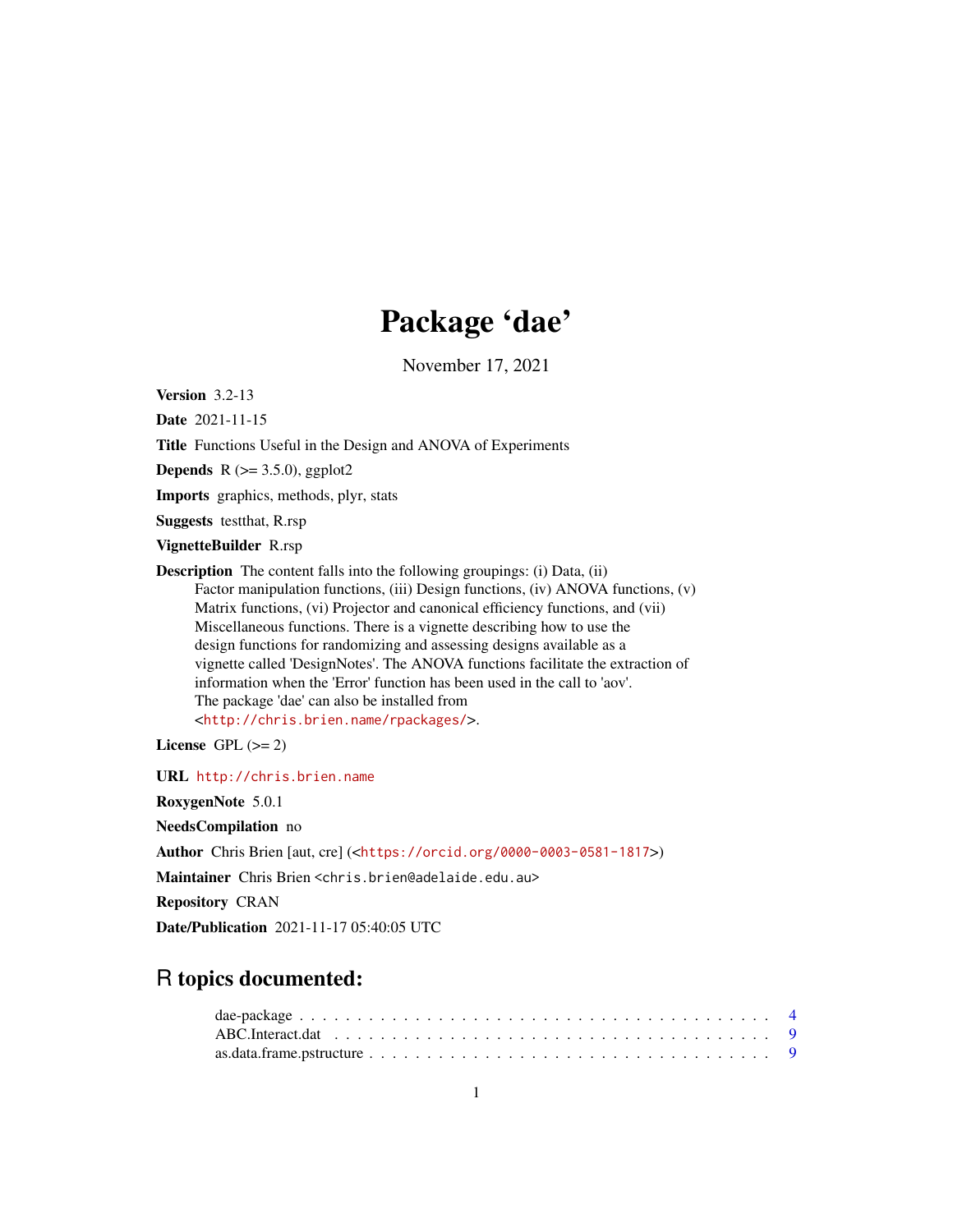# Package 'dae'

November 17, 2021

<span id="page-0-0"></span>Version 3.2-13

Date 2021-11-15

Title Functions Useful in the Design and ANOVA of Experiments

**Depends** R  $(>= 3.5.0)$ , ggplot2

Imports graphics, methods, plyr, stats

Suggests testthat, R.rsp

VignetteBuilder R.rsp

Description The content falls into the following groupings: (i) Data, (ii) Factor manipulation functions, (iii) Design functions, (iv) ANOVA functions, (v) Matrix functions, (vi) Projector and canonical efficiency functions, and (vii) Miscellaneous functions. There is a vignette describing how to use the design functions for randomizing and assessing designs available as a vignette called 'DesignNotes'. The ANOVA functions facilitate the extraction of information when the 'Error' function has been used in the call to 'aov'. The package 'dae' can also be installed from <<http://chris.brien.name/rpackages/>>.

License GPL  $(>= 2)$ 

URL <http://chris.brien.name>

RoxygenNote 5.0.1

NeedsCompilation no

Author Chris Brien [aut, cre] (<<https://orcid.org/0000-0003-0581-1817>>)

Maintainer Chris Brien <chris.brien@adelaide.edu.au>

Repository CRAN

Date/Publication 2021-11-17 05:40:05 UTC

# R topics documented: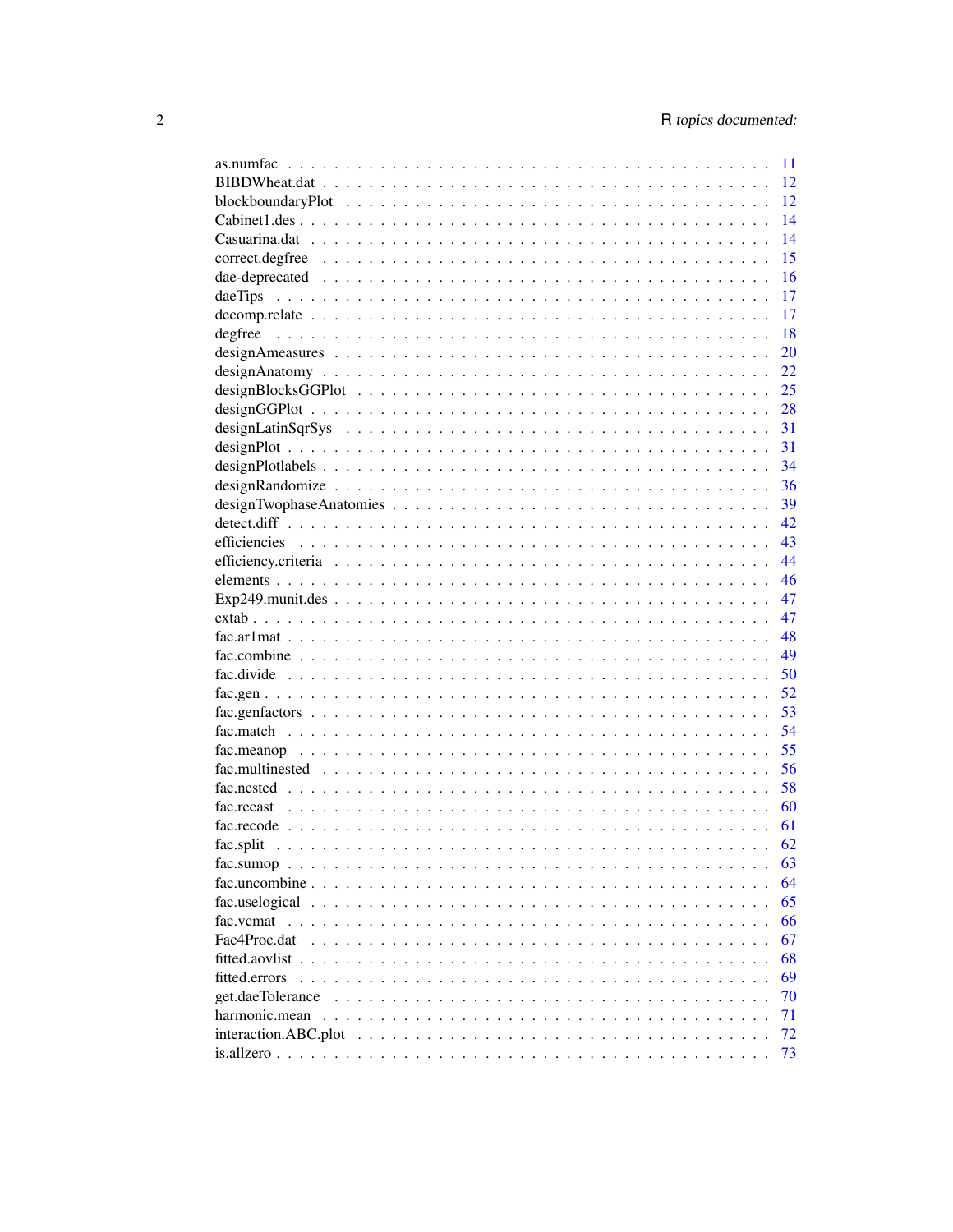|                                                                                                                   | 11 |
|-------------------------------------------------------------------------------------------------------------------|----|
|                                                                                                                   | 12 |
|                                                                                                                   | 12 |
|                                                                                                                   | 14 |
|                                                                                                                   | 14 |
|                                                                                                                   | 15 |
|                                                                                                                   | 16 |
|                                                                                                                   | 17 |
|                                                                                                                   | 17 |
|                                                                                                                   | 18 |
|                                                                                                                   | 20 |
|                                                                                                                   | 22 |
|                                                                                                                   | 25 |
|                                                                                                                   | 28 |
|                                                                                                                   | 31 |
|                                                                                                                   | 31 |
|                                                                                                                   | 34 |
|                                                                                                                   | 36 |
|                                                                                                                   | 39 |
|                                                                                                                   | 42 |
|                                                                                                                   | 43 |
|                                                                                                                   | 44 |
|                                                                                                                   | 46 |
|                                                                                                                   | 47 |
|                                                                                                                   | 47 |
|                                                                                                                   | 48 |
|                                                                                                                   | 49 |
|                                                                                                                   | 50 |
|                                                                                                                   | 52 |
|                                                                                                                   | 53 |
|                                                                                                                   | 54 |
|                                                                                                                   | 55 |
|                                                                                                                   | 56 |
|                                                                                                                   | 58 |
|                                                                                                                   | 60 |
|                                                                                                                   | 61 |
|                                                                                                                   | 62 |
|                                                                                                                   | 63 |
| $fac.sumop \dots \dots \dots \dots \dots \dots \dots \dots \dots \dots \dots \dots \dots \dots \dots \dots \dots$ | 64 |
|                                                                                                                   | 65 |
|                                                                                                                   | 66 |
| Fac4Proc.dat                                                                                                      | 67 |
|                                                                                                                   |    |
|                                                                                                                   | 68 |
| fitted.errors                                                                                                     | 69 |
|                                                                                                                   | 70 |
|                                                                                                                   | 71 |
| $interaction.ABC.plot \dots \dots \dots \dots \dots \dots \dots \dots \dots \dots \dots \dots \dots \dots \dots$  | 72 |
|                                                                                                                   | 73 |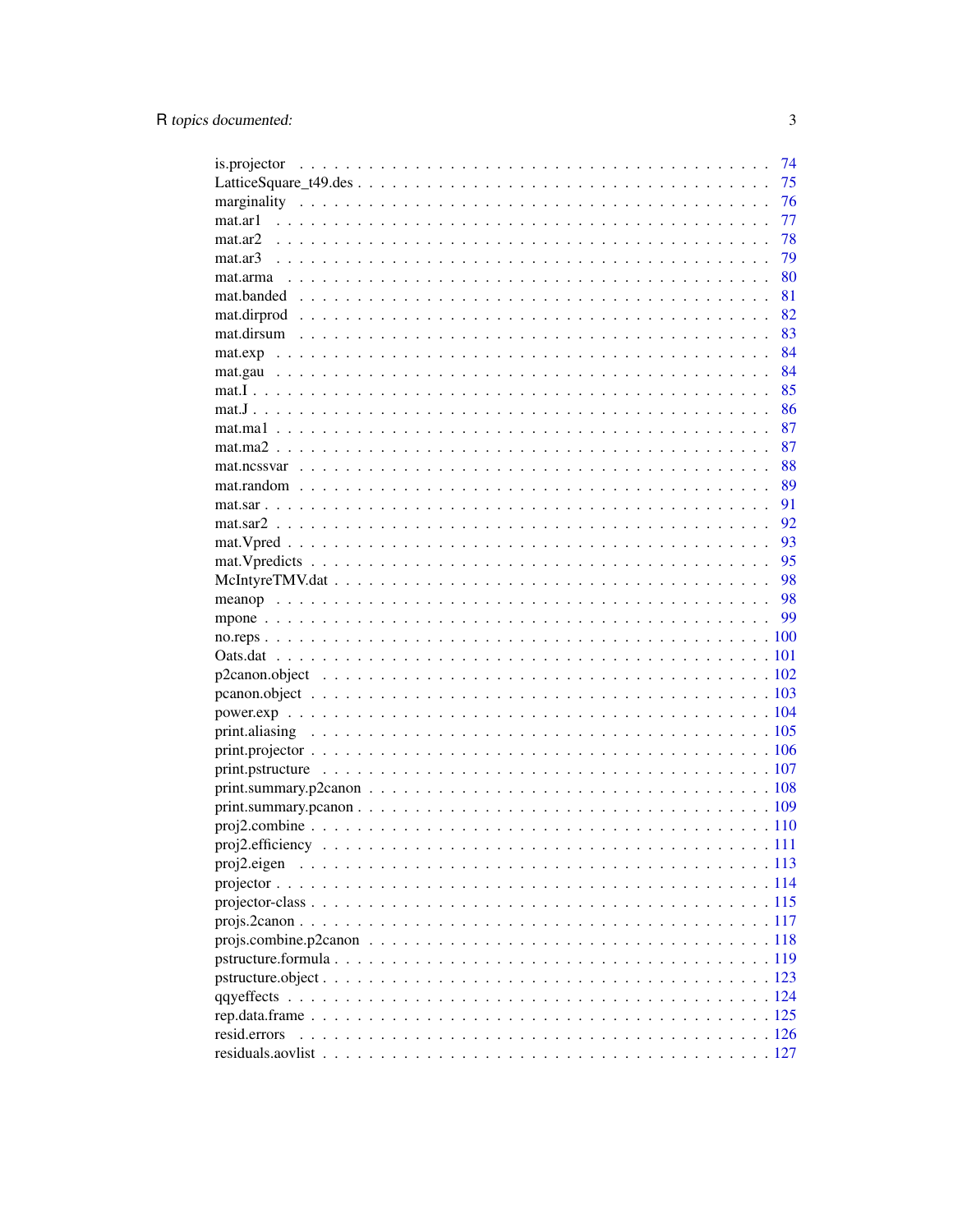|              | 74 |
|--------------|----|
|              | 75 |
|              | 76 |
|              | 77 |
|              | 78 |
|              | 79 |
|              | 80 |
|              | 81 |
|              | 82 |
|              | 83 |
|              | 84 |
|              | 84 |
|              | 85 |
|              | 86 |
|              | 87 |
|              | 87 |
|              | 88 |
|              | 89 |
|              | 91 |
|              | 92 |
|              | 93 |
|              | 95 |
|              | 98 |
|              |    |
|              | 99 |
|              |    |
|              |    |
|              |    |
|              |    |
|              |    |
|              |    |
|              |    |
|              |    |
|              |    |
|              |    |
|              |    |
|              |    |
|              |    |
|              |    |
|              |    |
|              |    |
|              |    |
|              |    |
|              |    |
|              |    |
|              |    |
| resid.errors |    |
|              |    |
|              |    |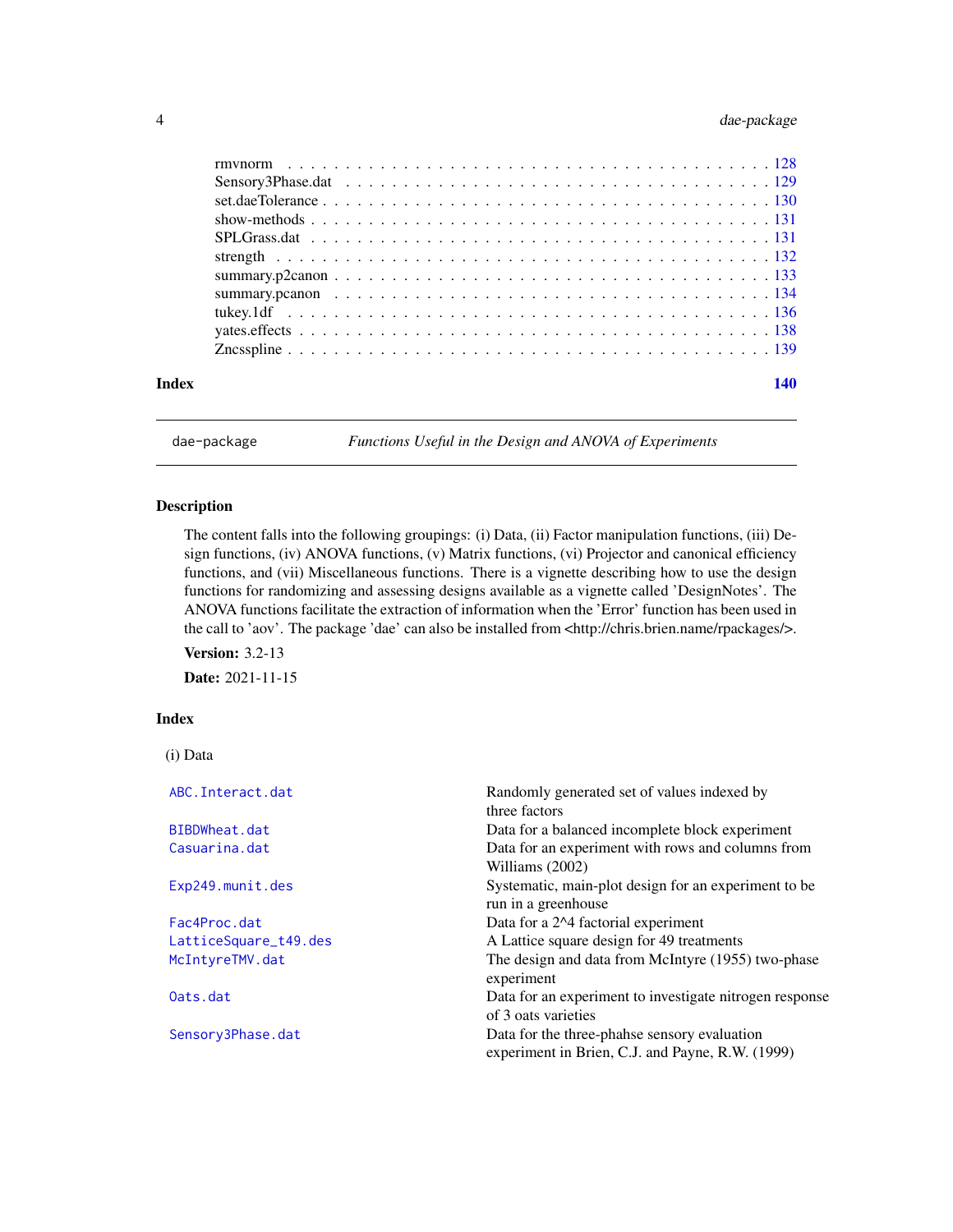<span id="page-3-0"></span>

| Index | 140 |
|-------|-----|
|       |     |
|       |     |
|       |     |
|       |     |
|       |     |
|       |     |
|       |     |
|       |     |
|       |     |
|       |     |
|       |     |

dae-package *Functions Useful in the Design and ANOVA of Experiments*

# Description

The content falls into the following groupings: (i) Data, (ii) Factor manipulation functions, (iii) Design functions, (iv) ANOVA functions, (v) Matrix functions, (vi) Projector and canonical efficiency functions, and (vii) Miscellaneous functions. There is a vignette describing how to use the design functions for randomizing and assessing designs available as a vignette called 'DesignNotes'. The ANOVA functions facilitate the extraction of information when the 'Error' function has been used in the call to 'aov'. The package 'dae' can also be installed from <http://chris.brien.name/rpackages/>.

**Version: 3.2-13** 

Date: 2021-11-15

# Index

(i) Data

| ABC. Interact.dat     | Randomly generated set of values indexed by             |
|-----------------------|---------------------------------------------------------|
|                       | three factors                                           |
| BIBDWheat.dat         | Data for a balanced incomplete block experiment         |
| Casuarina.dat         | Data for an experiment with rows and columns from       |
|                       | Williams (2002)                                         |
| Exp249.munit.des      | Systematic, main-plot design for an experiment to be.   |
|                       | run in a greenhouse                                     |
| Fac4Proc.dat          | Data for a 2^4 factorial experiment                     |
| LatticeSquare_t49.des | A Lattice square design for 49 treatments               |
| McIntyreTMV.dat       | The design and data from McIntyre (1955) two-phase      |
|                       | experiment                                              |
| Oats.dat              | Data for an experiment to investigate nitrogen response |
|                       | of 3 oats varieties                                     |
| Sensory3Phase.dat     | Data for the three-phanse sensory evaluation            |
|                       | experiment in Brien, C.J. and Payne, R.W. (1999)        |
|                       |                                                         |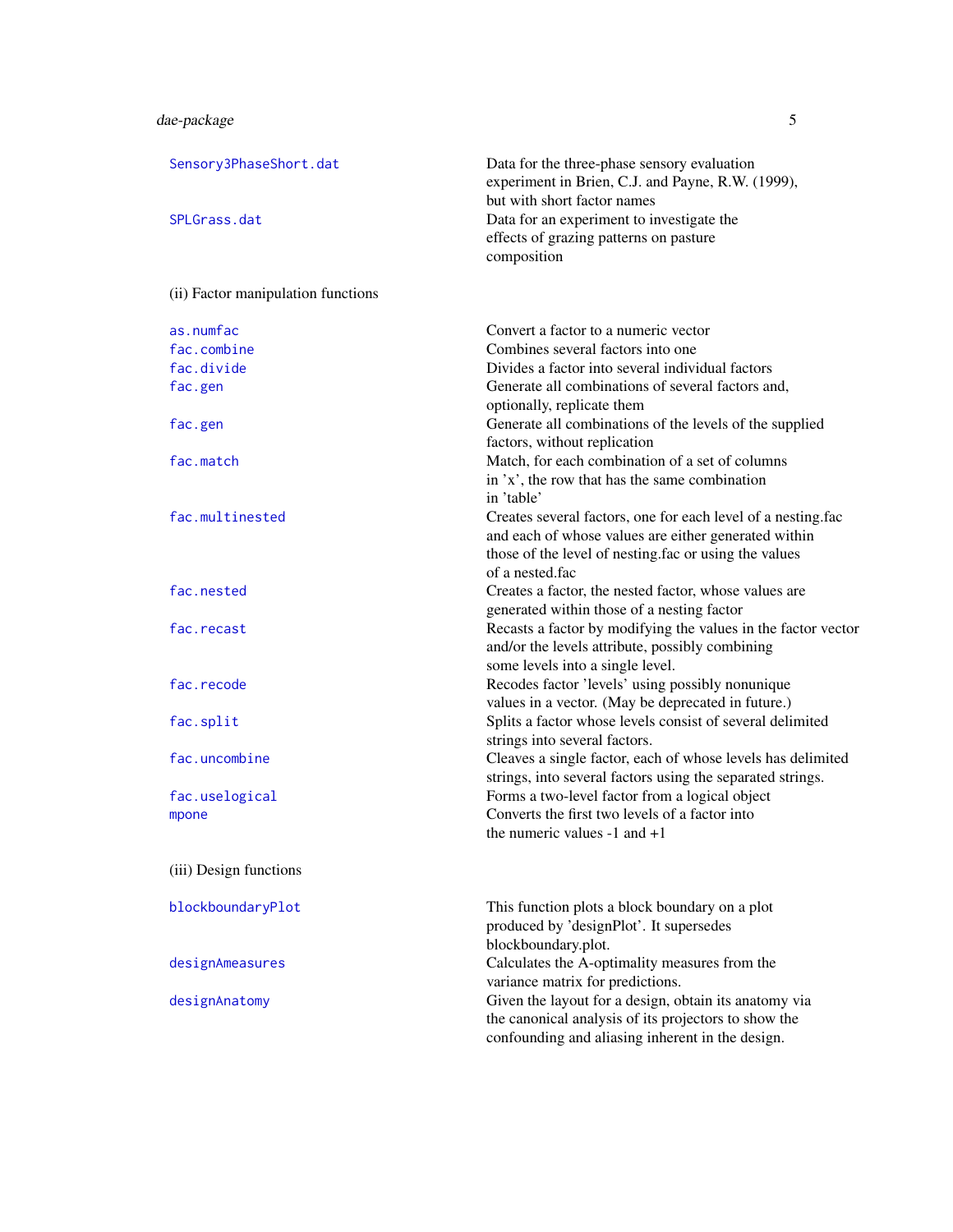| Sensory3PhaseShort.dat             | Data for the three-phase sensory evaluation<br>experiment in Brien, C.J. and Payne, R.W. (1999),<br>but with short factor names                                                                  |
|------------------------------------|--------------------------------------------------------------------------------------------------------------------------------------------------------------------------------------------------|
| SPLGrass.dat                       | Data for an experiment to investigate the<br>effects of grazing patterns on pasture<br>composition                                                                                               |
| (ii) Factor manipulation functions |                                                                                                                                                                                                  |
| as.numfac                          | Convert a factor to a numeric vector                                                                                                                                                             |
| fac.combine                        | Combines several factors into one                                                                                                                                                                |
| fac.divide                         | Divides a factor into several individual factors                                                                                                                                                 |
| fac.gen                            | Generate all combinations of several factors and,<br>optionally, replicate them                                                                                                                  |
| fac.gen                            | Generate all combinations of the levels of the supplied<br>factors, without replication                                                                                                          |
| fac.match                          | Match, for each combination of a set of columns<br>in 'x', the row that has the same combination<br>in 'table'                                                                                   |
| fac.multinested                    | Creates several factors, one for each level of a nesting.fac<br>and each of whose values are either generated within<br>those of the level of nesting.fac or using the values<br>of a nested.fac |
| fac.nested                         | Creates a factor, the nested factor, whose values are<br>generated within those of a nesting factor                                                                                              |
| fac.recast                         | Recasts a factor by modifying the values in the factor vector<br>and/or the levels attribute, possibly combining<br>some levels into a single level.                                             |
| fac.recode                         | Recodes factor 'levels' using possibly nonunique<br>values in a vector. (May be deprecated in future.)                                                                                           |
| fac.split                          | Splits a factor whose levels consist of several delimited<br>strings into several factors.                                                                                                       |
| fac.uncombine                      | Cleaves a single factor, each of whose levels has delimited<br>strings, into several factors using the separated strings.                                                                        |
| fac.uselogical                     | Forms a two-level factor from a logical object                                                                                                                                                   |
| mpone                              | Converts the first two levels of a factor into<br>the numeric values $-1$ and $+1$                                                                                                               |
| (iii) Design functions             |                                                                                                                                                                                                  |
| blockboundaryPlot                  | This function plots a block boundary on a plot<br>produced by 'designPlot'. It supersedes<br>blockboundary.plot.                                                                                 |
| designAmeasures                    | Calculates the A-optimality measures from the<br>variance matrix for predictions.                                                                                                                |
| designAnatomy                      | Given the layout for a design, obtain its anatomy via<br>the canonical analysis of its projectors to show the<br>confounding and aliasing inherent in the design.                                |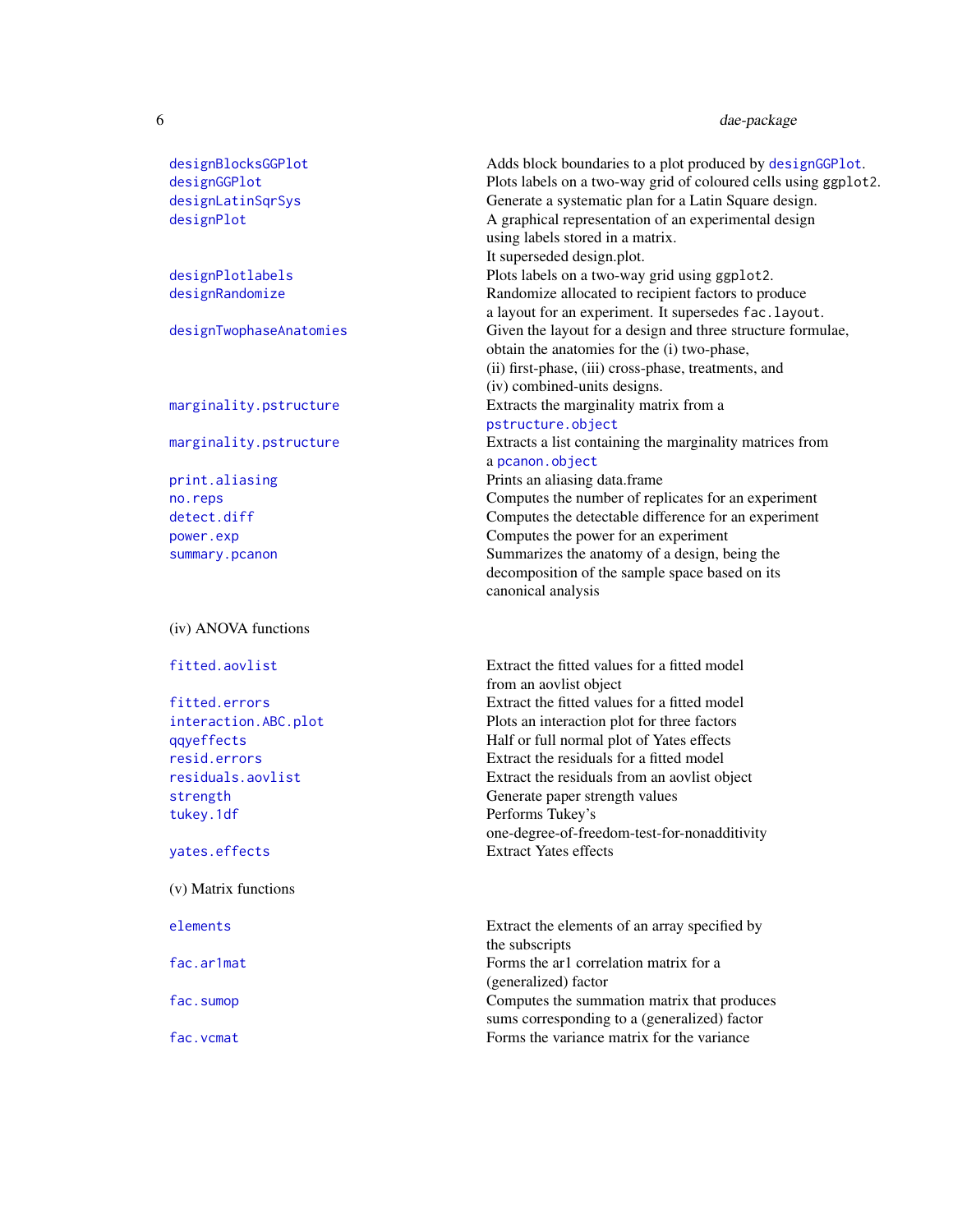| designBlocksGGPlot |
|--------------------|
| designGGPlot       |
| designLatinSgrSys  |
| designPlot         |

# (iv) ANOVA functions

[tukey.1df](#page-135-1) Performs Tukey's

# (v) Matrix functions

Adds block boundaries to a plot produced by [designGGPlot](#page-27-1). Plots labels on a two-way grid of coloured cells using ggplot2. Generate a systematic plan for a Latin Square design. A graphical representation of an experimental design using labels stored in a matrix. It superseded design.plot. [designPlotlabels](#page-33-1) Plots labels on a two-way grid using ggplot2. [designRandomize](#page-35-1) Randomize allocated to recipient factors to produce a layout for an experiment. It supersedes fac.layout. [designTwophaseAnatomies](#page-38-1) Given the layout for a design and three structure formulae, obtain the anatomies for the (i) two-phase, (ii) first-phase, (iii) cross-phase, treatments, and (iv) combined-units designs. [marginality.pstructure](#page-75-1) Extracts the marginality matrix from a [pstructure.object](#page-122-1) [marginality.pstructure](#page-75-1) Extracts a list containing the marginality matrices from a [pcanon.object](#page-102-1) [print.aliasing](#page-104-1) prints an aliasing data.frame [no.reps](#page-99-1) Computes the number of replicates for an experiment [detect.diff](#page-41-1) Computes the detectable difference for an experiment [power.exp](#page-103-1) Computes the power for an experiment summary. pcanon Summarizes the anatomy of a design, being the decomposition of the sample space based on its canonical analysis

[fitted.aovlist](#page-67-1) Extract the fitted values for a fitted model from an aovlist object [fitted.errors](#page-68-1) Extract the fitted values for a fitted model [interaction.ABC.plot](#page-71-1) Plots an interaction plot for three factors [qqyeffects](#page-123-1) Half or full normal plot of Yates effects [resid.errors](#page-125-1) Extract the residuals for a fitted model [residuals.aovlist](#page-126-1) Extract the residuals from an aovlist object [strength](#page-131-1) Generate paper strength values one-degree-of-freedom-test-for-nonadditivity [yates.effects](#page-137-1) Extract Yates effects

[elements](#page-45-1) Extract the elements of an array specified by the subscripts [fac.ar1mat](#page-47-1) Forms the ar1 correlation matrix for a (generalized) factor [fac.sumop](#page-62-1) Computes the summation matrix that produces sums corresponding to a (generalized) factor fac. vcmat Forms the variance matrix for the variance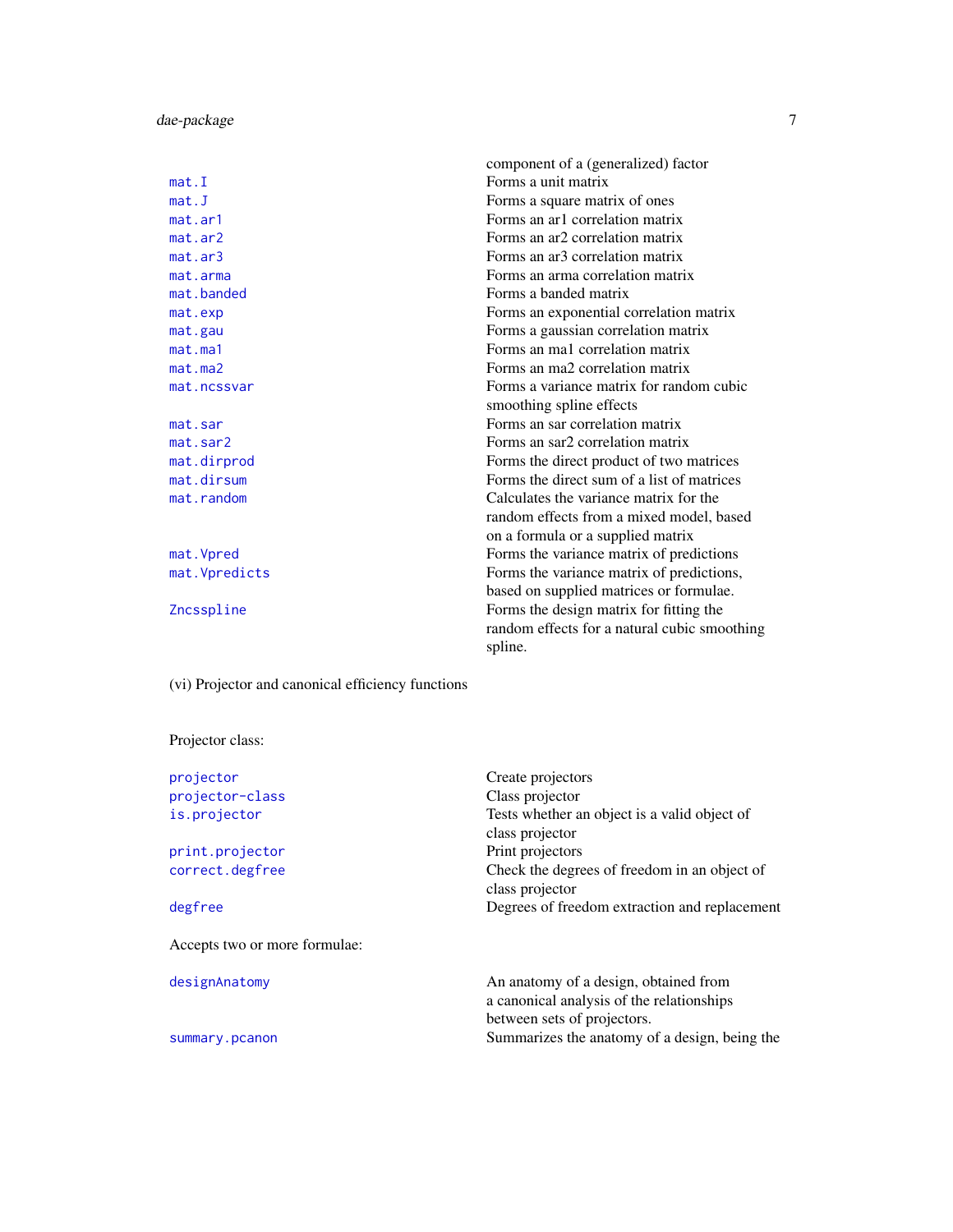component of a (generalized) factor mat. I Forms a unit matrix [mat.J](#page-85-1) Forms a square matrix of ones [mat.ar1](#page-76-1) Forms an architecture matrix [mat.ar2](#page-77-1) Forms an ar2 correlation matrix [mat.ar3](#page-78-1) Forms an ar3 correlation matrix [mat.arma](#page-79-1) Forms an arma correlation matrix [mat.banded](#page-80-1) Forms a banded matrix [mat.exp](#page-83-1) Forms an exponential correlation matrix [mat.gau](#page-83-2) Forms a gaussian correlation matrix [mat.ma1](#page-86-1) Forms an ma1 correlation matrix [mat.ma2](#page-86-2) Forms an ma2 correlation matrix [mat.ncssvar](#page-87-1) Forms a variance matrix for random cubic smoothing spline effects [mat.sar](#page-90-1) Forms an sar correlation matrix [mat.sar2](#page-91-1) Forms an sar2 correlation matrix [mat.dirprod](#page-81-1) Forms the direct product of two matrices [mat.dirsum](#page-82-1) Forms the direct sum of a list of matrices [mat.random](#page-88-1) Calculates the variance matrix for the random effects from a mixed model, based on a formula or a supplied matrix mat. Vpred Forms the variance matrix of predictions mat. Vpredicts Forms the variance matrix of predictions, based on supplied matrices or formulae. [Zncsspline](#page-138-1) Forms the design matrix for fitting the random effects for a natural cubic smoothing spline.

(vi) Projector and canonical efficiency functions

# Projector class:

| Create projectors                                                                  |
|------------------------------------------------------------------------------------|
| Class projector                                                                    |
| Tests whether an object is a valid object of                                       |
| class projector                                                                    |
| Print projectors                                                                   |
| Check the degrees of freedom in an object of                                       |
| class projector                                                                    |
| Degrees of freedom extraction and replacement                                      |
|                                                                                    |
| An anatomy of a design, obtained from<br>a canonical analysis of the relationships |
| between sets of projectors.                                                        |
| Summarizes the anatomy of a design, being the                                      |
|                                                                                    |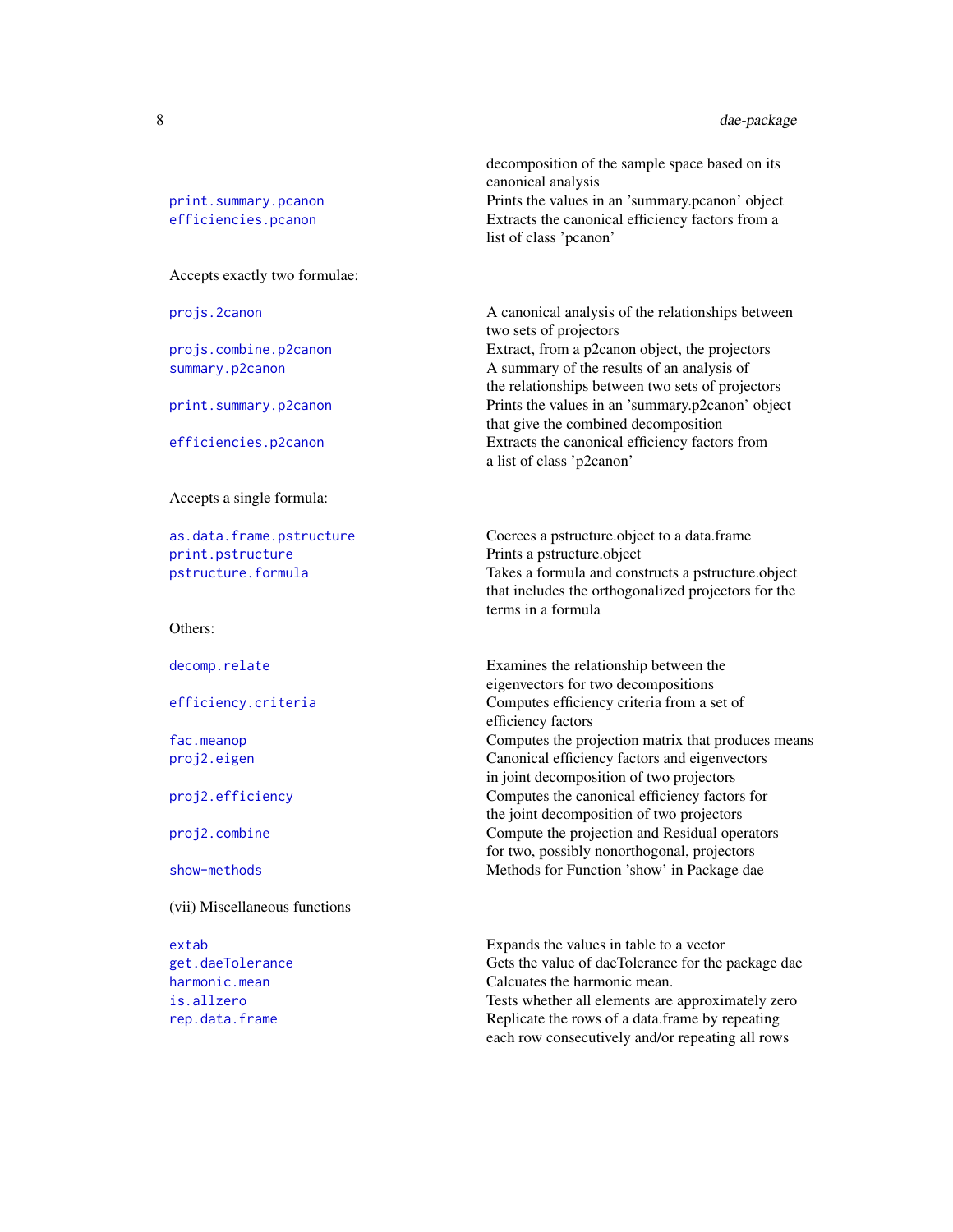[print.summary.pcanon](#page-108-1) Prints the values in an 'summary.pcanon' object [efficiencies.pcanon](#page-42-1) Extracts the canonical efficiency factors from a

Accepts exactly two formulae:

Accepts a single formula:

[print.pstructure](#page-106-1) Prints a pstructure.object

Others:

(vii) Miscellaneous functions

projs. 2canon A canonical analysis of the relationships between two sets of projectors [projs.combine.p2canon](#page-117-1) Extract, from a p2canon object, the projectors [summary.p2canon](#page-132-1) A summary of the results of an analysis of the relationships between two sets of projectors [print.summary.p2canon](#page-107-1) Prints the values in an 'summary.p2canon' object that give the combined decomposition

decomposition of the sample space based on its

canonical analysis

list of class 'pcanon'

[efficiencies.p2canon](#page-42-1) Extracts the canonical efficiency factors from a list of class 'p2canon'

[as.data.frame.pstructure](#page-8-2) Coerces a pstructure.object to a data.frame [pstructure.formula](#page-118-1) Takes a formula and constructs a pstructure.object that includes the orthogonalized projectors for the terms in a formula

[decomp.relate](#page-16-1) Examines the relationship between the eigenvectors for two decompositions [efficiency.criteria](#page-43-1) Computes efficiency criteria from a set of efficiency factors [fac.meanop](#page-54-1) **Computes the projection matrix that produces means** [proj2.eigen](#page-112-1) Canonical efficiency factors and eigenvectors in joint decomposition of two projectors [proj2.efficiency](#page-110-1) Computes the canonical efficiency factors for the joint decomposition of two projectors [proj2.combine](#page-109-1) Compute the projection and Residual operators for two, possibly nonorthogonal, projectors [show-methods](#page-130-2) **Methods** Methods for Function 'show' in Package dae

[extab](#page-46-2) Expands the values in table to a vector [get.daeTolerance](#page-69-1) Gets the value of daeTolerance for the package dae [harmonic.mean](#page-70-1) **Calcuates** the harmonic mean. [is.allzero](#page-72-1) Tests whether all elements are approximately zero [rep.data.frame](#page-124-1) Replicate the rows of a data.frame by repeating each row consecutively and/or repeating all rows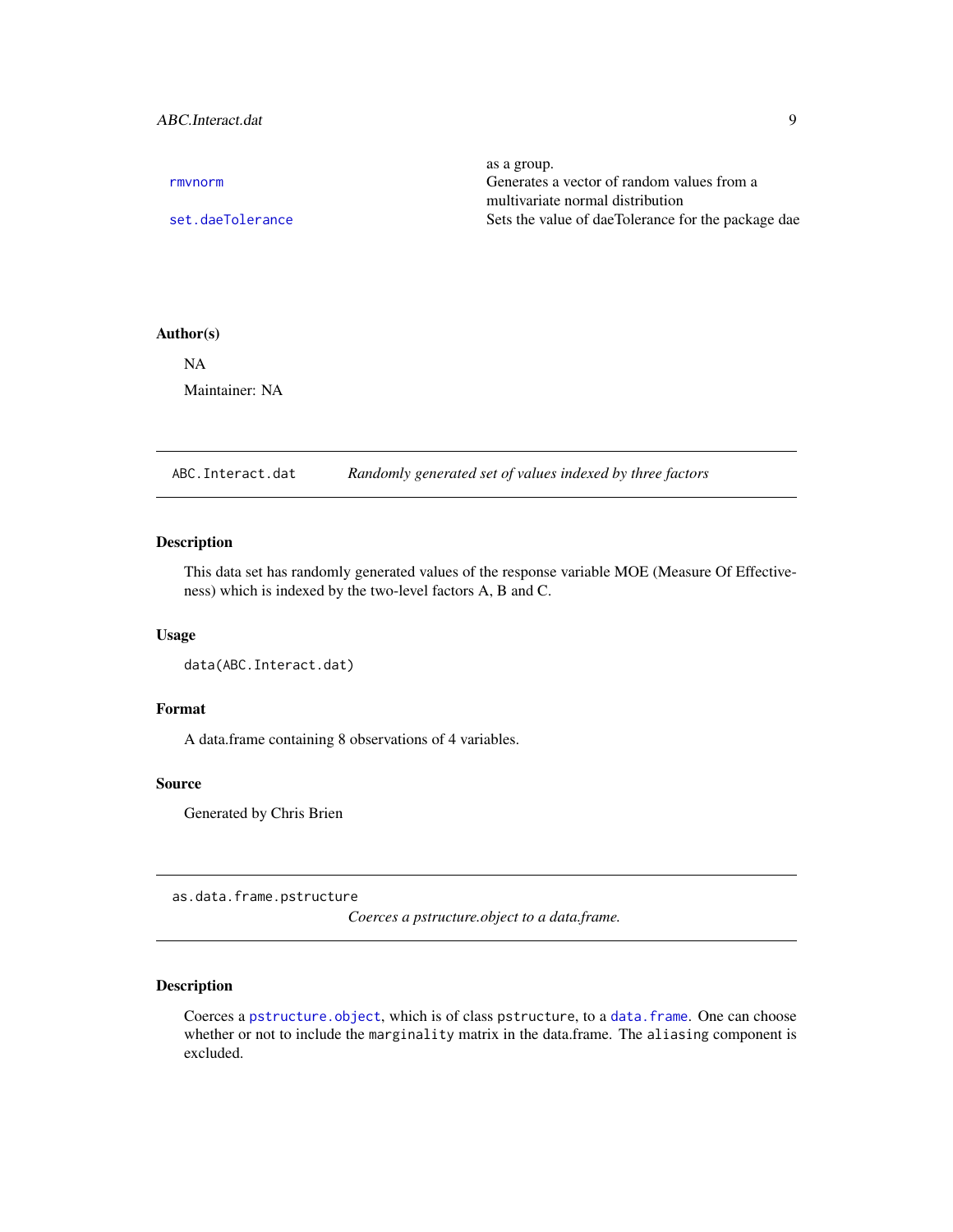# <span id="page-8-0"></span>ABC.Interact.dat 9

|                  | as a group.                                        |
|------------------|----------------------------------------------------|
| rmvnorm          | Generates a vector of random values from a         |
|                  | multivariate normal distribution                   |
| set.daeTolerance | Sets the value of daeTolerance for the package dae |
|                  |                                                    |

# Author(s)

NA Maintainer: NA

<span id="page-8-1"></span>ABC.Interact.dat *Randomly generated set of values indexed by three factors*

# Description

This data set has randomly generated values of the response variable MOE (Measure Of Effectiveness) which is indexed by the two-level factors A, B and C.

#### Usage

```
data(ABC.Interact.dat)
```
# Format

A data.frame containing 8 observations of 4 variables.

#### Source

Generated by Chris Brien

<span id="page-8-2"></span>as.data.frame.pstructure

*Coerces a pstructure.object to a data.frame.*

# Description

Coerces a [pstructure.object](#page-122-1), which is of class pstructure, to a [data.frame](#page-0-0). One can choose whether or not to include the marginality matrix in the data.frame. The aliasing component is excluded.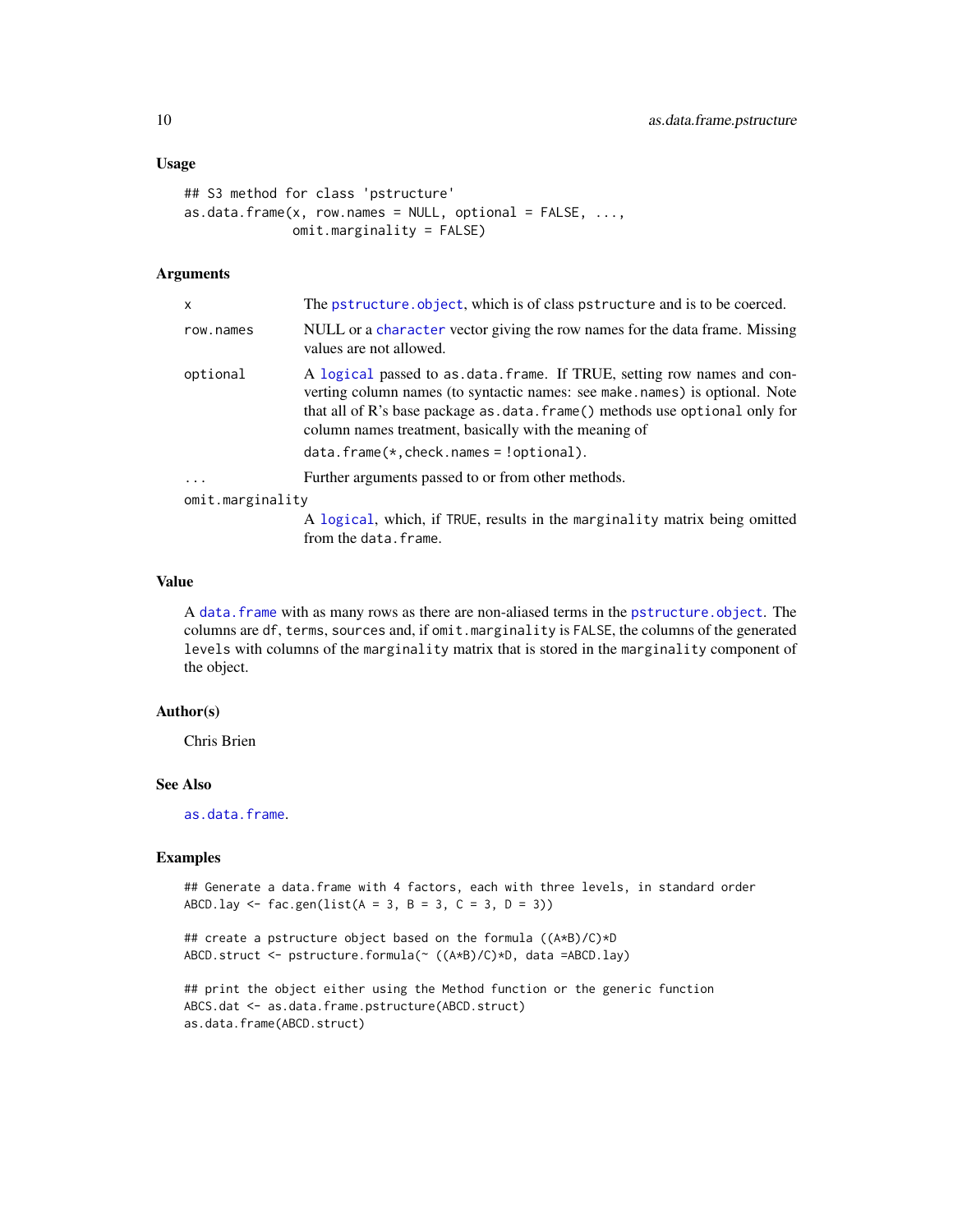# Usage

```
## S3 method for class 'pstructure'
as.data.frame(x, row.names = NULL, optional = FALSE, ...,omit.marginality = FALSE)
```
# Arguments

| $\mathsf{x}$     | The pstructure. object, which is of class pstructure and is to be coerced.                                                                                                                                                                                                                                                                      |  |  |  |  |  |  |  |
|------------------|-------------------------------------------------------------------------------------------------------------------------------------------------------------------------------------------------------------------------------------------------------------------------------------------------------------------------------------------------|--|--|--|--|--|--|--|
| row.names        | NULL or a character vector giving the row names for the data frame. Missing<br>values are not allowed.                                                                                                                                                                                                                                          |  |  |  |  |  |  |  |
| optional         | A logical passed to as data frame. If TRUE, setting row names and con-<br>verting column names (to syntactic names: see make names) is optional. Note<br>that all of R's base package as $data$ . frame() methods use optional only for<br>column names treatment, basically with the meaning of<br>$data. frame(*, check. names = 'optional).$ |  |  |  |  |  |  |  |
| $\cdots$         | Further arguments passed to or from other methods.                                                                                                                                                                                                                                                                                              |  |  |  |  |  |  |  |
| omit.marginality |                                                                                                                                                                                                                                                                                                                                                 |  |  |  |  |  |  |  |
|                  | A logical, which, if TRUE, results in the marginality matrix being omitted<br>from the data. frame.                                                                                                                                                                                                                                             |  |  |  |  |  |  |  |

### Value

A [data.frame](#page-0-0) with as many rows as there are non-aliased terms in the [pstructure.object](#page-122-1). The columns are df, terms, sources and, if omit.marginality is FALSE, the columns of the generated levels with columns of the marginality matrix that is stored in the marginality component of the object.

# Author(s)

Chris Brien

#### See Also

[as.data.frame](#page-0-0).

```
## Generate a data.frame with 4 factors, each with three levels, in standard order
ABCD.lay <- fac.gen(list(A = 3, B = 3, C = 3, D = 3))
```

```
## create a pstructure object based on the formula ((A*B)/C)*D
ABCD.struct <- pstructure.formula(~ ((A*B)/C)*D, data =ABCD.lay)
```

```
## print the object either using the Method function or the generic function
ABCS.dat <- as.data.frame.pstructure(ABCD.struct)
as.data.frame(ABCD.struct)
```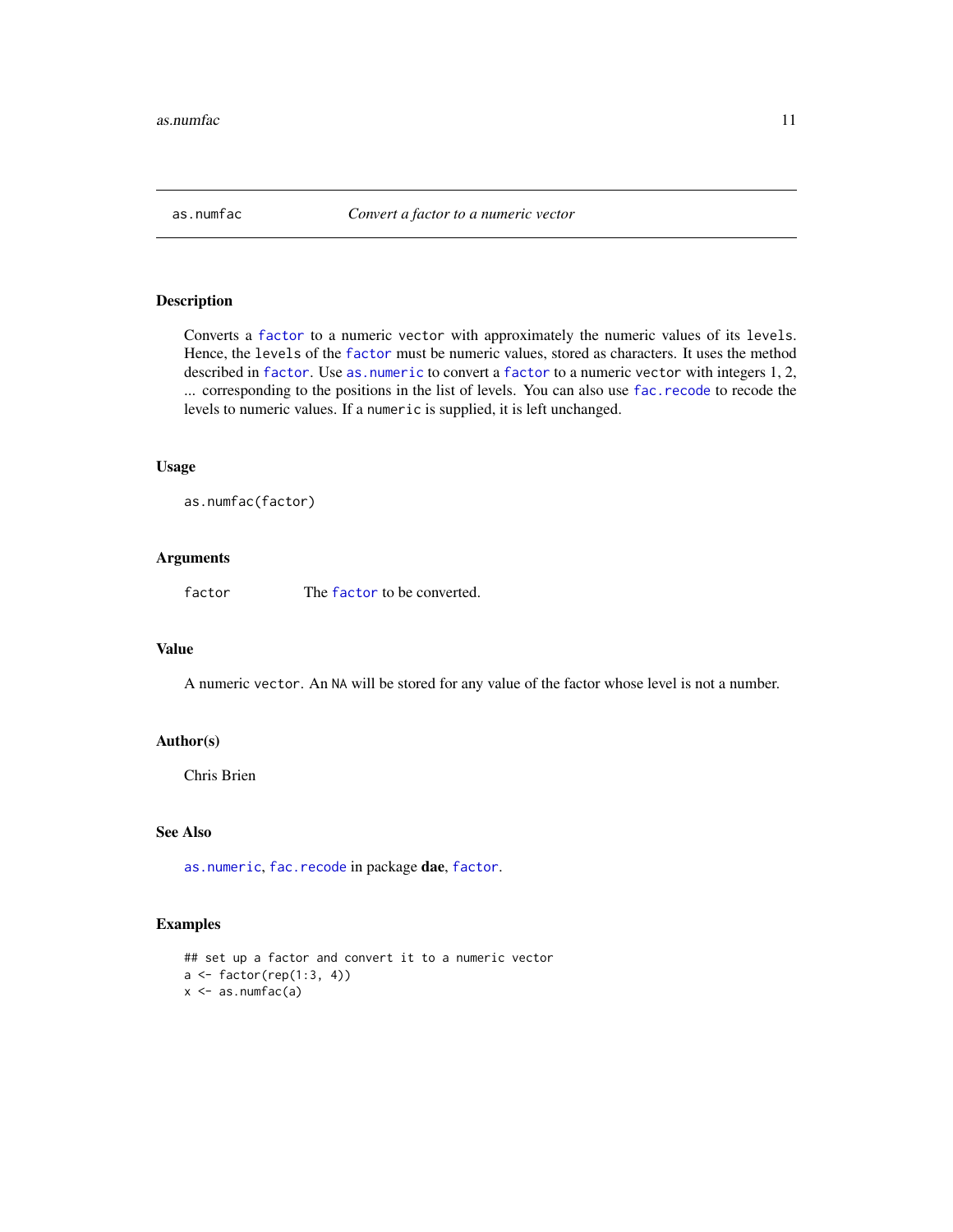<span id="page-10-1"></span><span id="page-10-0"></span>

# Description

Converts a [factor](#page-0-0) to a numeric vector with approximately the numeric values of its levels. Hence, the levels of the [factor](#page-0-0) must be numeric values, stored as characters. It uses the method described in [factor](#page-0-0). Use [as.numeric](#page-0-0) to convert a factor to a numeric vector with integers 1, 2, ... corresponding to the positions in the list of levels. You can also use [fac.recode](#page-60-1) to recode the levels to numeric values. If a numeric is supplied, it is left unchanged.

# Usage

as.numfac(factor)

# Arguments

[factor](#page-0-0) The factor to be converted.

# Value

A numeric vector. An NA will be stored for any value of the factor whose level is not a number.

# Author(s)

Chris Brien

# See Also

[as.numeric](#page-0-0), [fac.recode](#page-60-1) in package dae, [factor](#page-0-0).

```
## set up a factor and convert it to a numeric vector
a <- factor(rep(1:3, 4))
x <- as.numfac(a)
```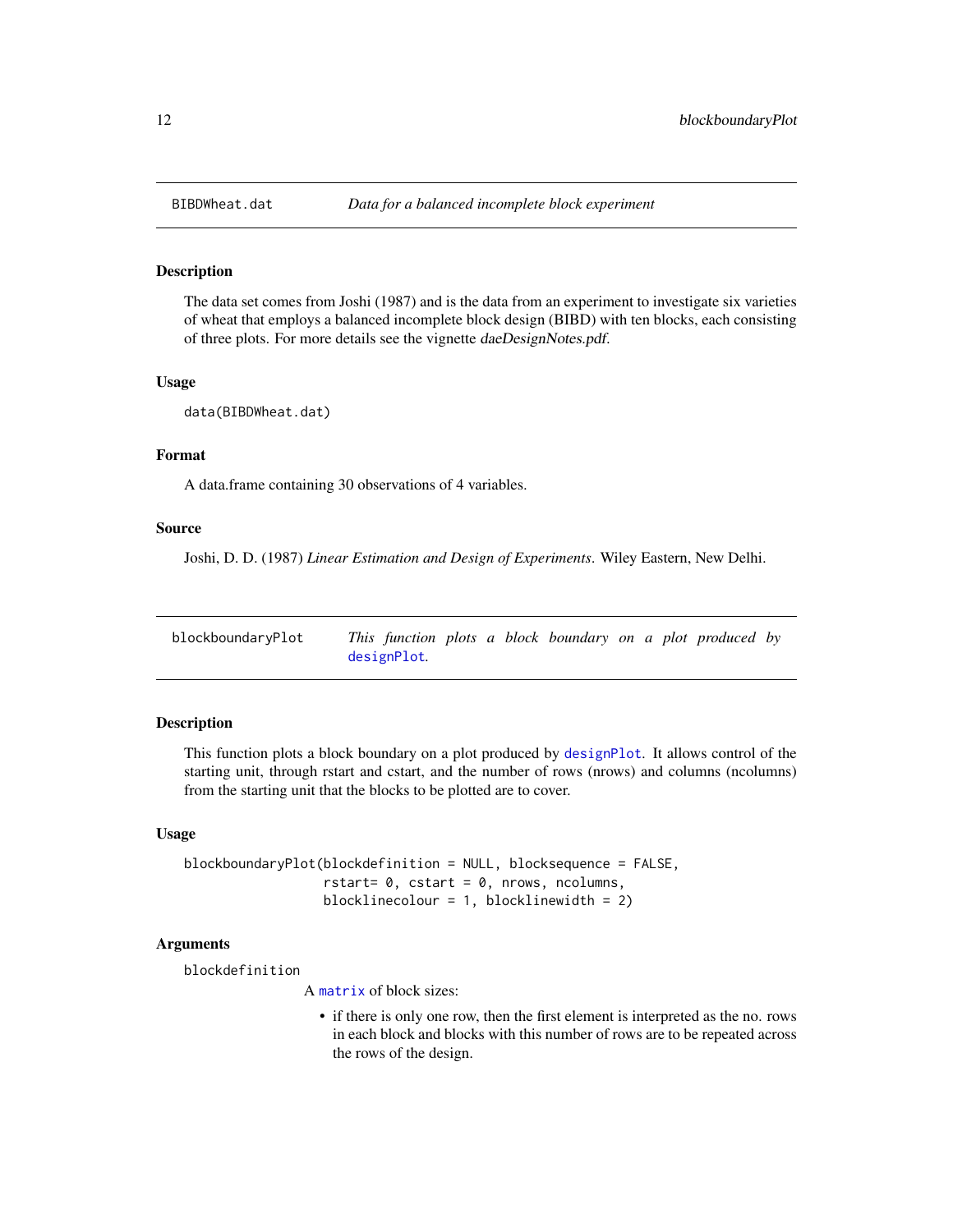<span id="page-11-1"></span><span id="page-11-0"></span>

# Description

The data set comes from Joshi (1987) and is the data from an experiment to investigate six varieties of wheat that employs a balanced incomplete block design (BIBD) with ten blocks, each consisting of three plots. For more details see the vignette daeDesignNotes.pdf.

# Usage

data(BIBDWheat.dat)

# Format

A data.frame containing 30 observations of 4 variables.

#### Source

Joshi, D. D. (1987) *Linear Estimation and Design of Experiments*. Wiley Eastern, New Delhi.

<span id="page-11-2"></span>

| blockboundaryPlot | This function plots a block boundary on a plot produced by |  |  |  |  |  |
|-------------------|------------------------------------------------------------|--|--|--|--|--|
|                   | designPlot.                                                |  |  |  |  |  |

# Description

This function plots a block boundary on a plot produced by [designPlot](#page-30-2). It allows control of the starting unit, through rstart and cstart, and the number of rows (nrows) and columns (ncolumns) from the starting unit that the blocks to be plotted are to cover.

# Usage

```
blockboundaryPlot(blockdefinition = NULL, blocksequence = FALSE,
                  rstart= 0, cstart = 0, nrows, ncolumns,
                  blocklinecolour = 1, blocklinewidth = 2)
```
#### Arguments

blockdefinition

A [matrix](#page-0-0) of block sizes:

• if there is only one row, then the first element is interpreted as the no. rows in each block and blocks with this number of rows are to be repeated across the rows of the design.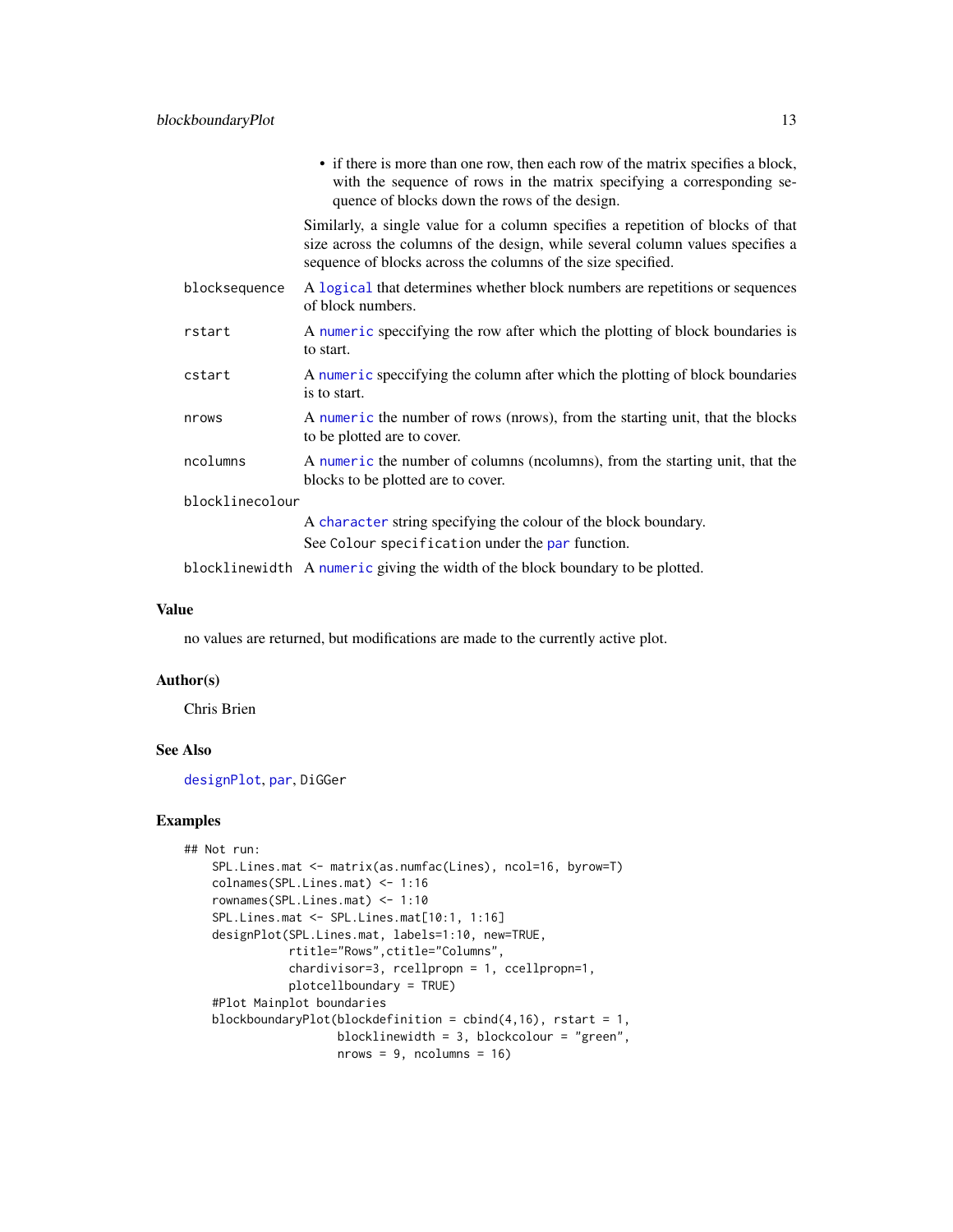|                 | • if there is more than one row, then each row of the matrix specifies a block,<br>with the sequence of rows in the matrix specifying a corresponding se-<br>quence of blocks down the rows of the design.                        |  |  |  |  |  |
|-----------------|-----------------------------------------------------------------------------------------------------------------------------------------------------------------------------------------------------------------------------------|--|--|--|--|--|
|                 | Similarly, a single value for a column specifies a repetition of blocks of that<br>size across the columns of the design, while several column values specifies a<br>sequence of blocks across the columns of the size specified. |  |  |  |  |  |
| blocksequence   | A logical that determines whether block numbers are repetitions or sequences<br>of block numbers.                                                                                                                                 |  |  |  |  |  |
| rstart          | A numeric speccifying the row after which the plotting of block boundaries is<br>to start.                                                                                                                                        |  |  |  |  |  |
| cstart          | A numeric speccifying the column after which the plotting of block boundaries<br>is to start.                                                                                                                                     |  |  |  |  |  |
| nrows           | A numeric the number of rows (nrows), from the starting unit, that the blocks<br>to be plotted are to cover.                                                                                                                      |  |  |  |  |  |
| ncolumns        | A numeric the number of columns (ncolumns), from the starting unit, that the<br>blocks to be plotted are to cover.                                                                                                                |  |  |  |  |  |
| blocklinecolour |                                                                                                                                                                                                                                   |  |  |  |  |  |
|                 | A character string specifying the colour of the block boundary.                                                                                                                                                                   |  |  |  |  |  |
|                 | See Colour specification under the par function.                                                                                                                                                                                  |  |  |  |  |  |
|                 | blocklinewidth A numeric giving the width of the block boundary to be plotted.                                                                                                                                                    |  |  |  |  |  |

#### Value

no values are returned, but modifications are made to the currently active plot.

# Author(s)

Chris Brien

# See Also

[designPlot](#page-30-2), [par](#page-0-0), DiGGer

```
## Not run:
   SPL.Lines.mat <- matrix(as.numfac(Lines), ncol=16, byrow=T)
   colnames(SPL.Lines.mat) <- 1:16
   rownames(SPL.Lines.mat) <- 1:10
   SPL.Lines.mat <- SPL.Lines.mat[10:1, 1:16]
   designPlot(SPL.Lines.mat, labels=1:10, new=TRUE,
              rtitle="Rows",ctitle="Columns",
              chardivisor=3, rcellpropn = 1, ccellpropn=1,
              plotcellboundary = TRUE)
    #Plot Mainplot boundaries
   blockboundaryPlot(blockdefinition = cbind(4,16), rstart = 1,
                     blocklinewidth = 3, blockcolour = "green",
                     nrows = 9, ncolumns = 16
```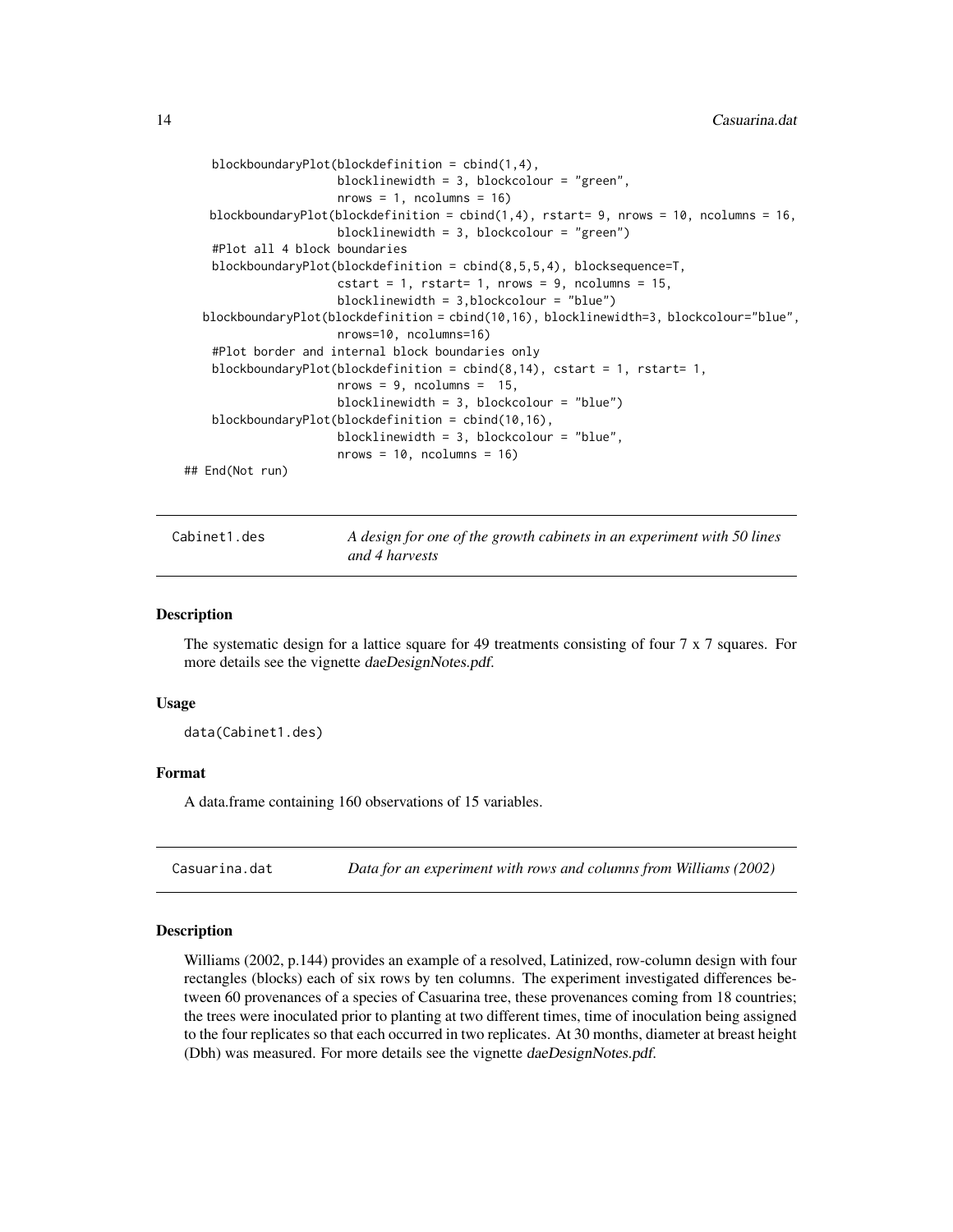```
blockboundaryPlot(blockdefinition = cbind(1,4),
                     blocklinewidth = 3, blockcolour = "green",
                     nrows = 1, ncolumns = 16blockboundaryPlot(blockdefinition = cbind(1,4), rstart= 9, nrows = 10, ncolumns = 16,
                     blocklinewidth = 3, blockcolour = "green")
   #Plot all 4 block boundaries
   blockboundaryPlot(blockdefinition = cbind(8,5,5,4), blocksequence=T,
                     cstart = 1, rstart= 1, nrows = 9, ncolumns = 15,
                     blocklinewidth = 3,blockcolour = "blue")
  blockboundaryPlot(blockdefinition = cbind(10,16), blocklinewidth=3, blockcolour="blue",
                     nrows=10, ncolumns=16)
   #Plot border and internal block boundaries only
   blockboundaryPlot(blockdefinition = cbind(8,14), cstart = 1, rstart= 1,
                     nrows = 9, ncolumn = 15,
                     blocklinewidth = 3, blockcolour = "blue")
   blockboundaryPlot(blockdefinition = cbind(10,16),
                     blocklinewidth = 3, blockcolour = "blue",
                     nrows = 10, ncolumn = 16## End(Not run)
```
Cabinet1.des *A design for one of the growth cabinets in an experiment with 50 lines and 4 harvests*

#### Description

The systematic design for a lattice square for 49 treatments consisting of four  $7 \times 7$  squares. For more details see the vignette daeDesignNotes.pdf.

#### Usage

data(Cabinet1.des)

#### Format

A data.frame containing 160 observations of 15 variables.

<span id="page-13-1"></span>Casuarina.dat *Data for an experiment with rows and columns from Williams (2002)*

# Description

Williams (2002, p.144) provides an example of a resolved, Latinized, row-column design with four rectangles (blocks) each of six rows by ten columns. The experiment investigated differences between 60 provenances of a species of Casuarina tree, these provenances coming from 18 countries; the trees were inoculated prior to planting at two different times, time of inoculation being assigned to the four replicates so that each occurred in two replicates. At 30 months, diameter at breast height (Dbh) was measured. For more details see the vignette daeDesignNotes.pdf.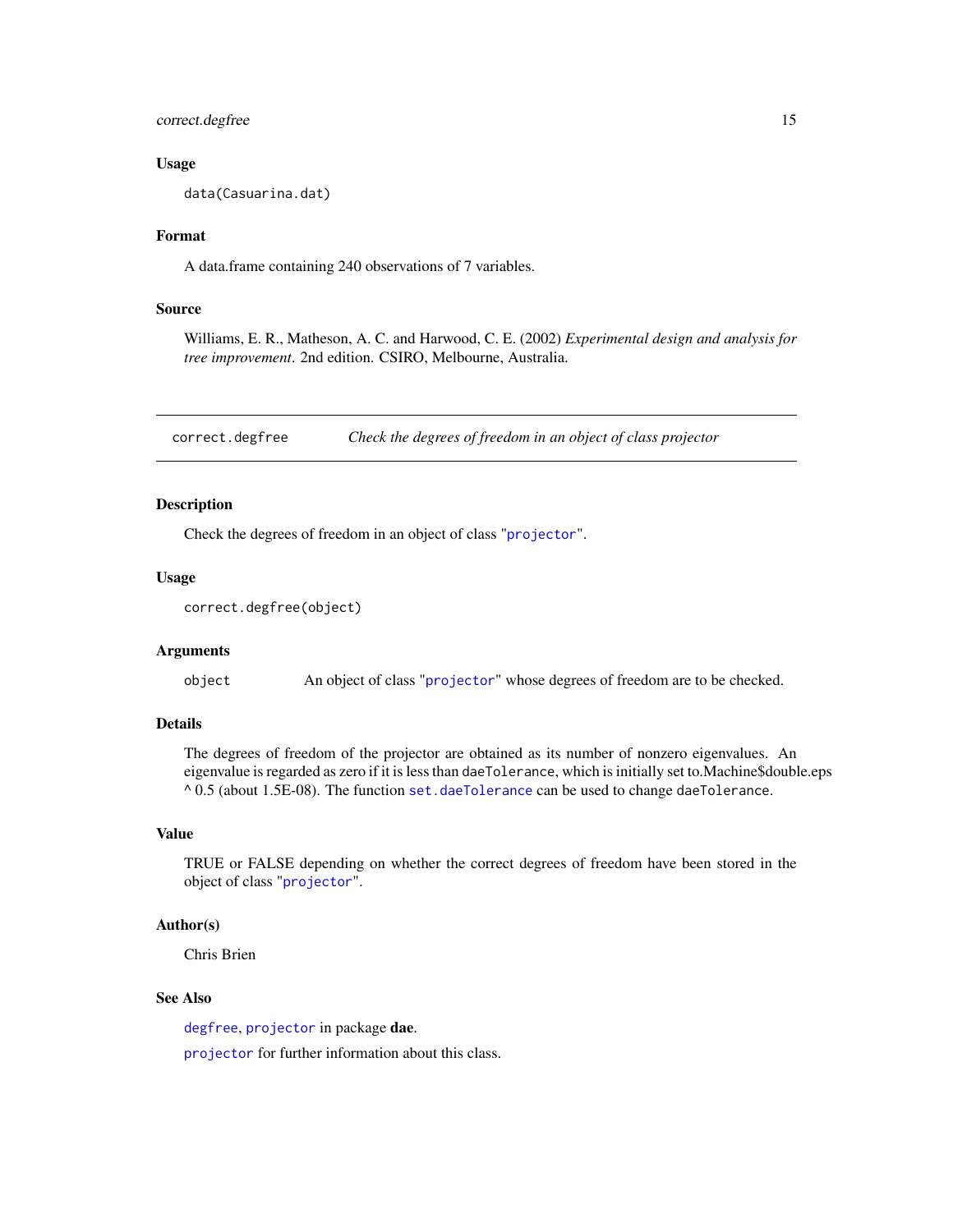<span id="page-14-0"></span>correct.degfree 15

#### Usage

data(Casuarina.dat)

# Format

A data.frame containing 240 observations of 7 variables.

# Source

Williams, E. R., Matheson, A. C. and Harwood, C. E. (2002) *Experimental design and analysis for tree improvement*. 2nd edition. CSIRO, Melbourne, Australia.

<span id="page-14-1"></span>correct.degfree *Check the degrees of freedom in an object of class projector*

# Description

Check the degrees of freedom in an object of class "[projector](#page-114-1)".

#### Usage

```
correct.degfree(object)
```
# Arguments

object An object of class "[projector](#page-114-1)" whose degrees of freedom are to be checked.

# Details

The degrees of freedom of the projector are obtained as its number of nonzero eigenvalues. An eigenvalue is regarded as zero if it is less than daeTolerance, which is initially set to.Machine\$double.eps  $^{\wedge}$  0.5 (about 1.5E-08). The function [set.daeTolerance](#page-129-1) can be used to change daeTolerance.

#### Value

TRUE or FALSE depending on whether the correct degrees of freedom have been stored in the object of class "[projector](#page-114-1)".

# Author(s)

Chris Brien

#### See Also

[degfree](#page-17-1), [projector](#page-113-1) in package dae.

[projector](#page-114-1) for further information about this class.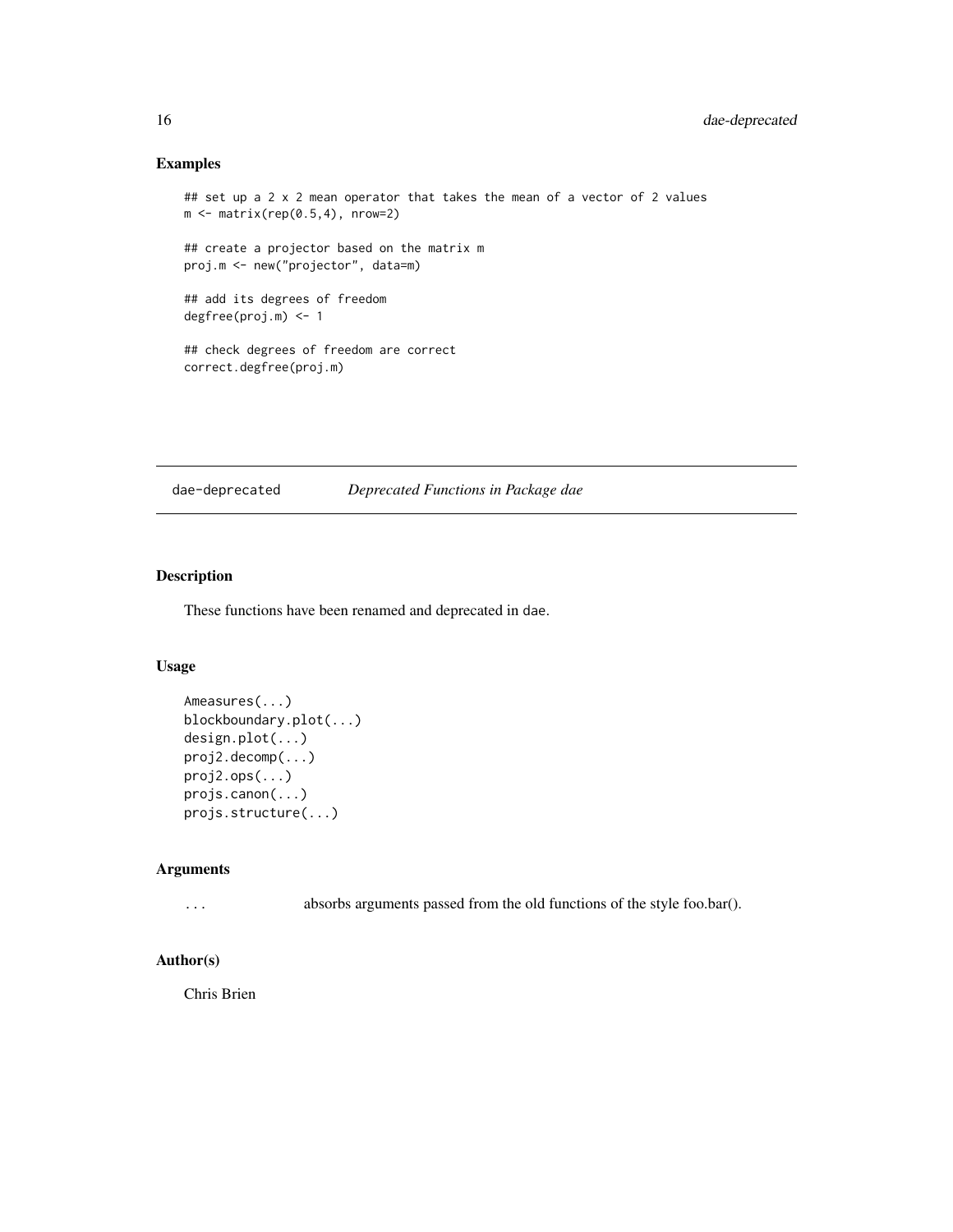# Examples

```
## set up a 2 x 2 mean operator that takes the mean of a vector of 2 values
m \leftarrow matrix(rep(0.5, 4), nrow=2)## create a projector based on the matrix m
proj.m <- new("projector", data=m)
## add its degrees of freedom
degfree(proj.m) <- 1
## check degrees of freedom are correct
correct.degfree(proj.m)
```
dae-deprecated *Deprecated Functions in Package dae*

# Description

These functions have been renamed and deprecated in dae.

# Usage

```
Ameasures(...)
blockboundary.plot(...)
design.plot(...)
proj2.decomp(...)
proj2.ops(...)
projs.canon(...)
projs.structure(...)
```
### Arguments

... absorbs arguments passed from the old functions of the style foo.bar().

# Author(s)

Chris Brien

<span id="page-15-0"></span>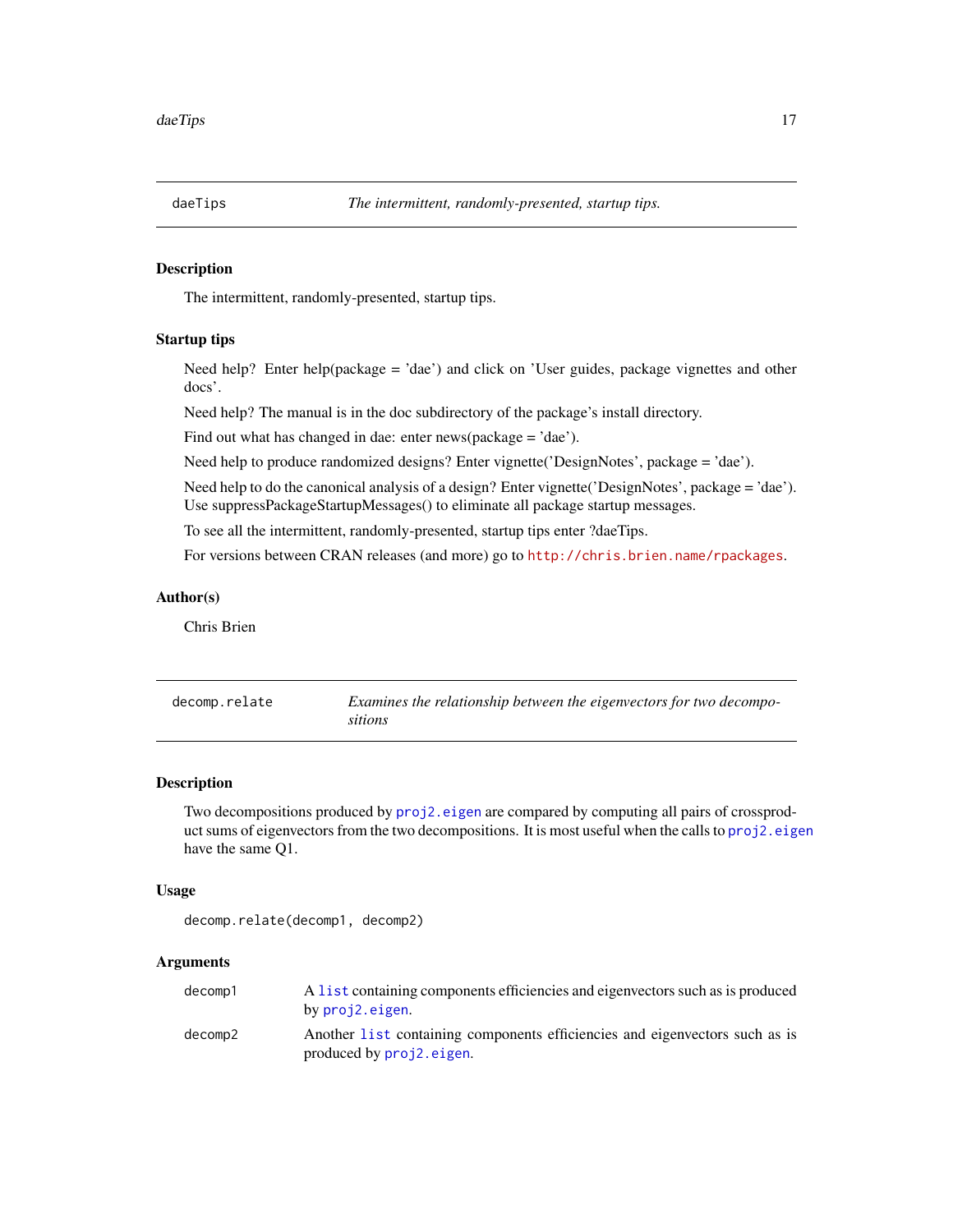<span id="page-16-0"></span>

### Description

The intermittent, randomly-presented, startup tips.

#### Startup tips

Need help? Enter help(package = 'dae') and click on 'User guides, package vignettes and other docs'.

Need help? The manual is in the doc subdirectory of the package's install directory.

Find out what has changed in dae: enter news(package = 'dae').

Need help to produce randomized designs? Enter vignette('DesignNotes', package = 'dae').

Need help to do the canonical analysis of a design? Enter vignette('DesignNotes', package = 'dae'). Use suppressPackageStartupMessages() to eliminate all package startup messages.

To see all the intermittent, randomly-presented, startup tips enter ?daeTips.

For versions between CRAN releases (and more) go to <http://chris.brien.name/rpackages>.

# Author(s)

Chris Brien

<span id="page-16-1"></span>

| decomp.relate | Examines the relationship between the eigenvectors for two decompo- |
|---------------|---------------------------------------------------------------------|
|               | sitions                                                             |

# Description

Two decompositions produced by [proj2.eigen](#page-112-1) are compared by computing all pairs of crossproduct sums of eigenvectors from the two decompositions. It is most useful when the calls to [proj2.eigen](#page-112-1) have the same Q1.

## Usage

```
decomp.relate(decomp1, decomp2)
```
# Arguments

| decomp1 | A list containing components efficiencies and eigenvectors such as is produced |
|---------|--------------------------------------------------------------------------------|
|         | by proj2.eigen.                                                                |
| decomp2 | Another list containing components efficiencies and eigenvectors such as is    |
|         | produced by proj2.eigen.                                                       |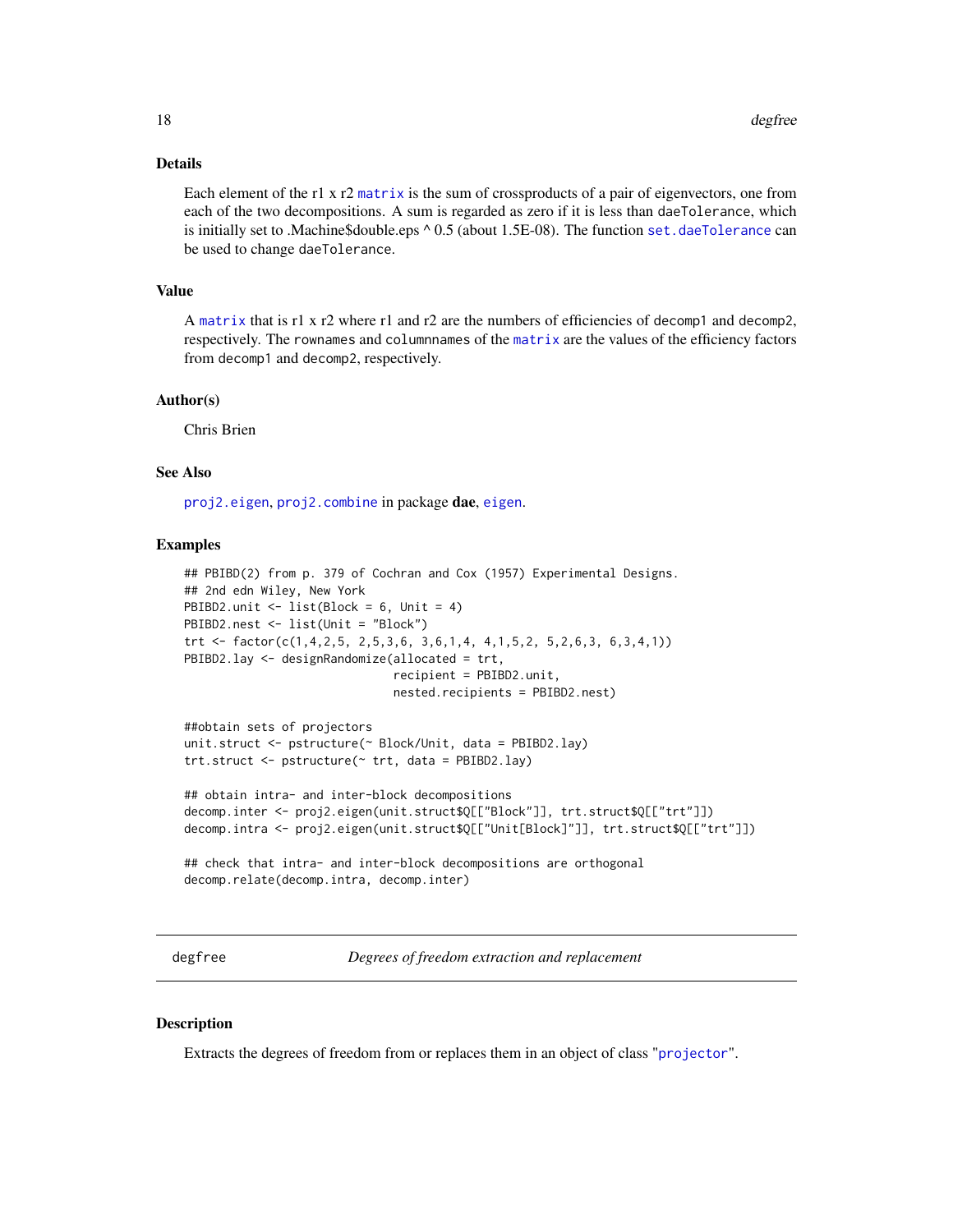# <span id="page-17-0"></span>Details

Each element of the r1 x r2 [matrix](#page-0-0) is the sum of crossproducts of a pair of eigenvectors, one from each of the two decompositions. A sum is regarded as zero if it is less than daeTolerance, which is initially set to .Machine\$double.eps ^ 0.5 (about 1.5E-08). The function [set.daeTolerance](#page-129-1) can be used to change daeTolerance.

#### Value

A [matrix](#page-0-0) that is r1 x r2 where r1 and r2 are the numbers of efficiencies of decomp1 and decomp2, respectively. The rownames and columnnames of the [matrix](#page-0-0) are the values of the efficiency factors from decomp1 and decomp2, respectively.

#### Author(s)

Chris Brien

# See Also

[proj2.eigen](#page-112-1), [proj2.combine](#page-109-1) in package dae, [eigen](#page-0-0).

#### Examples

```
## PBIBD(2) from p. 379 of Cochran and Cox (1957) Experimental Designs.
## 2nd edn Wiley, New York
PBIBD2.unit \le list(Block = 6, Unit = 4)
PBIBD2.nest <- list(Unit = "Block")
trt <- factor(c(1,4,2,5, 2,5,3,6, 3,6,1,4, 4,1,5,2, 5,2,6,3, 6,3,4,1))
PBIBD2.lay <- designRandomize(allocated = trt,
                              recipient = PBIBD2.unit,
                              nested.recipients = PBIBD2.nest)
##obtain sets of projectors
unit.struct <- pstructure(~ Block/Unit, data = PBIBD2.lay)
trt.struct <- pstructure(~ trt, data = PBIBD2.lay)
## obtain intra- and inter-block decompositions
decomp.inter <- proj2.eigen(unit.struct$Q[["Block"]], trt.struct$Q[["trt"]])
decomp.intra <- proj2.eigen(unit.struct$Q[["Unit[Block]"]], trt.struct$Q[["trt"]])
```

```
## check that intra- and inter-block decompositions are orthogonal
decomp.relate(decomp.intra, decomp.inter)
```
<span id="page-17-1"></span>degfree *Degrees of freedom extraction and replacement*

### **Description**

Extracts the degrees of freedom from or replaces them in an object of class "[projector](#page-114-1)".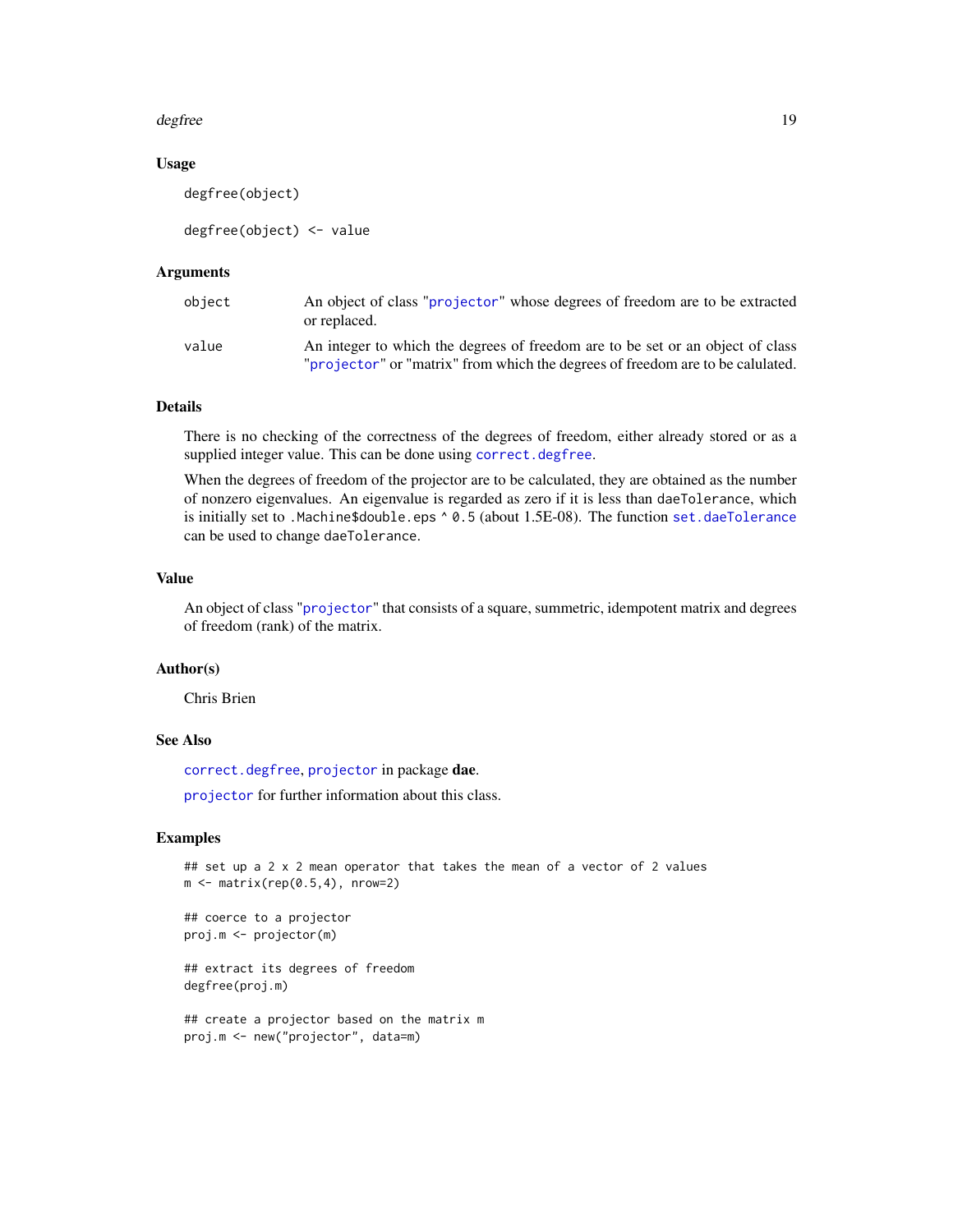#### degfree the control of the control of the control of the control of the control of the control of the control of the control of the control of the control of the control of the control of the control of the control of the

# Usage

degfree(object)

degfree(object) <- value

# Arguments

| obiect | An object of class "projector" whose degrees of freedom are to be extracted<br>or replaced.                                                                      |
|--------|------------------------------------------------------------------------------------------------------------------------------------------------------------------|
| value  | An integer to which the degrees of freedom are to be set or an object of class<br>"projector" or "matrix" from which the degrees of freedom are to be calulated. |

# Details

There is no checking of the correctness of the degrees of freedom, either already stored or as a supplied integer value. This can be done using [correct.degfree](#page-14-1).

When the degrees of freedom of the projector are to be calculated, they are obtained as the number of nonzero eigenvalues. An eigenvalue is regarded as zero if it is less than daeTolerance, which is initially set to .Machine\$double.eps ^ 0.5 (about 1.5E-08). The function [set.daeTolerance](#page-129-1) can be used to change daeTolerance.

#### Value

An object of class "[projector](#page-114-1)" that consists of a square, summetric, idempotent matrix and degrees of freedom (rank) of the matrix.

#### Author(s)

Chris Brien

# See Also

[correct.degfree](#page-14-1), [projector](#page-113-1) in package dae.

[projector](#page-114-1) for further information about this class.

# Examples

```
## set up a 2 x 2 mean operator that takes the mean of a vector of 2 values
m \leftarrow matrix(rep(0.5, 4), nrow=2)
```

```
## coerce to a projector
proj.m <- projector(m)
```
## extract its degrees of freedom degfree(proj.m)

```
## create a projector based on the matrix m
proj.m <- new("projector", data=m)
```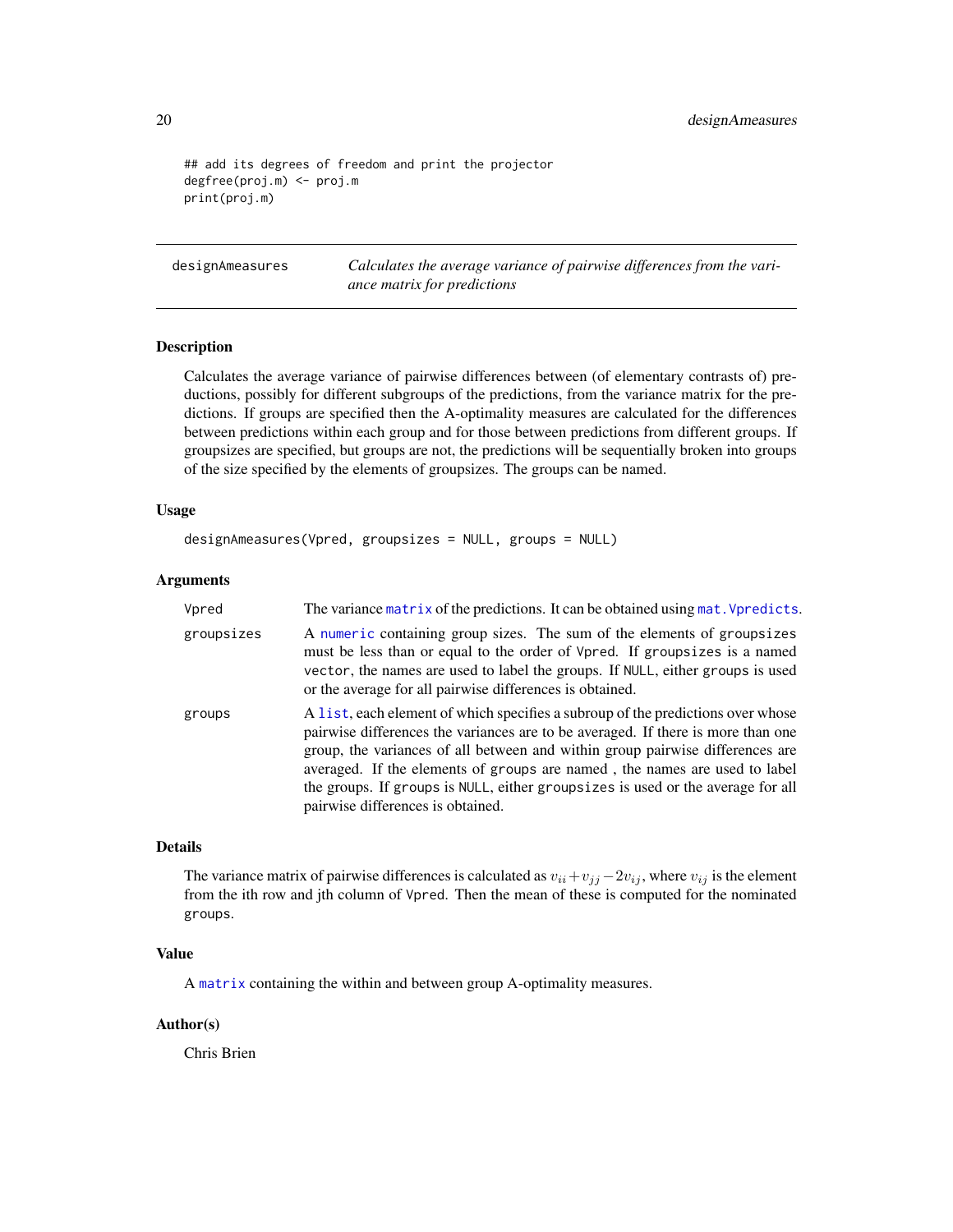```
## add its degrees of freedom and print the projector
degfree(proj.m) <- proj.m
print(proj.m)
```
<span id="page-19-1"></span>designAmeasures *Calculates the average variance of pairwise differences from the variance matrix for predictions*

#### Description

Calculates the average variance of pairwise differences between (of elementary contrasts of) preductions, possibly for different subgroups of the predictions, from the variance matrix for the predictions. If groups are specified then the A-optimality measures are calculated for the differences between predictions within each group and for those between predictions from different groups. If groupsizes are specified, but groups are not, the predictions will be sequentially broken into groups of the size specified by the elements of groupsizes. The groups can be named.

# Usage

```
designAmeasures(Vpred, groupsizes = NULL, groups = NULL)
```
# Arguments

| Vpred      | The variance matrix of the predictions. It can be obtained using mat. Vpredicts.                                                                                                                                                                                                                                                                                                                                                                           |
|------------|------------------------------------------------------------------------------------------------------------------------------------------------------------------------------------------------------------------------------------------------------------------------------------------------------------------------------------------------------------------------------------------------------------------------------------------------------------|
| groupsizes | A numeric containing group sizes. The sum of the elements of groupsizes<br>must be less than or equal to the order of Vpred. If groupsizes is a named<br>vector, the names are used to label the groups. If NULL, either groups is used<br>or the average for all pairwise differences is obtained.                                                                                                                                                        |
| groups     | A list, each element of which specifies a subroup of the predictions over whose<br>pairwise differences the variances are to be averaged. If there is more than one<br>group, the variances of all between and within group pairwise differences are<br>averaged. If the elements of groups are named, the names are used to label<br>the groups. If groups is NULL, either groupsizes is used or the average for all<br>pairwise differences is obtained. |

# Details

The variance matrix of pairwise differences is calculated as  $v_{ii} + v_{jj} - 2v_{ij}$ , where  $v_{ij}$  is the element from the ith row and jth column of Vpred. Then the mean of these is computed for the nominated groups.

# Value

A [matrix](#page-0-0) containing the within and between group A-optimality measures.

### Author(s)

Chris Brien

<span id="page-19-0"></span>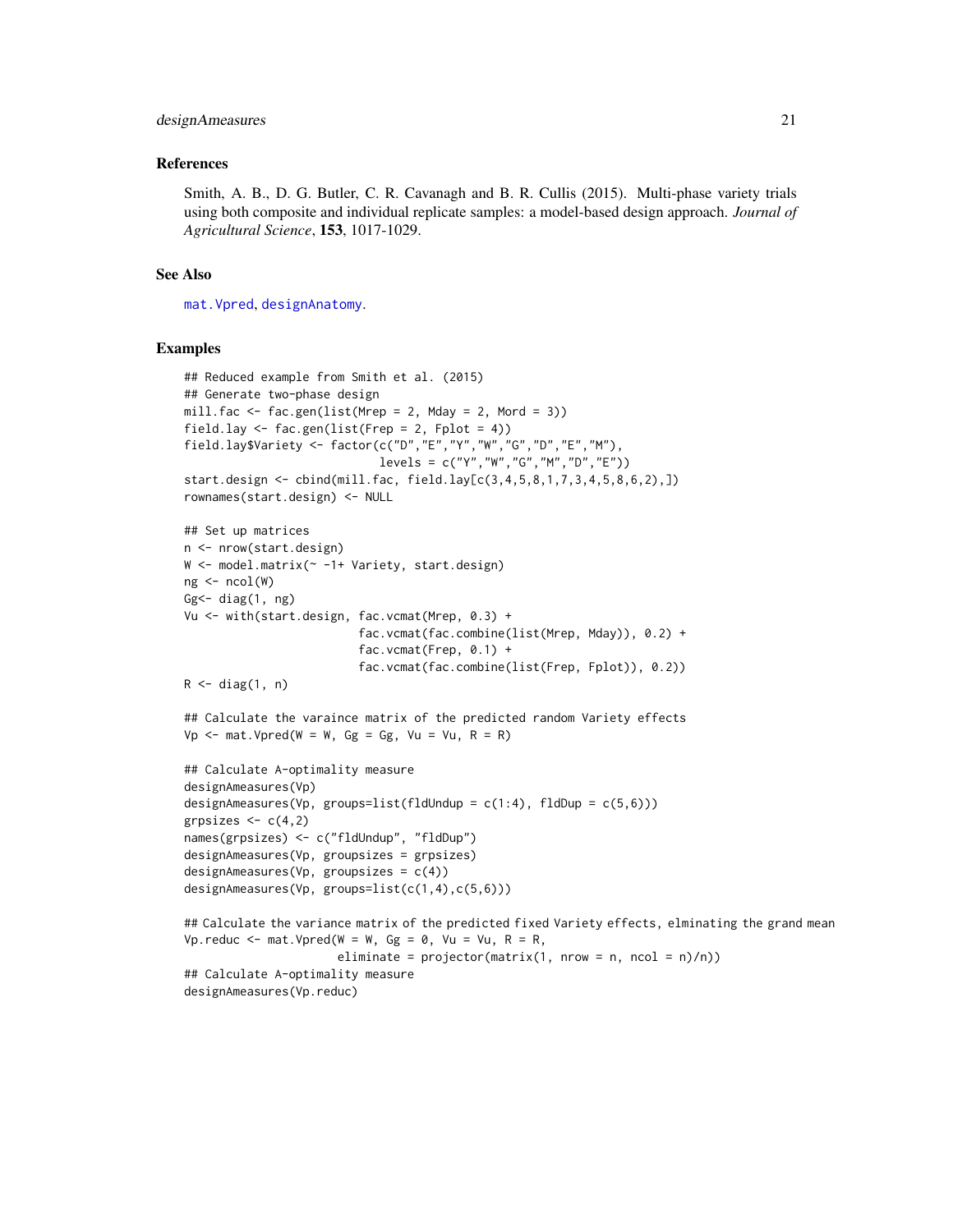#### designAmeasures 21

#### References

Smith, A. B., D. G. Butler, C. R. Cavanagh and B. R. Cullis (2015). Multi-phase variety trials using both composite and individual replicate samples: a model-based design approach. *Journal of Agricultural Science*, 153, 1017-1029.

#### See Also

[mat.Vpred](#page-92-1), [designAnatomy](#page-21-1).

```
## Reduced example from Smith et al. (2015)
## Generate two-phase design
mill.fac \leq fac.gen(list(Mrep = 2, Mday = 2, Mord = 3))
field.lay <- fac.gen(list(Frep = 2, Fplot = 4))
field.lay$Variety <- factor(c("D","E","Y","W","G","D","E","M"),
                            levels = c("Y","W","G","M","D","E"))
start.design <- cbind(mill.fac, field.lay[c(3,4,5,8,1,7,3,4,5,8,6,2),])
rownames(start.design) <- NULL
## Set up matrices
n <- nrow(start.design)
W <- model.matrix(~ -1+ Variety, start.design)
ng <- ncol(W)
Gg<- diag(1, ng)
Vu <- with(start.design, fac.vcmat(Mrep, 0.3) +
                         fac.vcmat(fac.combine(list(Mrep, Mday)), 0.2) +
                         fac.vcmat(Frep, 0.1) +
                         fac.vcmat(fac.combine(list(Frep, Fplot)), 0.2))
R \leftarrow diag(1, n)## Calculate the varaince matrix of the predicted random Variety effects
Vp \le - mat. Vpred(W = W, Gg = Gg, Vu = Vu, R = R)
## Calculate A-optimality measure
designAmeasures(Vp)
designAmeasures(Vp, groups=list(fldUndup = c(1:4), fldDup = c(5,6)))
grpsizes <-c(4,2)names(grpsizes) <- c("fldUndup", "fldDup")
designAmeasures(Vp, groupsizes = grpsizes)
designAmeasures(Vp, groupsizes = c(4))
designAmeasures(Vp, groups=list(c(1,4),c(5,6)))
```

```
## Calculate the variance matrix of the predicted fixed Variety effects, elminating the grand mean
Vp.reduc \leq mat.Vpred(W = W, Gg = 0, Vu = Vu, R = R,
                      eliminate = projector(matrix(1, nrow = n, ncol = n)/n))## Calculate A-optimality measure
designAmeasures(Vp.reduc)
```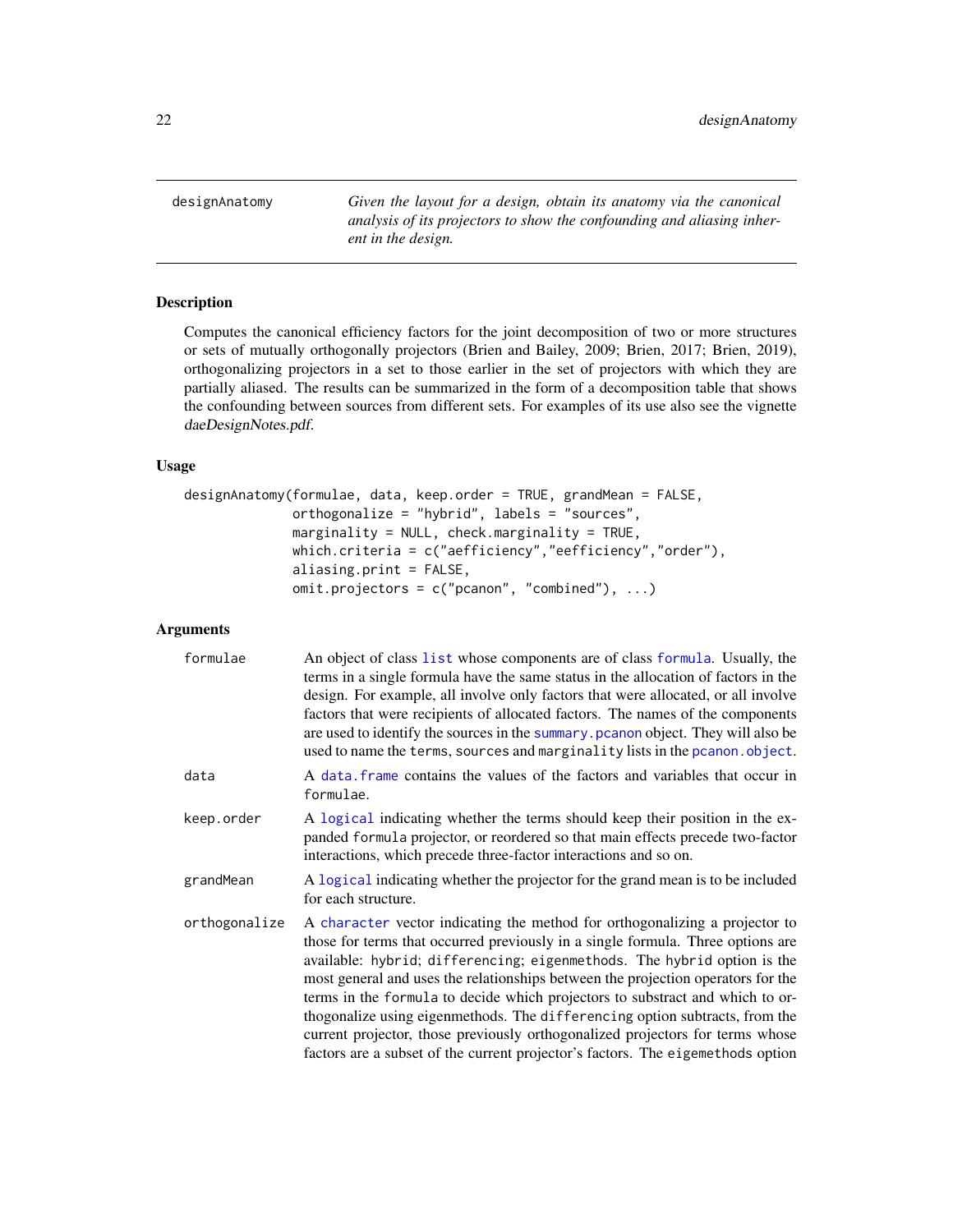<span id="page-21-1"></span><span id="page-21-0"></span>designAnatomy *Given the layout for a design, obtain its anatomy via the canonical analysis of its projectors to show the confounding and aliasing inherent in the design.*

## Description

Computes the canonical efficiency factors for the joint decomposition of two or more structures or sets of mutually orthogonally projectors (Brien and Bailey, 2009; Brien, 2017; Brien, 2019), orthogonalizing projectors in a set to those earlier in the set of projectors with which they are partially aliased. The results can be summarized in the form of a decomposition table that shows the confounding between sources from different sets. For examples of its use also see the vignette daeDesignNotes.pdf.

# Usage

```
designAnatomy(formulae, data, keep.order = TRUE, grandMean = FALSE,
              orthogonalize = "hybrid", labels = "sources",
              marginality = NULL, check.marginality = TRUE,
              which.criteria = c("aefficiency","eefficiency","order"),
              aliasing.print = FALSE,
              omit.projectors = c("pcanon", "combined"), ...)
```
# Arguments

| formulae      | An object of class list whose components are of class formula. Usually, the<br>terms in a single formula have the same status in the allocation of factors in the<br>design. For example, all involve only factors that were allocated, or all involve<br>factors that were recipients of allocated factors. The names of the components<br>are used to identify the sources in the summary. pcanon object. They will also be<br>used to name the terms, sources and marginality lists in the pcanon. object.                                                                                                                                                     |
|---------------|-------------------------------------------------------------------------------------------------------------------------------------------------------------------------------------------------------------------------------------------------------------------------------------------------------------------------------------------------------------------------------------------------------------------------------------------------------------------------------------------------------------------------------------------------------------------------------------------------------------------------------------------------------------------|
| data          | A data frame contains the values of the factors and variables that occur in<br>formulae.                                                                                                                                                                                                                                                                                                                                                                                                                                                                                                                                                                          |
| keep.order    | A logical indicating whether the terms should keep their position in the ex-<br>panded formula projector, or reordered so that main effects precede two-factor<br>interactions, which precede three-factor interactions and so on.                                                                                                                                                                                                                                                                                                                                                                                                                                |
| grandMean     | A logical indicating whether the projector for the grand mean is to be included<br>for each structure.                                                                                                                                                                                                                                                                                                                                                                                                                                                                                                                                                            |
| orthogonalize | A character vector indicating the method for orthogonalizing a projector to<br>those for terms that occurred previously in a single formula. Three options are<br>available: hybrid; differencing; eigenmethods. The hybrid option is the<br>most general and uses the relationships between the projection operators for the<br>terms in the formula to decide which projectors to substract and which to or-<br>thogonalize using eigenmethods. The differencing option subtracts, from the<br>current projector, those previously orthogonalized projectors for terms whose<br>factors are a subset of the current projector's factors. The eigemethods option |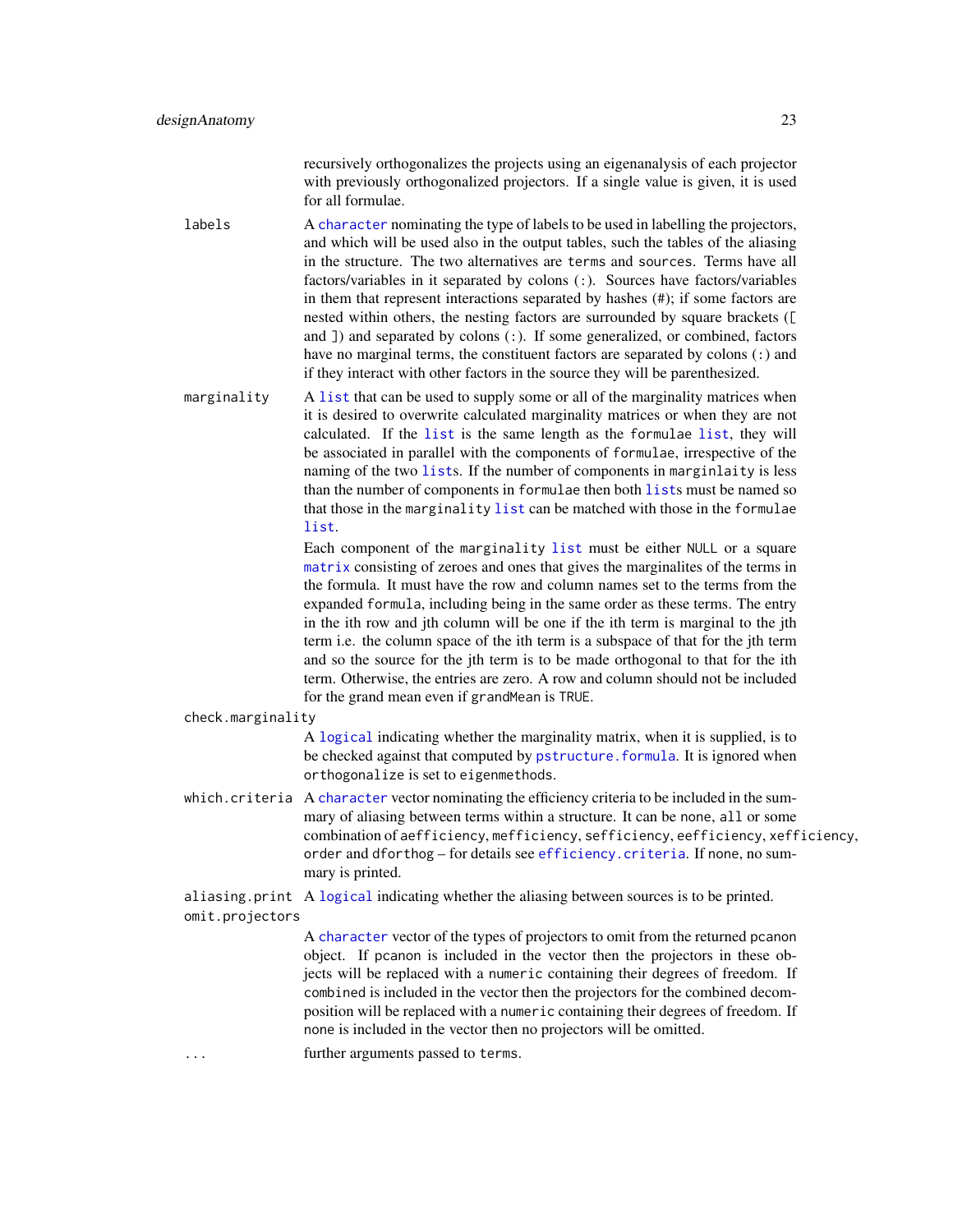recursively orthogonalizes the projects using an eigenanalysis of each projector with previously orthogonalized projectors. If a single value is given, it is used for all formulae.

labels A [character](#page-0-0) nominating the type of labels to be used in labelling the projectors, and which will be used also in the output tables, such the tables of the aliasing in the structure. The two alternatives are terms and sources. Terms have all factors/variables in it separated by colons (:). Sources have factors/variables in them that represent interactions separated by hashes (#); if some factors are nested within others, the nesting factors are surrounded by square brackets ([ and  $\Box$ ) and separated by colons  $\Box$ . If some generalized, or combined, factors have no marginal terms, the constituent factors are separated by colons (:) and if they interact with other factors in the source they will be parenthesized.

marginality A [list](#page-0-0) that can be used to supply some or all of the marginality matrices when it is desired to overwrite calculated marginality matrices or when they are not calculated. If the [list](#page-0-0) is the same length as the formulae [list](#page-0-0), they will be associated in parallel with the components of formulae, irrespective of the naming of the two [list](#page-0-0)s. If the number of components in marginlaity is less than the number of components in formulae then both [list](#page-0-0)s must be named so that those in the marginality [list](#page-0-0) can be matched with those in the formulae [list](#page-0-0).

> Each component of the marginality [list](#page-0-0) must be either NULL or a square [matrix](#page-0-0) consisting of zeroes and ones that gives the marginalites of the terms in the formula. It must have the row and column names set to the terms from the expanded formula, including being in the same order as these terms. The entry in the ith row and jth column will be one if the ith term is marginal to the jth term i.e. the column space of the ith term is a subspace of that for the jth term and so the source for the jth term is to be made orthogonal to that for the ith term. Otherwise, the entries are zero. A row and column should not be included for the grand mean even if grandMean is TRUE.

```
check.marginality
```
A [logical](#page-0-0) indicating whether the marginality matrix, when it is supplied, is to be checked against that computed by pstructure. formula. It is ignored when orthogonalize is set to eigenmethods.

which.criteria A [character](#page-0-0) vector nominating the efficiency criteria to be included in the summary of aliasing between terms within a structure. It can be none, all or some combination of aefficiency, mefficiency, sefficiency, eefficiency, xefficiency, order and dforthog – for details see [efficiency.criteria](#page-43-1). If none, no summary is printed.

aliasing.print A [logical](#page-0-0) indicating whether the aliasing between sources is to be printed. omit.projectors

> A [character](#page-0-0) vector of the types of projectors to omit from the returned pcanon object. If pcanon is included in the vector then the projectors in these objects will be replaced with a numeric containing their degrees of freedom. If combined is included in the vector then the projectors for the combined decomposition will be replaced with a numeric containing their degrees of freedom. If none is included in the vector then no projectors will be omitted.

... further arguments passed to terms.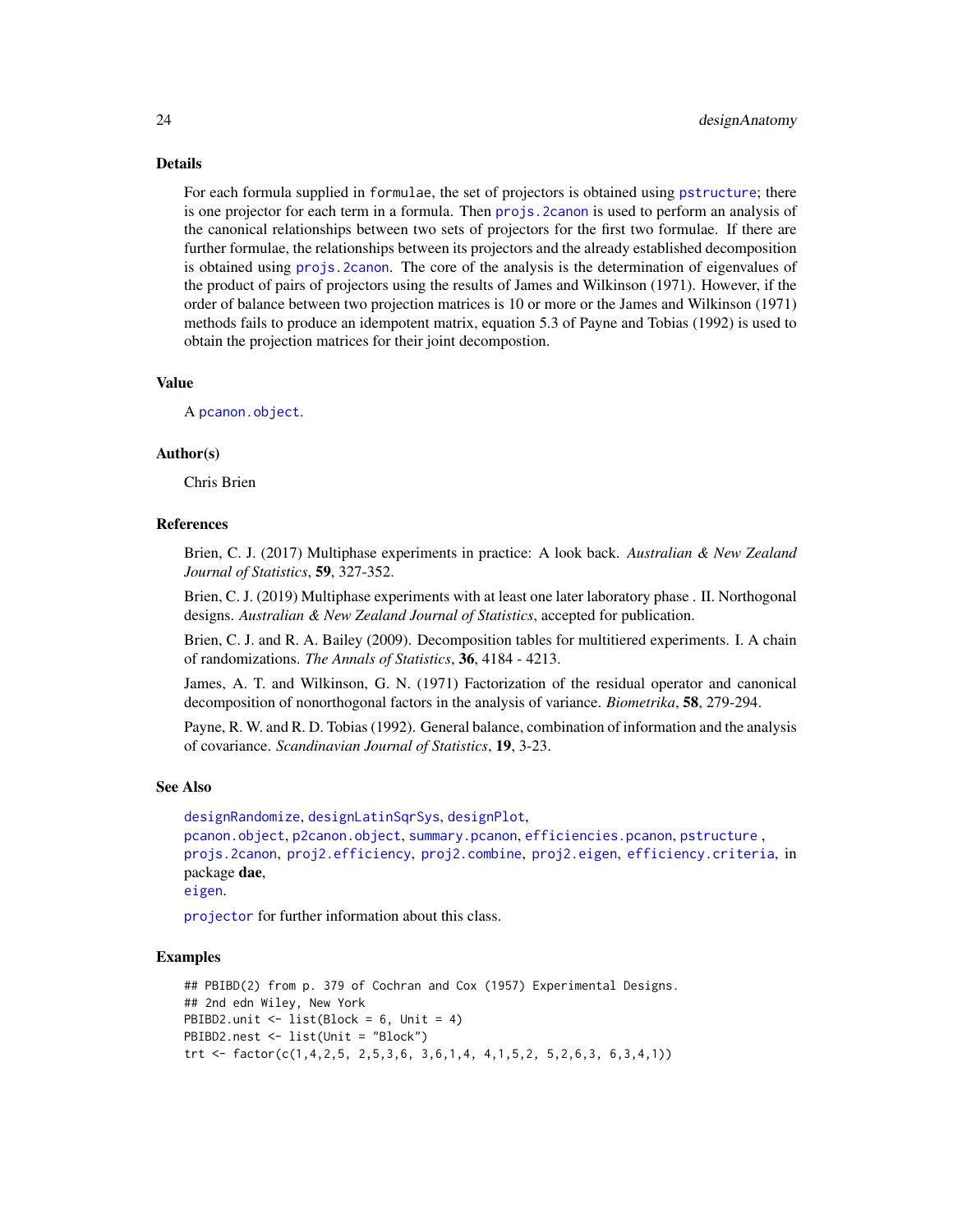Details

For each formula supplied in formulae, the set of projectors is obtained using [pstructure](#page-118-2); there is one projector for each term in a formula. Then [projs.2canon](#page-116-1) is used to perform an analysis of the canonical relationships between two sets of projectors for the first two formulae. If there are further formulae, the relationships between its projectors and the already established decomposition is obtained using [projs.2canon](#page-116-1). The core of the analysis is the determination of eigenvalues of the product of pairs of projectors using the results of James and Wilkinson (1971). However, if the order of balance between two projection matrices is 10 or more or the James and Wilkinson (1971) methods fails to produce an idempotent matrix, equation 5.3 of Payne and Tobias (1992) is used to obtain the projection matrices for their joint decompostion.

# Value

A [pcanon.object](#page-102-1).

# Author(s)

Chris Brien

#### References

Brien, C. J. (2017) Multiphase experiments in practice: A look back. *Australian & New Zealand Journal of Statistics*, 59, 327-352.

Brien, C. J. (2019) Multiphase experiments with at least one later laboratory phase . II. Northogonal designs. *Australian & New Zealand Journal of Statistics*, accepted for publication.

Brien, C. J. and R. A. Bailey (2009). Decomposition tables for multitiered experiments. I. A chain of randomizations. *The Annals of Statistics*, 36, 4184 - 4213.

James, A. T. and Wilkinson, G. N. (1971) Factorization of the residual operator and canonical decomposition of nonorthogonal factors in the analysis of variance. *Biometrika*, 58, 279-294.

Payne, R. W. and R. D. Tobias (1992). General balance, combination of information and the analysis of covariance. *Scandinavian Journal of Statistics*, 19, 3-23.

#### See Also

```
designRandomize, designLatinSqrSys, designPlot,
pcanon.object, p2canon.object, summary.pcanon, efficiencies.pcanon, pstructure ,
projs.2canon, proj2.efficiency, proj2.combine, proj2.eigen, efficiency.criteria, in
package dae,
eigen.
```
[projector](#page-114-1) for further information about this class.

```
## PBIBD(2) from p. 379 of Cochran and Cox (1957) Experimental Designs.
## 2nd edn Wiley, New York
PBIBD2.unit <- list(Block = 6, Unit = 4)
PBIBD2.nest <- list(Unit = "Block")
trt <- factor(c(1,4,2,5, 2,5,3,6, 3,6,1,4, 4,1,5,2, 5,2,6,3, 6,3,4,1))
```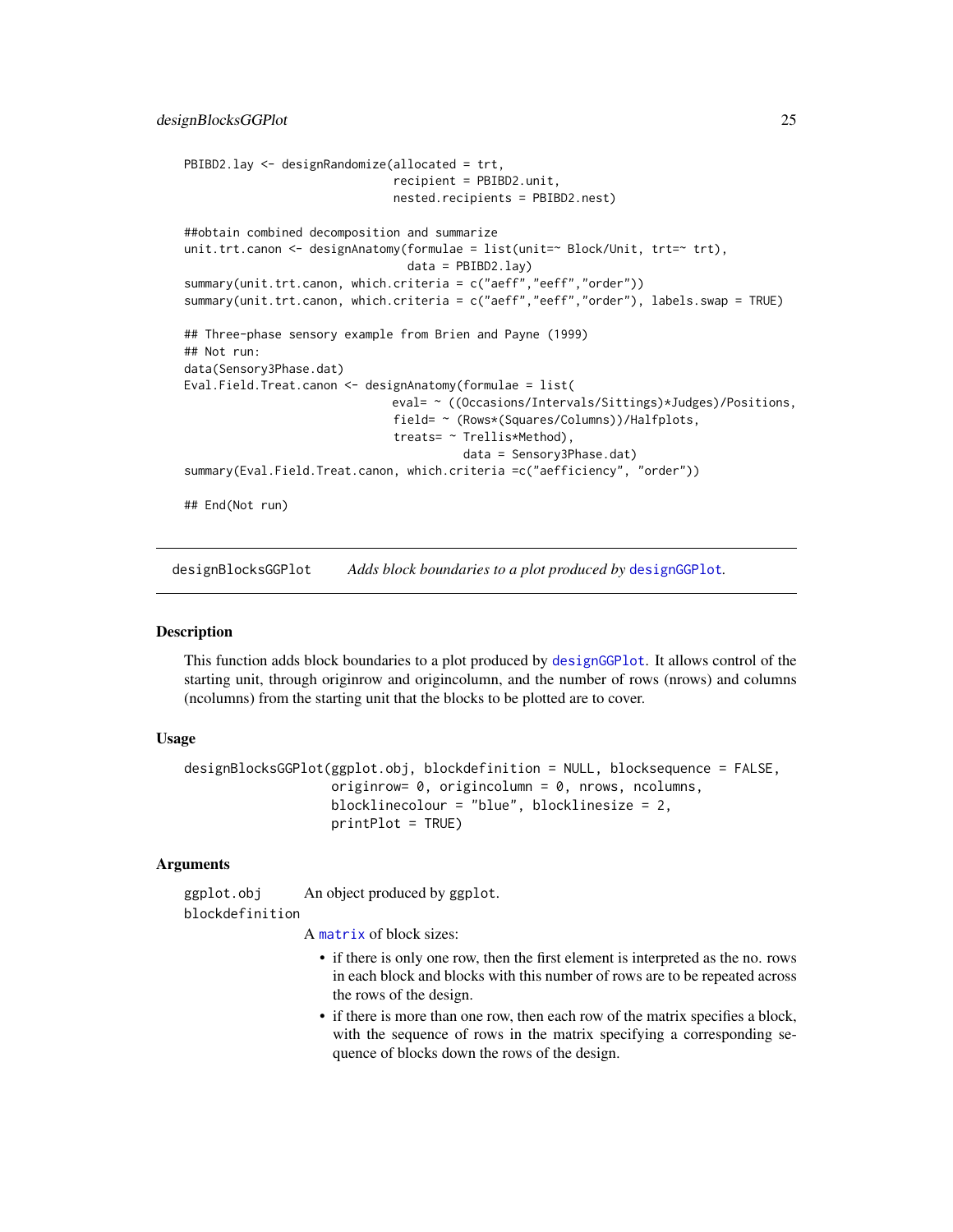```
PBIBD2.lay <- designRandomize(allocated = trt,
                              recipient = PBIBD2.unit,
                              nested.recipients = PBIBD2.nest)
##obtain combined decomposition and summarize
unit.trt.canon <- designAnatomy(formulae = list(unit=~ Block/Unit, trt=~ trt),
                                data = PBIBD2.lay)
summary(unit.trt.canon, which.criteria = c("aeff","eeff","order"))
summary(unit.trt.canon, which.criteria = c("aeff","eeff","order"), labels.swap = TRUE)
## Three-phase sensory example from Brien and Payne (1999)
## Not run:
data(Sensory3Phase.dat)
Eval.Field.Treat.canon <- designAnatomy(formulae = list(
                              eval= ~ ((Occasions/Intervals/Sittings)*Judges)/Positions,
                              field= ~ (Rows*(Squares/Columns))/Halfplots,
                              treats= ~ Trellis*Method),
                                        data = Sensory3Phase.dat)
summary(Eval.Field.Treat.canon, which.criteria =c("aefficiency", "order"))
## End(Not run)
```
<span id="page-24-1"></span>designBlocksGGPlot *Adds block boundaries to a plot produced by* [designGGPlot](#page-27-1)*.*

#### Description

This function adds block boundaries to a plot produced by [designGGPlot](#page-27-1). It allows control of the starting unit, through originrow and origincolumn, and the number of rows (nrows) and columns (ncolumns) from the starting unit that the blocks to be plotted are to cover.

# Usage

```
designBlocksGGPlot(ggplot.obj, blockdefinition = NULL, blocksequence = FALSE,
                   originrow= 0, origincolumn = 0, nrows, ncolumns,
                   blocklinecolour = "blue", blocklinesize = 2,
                   printPlot = TRUE)
```
#### Arguments

ggplot.obj An object produced by ggplot. blockdefinition

A [matrix](#page-0-0) of block sizes:

- if there is only one row, then the first element is interpreted as the no. rows in each block and blocks with this number of rows are to be repeated across the rows of the design.
- if there is more than one row, then each row of the matrix specifies a block, with the sequence of rows in the matrix specifying a corresponding sequence of blocks down the rows of the design.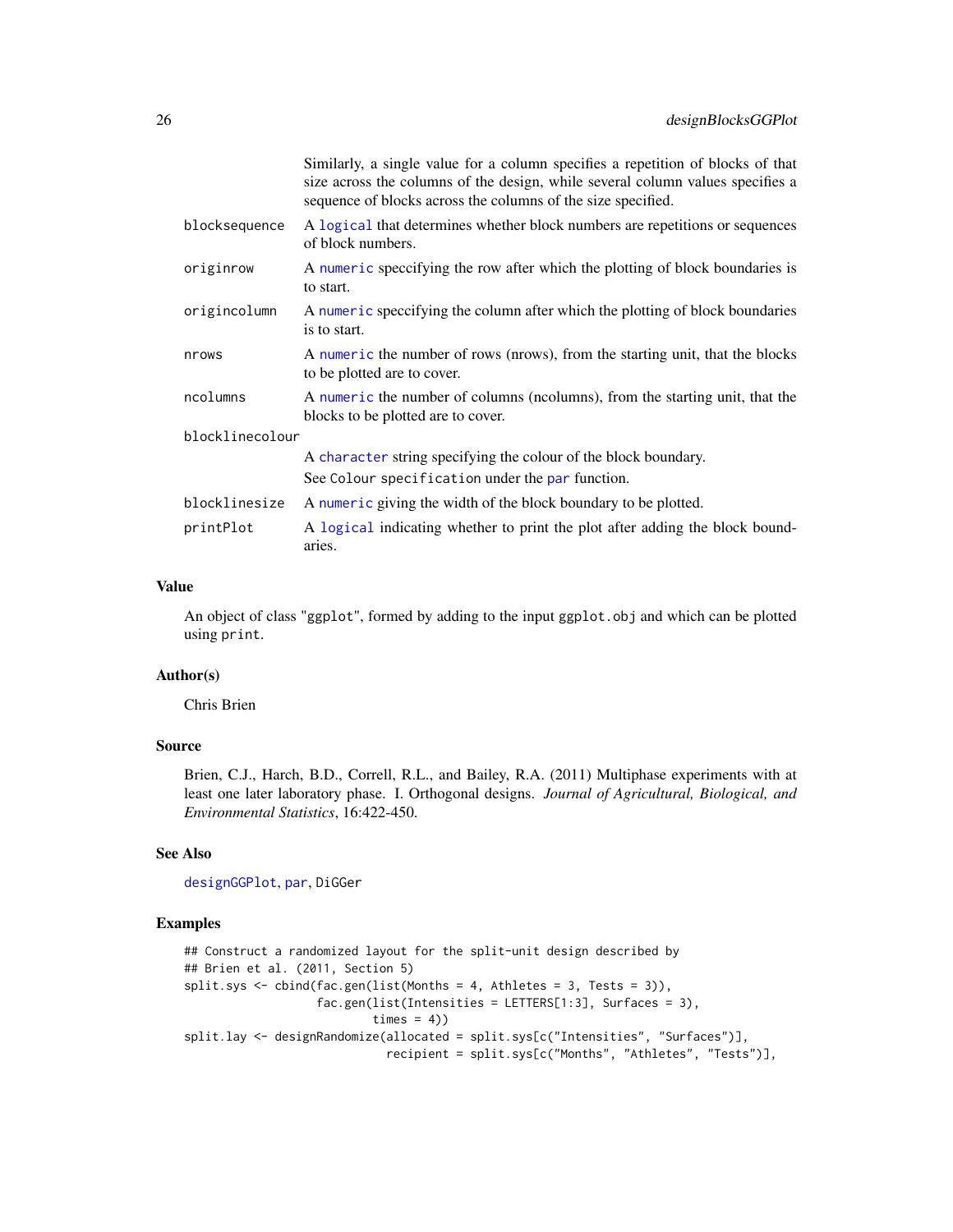|                 | Similarly, a single value for a column specifies a repetition of blocks of that<br>size across the columns of the design, while several column values specifies a<br>sequence of blocks across the columns of the size specified. |
|-----------------|-----------------------------------------------------------------------------------------------------------------------------------------------------------------------------------------------------------------------------------|
| blocksequence   | A logical that determines whether block numbers are repetitions or sequences<br>of block numbers.                                                                                                                                 |
| originrow       | A numeric speccifying the row after which the plotting of block boundaries is<br>to start.                                                                                                                                        |
| origincolumn    | A numeric speccifying the column after which the plotting of block boundaries<br>is to start.                                                                                                                                     |
| nrows           | A numeric the number of rows (nrows), from the starting unit, that the blocks<br>to be plotted are to cover.                                                                                                                      |
| ncolumns        | A numeric the number of columns (ncolumns), from the starting unit, that the<br>blocks to be plotted are to cover.                                                                                                                |
| blocklinecolour |                                                                                                                                                                                                                                   |
|                 | A character string specifying the colour of the block boundary.                                                                                                                                                                   |
|                 | See Colour specification under the par function.                                                                                                                                                                                  |
| blocklinesize   | A numeric giving the width of the block boundary to be plotted.                                                                                                                                                                   |
| printPlot       | A logical indicating whether to print the plot after adding the block bound-<br>aries.                                                                                                                                            |

#### Value

An object of class "ggplot", formed by adding to the input ggplot.obj and which can be plotted using print.

### Author(s)

Chris Brien

# Source

Brien, C.J., Harch, B.D., Correll, R.L., and Bailey, R.A. (2011) Multiphase experiments with at least one later laboratory phase. I. Orthogonal designs. *Journal of Agricultural, Biological, and Environmental Statistics*, 16:422-450.

# See Also

[designGGPlot](#page-27-1), [par](#page-0-0), DiGGer

```
## Construct a randomized layout for the split-unit design described by
## Brien et al. (2011, Section 5)
split.sys <- cbind(fac.gen(list(Months = 4, Athletes = 3, Tests = 3)),
                  fac.gen(list(Intensities = LETTERS[1:3], Surfaces = 3),
                          times = 4)
split.lay <- designRandomize(allocated = split.sys[c("Intensities", "Surfaces")],
                            recipient = split.sys[c("Months", "Athletes", "Tests")],
```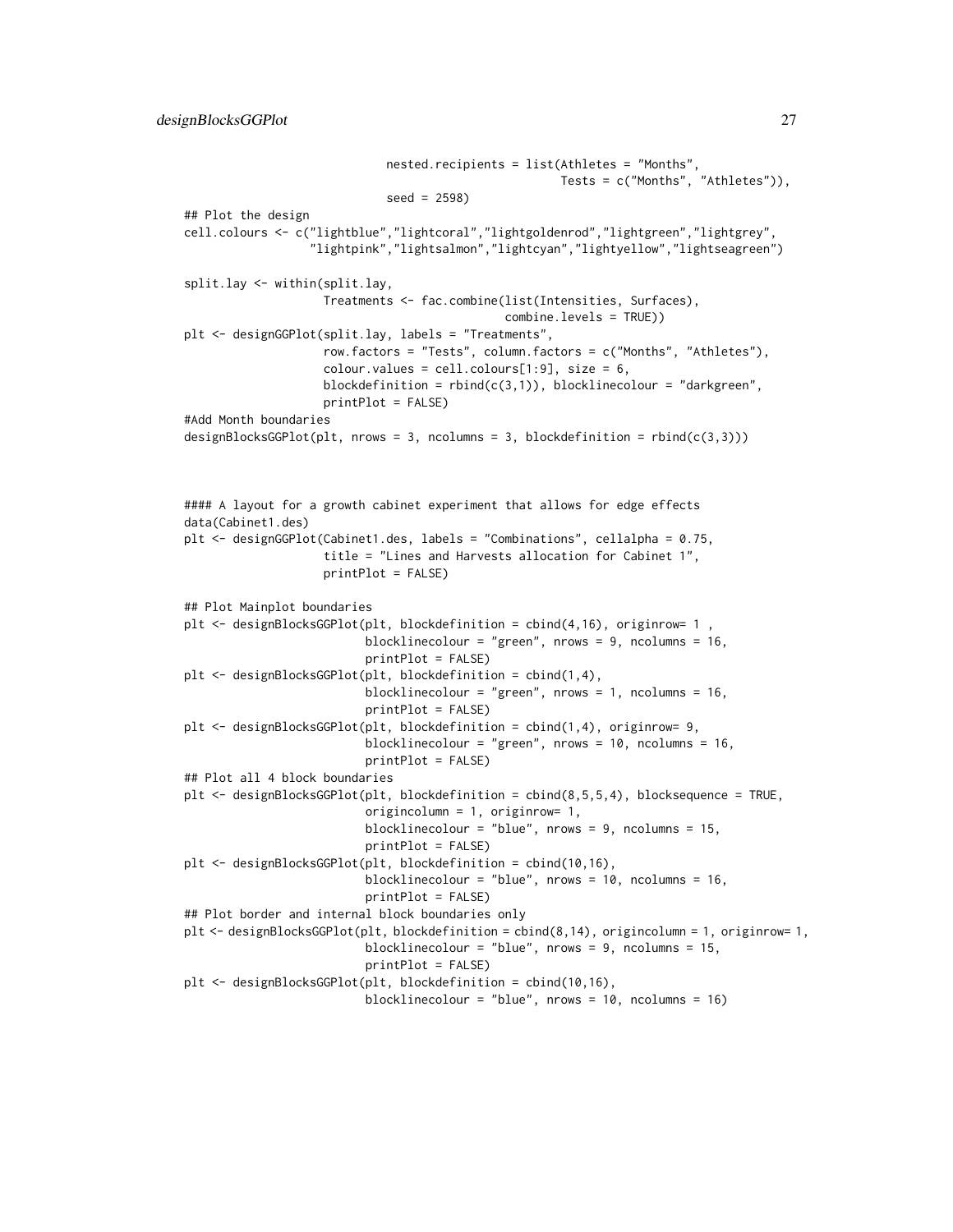```
nested.recipients = list(Athletes = "Months",
                                                      Tests = c("Months", "Athletes")),
                             seed = 2598)
## Plot the design
cell.colours <- c("lightblue","lightcoral","lightgoldenrod","lightgreen","lightgrey",
                  "lightpink","lightsalmon","lightcyan","lightyellow","lightseagreen")
split.lay <- within(split.lay,
                    Treatments <- fac.combine(list(Intensities, Surfaces),
                                              combine.levels = TRUE))
plt <- designGGPlot(split.lay, labels = "Treatments",
                    row.factors = "Tests", column.factors = c("Months", "Athletes"),
                    colour.values = cell[1:9], size = 6,blockdefinition = rbind(c(3,1)), blocklinecolour = "darkgreen",
                    printPlot = FALSE)
#Add Month boundaries
designBlocksGGPlot(plt, nrows = 3, ncolumns = 3, blockdefinition = rbind(c(3,3)))
#### A layout for a growth cabinet experiment that allows for edge effects
data(Cabinet1.des)
plt <- designGGPlot(Cabinet1.des, labels = "Combinations", cellalpha = 0.75,
                    title = "Lines and Harvests allocation for Cabinet 1",
                    printPlot = FALSE)
## Plot Mainplot boundaries
plt \leq designBlocksGGPlot(plt, blockdefinition = cbind(4,16), originrow= 1
                          blocklinecolour = "green", nrows = 9, ncolumns = 16,
                          printPlot = FALSE)
plt <- designBlocksGGPlot(plt, blockdefinition = cbind(1,4),
                          blocklinecolour = "green", nrows = 1, ncolumns = 16,
                          printPlot = FALSE)
plt <- designBlocksGGPlot(plt, blockdefinition = cbind(1,4), originrow= 9,
                          blocklinecolour = "green", nrows = 10, ncolumns = 16,
                          printPlot = FALSE)
## Plot all 4 block boundaries
plt <- designBlocksGGPlot(plt, blockdefinition = cbind(8,5,5,4), blocksequence = TRUE,
                          origincolumn = 1, originrow= 1,
                          blocklinecolour = "blue", nrows = 9, ncolumns = 15,
                          printPlot = FALSE)
plt <- designBlocksGGPlot(plt, blockdefinition = cbind(10,16),
                          blocklinecolour = "blue", nrows = 10, ncolumns = 16,
                          printPlot = FALSE)
## Plot border and internal block boundaries only
plt <- designBlocksGGPlot(plt, blockdefinition = cbind(8,14), origincolumn = 1, originrow= 1,
                          blocklinecolour = "blue", nrows = 9, ncolumns = 15,
                          printPlot = FALSE)
plt <- designBlocksGGPlot(plt, blockdefinition = cbind(10,16),
                          blocklinecolour = "blue", nrows = 10, ncolumns = 16)
```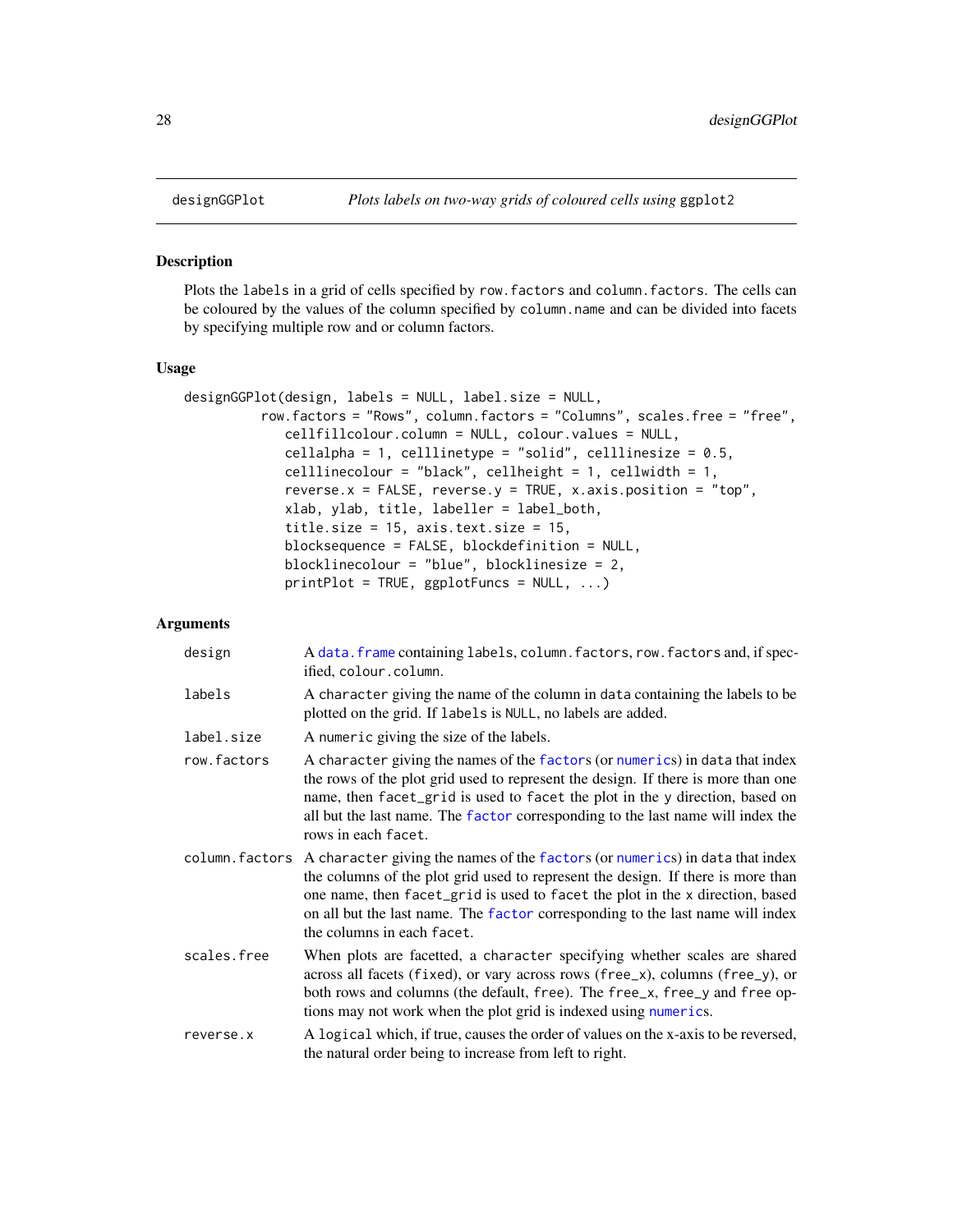<span id="page-27-1"></span><span id="page-27-0"></span>

#### Description

Plots the labels in a grid of cells specified by row.factors and column.factors. The cells can be coloured by the values of the column specified by column.name and can be divided into facets by specifying multiple row and or column factors.

#### Usage

```
designGGPlot(design, labels = NULL, label.size = NULL,
          row.factors = "Rows", column.factors = "Columns", scales.free = "free",
             cellfillcolour.column = NULL, colour.values = NULL,
             cellalpha = 1, celllinetype = "solid", celllinesize = 0.5,
             celllinecolour = "black", cellheight = 1, cellwidth = 1,
             reverse.x = FALSE, reverse.y =TRUE, x.axis.position = "top",
             xlab, ylab, title, labeller = label_both,
             title.size = 15, axis.text.size = 15,
            blocksequence = FALSE, blockdefinition = NULL,
            blocklinecolour = "blue", blocklinesize = 2,
             printPlot = TRUE, ggplotFuncs = NULL, ...)
```
# Arguments

| design         | A data. frame containing labels, column. factors, row. factors and, if spec-<br>ified, colour.column.                                                                                                                                                                                                                                                             |
|----------------|-------------------------------------------------------------------------------------------------------------------------------------------------------------------------------------------------------------------------------------------------------------------------------------------------------------------------------------------------------------------|
| labels         | A character giving the name of the column in data containing the labels to be<br>plotted on the grid. If labels is NULL, no labels are added.                                                                                                                                                                                                                     |
| label.size     | A numeric giving the size of the labels.                                                                                                                                                                                                                                                                                                                          |
| row.factors    | A character giving the names of the factors (or numerics) in data that index<br>the rows of the plot grid used to represent the design. If there is more than one<br>name, then facet_grid is used to facet the plot in the y direction, based on<br>all but the last name. The factor corresponding to the last name will index the<br>rows in each facet.       |
| column.factors | A character giving the names of the factors (or numerics) in data that index<br>the columns of the plot grid used to represent the design. If there is more than<br>one name, then facet_grid is used to facet the plot in the x direction, based<br>on all but the last name. The factor corresponding to the last name will index<br>the columns in each facet. |
| scales.free    | When plots are facetted, a character specifying whether scales are shared<br>across all facets (fixed), or vary across rows (free_x), columns (free_y), or<br>both rows and columns (the default, free). The free_x, free_y and free op-<br>tions may not work when the plot grid is indexed using numerics.                                                      |
| reverse.x      | A logical which, if true, causes the order of values on the x-axis to be reversed,<br>the natural order being to increase from left to right.                                                                                                                                                                                                                     |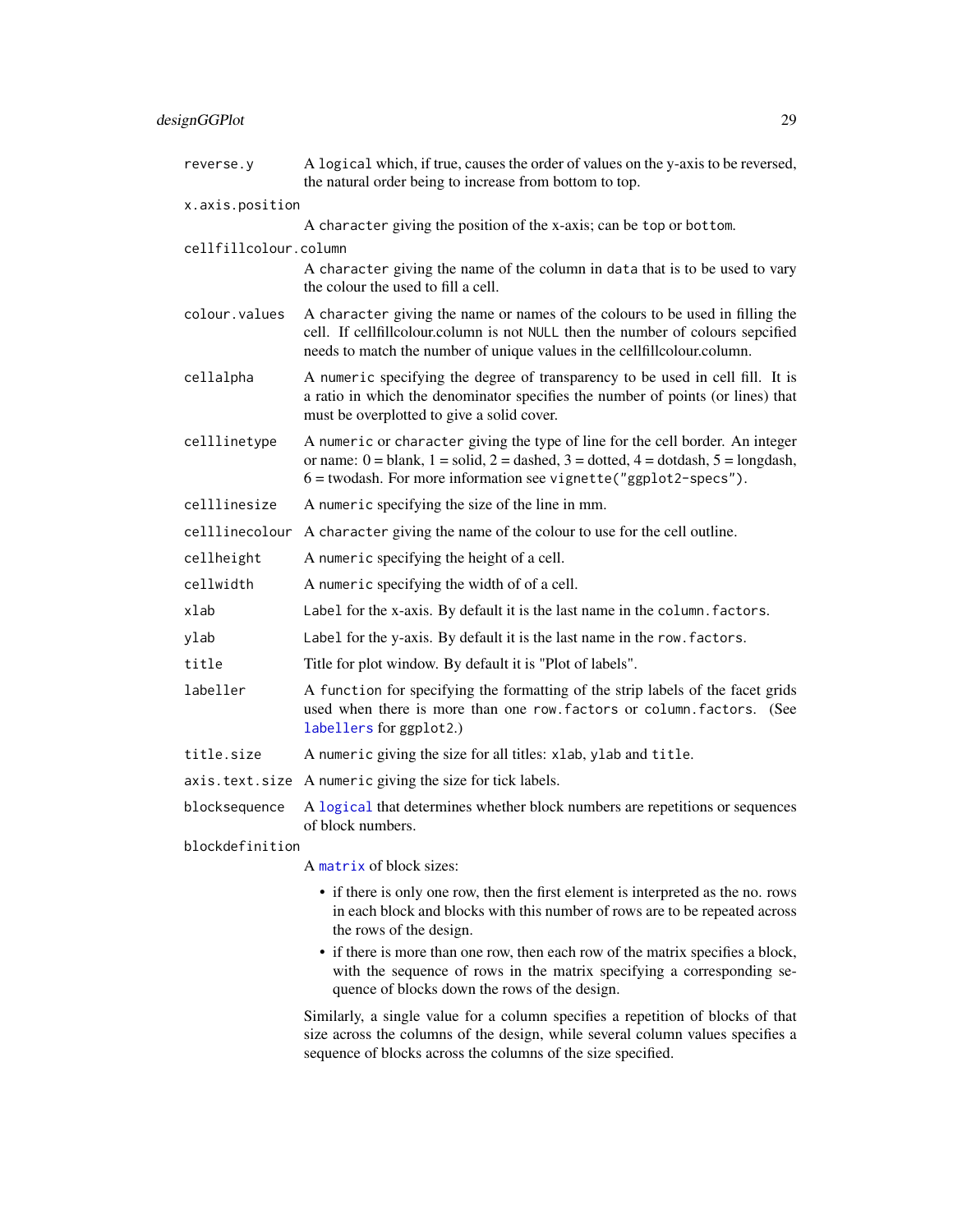# designGGPlot 29

| reverse.y             | A logical which, if true, causes the order of values on the y-axis to be reversed,<br>the natural order being to increase from bottom to top.                                                                                                          |  |  |
|-----------------------|--------------------------------------------------------------------------------------------------------------------------------------------------------------------------------------------------------------------------------------------------------|--|--|
| x.axis.position       |                                                                                                                                                                                                                                                        |  |  |
|                       | A character giving the position of the x-axis; can be top or bottom.                                                                                                                                                                                   |  |  |
| cellfillcolour.column |                                                                                                                                                                                                                                                        |  |  |
|                       | A character giving the name of the column in data that is to be used to vary<br>the colour the used to fill a cell.                                                                                                                                    |  |  |
| colour.values         | A character giving the name or names of the colours to be used in filling the<br>cell. If cellfillcolour.column is not NULL then the number of colours sepcified<br>needs to match the number of unique values in the cellfillcolour.column.           |  |  |
| cellalpha             | A numeric specifying the degree of transparency to be used in cell fill. It is<br>a ratio in which the denominator specifies the number of points (or lines) that<br>must be overplotted to give a solid cover.                                        |  |  |
| celllinetype          | A numeric or character giving the type of line for the cell border. An integer<br>or name: $0 =$ blank, $1 =$ solid, $2 =$ dashed, $3 =$ dotted, $4 =$ dotdash, $5 =$ longdash,<br>$6 =$ twodash. For more information see vignette ("ggplot2-specs"). |  |  |
| celllinesize          | A numeric specifying the size of the line in mm.                                                                                                                                                                                                       |  |  |
| celllinecolour        | A character giving the name of the colour to use for the cell outline.                                                                                                                                                                                 |  |  |
| cellheight            | A numeric specifying the height of a cell.                                                                                                                                                                                                             |  |  |
| cellwidth             | A numeric specifying the width of of a cell.                                                                                                                                                                                                           |  |  |
| xlab                  | Label for the x-axis. By default it is the last name in the column. factors.                                                                                                                                                                           |  |  |
| ylab                  | Label for the y-axis. By default it is the last name in the row. factors.                                                                                                                                                                              |  |  |
| title                 | Title for plot window. By default it is "Plot of labels".                                                                                                                                                                                              |  |  |
| labeller              | A function for specifying the formatting of the strip labels of the facet grids<br>used when there is more than one row. factors or column. factors. (See<br>labellers for ggplot2.)                                                                   |  |  |
| title.size            | A numeric giving the size for all titles: xlab, ylab and title.                                                                                                                                                                                        |  |  |
|                       | axis.text.size A numeric giving the size for tick labels.                                                                                                                                                                                              |  |  |
| blocksequence         | A logical that determines whether block numbers are repetitions or sequences<br>of block numbers.                                                                                                                                                      |  |  |
| blockdefinition       |                                                                                                                                                                                                                                                        |  |  |
|                       | A matrix of block sizes:                                                                                                                                                                                                                               |  |  |
|                       | • if there is only one row, then the first element is interpreted as the no. rows<br>in each block and blocks with this number of rows are to be repeated across<br>the rows of the design.                                                            |  |  |
|                       | • if there is more than one row, then each row of the matrix specifies a block,<br>with the sequence of rows in the matrix specifying a corresponding se-<br>quence of blocks down the rows of the design.                                             |  |  |
|                       | Similarly, a single value for a column specifies a repetition of blocks of that<br>size across the columns of the design, while several column values specifies a<br>sequence of blocks across the columns of the size specified.                      |  |  |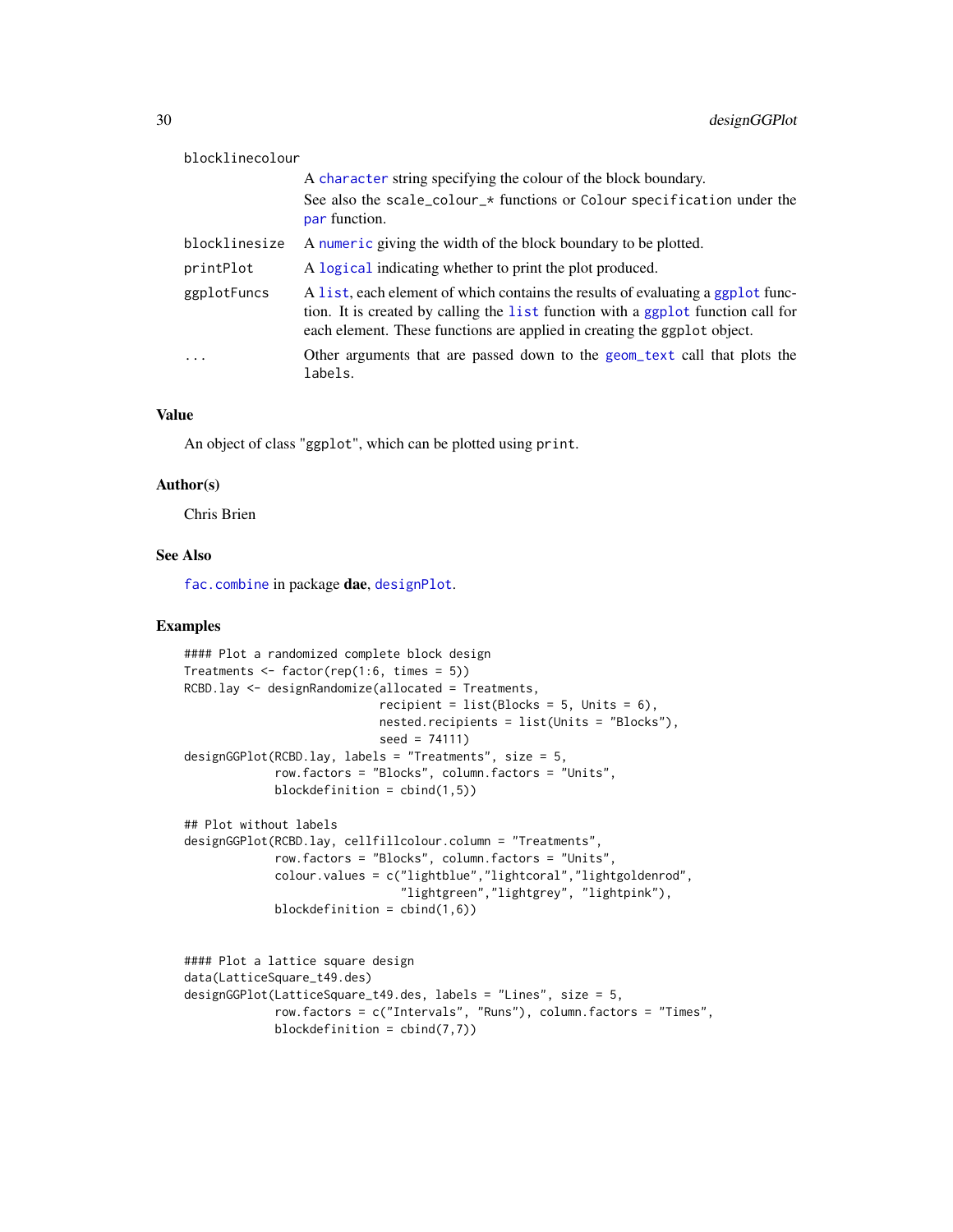| blocklinecolour |                                                                                                                                                                                                                                                 |
|-----------------|-------------------------------------------------------------------------------------------------------------------------------------------------------------------------------------------------------------------------------------------------|
|                 | A character string specifying the colour of the block boundary.                                                                                                                                                                                 |
|                 | See also the scale_colour_* functions or Colour specification under the<br>par function.                                                                                                                                                        |
| blocklinesize   | A numeric giving the width of the block boundary to be plotted.                                                                                                                                                                                 |
| printPlot       | A logical indicating whether to print the plot produced.                                                                                                                                                                                        |
| ggplotFuncs     | A list, each element of which contains the results of evaluating a ggplot func-<br>tion. It is created by calling the list function with a ggplot function call for<br>each element. These functions are applied in creating the ggplot object. |
| $\ddotsc$       | Other arguments that are passed down to the geom_text call that plots the<br>labels.                                                                                                                                                            |

### Value

An object of class "ggplot", which can be plotted using print.

#### Author(s)

Chris Brien

# See Also

[fac.combine](#page-48-1) in package dae, [designPlot](#page-30-2).

```
#### Plot a randomized complete block design
Treatments \leq factor(rep(1:6, times = 5))
RCBD.lay <- designRandomize(allocated = Treatments,
                            recipient = list(Blocks = 5, Units = 6),
                            nested.recipients = list(Units = "Blocks"),
                            seed = 74111)
designGGPlot(RCBD.lay, labels = "Treatments", size = 5,
             row.factors = "Blocks", column.factors = "Units",
             blockdefinition = cbind(1,5))
## Plot without labels
designGGPlot(RCBD.lay, cellfillcolour.column = "Treatments",
             row.factors = "Blocks", column.factors = "Units",
             colour.values = c("lightblue","lightcoral","lightgoldenrod",
                               "lightgreen","lightgrey", "lightpink"),
             blockdefinition = cbind(1,6))
```

```
#### Plot a lattice square design
data(LatticeSquare_t49.des)
designGGPlot(LatticeSquare_t49.des, labels = "Lines", size = 5,
             row.factors = c("Intervals", "Runs"), column.factors = "Times",
             blockdefinition = cbind(7,7))
```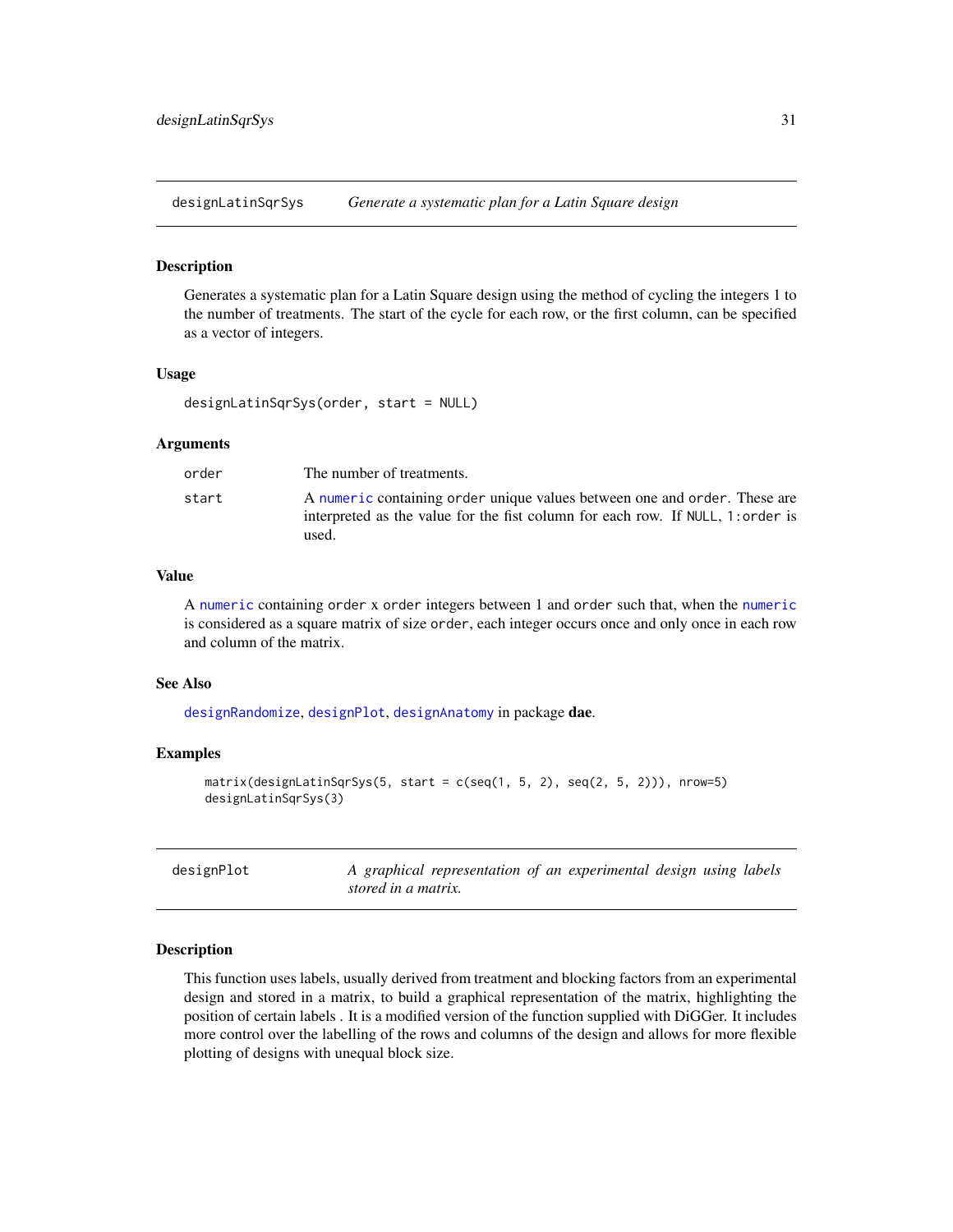<span id="page-30-1"></span><span id="page-30-0"></span>designLatinSqrSys *Generate a systematic plan for a Latin Square design*

#### Description

Generates a systematic plan for a Latin Square design using the method of cycling the integers 1 to the number of treatments. The start of the cycle for each row, or the first column, can be specified as a vector of integers.

#### Usage

```
designLatinSqrSys(order, start = NULL)
```
# Arguments

| order | The number of treatments.                                                                                                                                             |
|-------|-----------------------------------------------------------------------------------------------------------------------------------------------------------------------|
| start | A numeric containing order unique values between one and order. These are<br>interpreted as the value for the fist column for each row. If NULL, 1: order is<br>used. |

# Value

A [numeric](#page-0-0) containing order x order integers between 1 and order such that, when the [numeric](#page-0-0) is considered as a square matrix of size order, each integer occurs once and only once in each row and column of the matrix.

# See Also

[designRandomize](#page-35-1), [designPlot](#page-30-2), [designAnatomy](#page-21-1) in package dae.

### Examples

```
matrix(designLatinSqrSys(5, start = c(seq(1, 5, 2), seq(2, 5, 2))), nrow=5)
designLatinSqrSys(3)
```
<span id="page-30-2"></span>

| designPlot |                     | A graphical representation of an experimental design using labels |  |  |  |
|------------|---------------------|-------------------------------------------------------------------|--|--|--|
|            | stored in a matrix. |                                                                   |  |  |  |

# **Description**

This function uses labels, usually derived from treatment and blocking factors from an experimental design and stored in a matrix, to build a graphical representation of the matrix, highlighting the position of certain labels . It is a modified version of the function supplied with DiGGer. It includes more control over the labelling of the rows and columns of the design and allows for more flexible plotting of designs with unequal block size.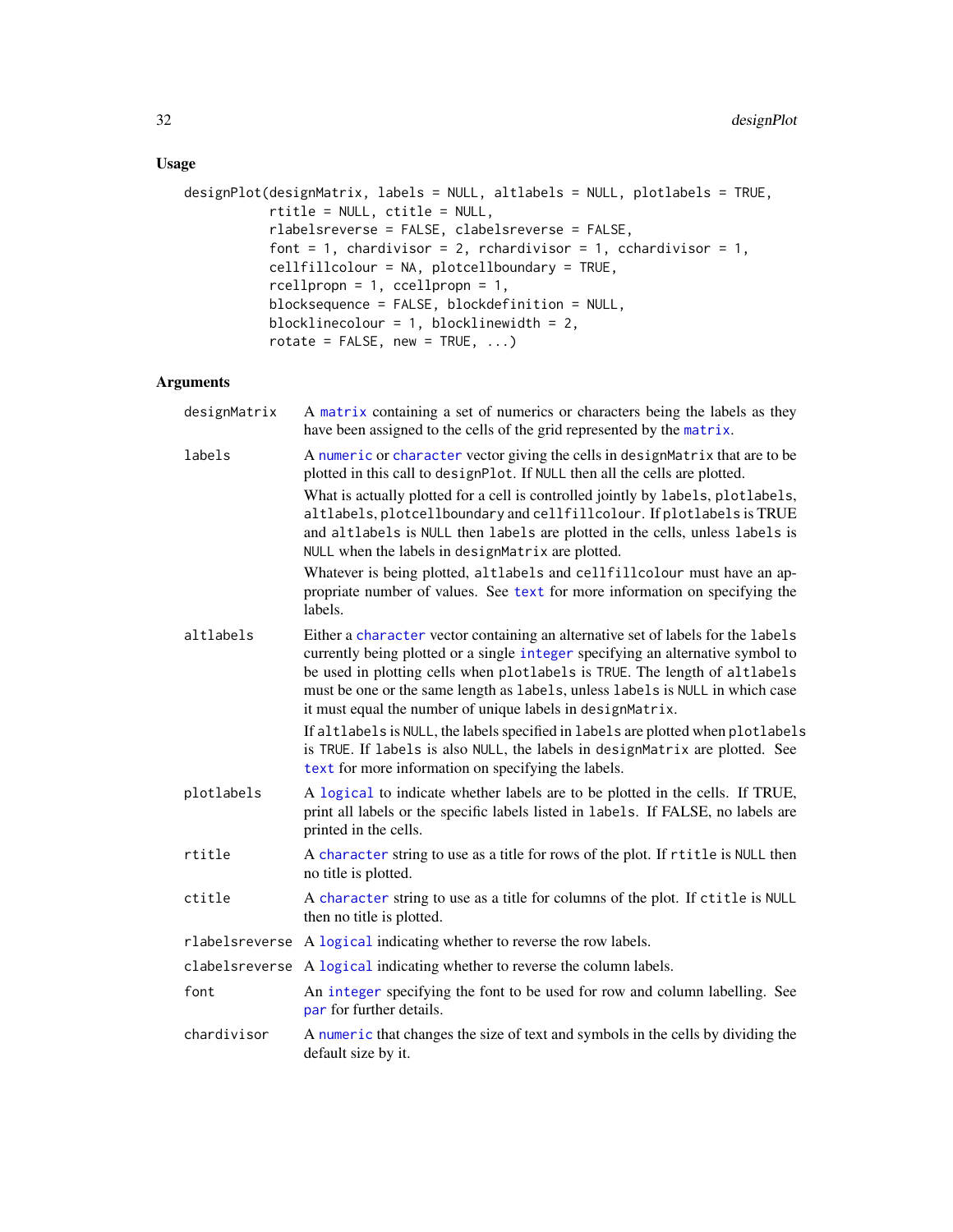# Usage

```
designPlot(designMatrix, labels = NULL, altlabels = NULL, plotlabels = TRUE,
          rtitle = NULL, ctitle = NULL,
          rlabelsreverse = FALSE, clabelsreverse = FALSE,
          font = 1, chardivisor = 2, rchardivisor = 1, cchardivisor = 1,
          cellfillcolour = NA, plotcellboundary = TRUE,
          rcellpropn = 1, ccellpropn = 1,
          blocksequence = FALSE, blockdefinition = NULL,
          blocklinecolour = 1, blocklinewidth = 2,
          rotate = FALSE, new = TRUE, ...
```
# Arguments

| designMatrix | A matrix containing a set of numerics or characters being the labels as they<br>have been assigned to the cells of the grid represented by the matrix.                                                                                                                                                                                                                                                                                                                               |
|--------------|--------------------------------------------------------------------------------------------------------------------------------------------------------------------------------------------------------------------------------------------------------------------------------------------------------------------------------------------------------------------------------------------------------------------------------------------------------------------------------------|
| labels       | A numeric or character vector giving the cells in designMatrix that are to be<br>plotted in this call to designPlot. If NULL then all the cells are plotted.<br>What is actually plotted for a cell is controlled jointly by labels, plotlabels,<br>altlabels, plotcellboundary and cellfillcolour. If plotlabels is TRUE<br>and altlabels is NULL then labels are plotted in the cells, unless labels is<br>NULL when the labels in designMatrix are plotted.                       |
|              | Whatever is being plotted, altlabels and cellfillcolour must have an ap-<br>propriate number of values. See text for more information on specifying the<br>labels.                                                                                                                                                                                                                                                                                                                   |
| altlabels    | Either a character vector containing an alternative set of labels for the labels<br>currently being plotted or a single integer specifying an alternative symbol to<br>be used in plotting cells when plotlabels is TRUE. The length of altlabels<br>must be one or the same length as labels, unless labels is NULL in which case<br>it must equal the number of unique labels in designMatrix.<br>If altlabels is NULL, the labels specified in labels are plotted when plotlabels |
|              | is TRUE. If labels is also NULL, the labels in designMatrix are plotted. See<br>text for more information on specifying the labels.                                                                                                                                                                                                                                                                                                                                                  |
| plotlabels   | A logical to indicate whether labels are to be plotted in the cells. If TRUE,<br>print all labels or the specific labels listed in labels. If FALSE, no labels are<br>printed in the cells.                                                                                                                                                                                                                                                                                          |
| rtitle       | A character string to use as a title for rows of the plot. If rtitle is NULL then<br>no title is plotted.                                                                                                                                                                                                                                                                                                                                                                            |
| ctitle       | A character string to use as a title for columns of the plot. If ctitle is NULL<br>then no title is plotted.                                                                                                                                                                                                                                                                                                                                                                         |
|              | rlabels reverse A logical indicating whether to reverse the row labels.                                                                                                                                                                                                                                                                                                                                                                                                              |
|              | clabels reverse A logical indicating whether to reverse the column labels.                                                                                                                                                                                                                                                                                                                                                                                                           |
| font         | An integer specifying the font to be used for row and column labelling. See<br>par for further details.                                                                                                                                                                                                                                                                                                                                                                              |
| chardivisor  | A numeric that changes the size of text and symbols in the cells by dividing the<br>default size by it.                                                                                                                                                                                                                                                                                                                                                                              |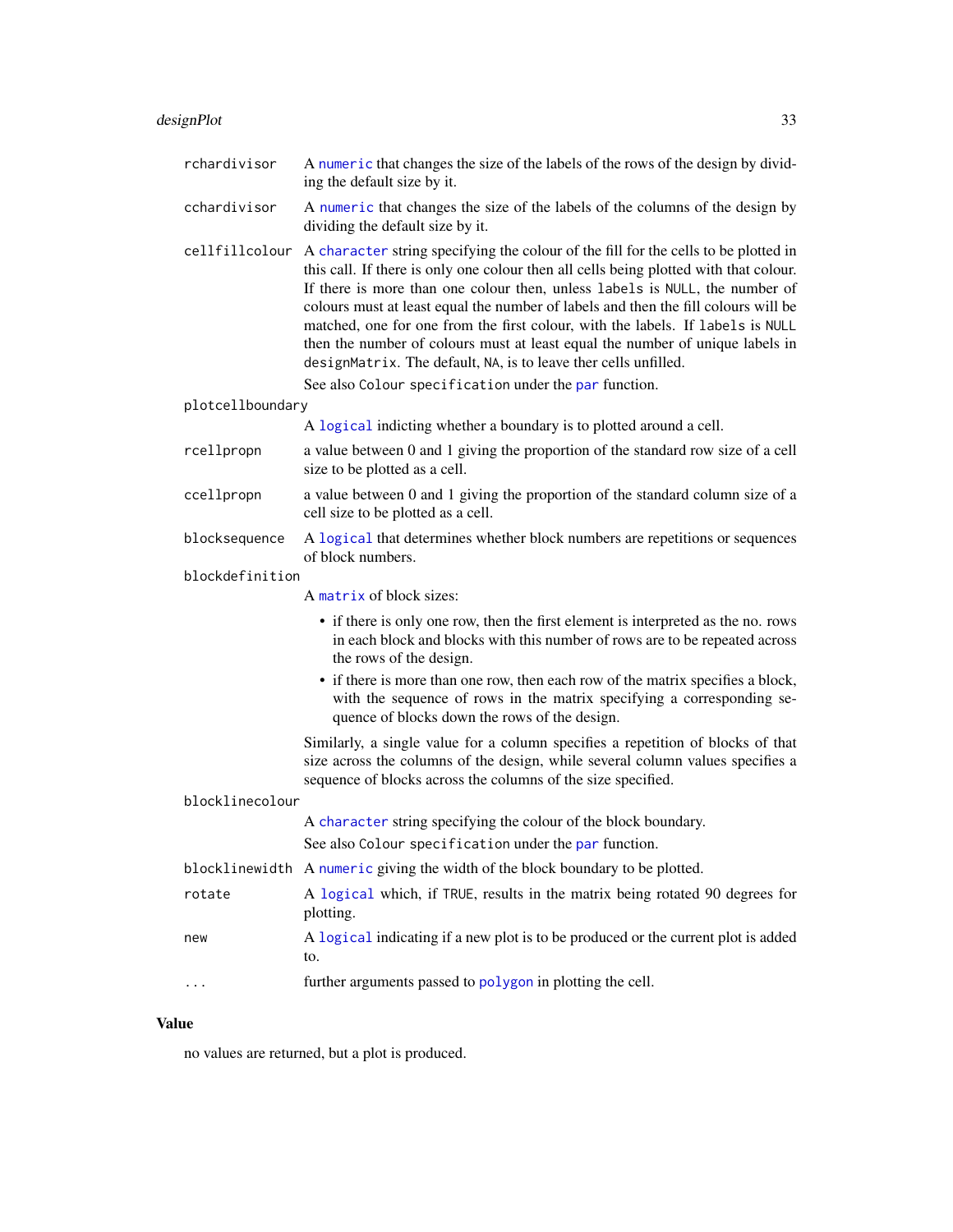# designPlot 33

| rchardivisor     | A numeric that changes the size of the labels of the rows of the design by divid-<br>ing the default size by it.                                                                                                                                                                                                                                                                                                                                                                                                                                                                                                                                 |
|------------------|--------------------------------------------------------------------------------------------------------------------------------------------------------------------------------------------------------------------------------------------------------------------------------------------------------------------------------------------------------------------------------------------------------------------------------------------------------------------------------------------------------------------------------------------------------------------------------------------------------------------------------------------------|
| cchardivisor     | A numeric that changes the size of the labels of the columns of the design by<br>dividing the default size by it.                                                                                                                                                                                                                                                                                                                                                                                                                                                                                                                                |
| cellfillcolour   | A character string specifying the colour of the fill for the cells to be plotted in<br>this call. If there is only one colour then all cells being plotted with that colour.<br>If there is more than one colour then, unless labels is NULL, the number of<br>colours must at least equal the number of labels and then the fill colours will be<br>matched, one for one from the first colour, with the labels. If labels is NULL<br>then the number of colours must at least equal the number of unique labels in<br>designMatrix. The default, NA, is to leave ther cells unfilled.<br>See also Colour specification under the par function. |
| plotcellboundary |                                                                                                                                                                                                                                                                                                                                                                                                                                                                                                                                                                                                                                                  |
|                  | A logical indicting whether a boundary is to plotted around a cell.                                                                                                                                                                                                                                                                                                                                                                                                                                                                                                                                                                              |
| rcellpropn       | a value between 0 and 1 giving the proportion of the standard row size of a cell<br>size to be plotted as a cell.                                                                                                                                                                                                                                                                                                                                                                                                                                                                                                                                |
| ccellpropn       | a value between 0 and 1 giving the proportion of the standard column size of a<br>cell size to be plotted as a cell.                                                                                                                                                                                                                                                                                                                                                                                                                                                                                                                             |
| blocksequence    | A logical that determines whether block numbers are repetitions or sequences<br>of block numbers.                                                                                                                                                                                                                                                                                                                                                                                                                                                                                                                                                |
| blockdefinition  |                                                                                                                                                                                                                                                                                                                                                                                                                                                                                                                                                                                                                                                  |
|                  | A matrix of block sizes:                                                                                                                                                                                                                                                                                                                                                                                                                                                                                                                                                                                                                         |
|                  | • if there is only one row, then the first element is interpreted as the no. rows<br>in each block and blocks with this number of rows are to be repeated across<br>the rows of the design.                                                                                                                                                                                                                                                                                                                                                                                                                                                      |
|                  | • if there is more than one row, then each row of the matrix specifies a block,<br>with the sequence of rows in the matrix specifying a corresponding se-<br>quence of blocks down the rows of the design.                                                                                                                                                                                                                                                                                                                                                                                                                                       |
|                  | Similarly, a single value for a column specifies a repetition of blocks of that<br>size across the columns of the design, while several column values specifies a<br>sequence of blocks across the columns of the size specified.                                                                                                                                                                                                                                                                                                                                                                                                                |
| blocklinecolour  |                                                                                                                                                                                                                                                                                                                                                                                                                                                                                                                                                                                                                                                  |
|                  | A character string specifying the colour of the block boundary.                                                                                                                                                                                                                                                                                                                                                                                                                                                                                                                                                                                  |
|                  | See also Colour specification under the par function.                                                                                                                                                                                                                                                                                                                                                                                                                                                                                                                                                                                            |
|                  | blocklinewidth A numeric giving the width of the block boundary to be plotted.                                                                                                                                                                                                                                                                                                                                                                                                                                                                                                                                                                   |
| rotate           | A logical which, if TRUE, results in the matrix being rotated 90 degrees for<br>plotting.                                                                                                                                                                                                                                                                                                                                                                                                                                                                                                                                                        |
| new              | A logical indicating if a new plot is to be produced or the current plot is added<br>to.                                                                                                                                                                                                                                                                                                                                                                                                                                                                                                                                                         |
|                  | further arguments passed to polygon in plotting the cell.                                                                                                                                                                                                                                                                                                                                                                                                                                                                                                                                                                                        |

# Value

no values are returned, but a plot is produced.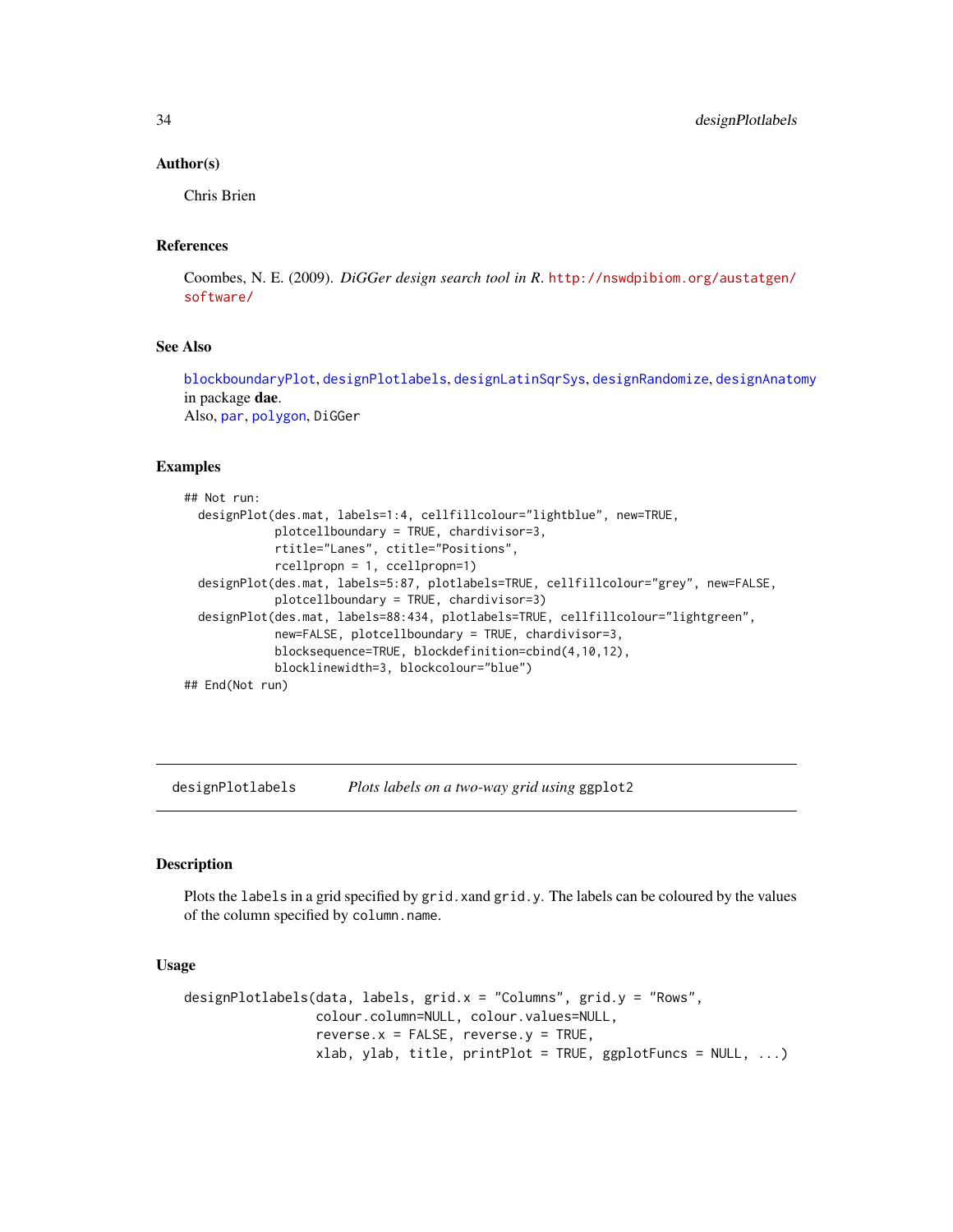#### Author(s)

Chris Brien

## References

Coombes, N. E. (2009). *DiGGer design search tool in R*. [http://nswdpibiom.org/austatgen/](http://nswdpibiom.org/austatgen/software/) [software/](http://nswdpibiom.org/austatgen/software/)

# See Also

[blockboundaryPlot](#page-11-2), [designPlotlabels](#page-33-1), [designLatinSqrSys](#page-30-1), [designRandomize](#page-35-1), [designAnatomy](#page-21-1) in package dae.

Also, [par](#page-0-0), [polygon](#page-0-0), DiGGer

# Examples

```
## Not run:
 designPlot(des.mat, labels=1:4, cellfillcolour="lightblue", new=TRUE,
            plotcellboundary = TRUE, chardivisor=3,
            rtitle="Lanes", ctitle="Positions",
            rcellpropn = 1, ccellpropn=1)
 designPlot(des.mat, labels=5:87, plotlabels=TRUE, cellfillcolour="grey", new=FALSE,
            plotcellboundary = TRUE, chardivisor=3)
 designPlot(des.mat, labels=88:434, plotlabels=TRUE, cellfillcolour="lightgreen",
            new=FALSE, plotcellboundary = TRUE, chardivisor=3,
            blocksequence=TRUE, blockdefinition=cbind(4,10,12),
            blocklinewidth=3, blockcolour="blue")
## End(Not run)
```
<span id="page-33-1"></span>designPlotlabels *Plots labels on a two-way grid using* ggplot2

# Description

Plots the labels in a grid specified by grid. xand grid.y. The labels can be coloured by the values of the column specified by column.name.

# Usage

```
designPlotlabels(data, labels, grid.x = "Columns", grid.y = "Rows",
                colour.column=NULL, colour.values=NULL,
                 reverse.x = FALSE, reverse.y = TRUE,xlab, ylab, title, printPlot = TRUE, ggplotFuncs = NULL, ...)
```
<span id="page-33-0"></span>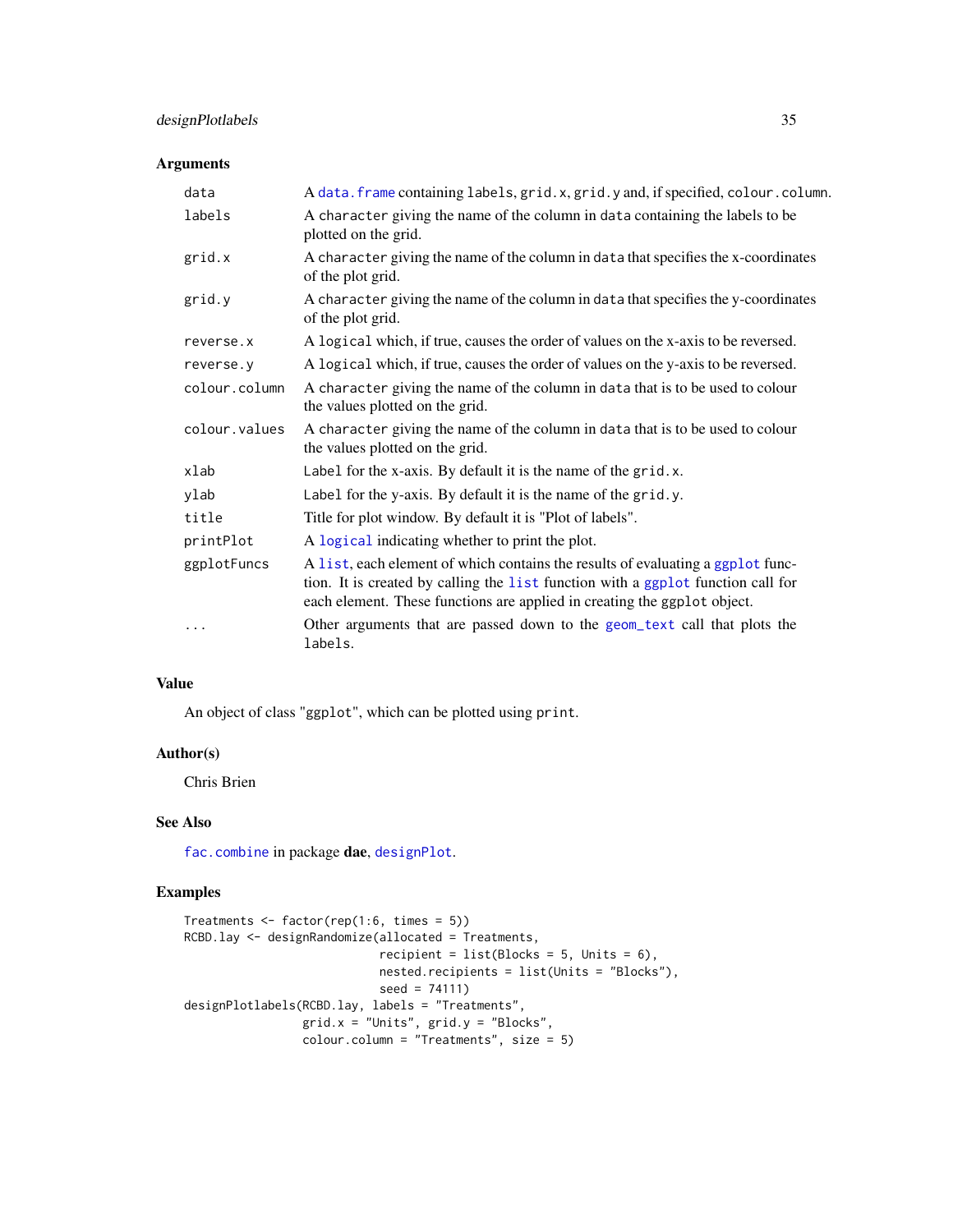# designPlotlabels 35

# Arguments

| data                     | A data. frame containing labels, grid.x, grid.y and, if specified, colour.column.                                                                                                                                                               |
|--------------------------|-------------------------------------------------------------------------------------------------------------------------------------------------------------------------------------------------------------------------------------------------|
| labels                   | A character giving the name of the column in data containing the labels to be<br>plotted on the grid.                                                                                                                                           |
| grid.x                   | A character giving the name of the column in data that specifies the x-coordinates<br>of the plot grid.                                                                                                                                         |
| grid.y                   | A character giving the name of the column in data that specifies the y-coordinates<br>of the plot grid.                                                                                                                                         |
| reverse.x                | A logical which, if true, causes the order of values on the x-axis to be reversed.                                                                                                                                                              |
| reverse.y                | A logical which, if true, causes the order of values on the y-axis to be reversed.                                                                                                                                                              |
| colour.column            | A character giving the name of the column in data that is to be used to colour<br>the values plotted on the grid.                                                                                                                               |
| colour.values            | A character giving the name of the column in data that is to be used to colour<br>the values plotted on the grid.                                                                                                                               |
| xlab                     | Label for the x-axis. By default it is the name of the grid.x.                                                                                                                                                                                  |
| ylab                     | Label for the y-axis. By default it is the name of the grid.y.                                                                                                                                                                                  |
| title                    | Title for plot window. By default it is "Plot of labels".                                                                                                                                                                                       |
| printPlot                | A logical indicating whether to print the plot.                                                                                                                                                                                                 |
| ggplotFuncs<br>$\ddotsc$ | A list, each element of which contains the results of evaluating a ggplot func-<br>tion. It is created by calling the list function with a ggplot function call for<br>each element. These functions are applied in creating the ggplot object. |
|                          | Other arguments that are passed down to the geom_text call that plots the<br>labels.                                                                                                                                                            |

# Value

An object of class "ggplot", which can be plotted using print.

# Author(s)

Chris Brien

# See Also

[fac.combine](#page-48-1) in package dae, [designPlot](#page-30-2).

```
Treatments <- factor(rep(1:6, times = 5))
RCBD.lay <- designRandomize(allocated = Treatments,
                            recipient = list(Blocks = 5, Units = 6),nested.recipients = list(Units = "Blocks"),
                           seed = 74111)
designPlotlabels(RCBD.lay, labels = "Treatments",
                 grid.x = "Units", grid.y = "Blocks",
                 colour.column = "Treatments", size = 5)
```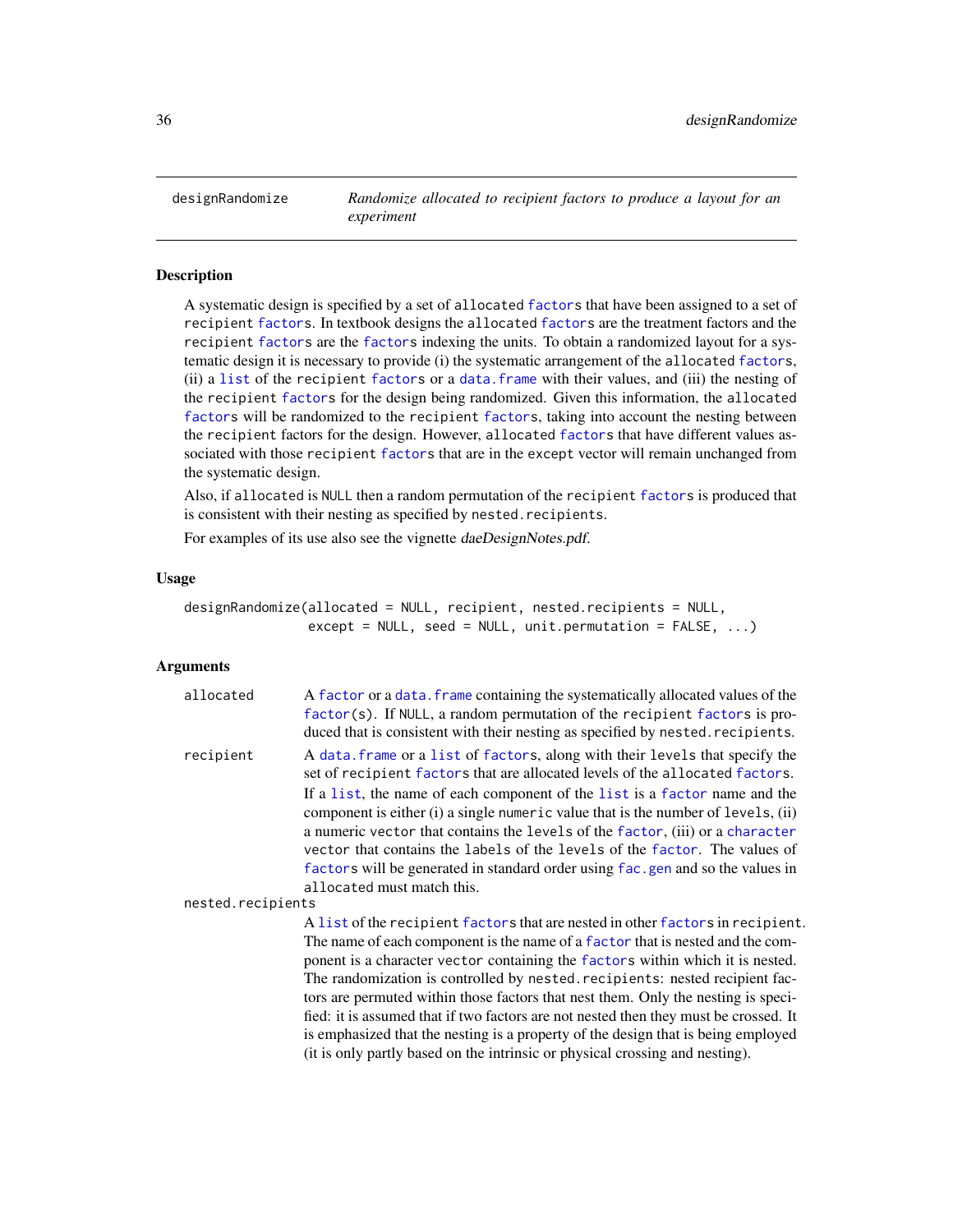<span id="page-35-1"></span><span id="page-35-0"></span>designRandomize *Randomize allocated to recipient factors to produce a layout for an experiment*

#### Description

A systematic design is specified by a set of allocated [factors](#page-0-0) that have been assigned to a set of recipient [factors](#page-0-0). In textbook designs the allocated [factors](#page-0-0) are the treatment factors and the recipient [factors](#page-0-0) are the [factors](#page-0-0) indexing the units. To obtain a randomized layout for a systematic design it is necessary to provide (i) the systematic arrangement of the allocated [factors](#page-0-0), (ii) a [list](#page-0-0) of the recipient [factors](#page-0-0) or a [data.frame](#page-0-0) with their values, and (iii) the nesting of the recipient [factors](#page-0-0) for the design being randomized. Given this information, the allocated [factors](#page-0-0) will be randomized to the recipient [factors](#page-0-0), taking into account the nesting between the recipient factors for the design. However, allocated [factors](#page-0-0) that have different values associated with those recipient [factors](#page-0-0) that are in the except vector will remain unchanged from the systematic design.

Also, if allocated is NULL then a random permutation of the recipient [factors](#page-0-0) is produced that is consistent with their nesting as specified by nested.recipients.

For examples of its use also see the vignette daeDesignNotes.pdf.

#### Usage

```
designRandomize(allocated = NULL, recipient, nested.recipients = NULL,
                except = NULL, seed = NULL, unit.permutation = FALSE, ...)
```
# Arguments

| allocated         | A factor or a data. frame containing the systematically allocated values of the<br>factor(s). If NULL, a random permutation of the recipient factors is pro-<br>duced that is consistent with their nesting as specified by nested. recipients.                                                                                                                                                                                                 |
|-------------------|-------------------------------------------------------------------------------------------------------------------------------------------------------------------------------------------------------------------------------------------------------------------------------------------------------------------------------------------------------------------------------------------------------------------------------------------------|
| recipient         | A data frame or a list of factors, along with their levels that specify the<br>set of recipient factors that are allocated levels of the allocated factors.                                                                                                                                                                                                                                                                                     |
|                   | If a list, the name of each component of the list is a factor name and the<br>component is either (i) a single numeric value that is the number of levels, (ii)<br>a numeric vector that contains the levels of the factor, (iii) or a character<br>vector that contains the labels of the levels of the factor. The values of<br>factors will be generated in standard order using fac. gen and so the values in<br>allocated must match this. |
| nested.recipients |                                                                                                                                                                                                                                                                                                                                                                                                                                                 |
|                   | A list of the recipient factors that are nested in other factors in recipient.<br>The name of each component is the name of a factor that is nested and the com-<br>ponent is a character vector containing the factors within which it is nested.                                                                                                                                                                                              |

The randomization is controlled by nested.recipients: nested recipient factors are permuted within those factors that nest them. Only the nesting is specified: it is assumed that if two factors are not nested then they must be crossed. It is emphasized that the nesting is a property of the design that is being employed (it is only partly based on the intrinsic or physical crossing and nesting).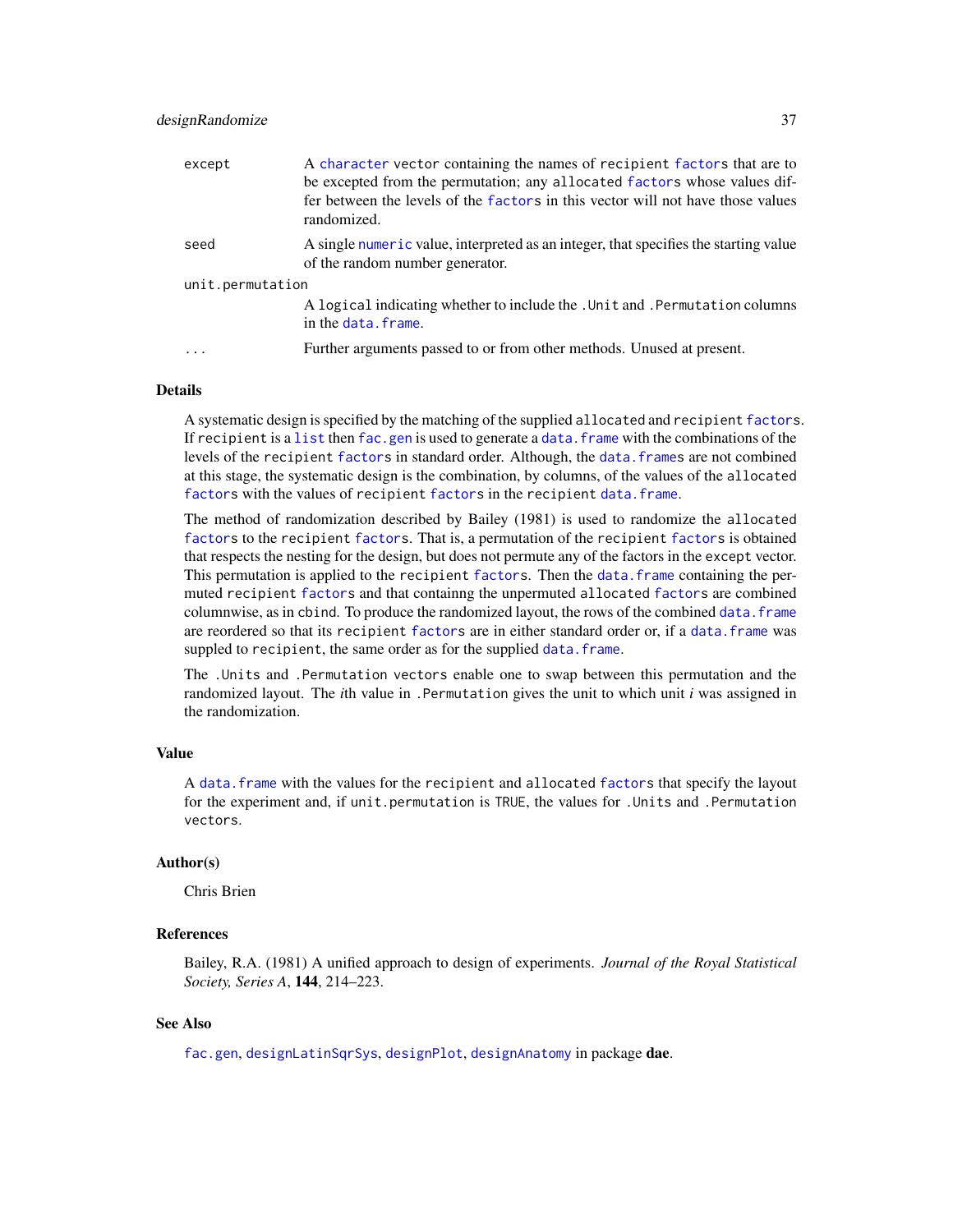### designRandomize 37

| except           | A character vector containing the names of recipient factors that are to<br>be excepted from the permutation; any allocated factors whose values dif-<br>fer between the levels of the factors in this vector will not have those values<br>randomized. |
|------------------|---------------------------------------------------------------------------------------------------------------------------------------------------------------------------------------------------------------------------------------------------------|
| seed             | A single numeric value, interpreted as an integer, that specifies the starting value<br>of the random number generator.                                                                                                                                 |
| unit.permutation |                                                                                                                                                                                                                                                         |
|                  | A logical indicating whether to include the . Unit and . Permutation columns<br>in the data. frame.                                                                                                                                                     |
|                  | Further arguments passed to or from other methods. Unused at present.                                                                                                                                                                                   |

### Details

A systematic design is specified by the matching of the supplied allocated and recipient [factors](#page-0-0). If recipient is a [list](#page-0-0) then [fac.gen](#page-51-0) is used to generate a data. frame with the combinations of the levels of the recipient [factors](#page-0-0) in standard order. Although, the data. frames are not combined at this stage, the systematic design is the combination, by columns, of the values of the allocated [factors](#page-0-0) with the values of recipient factors in the recipient [data.frame](#page-0-0).

The method of randomization described by Bailey (1981) is used to randomize the allocated [factors](#page-0-0) to the recipient [factors](#page-0-0). That is, a permutation of the recipient [factors](#page-0-0) is obtained that respects the nesting for the design, but does not permute any of the factors in the except vector. This permutation is applied to the recipient [factors](#page-0-0). Then the data, frame containing the permuted recipient [factors](#page-0-0) and that containng the unpermuted allocated [factors](#page-0-0) are combined columnwise, as in cbind. To produce the randomized layout, the rows of the combined [data.frame](#page-0-0) are reordered so that its recipient [factors](#page-0-0) are in either standard order or, if a [data.frame](#page-0-0) was suppled to recipient, the same order as for the supplied [data.frame](#page-0-0).

The .Units and .Permutation vectors enable one to swap between this permutation and the randomized layout. The *i*th value in .Permutation gives the unit to which unit *i* was assigned in the randomization.

# Value

A [data.frame](#page-0-0) with the values for the recipient and allocated [factors](#page-0-0) that specify the layout for the experiment and, if unit.permutation is TRUE, the values for .Units and .Permutation vectors.

# Author(s)

Chris Brien

# References

Bailey, R.A. (1981) A unified approach to design of experiments. *Journal of the Royal Statistical Society, Series A*, 144, 214–223.

# See Also

[fac.gen](#page-51-0), [designLatinSqrSys](#page-30-0), [designPlot](#page-30-1), [designAnatomy](#page-21-0) in package dae.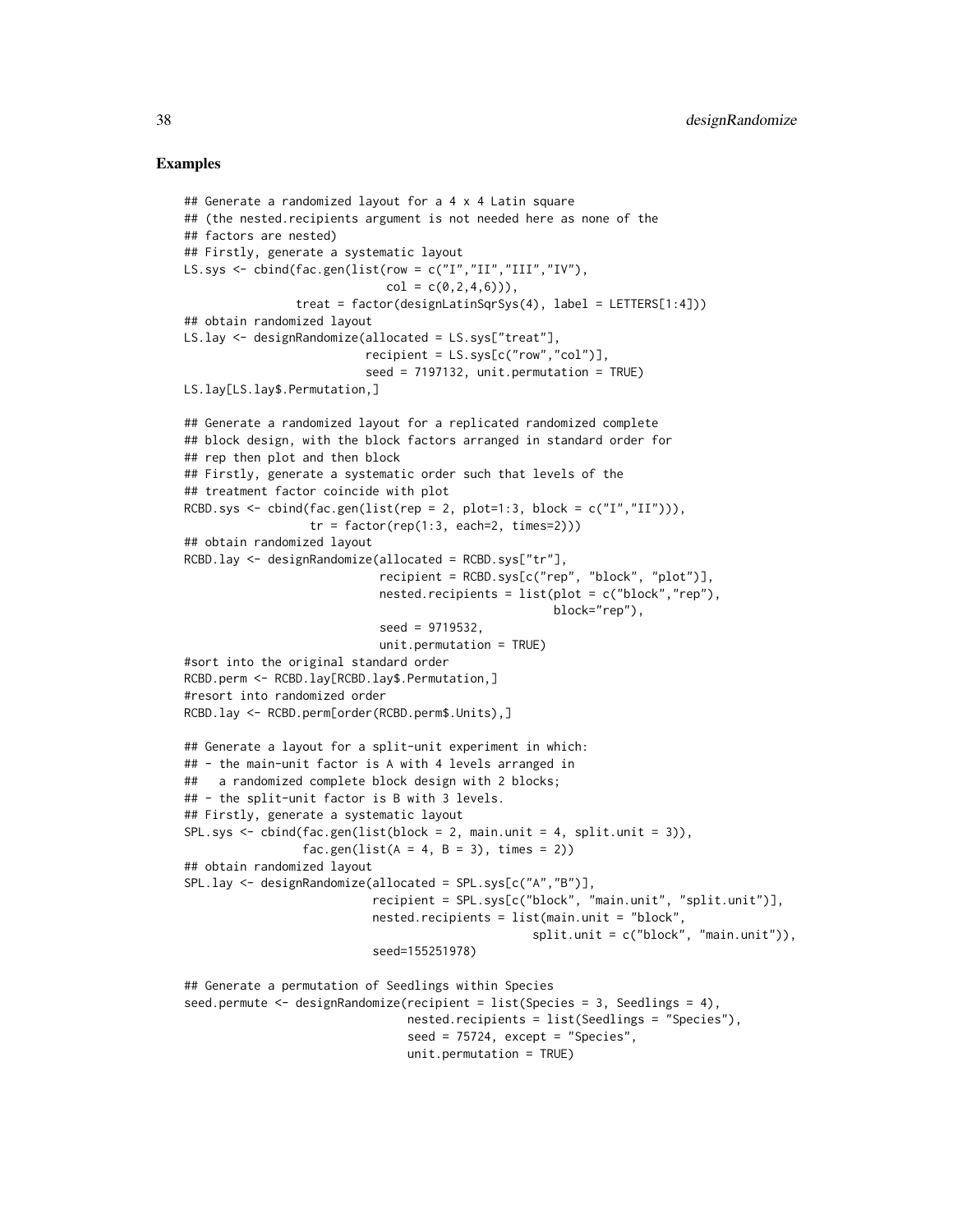### Examples

```
## Generate a randomized layout for a 4 x 4 Latin square
## (the nested.recipients argument is not needed here as none of the
## factors are nested)
## Firstly, generate a systematic layout
LS.sys <- cbind(fac.gen(list(row = c("I","II","III","IV"),
                             col = c(0, 2, 4, 6)),
                treat = factor(designLatinSqrSys(4), label = LETTERS[1:4]))
## obtain randomized layout
LS.lay <- designRandomize(allocated = LS.sys["treat"],
                          recipient = LS.sys[c("row","col")],
                          seed = 7197132, unit.permutation = TRUE)
LS.lay[LS.lay$.Permutation,]
## Generate a randomized layout for a replicated randomized complete
## block design, with the block factors arranged in standard order for
## rep then plot and then block
## Firstly, generate a systematic order such that levels of the
## treatment factor coincide with plot
RCBD.sys <- cbind(fac.gen(list(rep = 2, plot=1:3, block = c("I", "II"))),
                  tr = factor(rep(1:3, each=2, times=2)))## obtain randomized layout
RCBD.lay <- designRandomize(allocated = RCBD.sys["tr"],
                            recipient = RCBD.sys[c("rep", "block", "plot")],
                            nested.recipients = list(plot = c("block","rep"),
                                                     block="rep"),
                            seed = 9719532,
                            unit.permutation = TRUE)
#sort into the original standard order
RCBD.perm <- RCBD.lay[RCBD.lay$.Permutation,]
#resort into randomized order
RCBD.lay <- RCBD.perm[order(RCBD.perm$.Units),]
## Generate a layout for a split-unit experiment in which:
## - the main-unit factor is A with 4 levels arranged in
## a randomized complete block design with 2 blocks;
## - the split-unit factor is B with 3 levels.
## Firstly, generate a systematic layout
SPL.sys <- cbind(fac.gen(list(block = 2, main.unit = 4, split.unit = 3)),
                 fac.gen(list(A = 4, B = 3), times = 2))
## obtain randomized layout
SPL.lay <- designRandomize(allocated = SPL.sys[c("A","B")],
                           recipient = SPL.sys[c("block", "main.unit", "split.unit")],
                           nested.recipients = list(main.unit = "block",
                                                  split.unit = c("block", "main.unit")),
                           seed=155251978)
## Generate a permutation of Seedlings within Species
seed.permute <- designRandomize(recipient = list(Species = 3, Seedlings = 4),
                                nested.recipients = list(Seedlings = "Species"),
                                seed = 75724, except = "Species",unit.permutation = TRUE)
```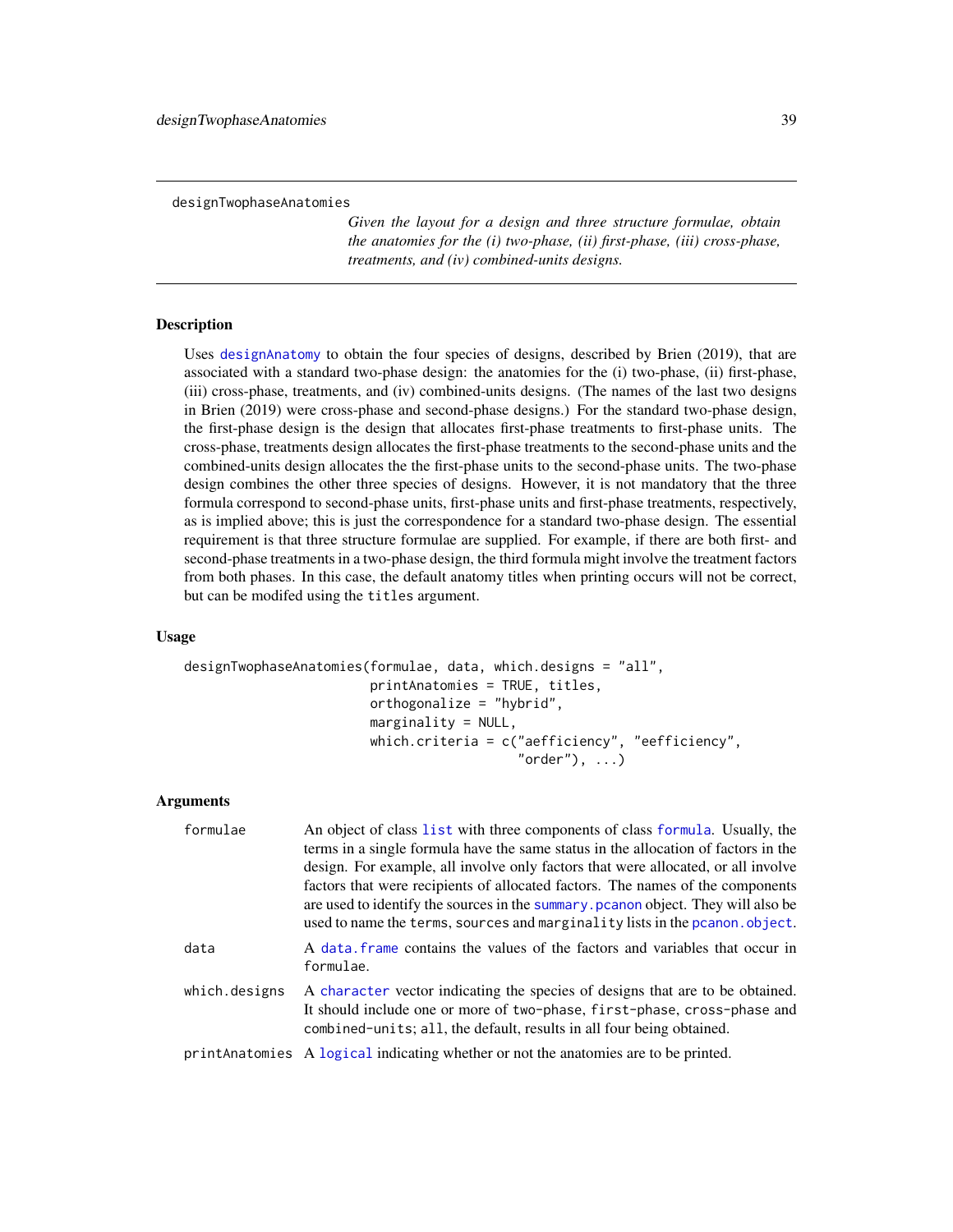designTwophaseAnatomies

*Given the layout for a design and three structure formulae, obtain the anatomies for the (i) two-phase, (ii) first-phase, (iii) cross-phase, treatments, and (iv) combined-units designs.*

#### Description

Uses [designAnatomy](#page-21-0) to obtain the four species of designs, described by Brien (2019), that are associated with a standard two-phase design: the anatomies for the (i) two-phase, (ii) first-phase, (iii) cross-phase, treatments, and (iv) combined-units designs. (The names of the last two designs in Brien (2019) were cross-phase and second-phase designs.) For the standard two-phase design, the first-phase design is the design that allocates first-phase treatments to first-phase units. The cross-phase, treatments design allocates the first-phase treatments to the second-phase units and the combined-units design allocates the the first-phase units to the second-phase units. The two-phase design combines the other three species of designs. However, it is not mandatory that the three formula correspond to second-phase units, first-phase units and first-phase treatments, respectively, as is implied above; this is just the correspondence for a standard two-phase design. The essential requirement is that three structure formulae are supplied. For example, if there are both first- and second-phase treatments in a two-phase design, the third formula might involve the treatment factors from both phases. In this case, the default anatomy titles when printing occurs will not be correct, but can be modifed using the titles argument.

# Usage

```
designTwophaseAnatomies(formulae, data, which.designs = "all",
                        printAnatomies = TRUE, titles,
                        orthogonalize = "hybrid",
                        marginality = NULL,
                        which.criteria = c("aefficiency", "eefficiency",
                                           "order"), ...)
```
### Arguments

| formulae      | An object of class list with three components of class formula. Usually, the<br>terms in a single formula have the same status in the allocation of factors in the<br>design. For example, all involve only factors that were allocated, or all involve<br>factors that were recipients of allocated factors. The names of the components<br>are used to identify the sources in the summary pcanon object. They will also be<br>used to name the terms, sources and marginality lists in the pcanon. object. |
|---------------|---------------------------------------------------------------------------------------------------------------------------------------------------------------------------------------------------------------------------------------------------------------------------------------------------------------------------------------------------------------------------------------------------------------------------------------------------------------------------------------------------------------|
| data          | A data frame contains the values of the factors and variables that occur in<br>formulae.                                                                                                                                                                                                                                                                                                                                                                                                                      |
| which.designs | A character vector indicating the species of designs that are to be obtained.<br>It should include one or more of two-phase, first-phase, cross-phase and<br>combined-units; all, the default, results in all four being obtained.                                                                                                                                                                                                                                                                            |
|               | print Anatomies A logical indicating whether or not the anatomies are to be printed.                                                                                                                                                                                                                                                                                                                                                                                                                          |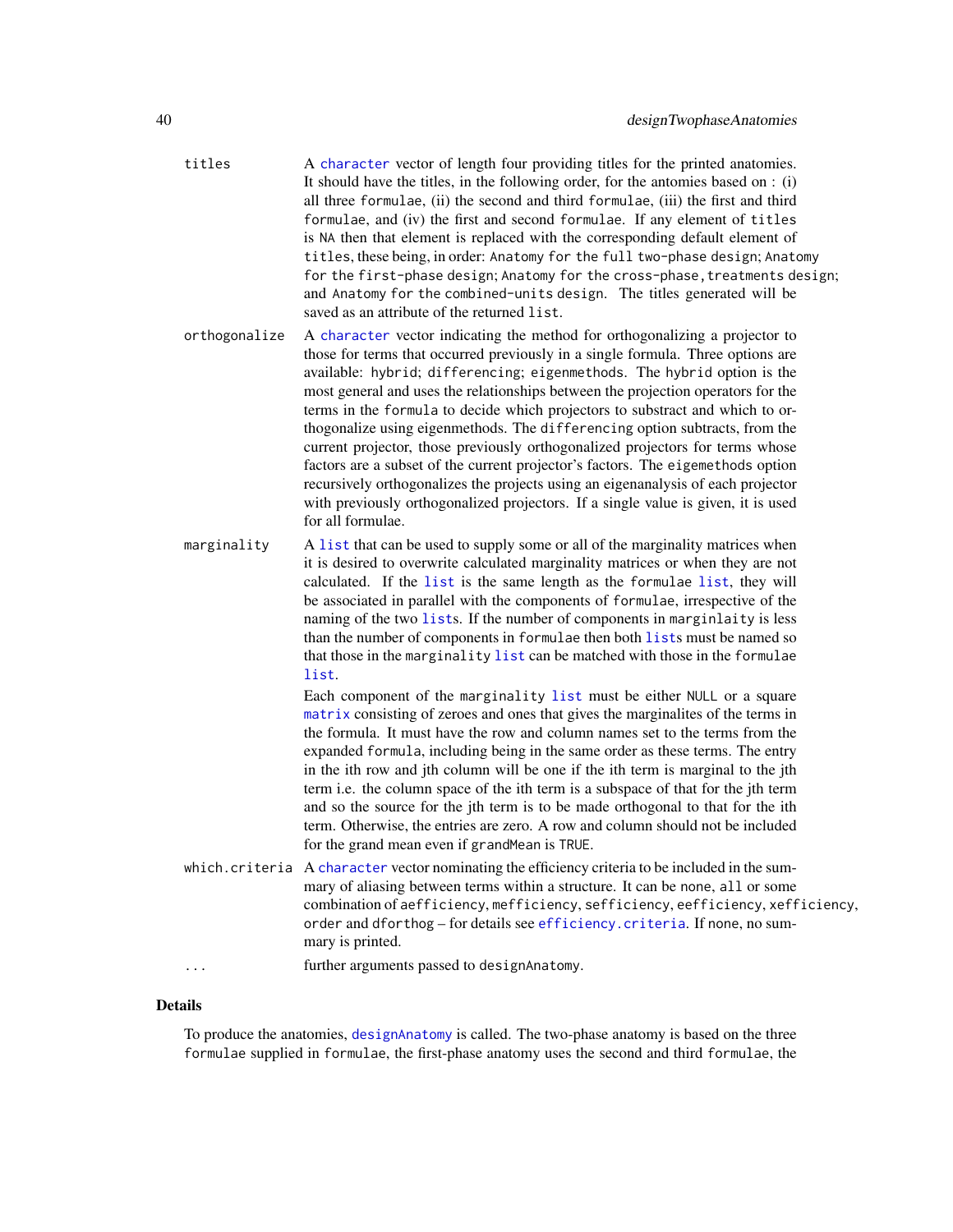- titles A [character](#page-0-0) vector of length four providing titles for the printed anatomies. It should have the titles, in the following order, for the antomies based on : (i) all three formulae, (ii) the second and third formulae, (iii) the first and third formulae, and (iv) the first and second formulae. If any element of titles is NA then that element is replaced with the corresponding default element of titles, these being, in order: Anatomy for the full two-phase design; Anatomy for the first-phase design; Anatomy for the cross-phase, treatments design; and Anatomy for the combined-units design. The titles generated will be saved as an attribute of the returned list.
- orthogonalize A [character](#page-0-0) vector indicating the method for orthogonalizing a projector to those for terms that occurred previously in a single formula. Three options are available: hybrid; differencing; eigenmethods. The hybrid option is the most general and uses the relationships between the projection operators for the terms in the formula to decide which projectors to substract and which to orthogonalize using eigenmethods. The differencing option subtracts, from the current projector, those previously orthogonalized projectors for terms whose factors are a subset of the current projector's factors. The eigemethods option recursively orthogonalizes the projects using an eigenanalysis of each projector with previously orthogonalized projectors. If a single value is given, it is used for all formulae.
- marginality A [list](#page-0-0) that can be used to supply some or all of the marginality matrices when it is desired to overwrite calculated marginality matrices or when they are not calculated. If the [list](#page-0-0) is the same length as the formulae [list](#page-0-0), they will be associated in parallel with the components of formulae, irrespective of the naming of the two [list](#page-0-0)s. If the number of components in marginlaity is less than the number of components in formulae then both [list](#page-0-0)s must be named so that those in the marginality [list](#page-0-0) can be matched with those in the formulae [list](#page-0-0).

Each component of the marginality [list](#page-0-0) must be either NULL or a square [matrix](#page-0-0) consisting of zeroes and ones that gives the marginalites of the terms in the formula. It must have the row and column names set to the terms from the expanded formula, including being in the same order as these terms. The entry in the ith row and jth column will be one if the ith term is marginal to the jth term i.e. the column space of the ith term is a subspace of that for the jth term and so the source for the jth term is to be made orthogonal to that for the ith term. Otherwise, the entries are zero. A row and column should not be included for the grand mean even if grandMean is TRUE.

which.criteria A [character](#page-0-0) vector nominating the efficiency criteria to be included in the summary of aliasing between terms within a structure. It can be none, all or some combination of aefficiency, mefficiency, sefficiency, eefficiency, xefficiency, order and dforthog – for details see [efficiency.criteria](#page-43-0). If none, no summary is printed.

... further arguments passed to designAnatomy.

#### Details

To produce the anatomies, [designAnatomy](#page-21-0) is called. The two-phase anatomy is based on the three formulae supplied in formulae, the first-phase anatomy uses the second and third formulae, the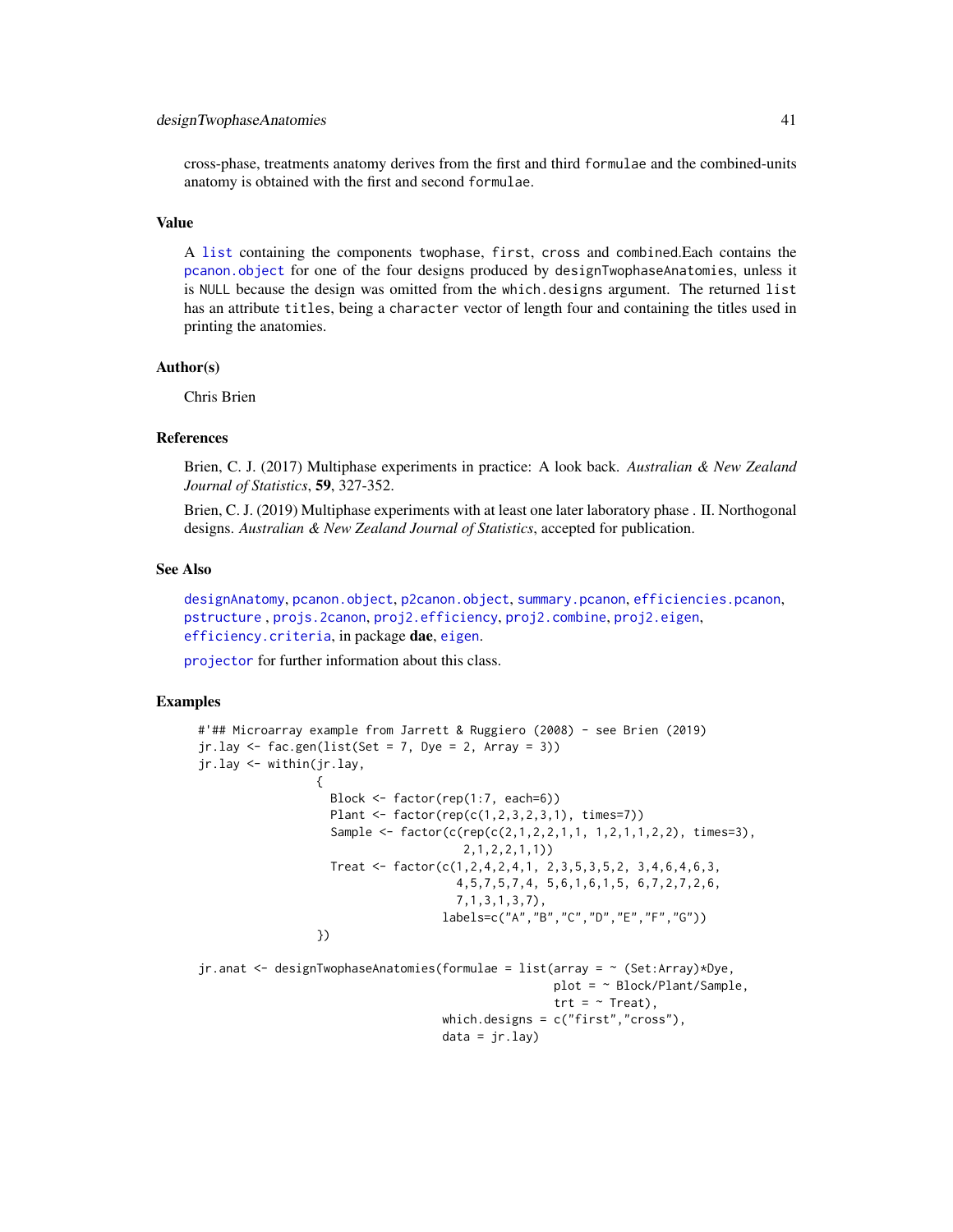### designTwophaseAnatomies 41

cross-phase, treatments anatomy derives from the first and third formulae and the combined-units anatomy is obtained with the first and second formulae.

# Value

A [list](#page-0-0) containing the components twophase, first, cross and combined.Each contains the [pcanon.object](#page-102-0) for one of the four designs produced by designTwophaseAnatomies, unless it is NULL because the design was omitted from the which.designs argument. The returned list has an attribute titles, being a character vector of length four and containing the titles used in printing the anatomies.

### Author(s)

Chris Brien

#### References

Brien, C. J. (2017) Multiphase experiments in practice: A look back. *Australian & New Zealand Journal of Statistics*, 59, 327-352.

Brien, C. J. (2019) Multiphase experiments with at least one later laboratory phase . II. Northogonal designs. *Australian & New Zealand Journal of Statistics*, accepted for publication.

### See Also

[designAnatomy](#page-21-0), [pcanon.object](#page-102-0), [p2canon.object](#page-101-0), [summary.pcanon](#page-133-0), [efficiencies.pcanon](#page-42-0), [pstructure](#page-118-0) , [projs.2canon](#page-116-0), [proj2.efficiency](#page-110-0), [proj2.combine](#page-109-0), [proj2.eigen](#page-112-0), [efficiency.criteria](#page-43-0), in package dae, [eigen](#page-0-0).

[projector](#page-114-0) for further information about this class.

# Examples

```
#'## Microarray example from Jarrett & Ruggiero (2008) - see Brien (2019)
jr.lay \leftarrow fac.gen(list(Set = 7, Dye = 2, Array = 3))jr.lay <- within(jr.lay,
                 {
                   Block <- factor(rep(1:7, each=6))
                   Plant <- factor(rep(c(1,2,3,2,3,1), times=7))
                   Sample <- factor(c(rep(c(2,1,2,2,1,1, 1,2,1,1,2,2), times=3),
                                       2,1,2,2,1,1))
                   Treat <- factor(c(1,2,4,2,4,1, 2,3,5,3,5,2, 3,4,6,4,6,3,
                                     4,5,7,5,7,4, 5,6,1,6,1,5, 6,7,2,7,2,6,
                                     7,1,3,1,3,7),
                                   labels=c("A","B","C","D","E","F","G"))
                 })
jr.anat <- designTwophaseAnatomies(formulae = list(array = ~ (Set:Array)*Dye,
```

```
plot = ~ Block/Plant/Sample,
                trt = - Treat),
which.designs = c("first","cross"),
data = jr.lay)
```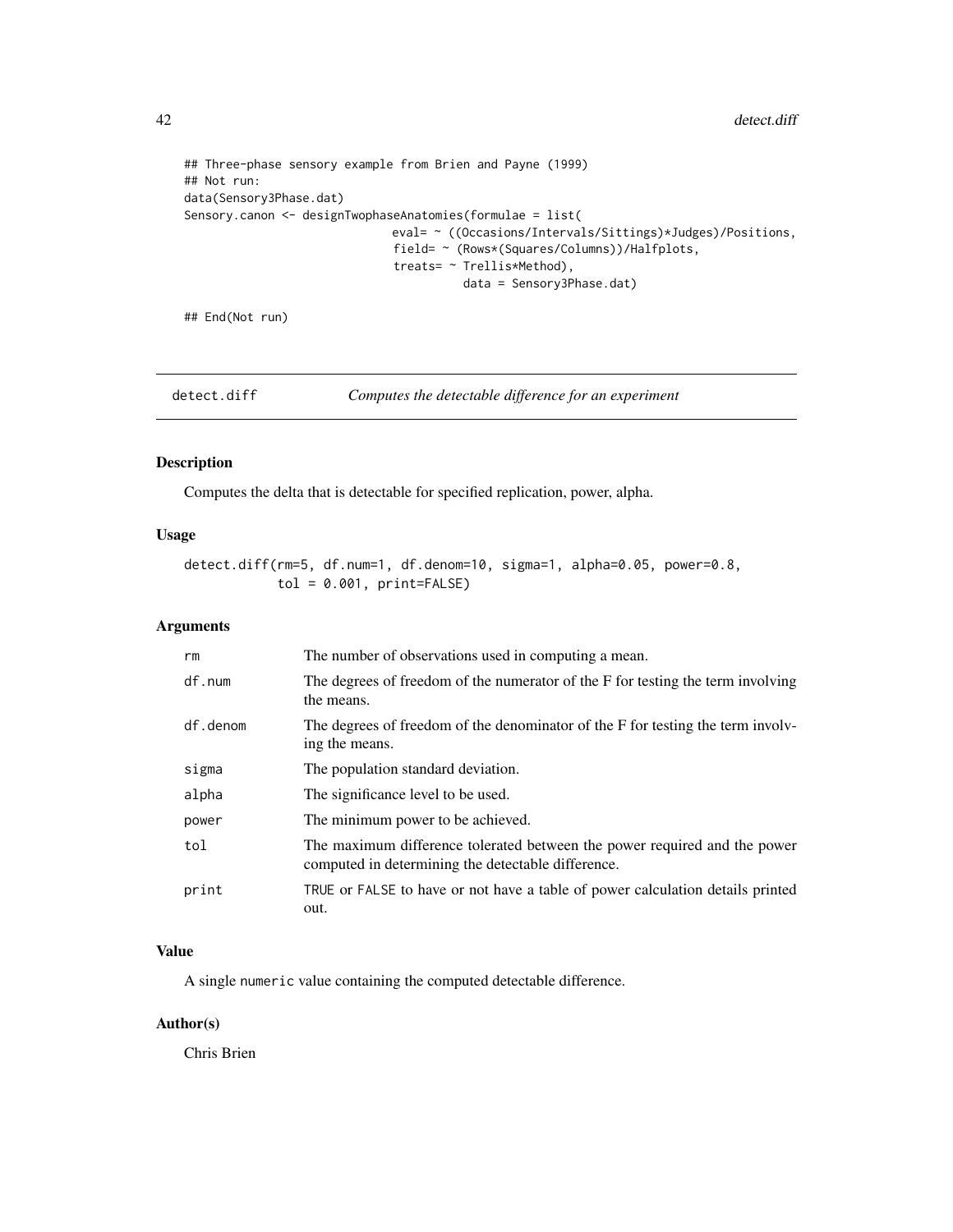```
## Three-phase sensory example from Brien and Payne (1999)
## Not run:
data(Sensory3Phase.dat)
Sensory.canon <- designTwophaseAnatomies(formulae = list(
                             eval= ~ ((Occasions/Intervals/Sittings)*Judges)/Positions,
                             field= ~ (Rows*(Squares/Columns))/Halfplots,
                              treats= ~ Trellis*Method),
                                        data = Sensory3Phase.dat)
```
## End(Not run)

detect.diff *Computes the detectable difference for an experiment*

# Description

Computes the delta that is detectable for specified replication, power, alpha.

# Usage

```
detect.diff(rm=5, df.num=1, df.denom=10, sigma=1, alpha=0.05, power=0.8,
            tol = 0.001, print = FALSE)
```
# Arguments

| rm       | The number of observations used in computing a mean.                                                                            |
|----------|---------------------------------------------------------------------------------------------------------------------------------|
| df.num   | The degrees of freedom of the numerator of the F for testing the term involving<br>the means.                                   |
| df.denom | The degrees of freedom of the denominator of the F for testing the term involv-<br>ing the means.                               |
| sigma    | The population standard deviation.                                                                                              |
| alpha    | The significance level to be used.                                                                                              |
| power    | The minimum power to be achieved.                                                                                               |
| tol      | The maximum difference tolerated between the power required and the power<br>computed in determining the detectable difference. |
| print    | TRUE or FALSE to have or not have a table of power calculation details printed<br>out.                                          |

# Value

A single numeric value containing the computed detectable difference.

# Author(s)

Chris Brien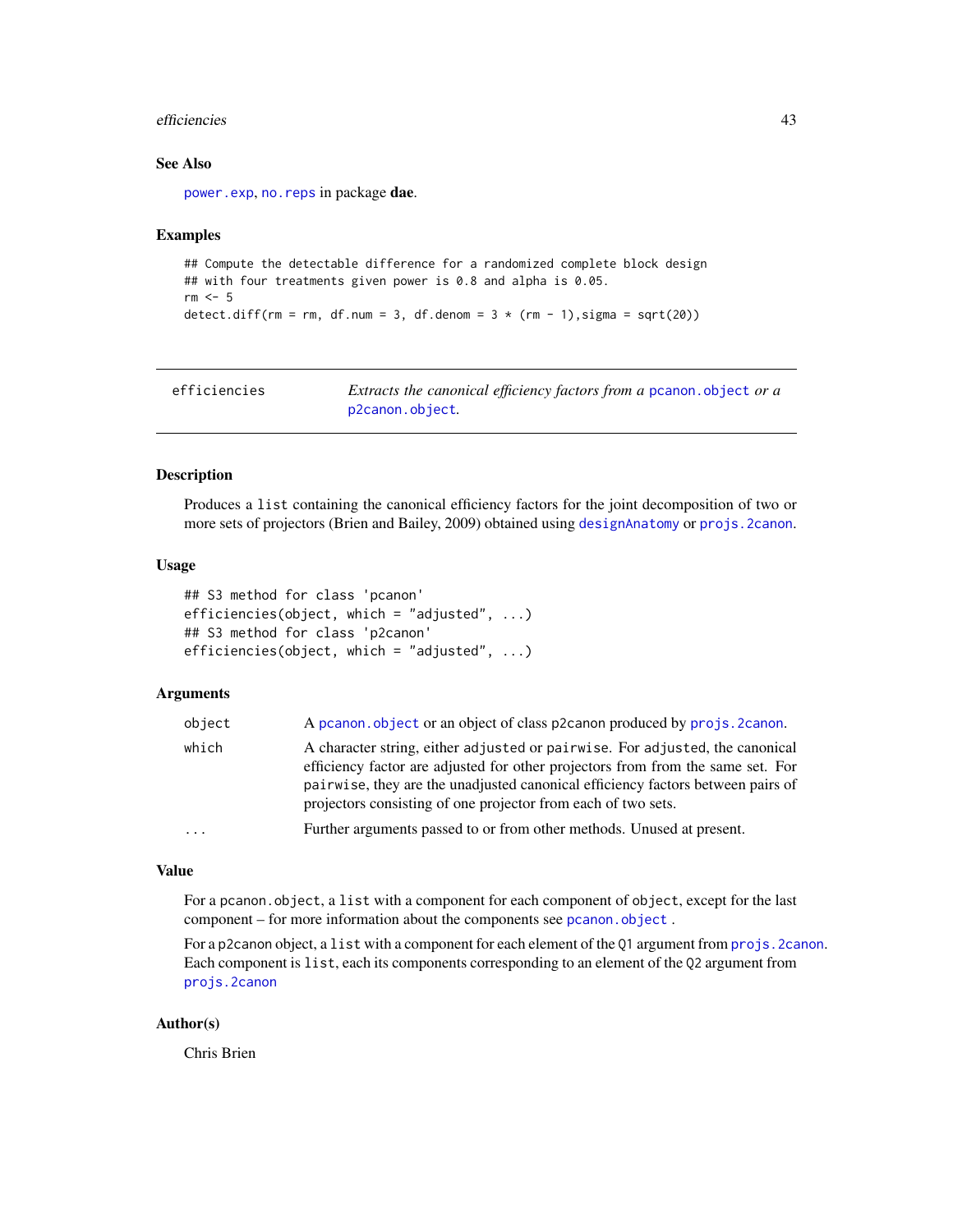#### efficiencies 43

# See Also

[power.exp](#page-103-0), no. reps in package dae.

### Examples

```
## Compute the detectable difference for a randomized complete block design
## with four treatments given power is 0.8 and alpha is 0.05.
rm < - 5detect.diff(rm = rm, df.num = 3, df.denom = 3 * (rm - 1),sigma = sqrt(20))
```

| efficiencies | Extracts the canonical efficiency factors from a pcanon. object or a |
|--------------|----------------------------------------------------------------------|
|              | p2canon.object.                                                      |

### <span id="page-42-0"></span>Description

Produces a list containing the canonical efficiency factors for the joint decomposition of two or more sets of projectors (Brien and Bailey, 2009) obtained using [designAnatomy](#page-21-0) or [projs.2canon](#page-116-0).

### Usage

```
## S3 method for class 'pcanon'
efficiencies(object, which = "adjusted", ...)
## S3 method for class 'p2canon'
efficiencies(object, which = "adjusted", ...)
```
# Arguments

| object | A pcanon object or an object of class p2canon produced by projs. 2canon.                                                                                                                                                                                                                                            |
|--------|---------------------------------------------------------------------------------------------------------------------------------------------------------------------------------------------------------------------------------------------------------------------------------------------------------------------|
| which  | A character string, either adjusted or pairwise. For adjusted, the canonical<br>efficiency factor are adjusted for other projectors from from the same set. For<br>pairwise, they are the unadjusted canonical efficiency factors between pairs of<br>projectors consisting of one projector from each of two sets. |
| .      | Further arguments passed to or from other methods. Unused at present.                                                                                                                                                                                                                                               |
|        |                                                                                                                                                                                                                                                                                                                     |

# Value

For a pcanon.object, a list with a component for each component of object, except for the last component – for more information about the components see [pcanon.object](#page-102-0).

For a p2canon object, a list with a component for each element of the Q1 argument from projs. 2canon. Each component is list, each its components corresponding to an element of the Q2 argument from [projs.2canon](#page-116-0)

### Author(s)

Chris Brien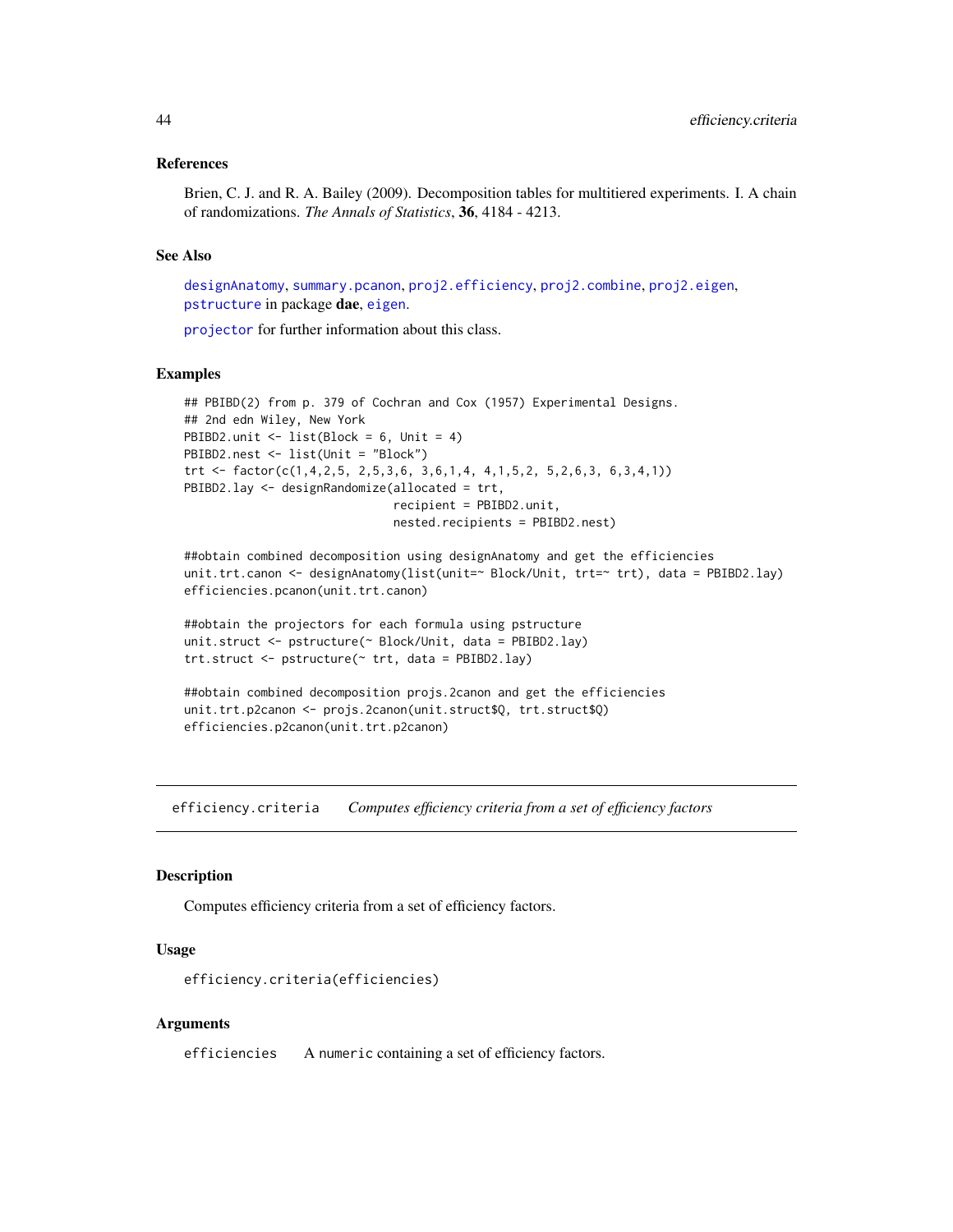### References

Brien, C. J. and R. A. Bailey (2009). Decomposition tables for multitiered experiments. I. A chain of randomizations. *The Annals of Statistics*, 36, 4184 - 4213.

# See Also

[designAnatomy](#page-21-0), [summary.pcanon](#page-133-0), [proj2.efficiency](#page-110-0), [proj2.combine](#page-109-0), [proj2.eigen](#page-112-0), [pstructure](#page-118-0) in package dae, [eigen](#page-0-0).

[projector](#page-114-0) for further information about this class.

#### Examples

```
## PBIBD(2) from p. 379 of Cochran and Cox (1957) Experimental Designs.
## 2nd edn Wiley, New York
PBIBD2.unit <- list(Block = 6, Unit = 4)
PBIBD2.nest <- list(Unit = "Block")
trt <- factor(c(1,4,2,5, 2,5,3,6, 3,6,1,4, 4,1,5,2, 5,2,6,3, 6,3,4,1))
PBIBD2.lay <- designRandomize(allocated = trt,
                              recipient = PBIBD2.unit,
                              nested.recipients = PBIBD2.nest)
```

```
##obtain combined decomposition using designAnatomy and get the efficiencies
unit.trt.canon <- designAnatomy(list(unit=~ Block/Unit, trt=~ trt), data = PBIBD2.lay)
efficiencies.pcanon(unit.trt.canon)
```

```
##obtain the projectors for each formula using pstructure
unit.struct <- pstructure(~ Block/Unit, data = PBIBD2.lay)
trt.struct <- pstructure(~ trt, data = PBIBD2.lay)
```

```
##obtain combined decomposition projs.2canon and get the efficiencies
unit.trt.p2canon <- projs.2canon(unit.struct$Q, trt.struct$Q)
efficiencies.p2canon(unit.trt.p2canon)
```
<span id="page-43-0"></span>efficiency.criteria *Computes efficiency criteria from a set of efficiency factors*

#### **Description**

Computes efficiency criteria from a set of efficiency factors.

### Usage

```
efficiency.criteria(efficiencies)
```
### Arguments

efficiencies A numeric containing a set of efficiency factors.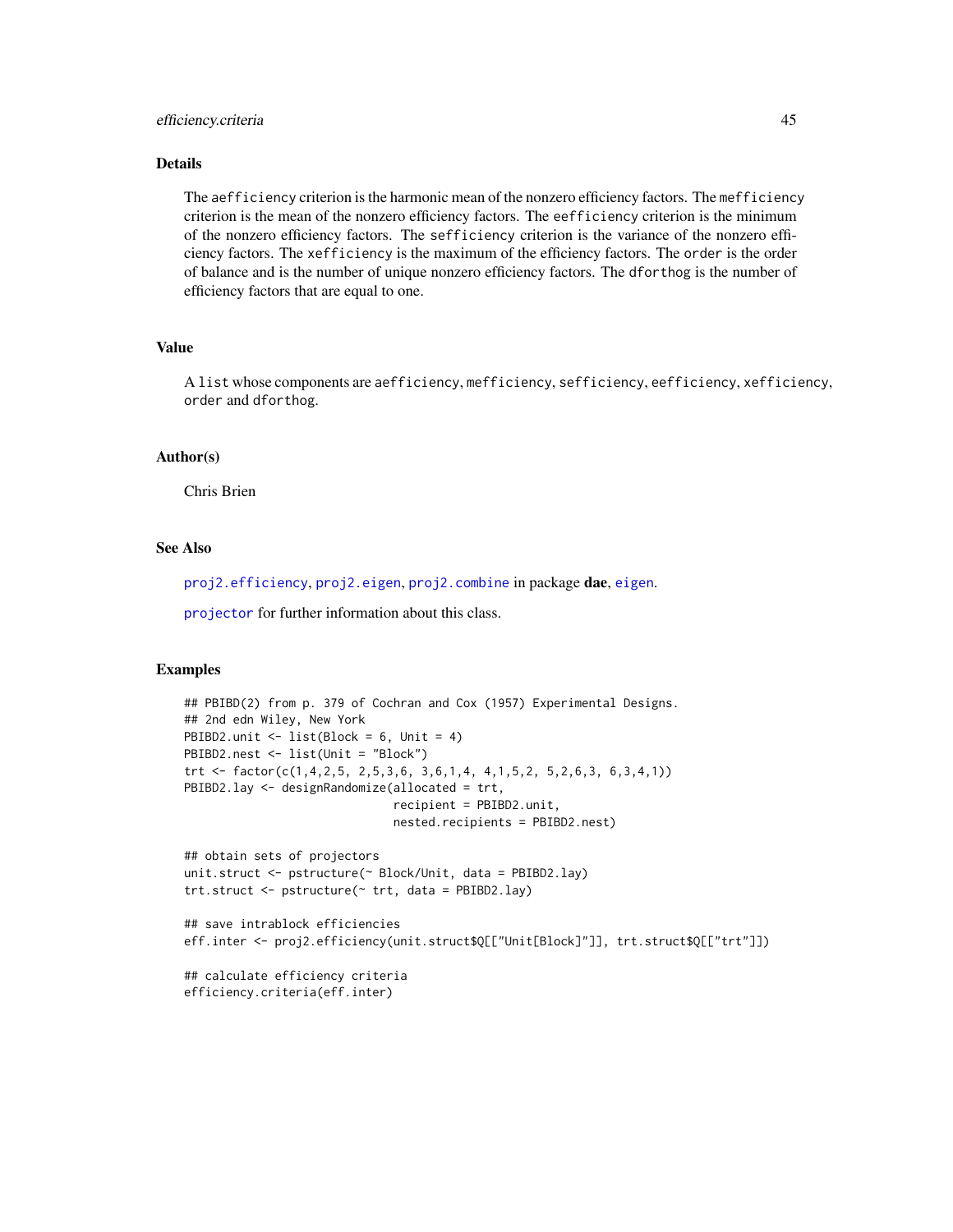# efficiency.criteria 45

### Details

The aefficiency criterion is the harmonic mean of the nonzero efficiency factors. The mefficiency criterion is the mean of the nonzero efficiency factors. The eefficiency criterion is the minimum of the nonzero efficiency factors. The sefficiency criterion is the variance of the nonzero efficiency factors. The xefficiency is the maximum of the efficiency factors. The order is the order of balance and is the number of unique nonzero efficiency factors. The dforthog is the number of efficiency factors that are equal to one.

### Value

A list whose components are aefficiency, mefficiency, sefficiency, eefficiency, xefficiency, order and dforthog.

### Author(s)

Chris Brien

# See Also

[proj2.efficiency](#page-110-0), [proj2.eigen](#page-112-0), [proj2.combine](#page-109-0) in package dae, [eigen](#page-0-0).

[projector](#page-114-0) for further information about this class.

### Examples

```
## PBIBD(2) from p. 379 of Cochran and Cox (1957) Experimental Designs.
## 2nd edn Wiley, New York
PBIBD2.unit <- list(Block = 6, Unit = 4)
PBIBD2.nest <- list(Unit = "Block")
trt <- factor(c(1,4,2,5, 2,5,3,6, 3,6,1,4, 4,1,5,2, 5,2,6,3, 6,3,4,1))
PBIBD2.lay <- designRandomize(allocated = trt,
                              recipient = PBIBD2.unit,
                              nested.recipients = PBIBD2.nest)
## obtain sets of projectors
unit.struct <- pstructure(~ Block/Unit, data = PBIBD2.lay)
trt.struct <- pstructure(\sim trt, data = PBIBD2.lay)
## save intrablock efficiencies
eff.inter <- proj2.efficiency(unit.struct$Q[["Unit[Block]"]], trt.struct$Q[["trt"]])
## calculate efficiency criteria
efficiency.criteria(eff.inter)
```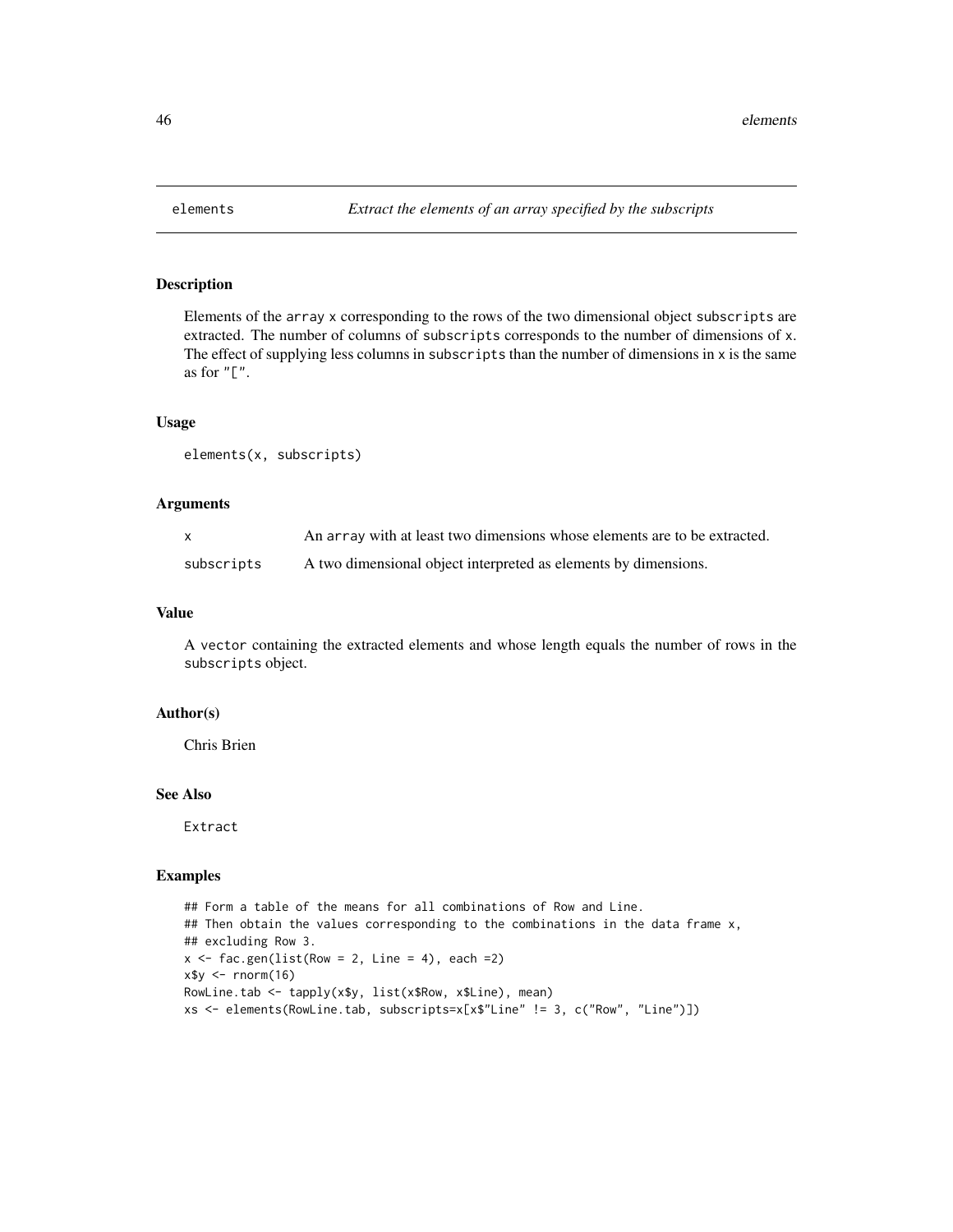# Description

Elements of the array x corresponding to the rows of the two dimensional object subscripts are extracted. The number of columns of subscripts corresponds to the number of dimensions of x. The effect of supplying less columns in subscripts than the number of dimensions in x is the same as for  $"$ [ $"$ .

### Usage

```
elements(x, subscripts)
```
# Arguments

| $\mathsf{X}$ | An array with at least two dimensions whose elements are to be extracted. |
|--------------|---------------------------------------------------------------------------|
| subscripts   | A two dimensional object interpreted as elements by dimensions.           |

#### Value

A vector containing the extracted elements and whose length equals the number of rows in the subscripts object.

### Author(s)

Chris Brien

# See Also

Extract

### Examples

```
## Form a table of the means for all combinations of Row and Line.
## Then obtain the values corresponding to the combinations in the data frame x,
## excluding Row 3.
x \le fac.gen(list(Row = 2, Line = 4), each = 2)
x$y <- rnorm(16)RowLine.tab <- tapply(x$y, list(x$Row, x$Line), mean)
xs <- elements(RowLine.tab, subscripts=x[x$"Line" != 3, c("Row", "Line")])
```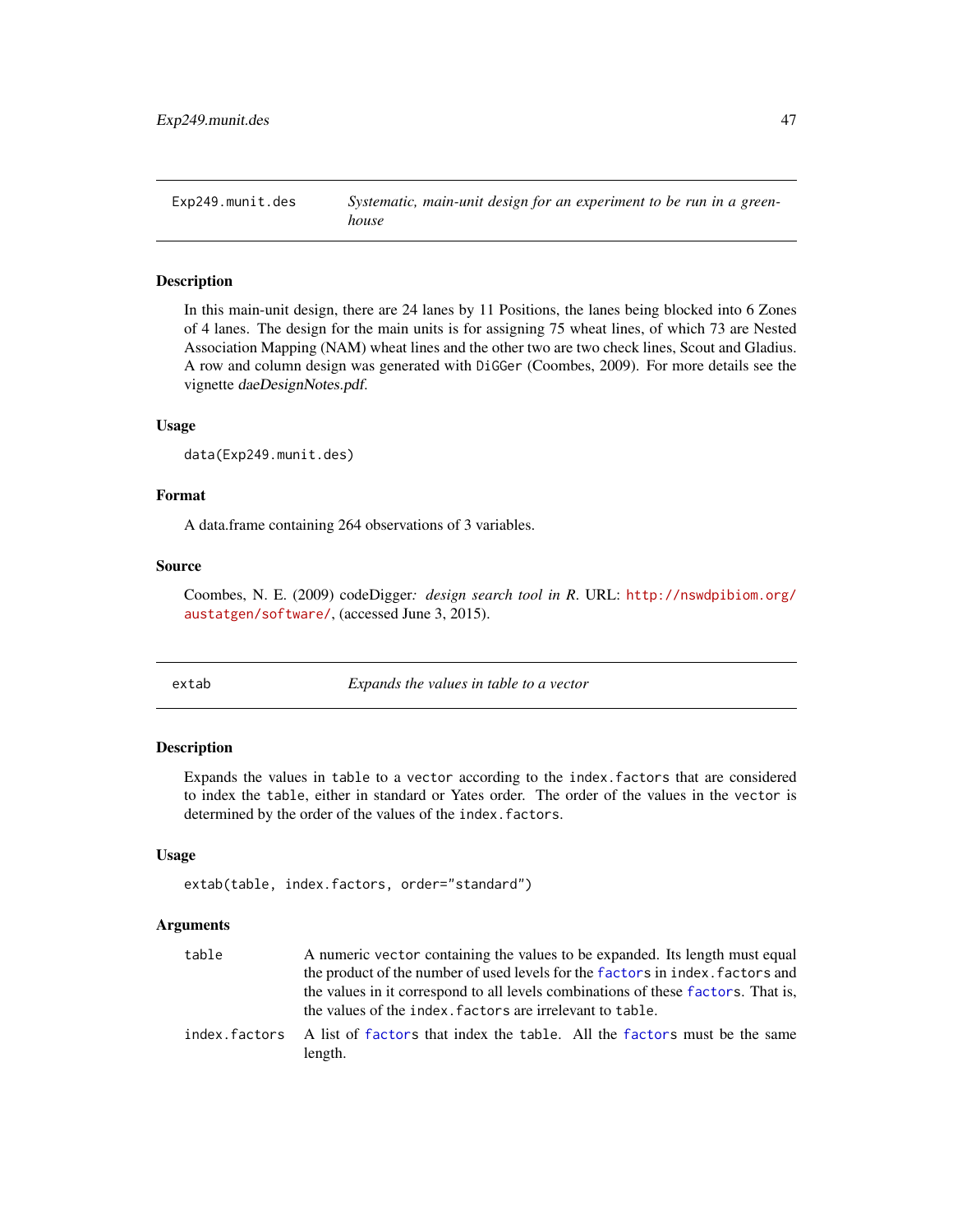Exp249.munit.des *Systematic, main-unit design for an experiment to be run in a greenhouse*

# Description

In this main-unit design, there are 24 lanes by 11 Positions, the lanes being blocked into 6 Zones of 4 lanes. The design for the main units is for assigning 75 wheat lines, of which 73 are Nested Association Mapping (NAM) wheat lines and the other two are two check lines, Scout and Gladius. A row and column design was generated with DiGGer (Coombes, 2009). For more details see the vignette daeDesignNotes.pdf.

### Usage

```
data(Exp249.munit.des)
```
# Format

A data.frame containing 264 observations of 3 variables.

#### Source

Coombes, N. E. (2009) codeDigger*: design search tool in R*. URL: [http://nswdpibiom.org/](http://nswdpibiom.org/austatgen/software/) [austatgen/software/](http://nswdpibiom.org/austatgen/software/), (accessed June 3, 2015).

extab *Expands the values in table to a vector*

#### Description

Expands the values in table to a vector according to the index.factors that are considered to index the table, either in standard or Yates order. The order of the values in the vector is determined by the order of the values of the index.factors.

# Usage

```
extab(table, index.factors, order="standard")
```
#### Arguments

| table | A numeric vector containing the values to be expanded. Its length must equal                      |
|-------|---------------------------------------------------------------------------------------------------|
|       | the product of the number of used levels for the factors in index. factors and                    |
|       | the values in it correspond to all levels combinations of these factors. That is,                 |
|       | the values of the index. factors are irrelevant to table.                                         |
|       | index.factors A list of factors that index the table. All the factors must be the same<br>length. |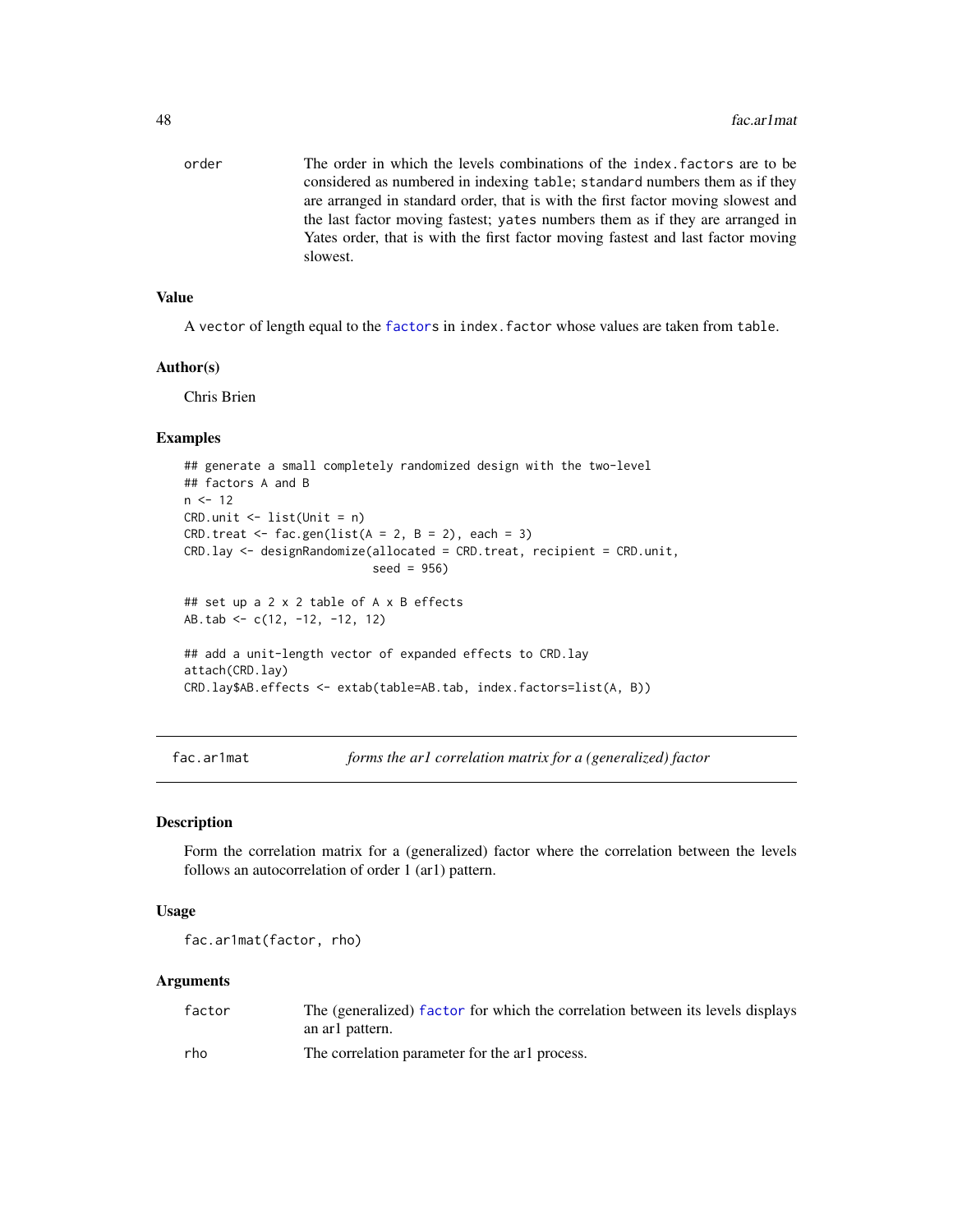order The order in which the levels combinations of the index.factors are to be considered as numbered in indexing table; standard numbers them as if they are arranged in standard order, that is with the first factor moving slowest and the last factor moving fastest; yates numbers them as if they are arranged in Yates order, that is with the first factor moving fastest and last factor moving slowest.

#### Value

A vector of length equal to the [factors](#page-0-0) in index.factor whose values are taken from table.

### Author(s)

Chris Brien

### Examples

```
## generate a small completely randomized design with the two-level
## factors A and B
n < -12CRD.unit <- list(Unit = n)
CRD.treat \leq fac.gen(list(A = 2, B = 2), each = 3)
CRD.lay <- designRandomize(allocated = CRD.treat, recipient = CRD.unit,
                           seed = 956)
## set up a 2 x 2 table of A x B effects
AB.tab <- c(12, -12, -12, 12)
## add a unit-length vector of expanded effects to CRD.lay
attach(CRD.lay)
CRD.lay$AB.effects <- extab(table=AB.tab, index.factors=list(A, B))
```
<span id="page-47-0"></span>fac.ar1mat *forms the ar1 correlation matrix for a (generalized) factor*

### Description

Form the correlation matrix for a (generalized) factor where the correlation between the levels follows an autocorrelation of order 1 (ar1) pattern.

#### Usage

fac.ar1mat(factor, rho)

### Arguments

| factor | The (generalized) factor for which the correlation between its levels displays |
|--------|--------------------------------------------------------------------------------|
|        | an arl pattern.                                                                |
| rho    | The correlation parameter for the arl process.                                 |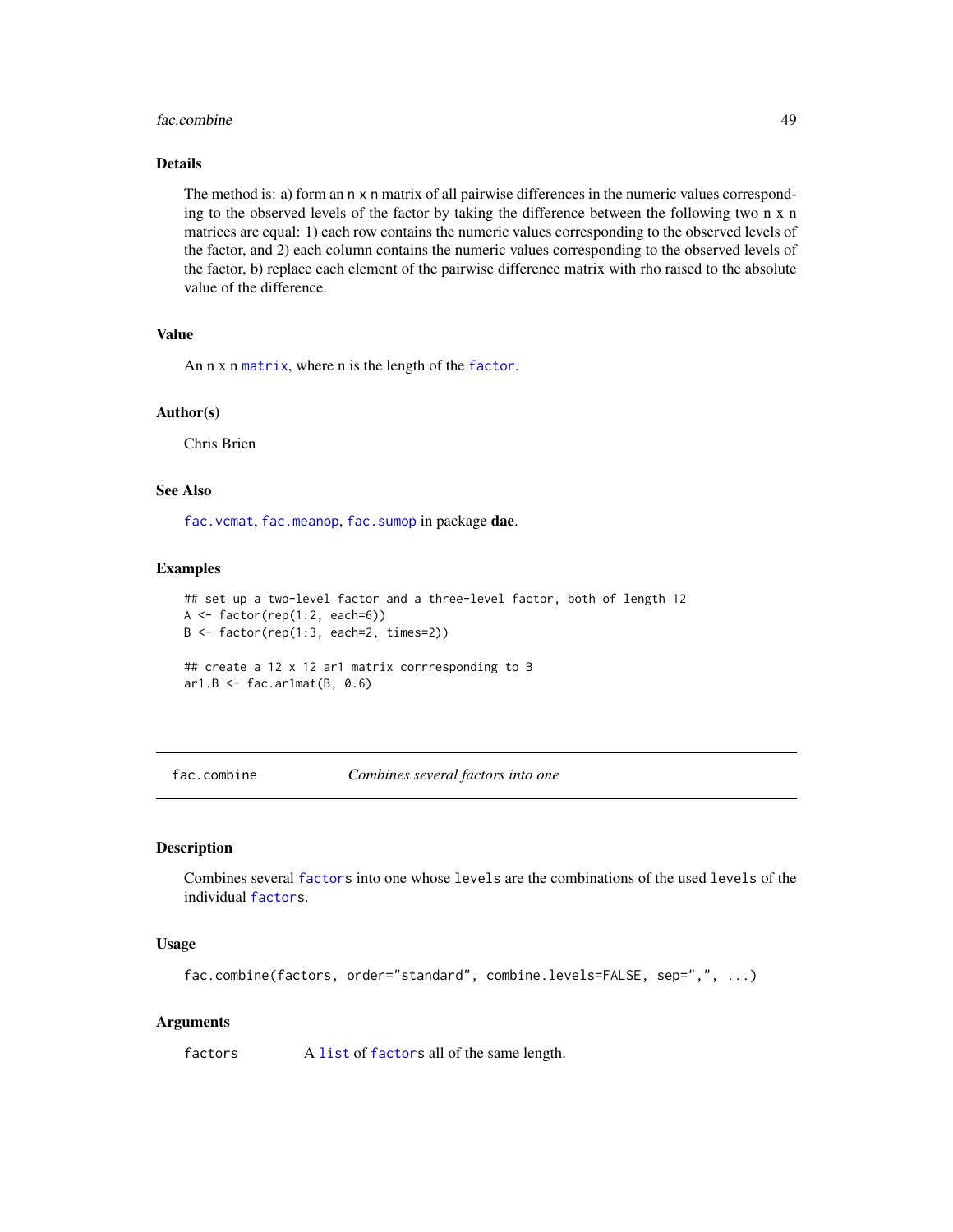#### fac.combine 49

### Details

The method is: a) form an n x n matrix of all pairwise differences in the numeric values corresponding to the observed levels of the factor by taking the difference between the following two n x n matrices are equal: 1) each row contains the numeric values corresponding to the observed levels of the factor, and 2) each column contains the numeric values corresponding to the observed levels of the factor, b) replace each element of the pairwise difference matrix with rho raised to the absolute value of the difference.

# Value

An n x n [matrix](#page-0-0), where n is the length of the [factor](#page-0-0).

### Author(s)

Chris Brien

# See Also

[fac.vcmat](#page-65-0), [fac.meanop](#page-54-0), [fac.sumop](#page-62-0) in package dae.

### Examples

```
## set up a two-level factor and a three-level factor, both of length 12
A \leftarrow factor(rep(1:2, each=6))B <- factor(rep(1:3, each=2, times=2))
## create a 12 x 12 ar1 matrix corrresponding to B
ar1.B \leftarrow fac.ar1mat(B, 0.6)
```
<span id="page-48-0"></span>fac.combine *Combines several factors into one*

# Description

Combines several [factors](#page-0-0) into one whose levels are the combinations of the used levels of the individual [factors](#page-0-0).

### Usage

fac.combine(factors, order="standard", combine.levels=FALSE, sep=",", ...)

### Arguments

factors A [list](#page-0-0) of [factors](#page-0-0) all of the same length.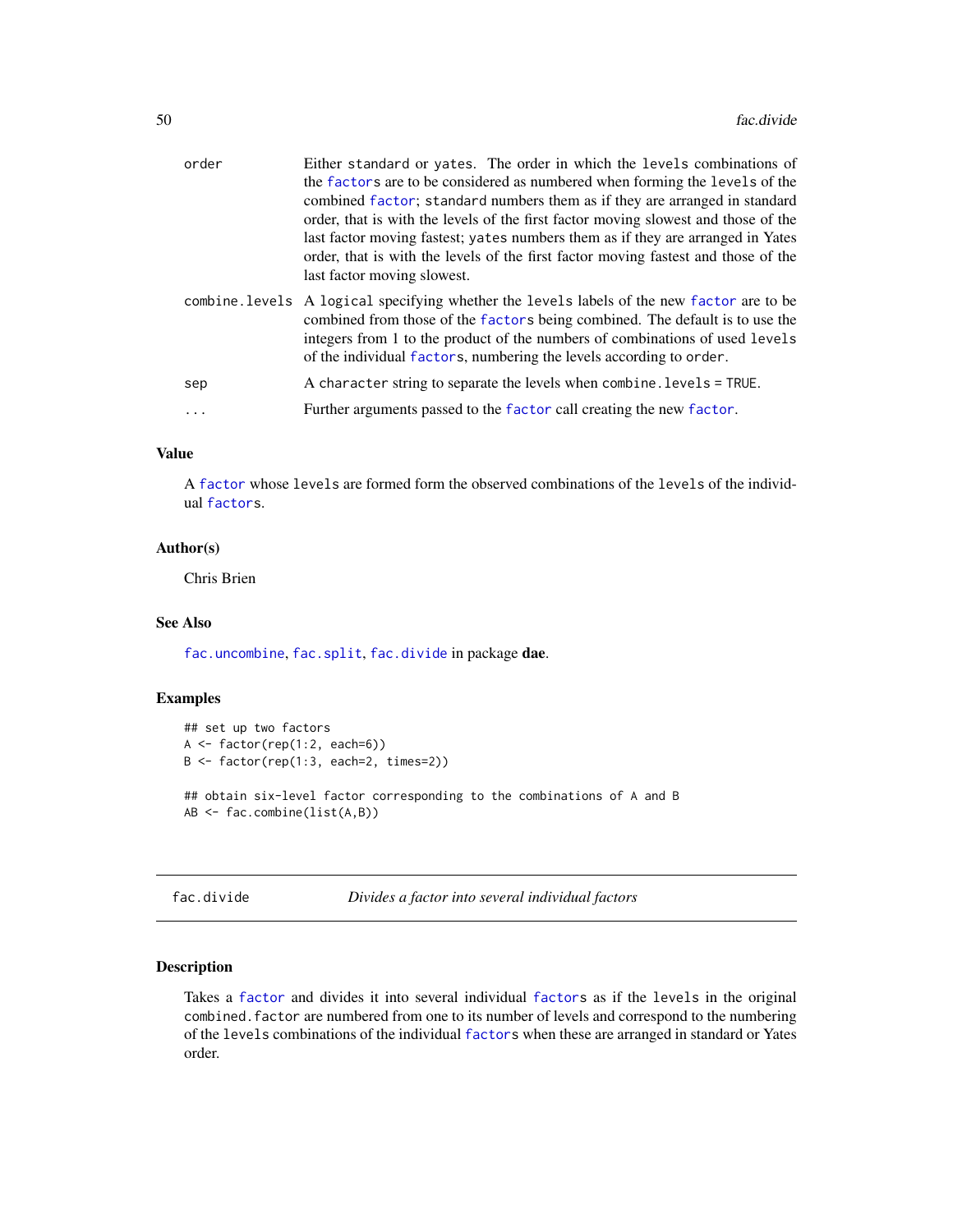| order | Either standard or yates. The order in which the levels combinations of<br>the factors are to be considered as numbered when forming the levels of the<br>combined factor; standard numbers them as if they are arranged in standard<br>order, that is with the levels of the first factor moving slowest and those of the<br>last factor moving fastest; yates numbers them as if they are arranged in Yates<br>order, that is with the levels of the first factor moving fastest and those of the<br>last factor moving slowest. |
|-------|------------------------------------------------------------------------------------------------------------------------------------------------------------------------------------------------------------------------------------------------------------------------------------------------------------------------------------------------------------------------------------------------------------------------------------------------------------------------------------------------------------------------------------|
|       | combine. Levels A logical specifying whether the levels labels of the new factor are to be<br>combined from those of the factors being combined. The default is to use the<br>integers from 1 to the product of the numbers of combinations of used levels<br>of the individual factors, numbering the levels according to order.                                                                                                                                                                                                  |
| sep   | A character string to separate the levels when combine. levels = TRUE.                                                                                                                                                                                                                                                                                                                                                                                                                                                             |
|       | Further arguments passed to the factor call creating the new factor.                                                                                                                                                                                                                                                                                                                                                                                                                                                               |

# Value

A [factor](#page-0-0) whose levels are formed form the observed combinations of the levels of the individual [factors](#page-0-0).

# Author(s)

Chris Brien

# See Also

[fac.uncombine](#page-63-0), [fac.split](#page-61-0), [fac.divide](#page-49-0) in package dae.

# Examples

```
## set up two factors
A <- factor(rep(1:2, each=6))
B <- factor(rep(1:3, each=2, times=2))
## obtain six-level factor corresponding to the combinations of A and B
AB <- fac.combine(list(A,B))
```
<span id="page-49-0"></span>fac.divide *Divides a factor into several individual factors*

# Description

Takes a [factor](#page-0-0) and divides it into several individual [factors](#page-0-0) as if the levels in the original combined.factor are numbered from one to its number of levels and correspond to the numbering of the levels combinations of the individual [factors](#page-0-0) when these are arranged in standard or Yates order.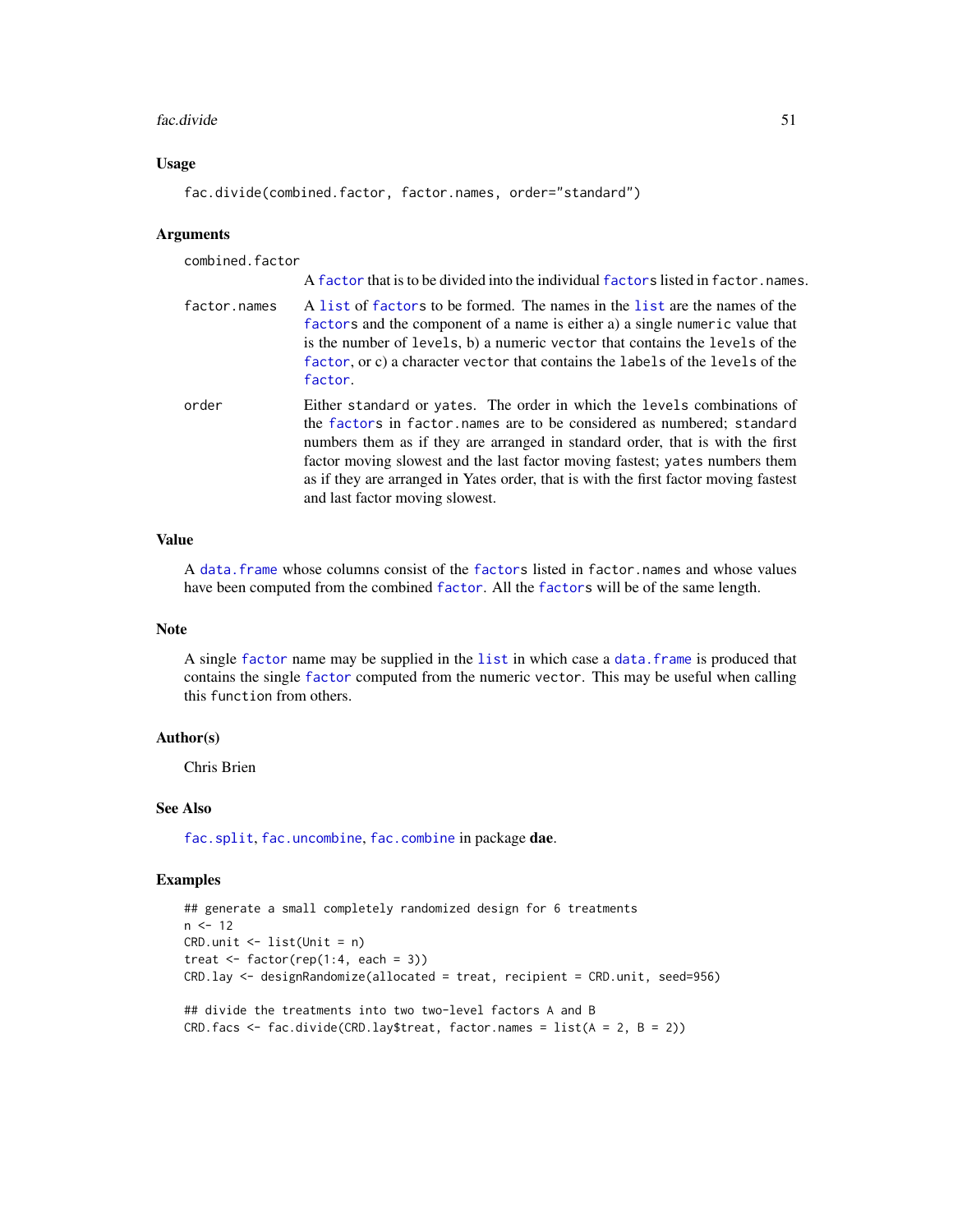#### fac.divide 51

# Usage

fac.divide(combined.factor, factor.names, order="standard")

### **Arguments**

| combined.factor |                                                                                                                                                                                                                                                                                                                                                                                                                                                |
|-----------------|------------------------------------------------------------------------------------------------------------------------------------------------------------------------------------------------------------------------------------------------------------------------------------------------------------------------------------------------------------------------------------------------------------------------------------------------|
|                 | A factor that is to be divided into the individual factors listed in factor, names.                                                                                                                                                                                                                                                                                                                                                            |
| factor.names    | A list of factors to be formed. The names in the list are the names of the<br>factors and the component of a name is either a) a single numeric value that<br>is the number of levels, b) a numeric vector that contains the levels of the<br>factor, or c) a character vector that contains the labels of the levels of the<br>factor.                                                                                                        |
| order           | Either standard or yates. The order in which the levels combinations of<br>the factors in factor names are to be considered as numbered; standard<br>numbers them as if they are arranged in standard order, that is with the first<br>factor moving slowest and the last factor moving fastest; yates numbers them<br>as if they are arranged in Yates order, that is with the first factor moving fastest<br>and last factor moving slowest. |

# Value

A [data.frame](#page-0-0) whose columns consist of the [factors](#page-0-0) listed in factor.names and whose values have been computed from the combined [factor](#page-0-0). All the [factors](#page-0-0) will be of the same length.

### Note

A single [factor](#page-0-0) name may be supplied in the [list](#page-0-0) in which case a [data.frame](#page-0-0) is produced that contains the single [factor](#page-0-0) computed from the numeric vector. This may be useful when calling this function from others.

### Author(s)

Chris Brien

### See Also

[fac.split](#page-61-0), [fac.uncombine](#page-63-0), [fac.combine](#page-48-0) in package dae.

# Examples

```
## generate a small completely randomized design for 6 treatments
n < -12CRD.unit <- list(Unit = n)
treat \leq factor(rep(1:4, each = 3))
CRD.lay <- designRandomize(allocated = treat, recipient = CRD.unit, seed=956)
## divide the treatments into two two-level factors A and B
CRD.facs <- fac.divide(CRD.lay$treat, factor.names = list(A = 2, B = 2))
```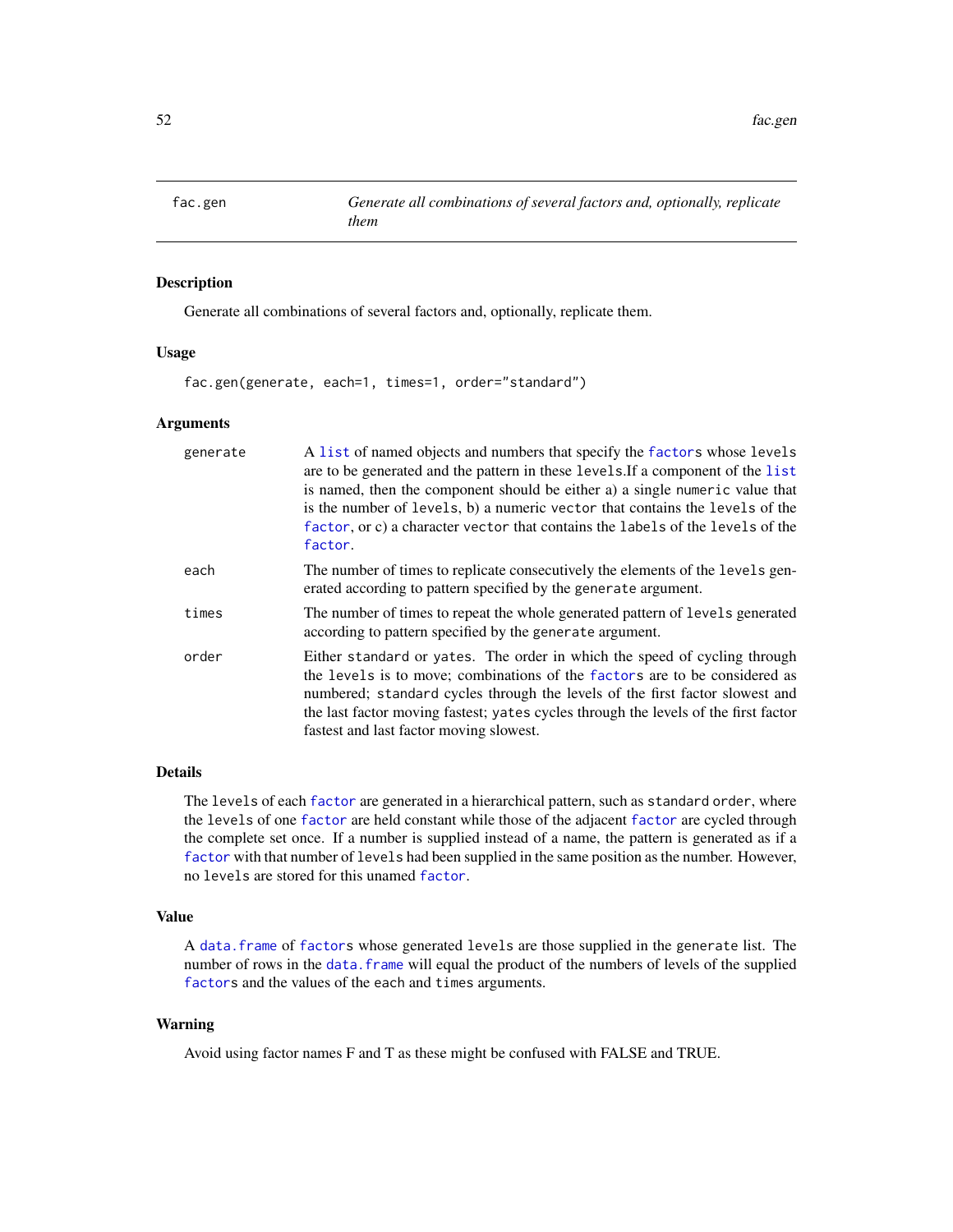<span id="page-51-0"></span>

# Description

Generate all combinations of several factors and, optionally, replicate them.

### Usage

fac.gen(generate, each=1, times=1, order="standard")

### Arguments

| generate | A list of named objects and numbers that specify the factors whose levels<br>are to be generated and the pattern in these levels. If a component of the list<br>is named, then the component should be either a) a single numeric value that<br>is the number of levels, b) a numeric vector that contains the levels of the<br>factor, or c) a character vector that contains the labels of the levels of the<br>factor. |
|----------|---------------------------------------------------------------------------------------------------------------------------------------------------------------------------------------------------------------------------------------------------------------------------------------------------------------------------------------------------------------------------------------------------------------------------|
| each     | The number of times to replicate consecutively the elements of the levels gen-<br>erated according to pattern specified by the generate argument.                                                                                                                                                                                                                                                                         |
| times    | The number of times to repeat the whole generated pattern of levels generated<br>according to pattern specified by the generate argument.                                                                                                                                                                                                                                                                                 |
| order    | Either standard or yates. The order in which the speed of cycling through<br>the levels is to move; combinations of the factors are to be considered as<br>numbered; standard cycles through the levels of the first factor slowest and<br>the last factor moving fastest; yates cycles through the levels of the first factor<br>fastest and last factor moving slowest.                                                 |

# Details

The levels of each [factor](#page-0-0) are generated in a hierarchical pattern, such as standard order, where the levels of one [factor](#page-0-0) are held constant while those of the adjacent [factor](#page-0-0) are cycled through the complete set once. If a number is supplied instead of a name, the pattern is generated as if a [factor](#page-0-0) with that number of levels had been supplied in the same position as the number. However, no levels are stored for this unamed [factor](#page-0-0).

# Value

A [data.frame](#page-0-0) of [factors](#page-0-0) whose generated levels are those supplied in the generate list. The number of rows in the data. frame will equal the product of the numbers of levels of the supplied [factors](#page-0-0) and the values of the each and times arguments.

### Warning

Avoid using factor names F and T as these might be confused with FALSE and TRUE.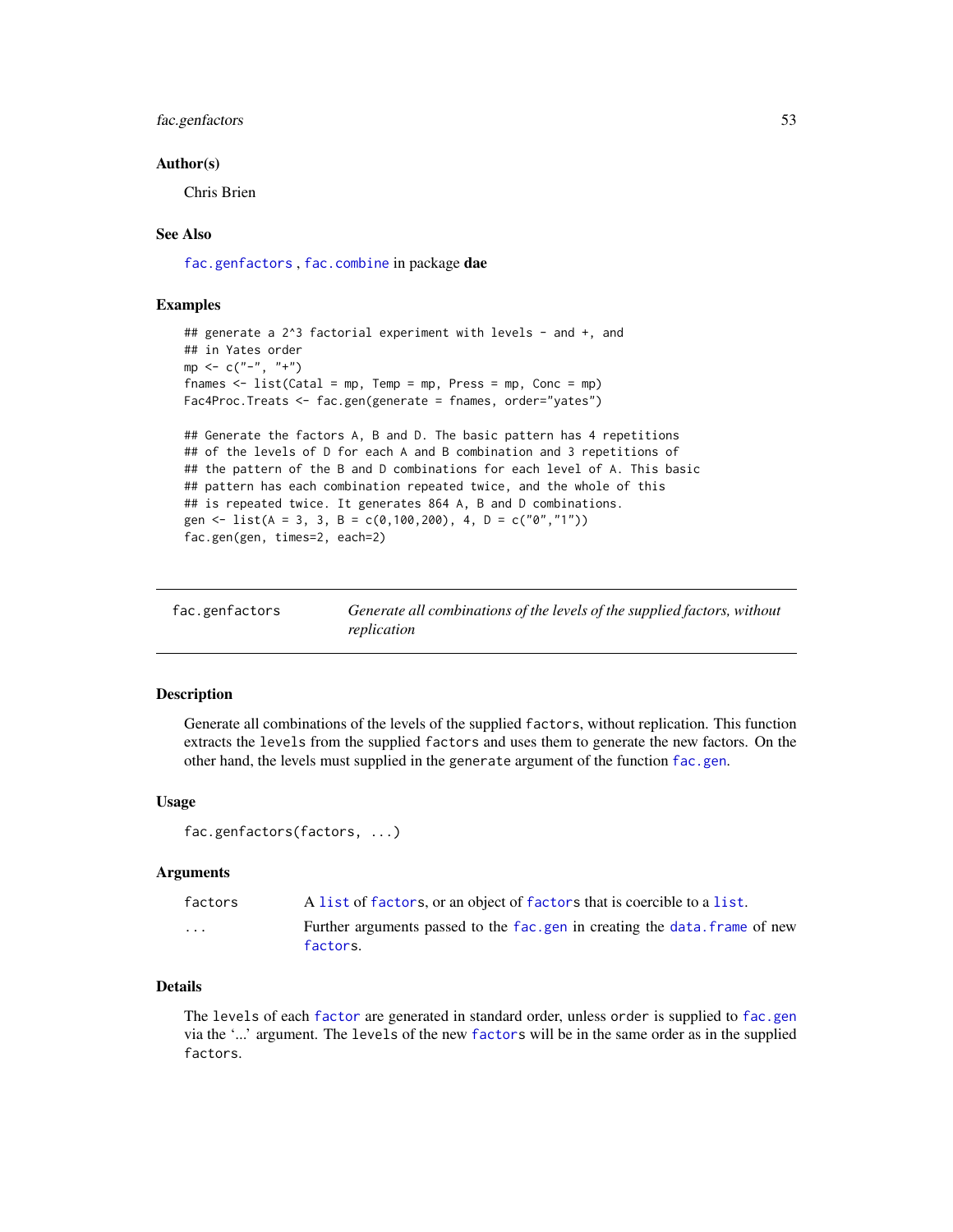# fac.genfactors 53

### Author(s)

Chris Brien

# See Also

[fac.genfactors](#page-52-0) , [fac.combine](#page-48-0) in package dae

### Examples

```
## generate a 2^3 factorial experiment with levels - and +, and
## in Yates order
mp < -c("-", "+")fnames <- list(Catal = mp, Temp = mp, Press = mp, Conc = mp)
Fac4Proc.Treats <- fac.gen(generate = fnames, order="yates")
## Generate the factors A, B and D. The basic pattern has 4 repetitions
## of the levels of D for each A and B combination and 3 repetitions of
## the pattern of the B and D combinations for each level of A. This basic
## pattern has each combination repeated twice, and the whole of this
```

```
## is repeated twice. It generates 864 A, B and D combinations.
gen <- list(A = 3, 3, B = c(0,100,200), 4, D = c("0","1"))
fac.gen(gen, times=2, each=2)
```
<span id="page-52-0"></span>

| fac.genfactors | Generate all combinations of the levels of the supplied factors, without |
|----------------|--------------------------------------------------------------------------|
|                | replication                                                              |

# Description

Generate all combinations of the levels of the supplied factors, without replication. This function extracts the levels from the supplied factors and uses them to generate the new factors. On the other hand, the levels must supplied in the generate argument of the function [fac.gen](#page-51-0).

### Usage

fac.genfactors(factors, ...)

# Arguments

| factors                 | A list of factors, or an object of factors that is coercible to a list.               |
|-------------------------|---------------------------------------------------------------------------------------|
| $\cdot$ $\cdot$ $\cdot$ | Further arguments passed to the fac.gen in creating the data.frame of new<br>factors. |

# Details

The levels of each [factor](#page-0-0) are generated in standard order, unless order is supplied to [fac.gen](#page-51-0) via the '...' argument. The levels of the new [factors](#page-0-0) will be in the same order as in the supplied factors.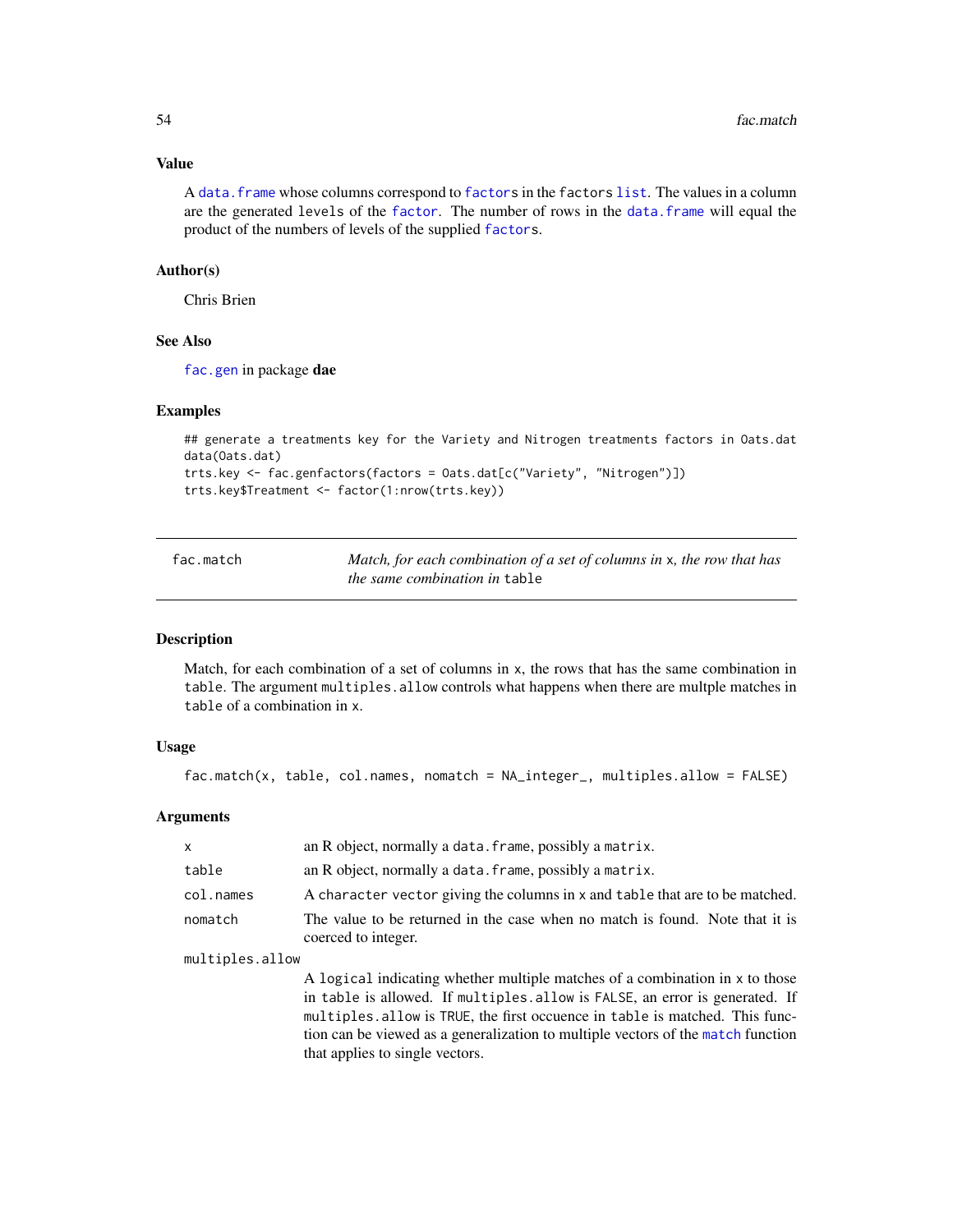# Value

A [data.frame](#page-0-0) whose columns correspond to [factors](#page-0-0) in the factors [list](#page-0-0). The values in a column are the generated levels of the [factor](#page-0-0). The number of rows in the [data.frame](#page-0-0) will equal the product of the numbers of levels of the supplied [factors](#page-0-0).

#### Author(s)

Chris Brien

# See Also

[fac.gen](#page-51-0) in package dae

# Examples

```
## generate a treatments key for the Variety and Nitrogen treatments factors in Oats.dat
data(Oats.dat)
trts.key <- fac.genfactors(factors = Oats.dat[c("Variety", "Nitrogen")])
trts.key$Treatment <- factor(1:nrow(trts.key))
```
fac.match *Match, for each combination of a set of columns in* x*, the row that has the same combination in* table

# Description

Match, for each combination of a set of columns in x, the rows that has the same combination in table. The argument multiples.allow controls what happens when there are multple matches in table of a combination in x.

# Usage

```
fac.match(x, table, col.names, nomatch = NA_integer_, multiples.allow = FALSE)
```
### Arguments

| $\times$        | an R object, normally a data. frame, possibly a matrix.                                                                                                                                                                                |
|-----------------|----------------------------------------------------------------------------------------------------------------------------------------------------------------------------------------------------------------------------------------|
| table           | an R object, normally a data. frame, possibly a matrix.                                                                                                                                                                                |
| col.names       | A character vector giving the columns in x and table that are to be matched.                                                                                                                                                           |
| nomatch         | The value to be returned in the case when no match is found. Note that it is<br>coerced to integer.                                                                                                                                    |
| multiples.allow |                                                                                                                                                                                                                                        |
|                 | A logical indicating whether multiple matches of a combination in x to those<br>in table is allowed. If multiples.allow is FALSE, an error is generated. If<br>multiples allow is TPUE the first economic table is motobed. This func- |

multiples.allow is TRUE, the first occuence in table is matched. This function can be viewed as a generalization to multiple vectors of the [match](#page-0-0) function that applies to single vectors.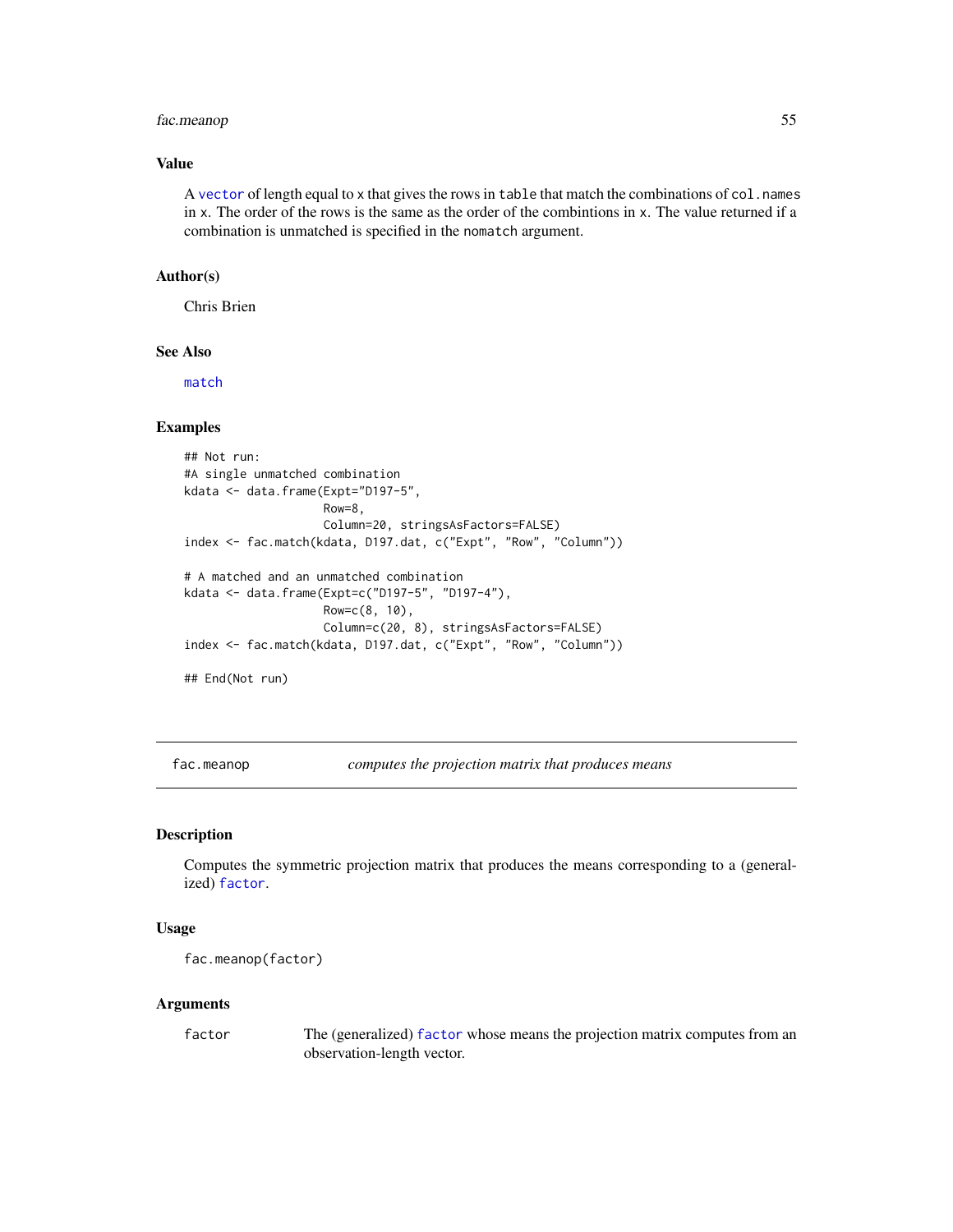# fac.meanop 55

### Value

A [vector](#page-0-0) of length equal to x that gives the rows in table that match the combinations of col.names in x. The order of the rows is the same as the order of the combintions in x. The value returned if a combination is unmatched is specified in the nomatch argument.

# Author(s)

Chris Brien

# See Also

[match](#page-0-0)

# Examples

```
## Not run:
#A single unmatched combination
kdata <- data.frame(Expt="D197-5",
                    Row=8,
                    Column=20, stringsAsFactors=FALSE)
index <- fac.match(kdata, D197.dat, c("Expt", "Row", "Column"))
# A matched and an unmatched combination
kdata <- data.frame(Expt=c("D197-5", "D197-4"),
                    Row=c(8, 10),
                    Column=c(20, 8), stringsAsFactors=FALSE)
index <- fac.match(kdata, D197.dat, c("Expt", "Row", "Column"))
```
## End(Not run)

<span id="page-54-0"></span>fac.meanop *computes the projection matrix that produces means*

# Description

Computes the symmetric projection matrix that produces the means corresponding to a (generalized) [factor](#page-0-0).

### Usage

```
fac.meanop(factor)
```
#### Arguments

factor The (generalized) [factor](#page-0-0) whose means the projection matrix computes from an observation-length vector.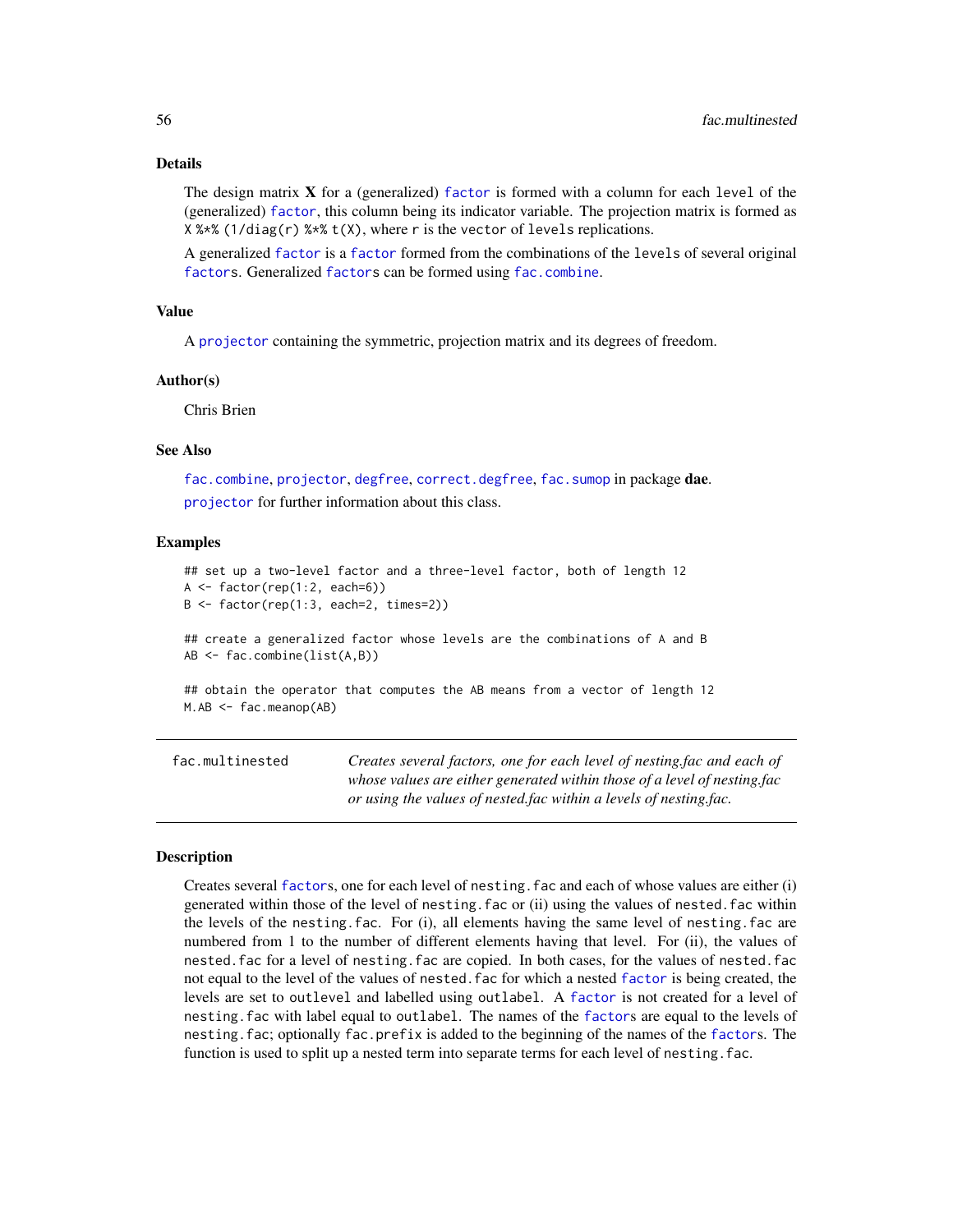### Details

The design matrix  $X$  for a (generalized) [factor](#page-0-0) is formed with a column for each level of the (generalized) [factor](#page-0-0), this column being its indicator variable. The projection matrix is formed as X %\*% (1/diag(r) %\*% t(X), where r is the vector of levels replications.

A generalized [factor](#page-0-0) is a [factor](#page-0-0) formed from the combinations of the levels of several original [factors](#page-0-0). Generalized [factors](#page-0-0) can be formed using [fac.combine](#page-48-0).

# Value

A [projector](#page-113-0) containing the symmetric, projection matrix and its degrees of freedom.

#### Author(s)

Chris Brien

#### See Also

[fac.combine](#page-48-0), [projector](#page-113-0), [degfree](#page-17-0), [correct.degfree](#page-14-0), [fac.sumop](#page-62-0) in package dae. [projector](#page-114-0) for further information about this class.

### Examples

```
## set up a two-level factor and a three-level factor, both of length 12
A \leftarrow factor(rep(1:2, each=6))B <- factor(rep(1:3, each=2, times=2))
## create a generalized factor whose levels are the combinations of A and B
AB <- fac.combine(list(A,B))
## obtain the operator that computes the AB means from a vector of length 12
M.AB \leftarrow fac.macap(AB)
```
<span id="page-55-0"></span>fac.multinested *Creates several factors, one for each level of nesting.fac and each of whose values are either generated within those of a level of nesting.fac or using the values of nested.fac within a levels of nesting.fac.*

#### **Description**

Creates several [factor](#page-0-0)s, one for each level of nesting.fac and each of whose values are either (i) generated within those of the level of nesting.fac or (ii) using the values of nested.fac within the levels of the nesting.fac. For (i), all elements having the same level of nesting.fac are numbered from 1 to the number of different elements having that level. For (ii), the values of nested.fac for a level of nesting.fac are copied. In both cases, for the values of nested.fac not equal to the level of the values of nested.fac for which a nested [factor](#page-0-0) is being created, the levels are set to outlevel and labelled using outlabel. A [factor](#page-0-0) is not created for a level of nesting.fac with label equal to outlabel. The names of the [factor](#page-0-0)s are equal to the levels of nesting.fac; optionally fac.prefix is added to the beginning of the names of the [factor](#page-0-0)s. The function is used to split up a nested term into separate terms for each level of nesting. fac.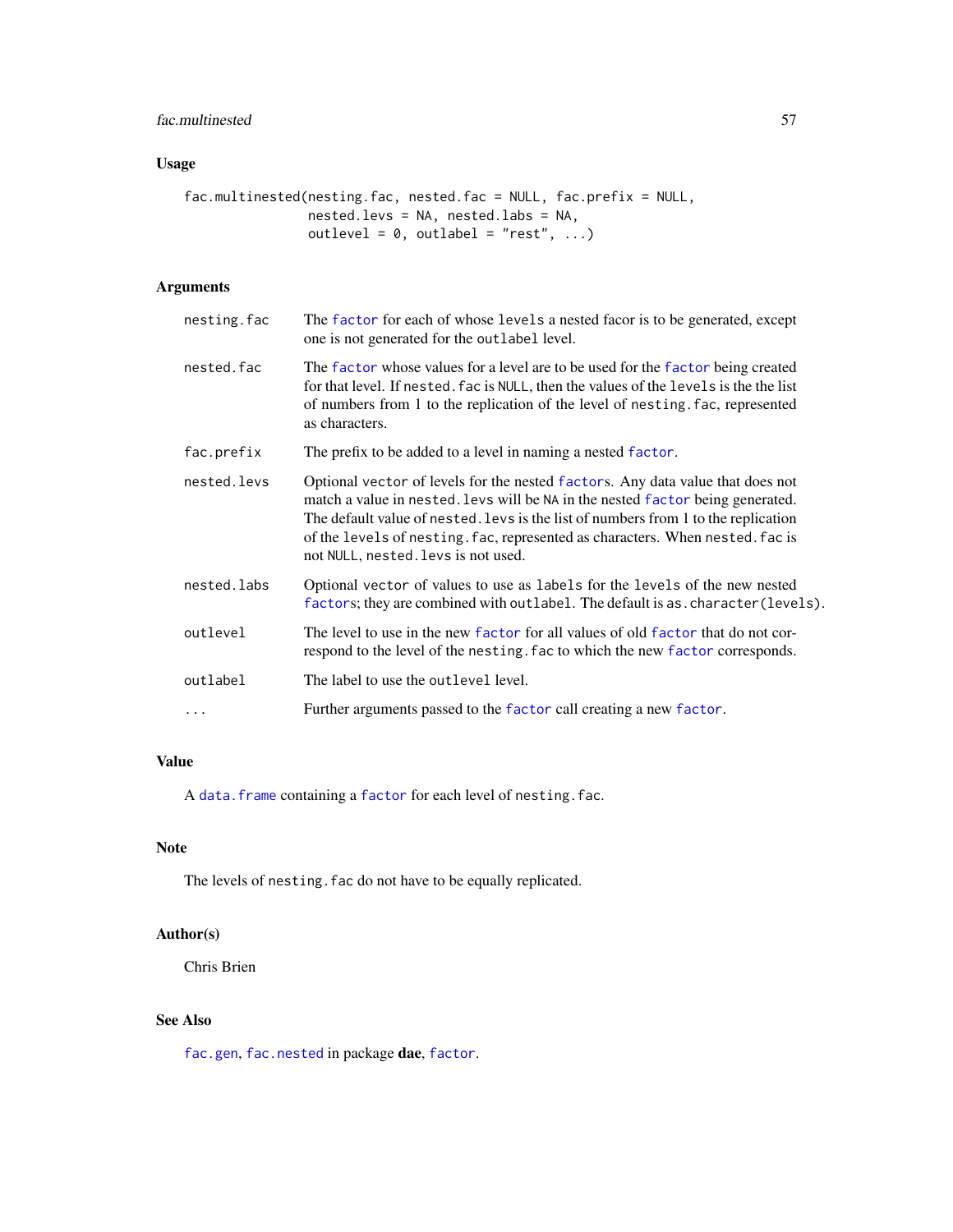# fac.multinested 57

# Usage

```
fac.multinested(nesting.fac, nested.fac = NULL, fac.prefix = NULL,
                nested.levs = NA, nested.labs = NA,
                outlevel = 0, outlabel = "rest", ...)
```
# Arguments

| nesting.fac | The factor for each of whose levels a nested facor is to be generated, except<br>one is not generated for the outlabel level.                                                                                                                                                                                                                                                  |
|-------------|--------------------------------------------------------------------------------------------------------------------------------------------------------------------------------------------------------------------------------------------------------------------------------------------------------------------------------------------------------------------------------|
| nested.fac  | The factor whose values for a level are to be used for the factor being created<br>for that level. If nested, fac is NULL, then the values of the levels is the the list<br>of numbers from 1 to the replication of the level of nesting. fac, represented<br>as characters.                                                                                                   |
| fac.prefix  | The prefix to be added to a level in naming a nested factor.                                                                                                                                                                                                                                                                                                                   |
| nested.levs | Optional vector of levels for the nested factors. Any data value that does not<br>match a value in nested. Levs will be NA in the nested factor being generated.<br>The default value of nested. Levs is the list of numbers from 1 to the replication<br>of the levels of nesting. fac, represented as characters. When nested. fac is<br>not NULL, nested. levs is not used. |
| nested.labs | Optional vector of values to use as labels for the levels of the new nested<br>factors; they are combined with outlabel. The default is as. character (levels).                                                                                                                                                                                                                |
| outlevel    | The level to use in the new factor for all values of old factor that do not cor-<br>respond to the level of the nesting. fac to which the new factor corresponds.                                                                                                                                                                                                              |
| outlabel    | The label to use the outlevel level.                                                                                                                                                                                                                                                                                                                                           |
| $\ddots$    | Further arguments passed to the factor call creating a new factor.                                                                                                                                                                                                                                                                                                             |
|             |                                                                                                                                                                                                                                                                                                                                                                                |

# Value

A data. frame containing a [factor](#page-0-0) for each level of nesting. fac.

# Note

The levels of nesting. fac do not have to be equally replicated.

# Author(s)

Chris Brien

# See Also

[fac.gen](#page-51-0), [fac.nested](#page-57-0) in package dae, [factor](#page-0-0).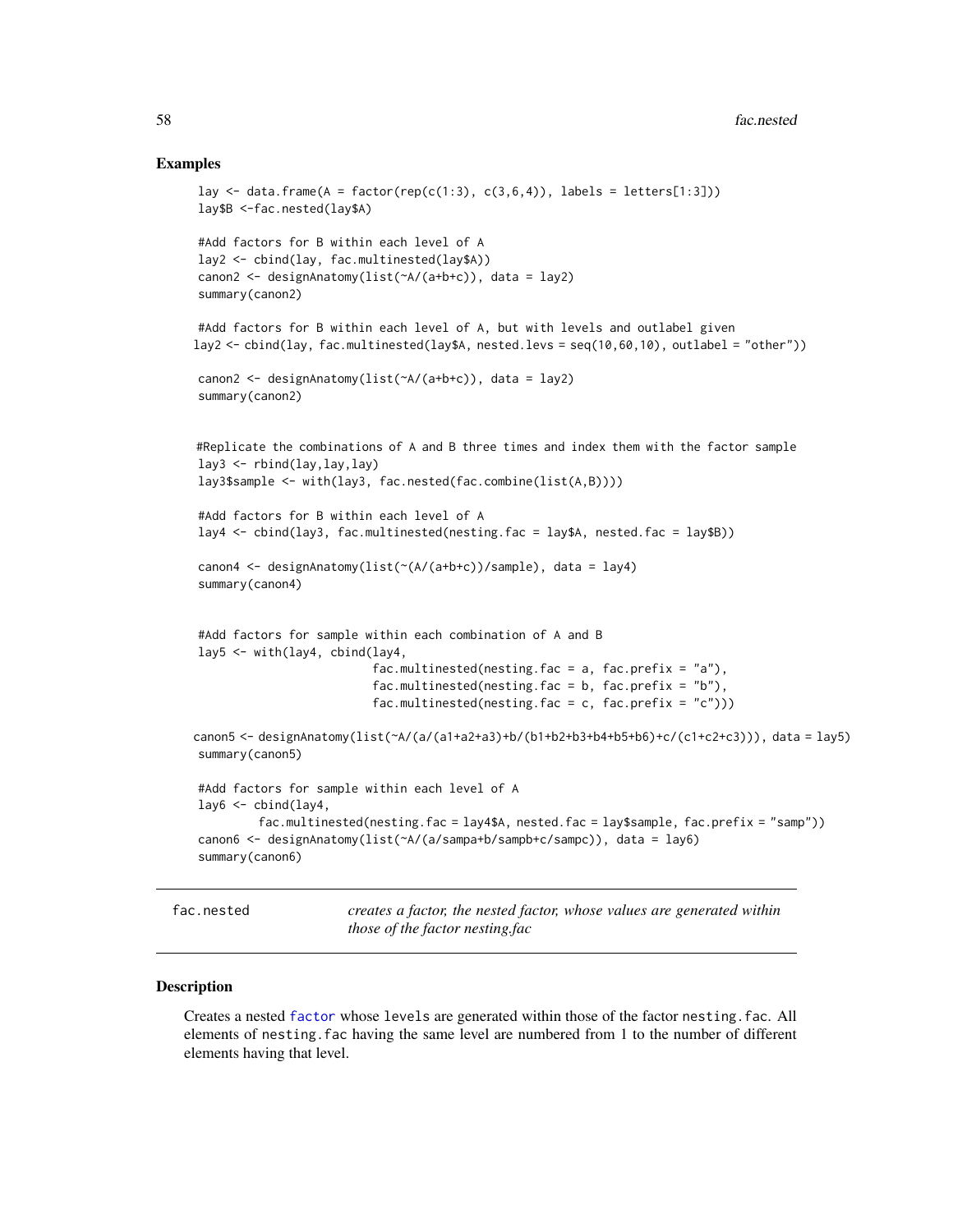### Examples

```
lay \le data.frame(A = factor(rep(c(1:3), c(3,6,4)), labels = letters[1:3]))
lay$B <-fac.nested(lay$A)
#Add factors for B within each level of A
lay2 <- cbind(lay, fac.multinested(lay$A))
canon2 <- designAnatomy(list(~A/(a+b+c)), data = lay2)
summary(canon2)
#Add factors for B within each level of A, but with levels and outlabel given
lay2 <- cbind(lay, fac.multinested(lay$A, nested.levs = seq(10,60,10), outlabel = "other"))
canon2 <- designAnatomy(list(~A/(a+b+c)), data = lay2)
summary(canon2)
#Replicate the combinations of A and B three times and index them with the factor sample
lay3 \leftarrow \text{rbind}(lay,lay,lay)lay3$sample <- with(lay3, fac.nested(fac.combine(list(A,B))))
#Add factors for B within each level of A
lay4 <- cbind(lay3, fac.multinested(nesting.fac = lay$A, nested.fac = lay$B))
canon4 <- designAnatomy(list(~(A/(a+b+c))/sample), data = lay4)
summary(canon4)
#Add factors for sample within each combination of A and B
lay5 <- with(lay4, cbind(lay4,
                          fac.multinested(nesting.fac = a, fac.prefix = "a"),
                          fac.multinested(nesting.fac = b, fac.prefix = "b"),
                          fac.multinested(nesting.fac = c, fac.prefix = (c^{\prime\prime})))
canon5 <- designAnatomy(list(~A/(a/(a1+a2+a3)+b/(b1+b2+b3+b4+b5+b6)+c/(c1+c2+c3))), data = lay5)
summary(canon5)
#Add factors for sample within each level of A
lay6 <- cbind(lay4,
         fac.multinested(nesting.fac = lay4$A, nested.fac = lay$sample, fac.prefix = "samp"))
canon6 <- designAnatomy(list(~A/(a/sampa+b/sampb+c/sampc)), data = lay6)
summary(canon6)
```
<span id="page-57-0"></span>fac.nested *creates a factor, the nested factor, whose values are generated within those of the factor nesting.fac*

### Description

Creates a nested [factor](#page-0-0) whose levels are generated within those of the factor nesting.fac. All elements of nesting.fac having the same level are numbered from 1 to the number of different elements having that level.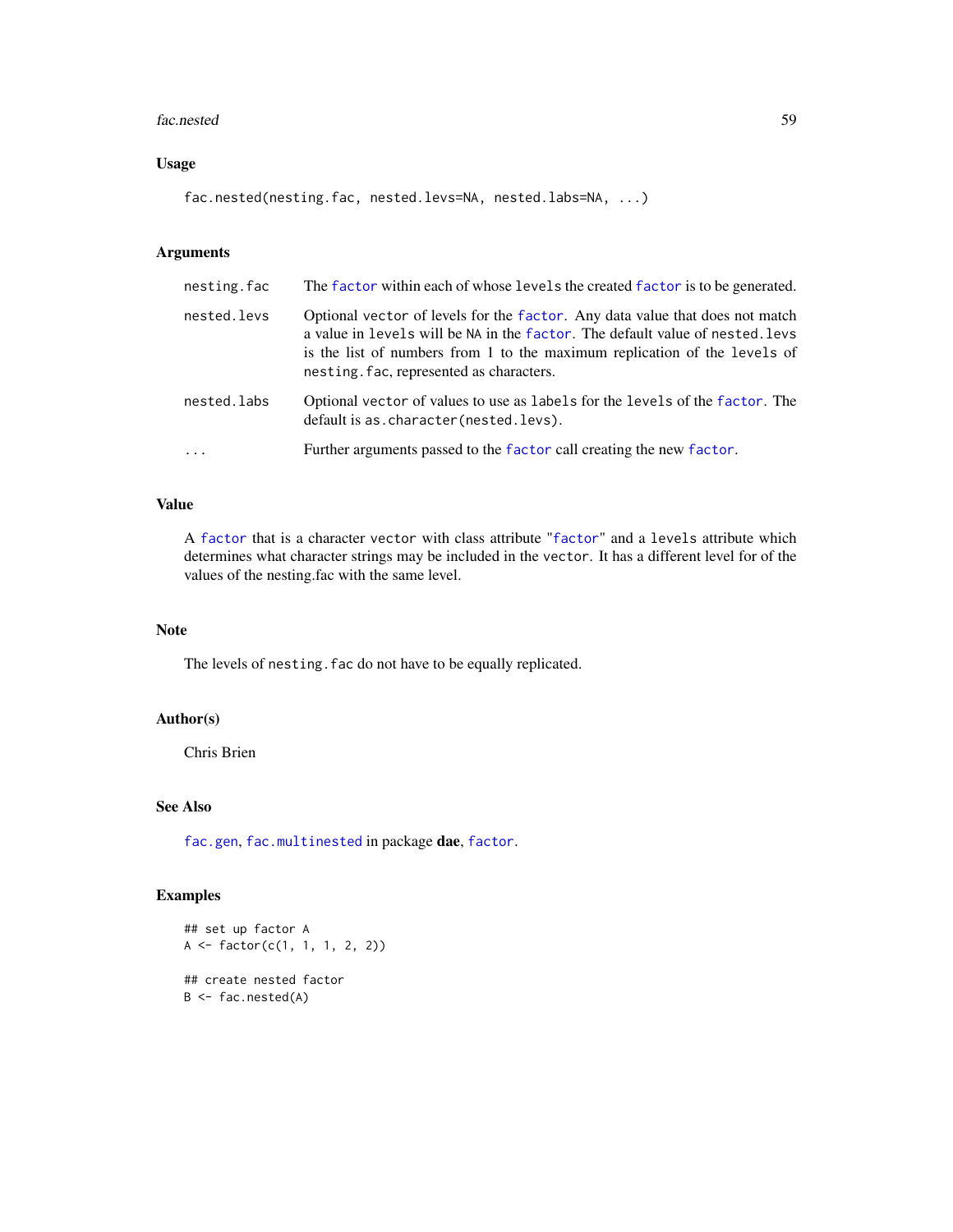#### fac.nested 59

# Usage

fac.nested(nesting.fac, nested.levs=NA, nested.labs=NA, ...)

# Arguments

| nesting.fac | The factor within each of whose levels the created factor is to be generated.                                                                                                                                                                                                          |
|-------------|----------------------------------------------------------------------------------------------------------------------------------------------------------------------------------------------------------------------------------------------------------------------------------------|
| nested.levs | Optional vector of levels for the factor. Any data value that does not match<br>a value in levels will be NA in the factor. The default value of nested. levs<br>is the list of numbers from 1 to the maximum replication of the levels of<br>nesting. fac, represented as characters. |
| nested.labs | Optional vector of values to use as labels for the levels of the factor. The<br>default is as. character (nested. levs).                                                                                                                                                               |
| $\ddotsc$   | Further arguments passed to the factor call creating the new factor.                                                                                                                                                                                                                   |
|             |                                                                                                                                                                                                                                                                                        |

# Value

A [factor](#page-0-0) that is a character vector with class attribute "[factor](#page-0-0)" and a levels attribute which determines what character strings may be included in the vector. It has a different level for of the values of the nesting.fac with the same level.

### Note

The levels of nesting. fac do not have to be equally replicated.

# Author(s)

Chris Brien

# See Also

[fac.gen](#page-51-0), [fac.multinested](#page-55-0) in package dae, [factor](#page-0-0).

# Examples

```
## set up factor A
A <- factor(c(1, 1, 1, 2, 2))
## create nested factor
B \leftarrow fac.nested(A)
```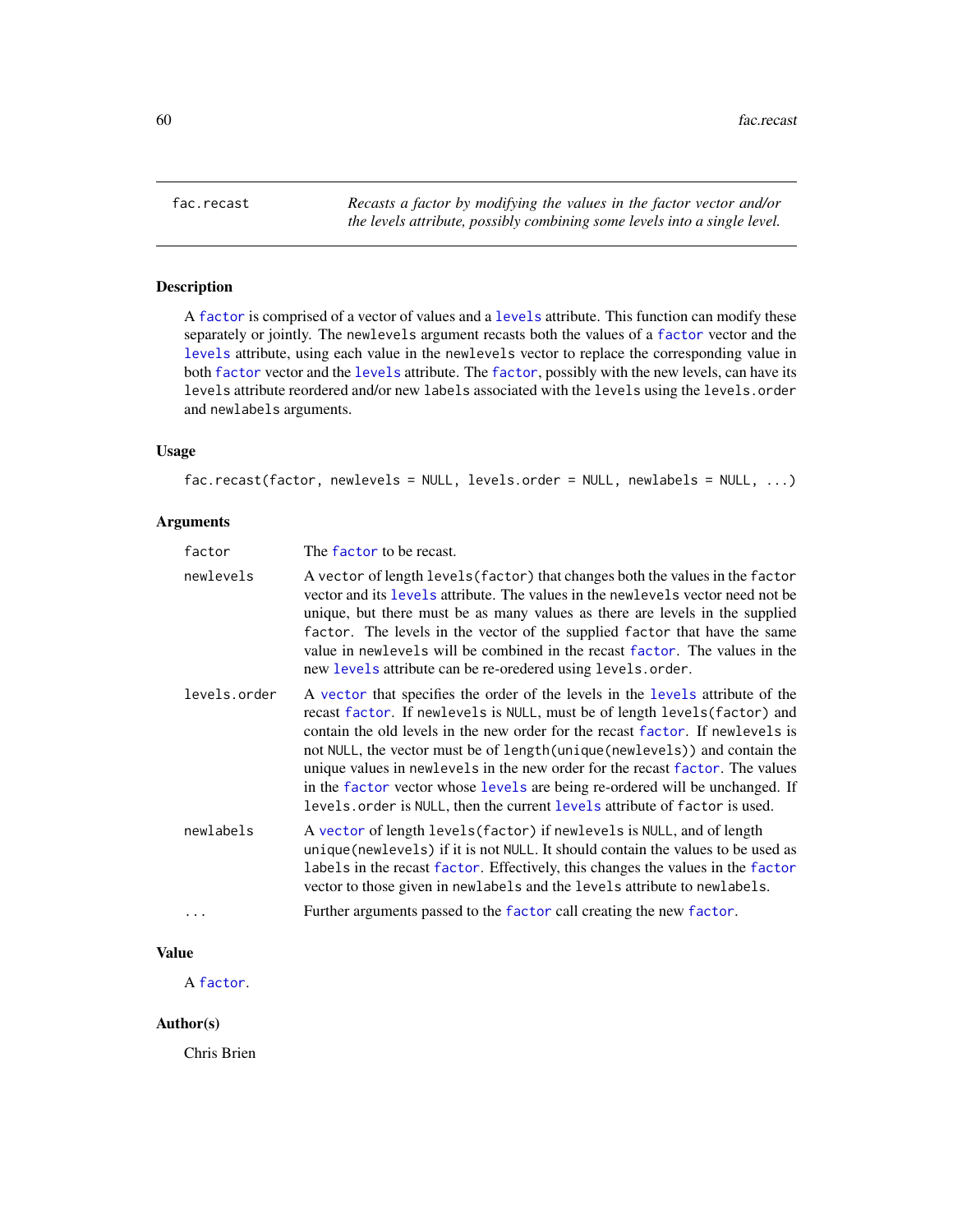<span id="page-59-0"></span>

### Description

A [factor](#page-0-0) is comprised of a vector of values and a [levels](#page-0-0) attribute. This function can modify these separately or jointly. The newlevels argument recasts both the values of a [factor](#page-0-0) vector and the [levels](#page-0-0) attribute, using each value in the newlevels vector to replace the corresponding value in both [factor](#page-0-0) vector and the [levels](#page-0-0) attribute. The [factor](#page-0-0), possibly with the new levels, can have its levels attribute reordered and/or new labels associated with the levels using the levels.order and newlabels arguments.

### Usage

```
fac.recast(factor, newlevels = NULL, levels.order = NULL, newlabels = NULL, ...)
```
# Arguments

| factor       | The factor to be recast.                                                                                                                                                                                                                                                                                                                                                                                                                                                                                                                                                      |
|--------------|-------------------------------------------------------------------------------------------------------------------------------------------------------------------------------------------------------------------------------------------------------------------------------------------------------------------------------------------------------------------------------------------------------------------------------------------------------------------------------------------------------------------------------------------------------------------------------|
| newlevels    | A vector of length levels (factor) that changes both the values in the factor<br>vector and its levels attribute. The values in the newlevels vector need not be<br>unique, but there must be as many values as there are levels in the supplied<br>factor. The levels in the vector of the supplied factor that have the same<br>value in newlevels will be combined in the recast factor. The values in the<br>new levels attribute can be re-oredered using levels.order.                                                                                                  |
| levels.order | A vector that specifies the order of the levels in the levels attribute of the<br>recast factor. If newlevels is NULL, must be of length levels (factor) and<br>contain the old levels in the new order for the recast factor. If newlevels is<br>not NULL, the vector must be of length (unique (newlevels)) and contain the<br>unique values in newlevels in the new order for the recast factor. The values<br>in the factor vector whose levels are being re-ordered will be unchanged. If<br>levels. order is NULL, then the current levels attribute of factor is used. |
| newlabels    | A vector of length levels (factor) if newlevels is NULL, and of length<br>unique (new levels) if it is not NULL. It should contain the values to be used as<br>labels in the recast factor. Effectively, this changes the values in the factor<br>vector to those given in newlabels and the levels attribute to newlabels.                                                                                                                                                                                                                                                   |
|              | Further arguments passed to the factor call creating the new factor.                                                                                                                                                                                                                                                                                                                                                                                                                                                                                                          |

# Value

A [factor](#page-0-0).

# Author(s)

Chris Brien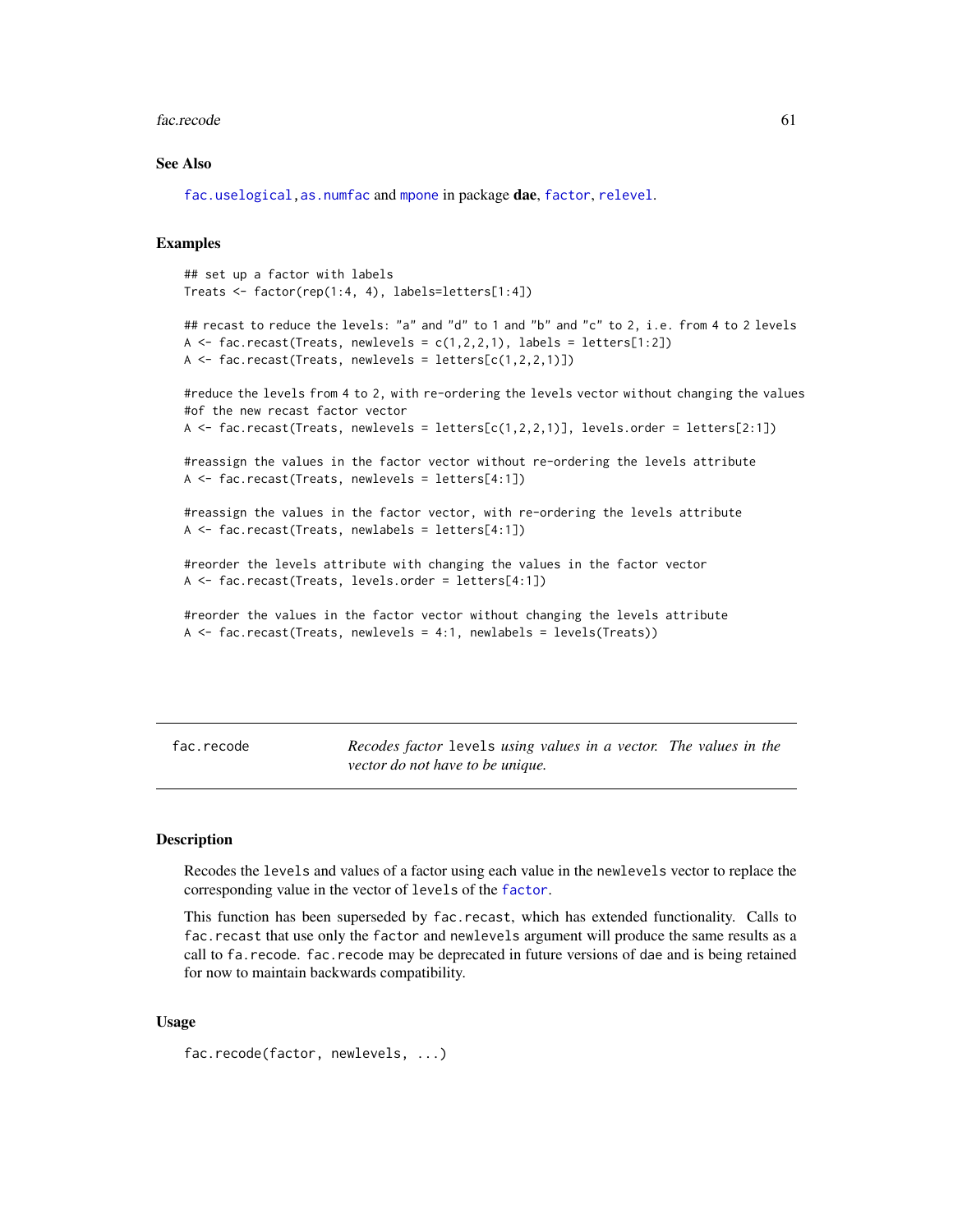#### fac.recode 61

### See Also

[fac.uselogical](#page-64-0), as.numfac and [mpone](#page-98-0) in package dae, [factor](#page-0-0), [relevel](#page-0-0).

### Examples

```
## set up a factor with labels
Treats <- factor(rep(1:4, 4), labels=letters[1:4])
```

```
## recast to reduce the levels: "a" and "d" to 1 and "b" and "c" to 2, i.e. from 4 to 2 levels
A \le fac.recast(Treats, newlevels = c(1,2,2,1), labels = letters[1:2])
A <- fac.recast(Treats, newlevels = letters[c(1,2,2,1)])
```

```
#reduce the levels from 4 to 2, with re-ordering the levels vector without changing the values
#of the new recast factor vector
A \leq fac.recast(Treats, newlevels = letters[c(1,2,2,1)], levels.order = letters[2:1])
```

```
#reassign the values in the factor vector without re-ordering the levels attribute
A <- fac.recast(Treats, newlevels = letters[4:1])
```

```
#reassign the values in the factor vector, with re-ordering the levels attribute
A <- fac.recast(Treats, newlabels = letters[4:1])
```

```
#reorder the levels attribute with changing the values in the factor vector
A <- fac.recast(Treats, levels.order = letters[4:1])
```

```
#reorder the values in the factor vector without changing the levels attribute
A <- fac.recast(Treats, newlevels = 4:1, newlabels = levels(Treats))
```
<span id="page-60-0"></span>fac.recode *Recodes factor* levels *using values in a vector. The values in the vector do not have to be unique.*

### Description

Recodes the levels and values of a factor using each value in the newlevels vector to replace the corresponding value in the vector of levels of the [factor](#page-0-0).

This function has been superseded by fac.recast, which has extended functionality. Calls to fac.recast that use only the factor and newlevels argument will produce the same results as a call to fa.recode. fac.recode may be deprecated in future versions of dae and is being retained for now to maintain backwards compatibility.

```
fac.recode(factor, newlevels, ...)
```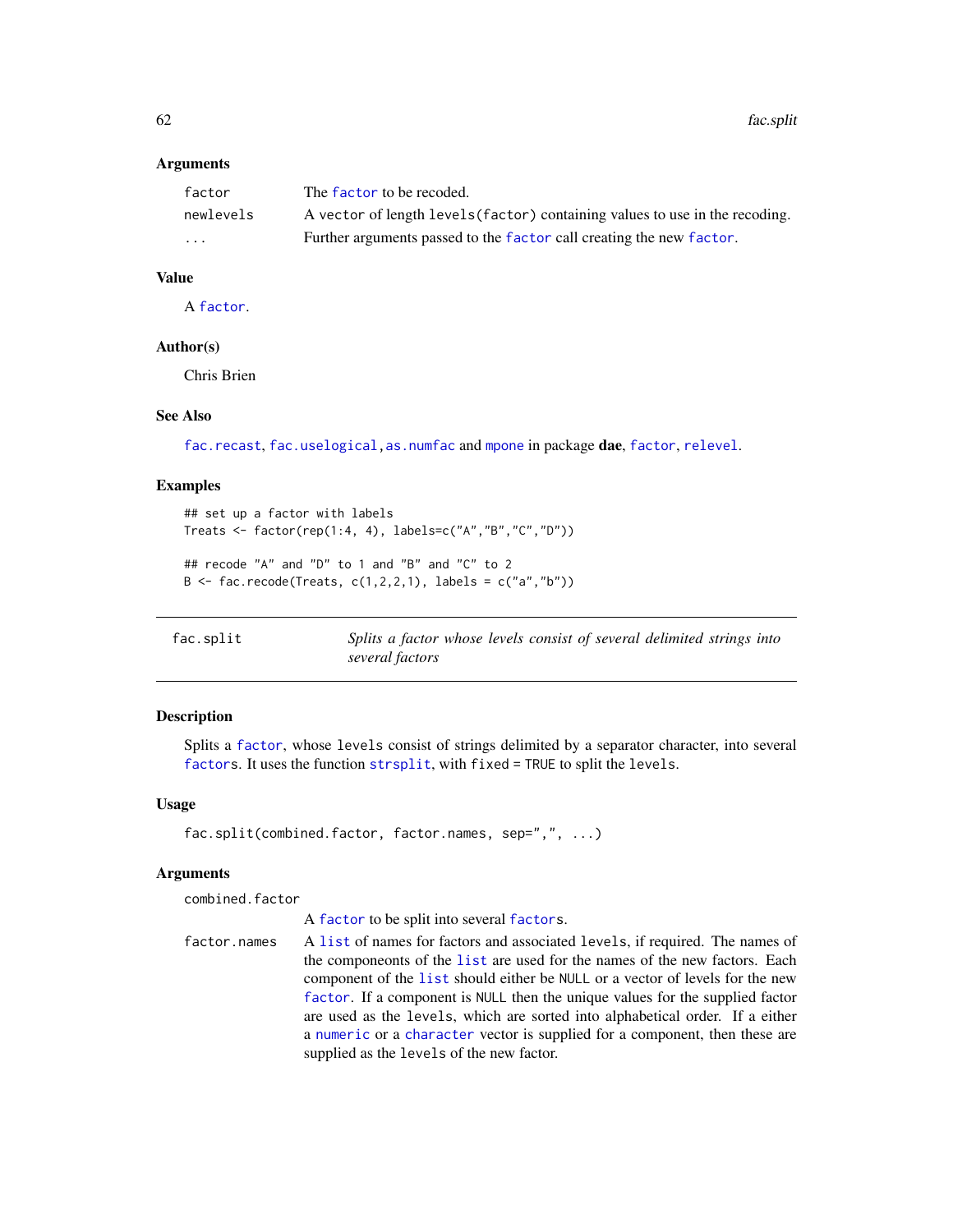62 fac.split the state of the state of the state of the state of the state of the state of the state of the state of the state of the state of the state of the state of the state of the state of the state of the state of t

### **Arguments**

| factor    | The factor to be recoded.                                                    |
|-----------|------------------------------------------------------------------------------|
| newlevels | A vector of length levels (factor) containing values to use in the recoding. |
| .         | Further arguments passed to the factor call creating the new factor.         |

# Value

A [factor](#page-0-0).

### Author(s)

Chris Brien

### See Also

[fac.recast](#page-59-0), [fac.uselogical,](#page-64-0) [as.numfac](#page-10-0) and [mpone](#page-98-0) in package dae, [factor](#page-0-0), [relevel](#page-0-0).

### Examples

```
## set up a factor with labels
Treats <- factor(rep(1:4, 4), labels=c("A","B","C","D"))
## recode "A" and "D" to 1 and "B" and "C" to 2
B \leq - fac.recode(Treats, c(1, 2, 2, 1), labels = c("a", "b"))
```
<span id="page-61-0"></span>fac.split *Splits a factor whose levels consist of several delimited strings into several factors*

# Description

Splits a [factor](#page-0-0), whose levels consist of strings delimited by a separator character, into several [factors](#page-0-0). It uses the function [strsplit](#page-0-0), with fixed = TRUE to split the levels.

### Usage

```
fac.split(combined.factor, factor.names, sep=",", ...)
```
# Arguments

combined.factor

A [factor](#page-0-0) to be split into several [factors](#page-0-0).

factor.names A [list](#page-0-0) of names for factors and associated levels, if required. The names of the componeonts of the [list](#page-0-0) are used for the names of the new factors. Each component of the [list](#page-0-0) should either be NULL or a vector of levels for the new [factor](#page-0-0). If a component is NULL then the unique values for the supplied factor are used as the levels, which are sorted into alphabetical order. If a either a [numeric](#page-0-0) or a [character](#page-0-0) vector is supplied for a component, then these are supplied as the levels of the new factor.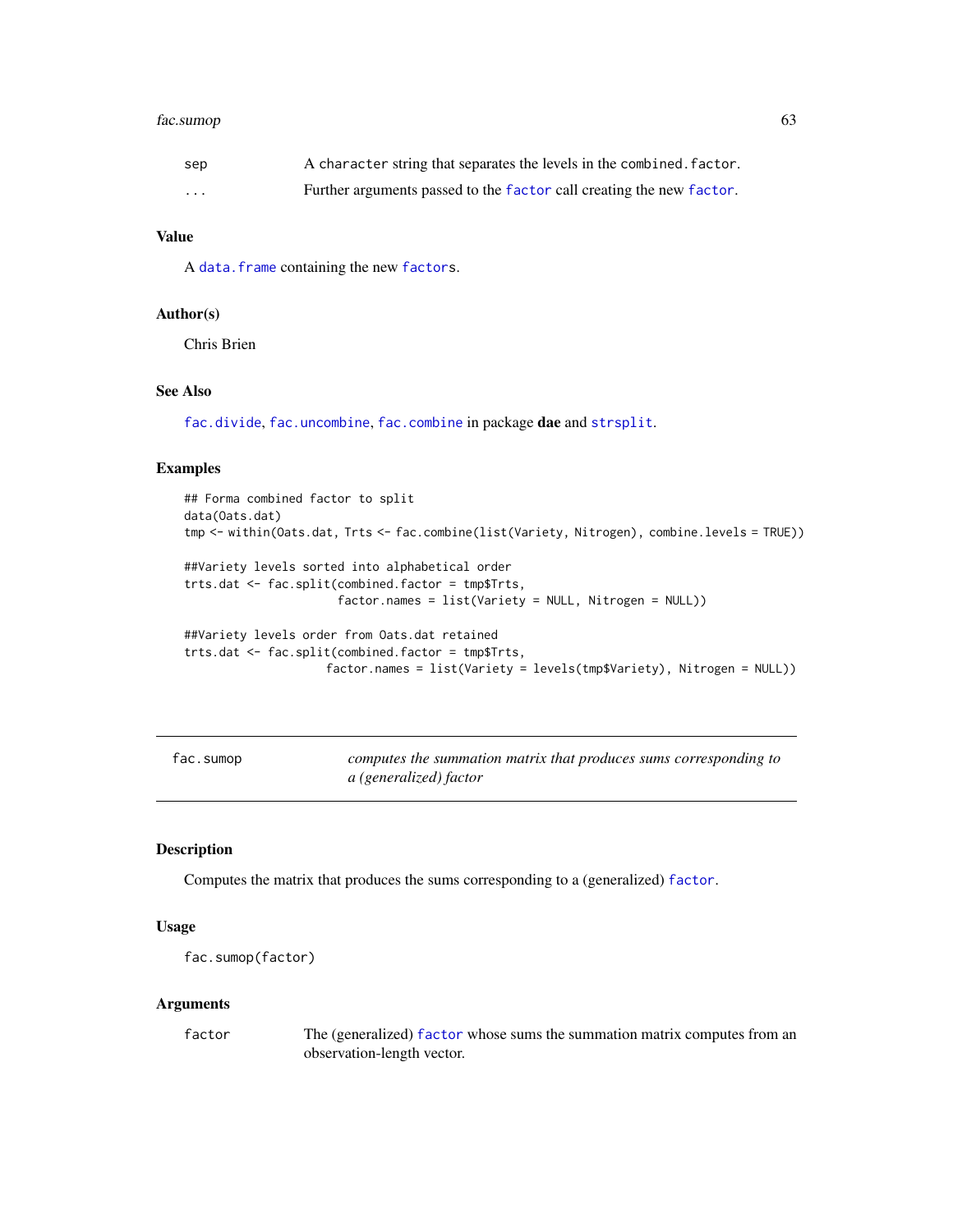# fac.sumop 63

| sep      | A character string that separates the levels in the combined. factor. |
|----------|-----------------------------------------------------------------------|
| $\cdots$ | Further arguments passed to the factor call creating the new factor.  |

# Value

A [data.frame](#page-0-0) containing the new [factors](#page-0-0).

#### Author(s)

Chris Brien

# See Also

[fac.divide](#page-49-0), [fac.uncombine](#page-63-0), [fac.combine](#page-48-0) in package dae and [strsplit](#page-0-0).

### Examples

```
## Forma combined factor to split
data(Oats.dat)
tmp <- within(Oats.dat, Trts <- fac.combine(list(Variety, Nitrogen), combine.levels = TRUE))
##Variety levels sorted into alphabetical order
trts.dat <- fac.split(combined.factor = tmp$Trts,
                      factor.names = list(Variety = NULL, Nitrogen = NULL))
##Variety levels order from Oats.dat retained
trts.dat <- fac.split(combined.factor = tmp$Trts,
                    factor.names = list(Variety = levels(tmp$Variety), Nitrogen = NULL))
```
<span id="page-62-0"></span>fac.sumop *computes the summation matrix that produces sums corresponding to a (generalized) factor*

# Description

Computes the matrix that produces the sums corresponding to a (generalized) [factor](#page-0-0).

# Usage

```
fac.sumop(factor)
```
#### Arguments

factor The (generalized) [factor](#page-0-0) whose sums the summation matrix computes from an observation-length vector.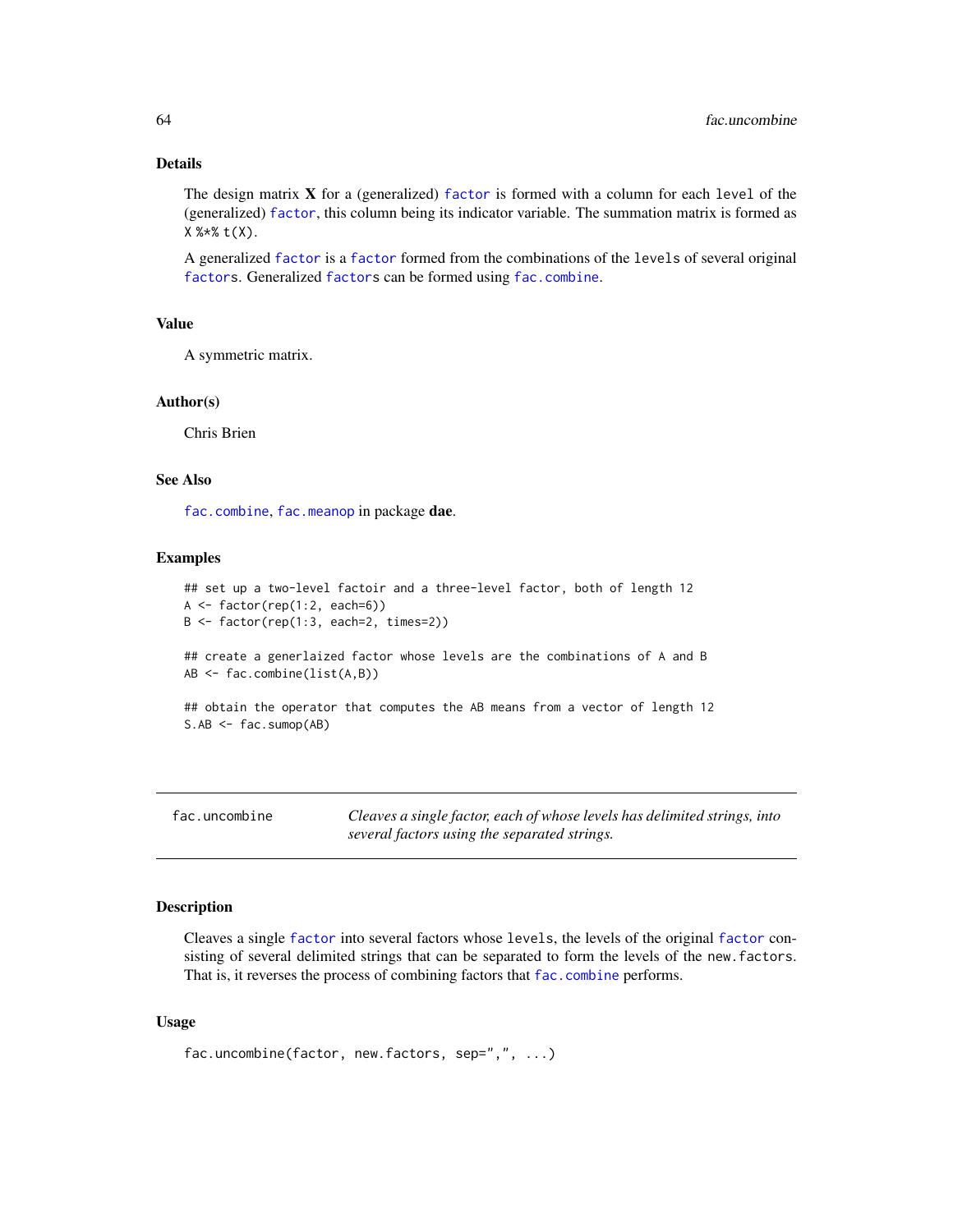# Details

The design matrix  $X$  for a (generalized) [factor](#page-0-0) is formed with a column for each level of the (generalized) [factor](#page-0-0), this column being its indicator variable. The summation matrix is formed as X %\*% t(X).

A generalized [factor](#page-0-0) is a [factor](#page-0-0) formed from the combinations of the levels of several original [factors](#page-0-0). Generalized [factors](#page-0-0) can be formed using [fac.combine](#page-48-0).

### Value

A symmetric matrix.

### Author(s)

Chris Brien

### See Also

[fac.combine](#page-48-0), [fac.meanop](#page-54-0) in package dae.

#### Examples

```
## set up a two-level factoir and a three-level factor, both of length 12
A <- factor(rep(1:2, each=6))
B <- factor(rep(1:3, each=2, times=2))
```
## create a generlaized factor whose levels are the combinations of A and B AB <- fac.combine(list(A,B))

```
## obtain the operator that computes the AB means from a vector of length 12
S.AB <- fac.sumop(AB)
```
<span id="page-63-0"></span>

| fac.uncombine | Cleaves a single factor, each of whose levels has delimited strings, into |
|---------------|---------------------------------------------------------------------------|
|               | several factors using the separated strings.                              |

### Description

Cleaves a single [factor](#page-0-0) into several factors whose levels, the levels of the original [factor](#page-0-0) consisting of several delimited strings that can be separated to form the levels of the new.factors. That is, it reverses the process of combining factors that [fac.combine](#page-48-0) performs.

```
fac.uncombine(factor, new.factors, sep=",", ...)
```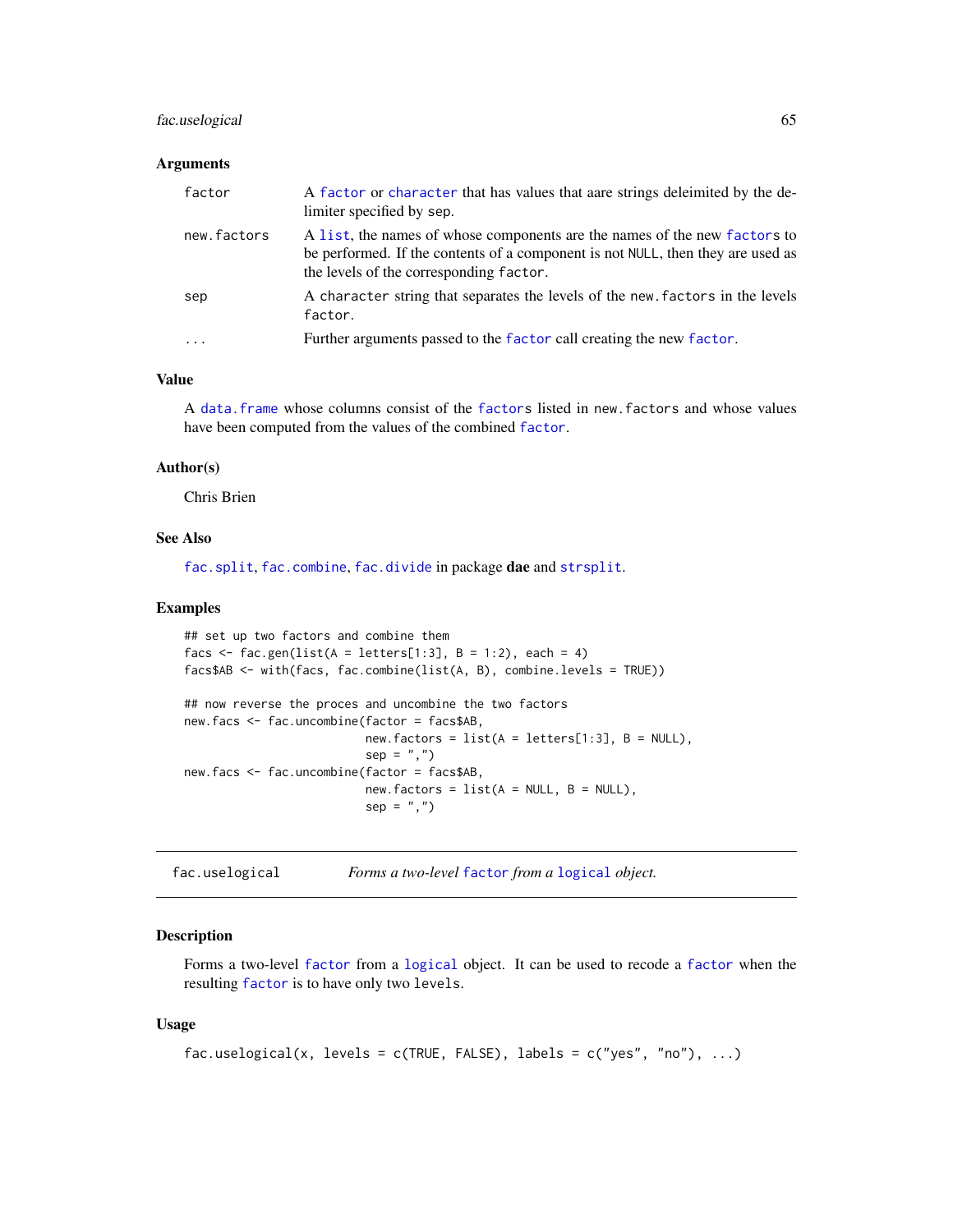# fac.uselogical 65

#### **Arguments**

| factor      | A factor or character that has values that aare strings deleimited by the de-<br>limiter specified by sep.                                                                                              |
|-------------|---------------------------------------------------------------------------------------------------------------------------------------------------------------------------------------------------------|
| new.factors | A list, the names of whose components are the names of the new factors to<br>be performed. If the contents of a component is not NULL, then they are used as<br>the levels of the corresponding factor. |
| sep         | A character string that separates the levels of the new factors in the levels<br>factor.                                                                                                                |
|             | Further arguments passed to the factor call creating the new factor.                                                                                                                                    |

# Value

A [data.frame](#page-0-0) whose columns consist of the [factors](#page-0-0) listed in new.factors and whose values have been computed from the values of the combined [factor](#page-0-0).

#### Author(s)

Chris Brien

# See Also

[fac.split](#page-61-0), [fac.combine](#page-48-0), [fac.divide](#page-49-0) in package dae and [strsplit](#page-0-0).

### Examples

```
## set up two factors and combine them
facs \leq fac.gen(list(A = letters[1:3], B = 1:2), each = 4)
facs$AB <- with(facs, fac.combine(list(A, B), combine.levels = TRUE))
## now reverse the proces and uncombine the two factors
new.facs <- fac.uncombine(factor = facs$AB,
                          new.factors = list(A = letters[1:3], B = NULL),sep = ","')new.facs <- fac.uncombine(factor = facs$AB,
                          new.factors = list(A = NULL, B = NULL),
                          sep = ","')
```
<span id="page-64-0"></span>fac.uselogical *Forms a two-level* [factor](#page-0-0) *from a* [logical](#page-0-0) *object.*

### Description

Forms a two-level [factor](#page-0-0) from a [logical](#page-0-0) object. It can be used to recode a [factor](#page-0-0) when the resulting [factor](#page-0-0) is to have only two levels.

```
fac.uselogical(x, levels = c(TRUE, FALSE), labels = c("yes", "no"), ...)
```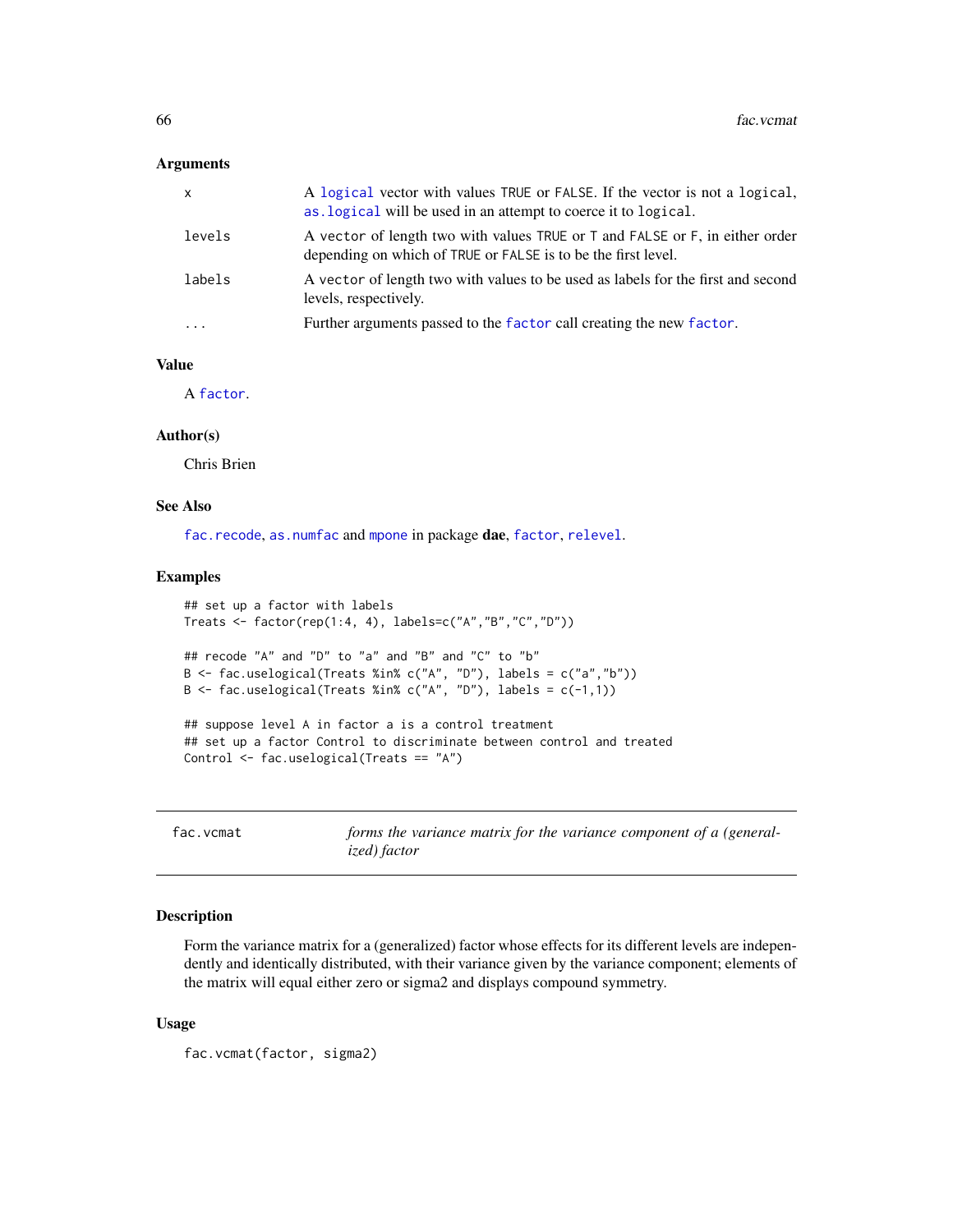### **Arguments**

| x        | A logical vector with values TRUE or FALSE. If the vector is not a logical,<br>as logical will be used in an attempt to coerce it to logical. |
|----------|-----------------------------------------------------------------------------------------------------------------------------------------------|
| levels   | A vector of length two with values TRUE or T and FALSE or F, in either order<br>depending on which of TRUE or FALSE is to be the first level. |
| labels   | A vector of length two with values to be used as labels for the first and second<br>levels, respectively.                                     |
| $\ddots$ | Further arguments passed to the factor call creating the new factor.                                                                          |

### Value

A [factor](#page-0-0).

# Author(s)

Chris Brien

# See Also

[fac.recode](#page-60-0), [as.numfac](#page-10-0) and [mpone](#page-98-0) in package dae, [factor](#page-0-0), [relevel](#page-0-0).

#### Examples

```
## set up a factor with labels
Treats <- factor(rep(1:4, 4), labels=c("A","B","C","D"))
## recode "A" and "D" to "a" and "B" and "C" to "b"
B <- fac.uselogical(Treats %in% c("A", "D"), labels = c("a","b"))
B <- fac.uselogical(Treats %in% c("A", "D"), labels = c(-1,1))
## suppose level A in factor a is a control treatment
## set up a factor Control to discriminate between control and treated
Control <- fac.uselogical(Treats == "A")
```
<span id="page-65-0"></span>fac.vcmat *forms the variance matrix for the variance component of a (generalized) factor*

### Description

Form the variance matrix for a (generalized) factor whose effects for its different levels are independently and identically distributed, with their variance given by the variance component; elements of the matrix will equal either zero or sigma2 and displays compound symmetry.

```
fac.vcmat(factor, sigma2)
```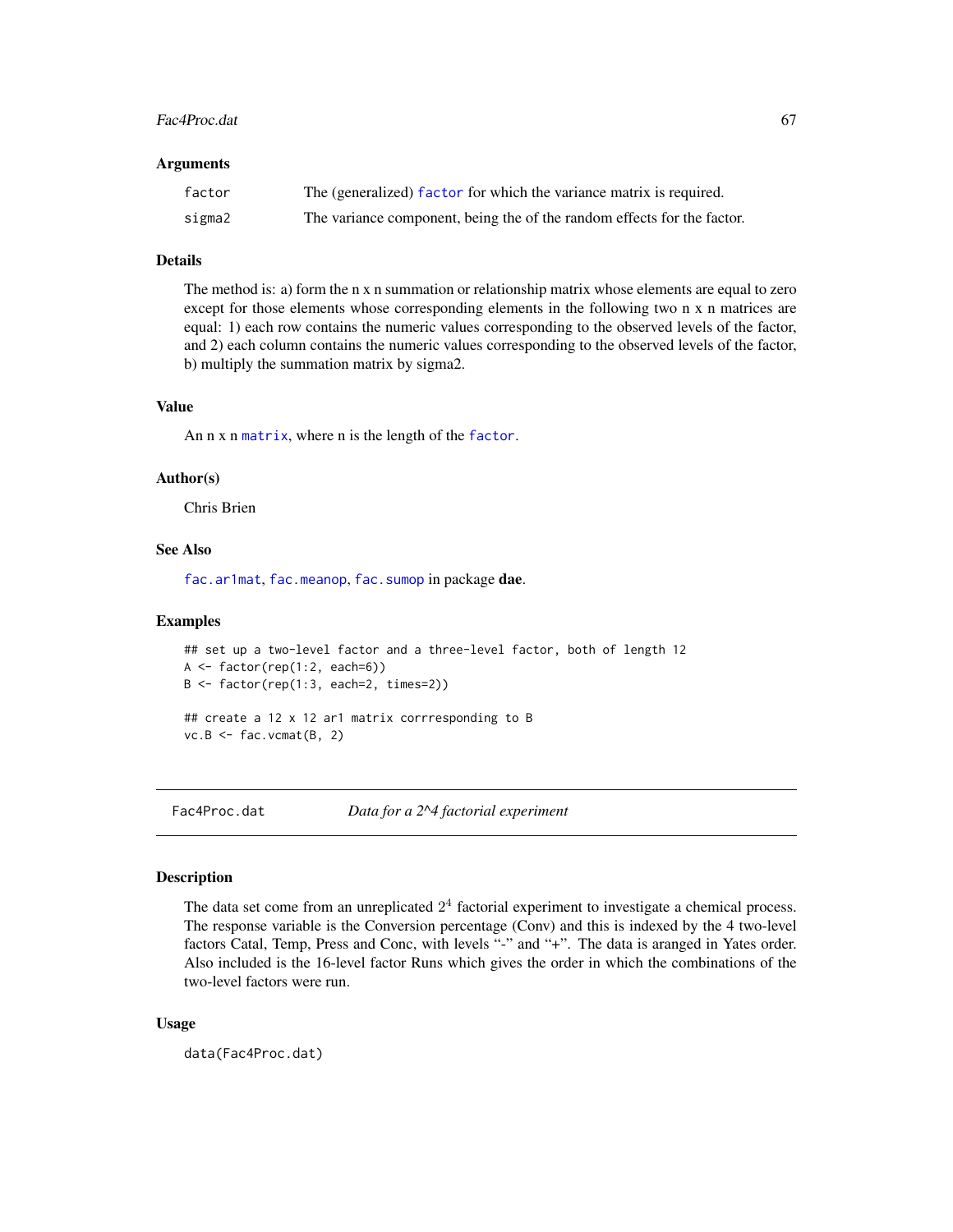#### Fac4Proc.dat 67

#### **Arguments**

| factor | The (generalized) factor for which the variance matrix is required.     |
|--------|-------------------------------------------------------------------------|
| sigma2 | The variance component, being the of the random effects for the factor. |

# Details

The method is: a) form the n x n summation or relationship matrix whose elements are equal to zero except for those elements whose corresponding elements in the following two n x n matrices are equal: 1) each row contains the numeric values corresponding to the observed levels of the factor, and 2) each column contains the numeric values corresponding to the observed levels of the factor, b) multiply the summation matrix by sigma2.

### Value

An n x n [matrix](#page-0-0), where n is the length of the [factor](#page-0-0).

# Author(s)

Chris Brien

### See Also

[fac.ar1mat](#page-47-0), [fac.meanop](#page-54-0), [fac.sumop](#page-62-0) in package dae.

### Examples

```
## set up a two-level factor and a three-level factor, both of length 12
A <- factor(rep(1:2, each=6))
B <- factor(rep(1:3, each=2, times=2))
## create a 12 x 12 ar1 matrix corrresponding to B
vc.B \leftarrow fac.vcmat(B, 2)
```
Fac4Proc.dat *Data for a 2^4 factorial experiment*

### Description

The data set come from an unreplicated  $2<sup>4</sup>$  factorial experiment to investigate a chemical process. The response variable is the Conversion percentage (Conv) and this is indexed by the 4 two-level factors Catal, Temp, Press and Conc, with levels "-" and "+". The data is aranged in Yates order. Also included is the 16-level factor Runs which gives the order in which the combinations of the two-level factors were run.

### Usage

data(Fac4Proc.dat)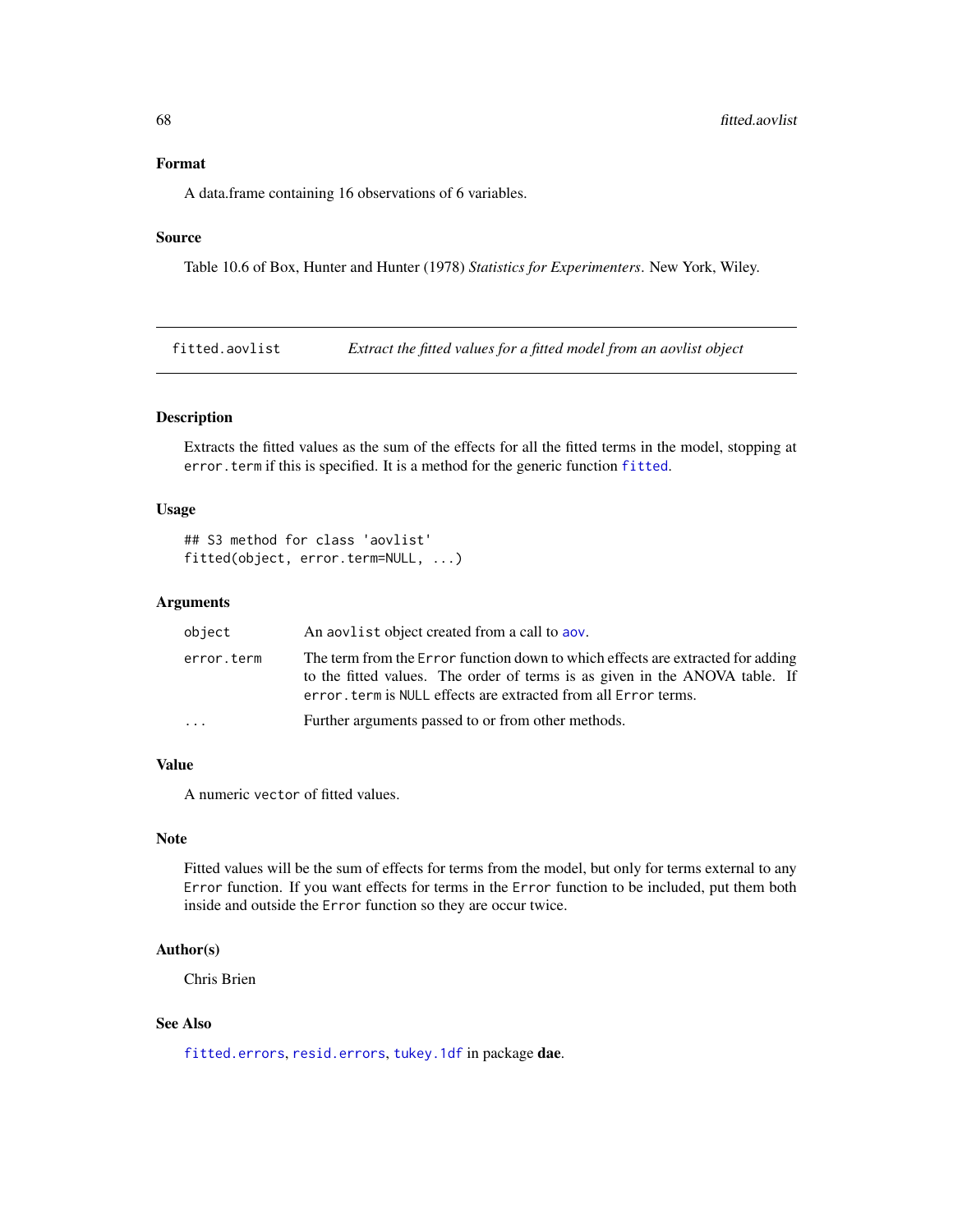# Format

A data.frame containing 16 observations of 6 variables.

### Source

Table 10.6 of Box, Hunter and Hunter (1978) *Statistics for Experimenters*. New York, Wiley.

<span id="page-67-1"></span>fitted.aovlist *Extract the fitted values for a fitted model from an aovlist object*

### <span id="page-67-0"></span>Description

Extracts the fitted values as the sum of the effects for all the fitted terms in the model, stopping at error.term if this is specified. It is a method for the generic function [fitted](#page-67-0).

### Usage

```
## S3 method for class 'aovlist'
fitted(object, error.term=NULL, ...)
```
### Arguments

| object     | An applied object created from a call to apply                                                                                                                                                                                    |
|------------|-----------------------------------------------------------------------------------------------------------------------------------------------------------------------------------------------------------------------------------|
| error.term | The term from the Error function down to which effects are extracted for adding<br>to the fitted values. The order of terms is as given in the ANOVA table. If<br>error, term is NULL effects are extracted from all Error terms. |
| .          | Further arguments passed to or from other methods.                                                                                                                                                                                |

# Value

A numeric vector of fitted values.

### Note

Fitted values will be the sum of effects for terms from the model, but only for terms external to any Error function. If you want effects for terms in the Error function to be included, put them both inside and outside the Error function so they are occur twice.

# Author(s)

Chris Brien

# See Also

[fitted.errors](#page-68-0), [resid.errors](#page-125-0), [tukey.1df](#page-135-0) in package dae.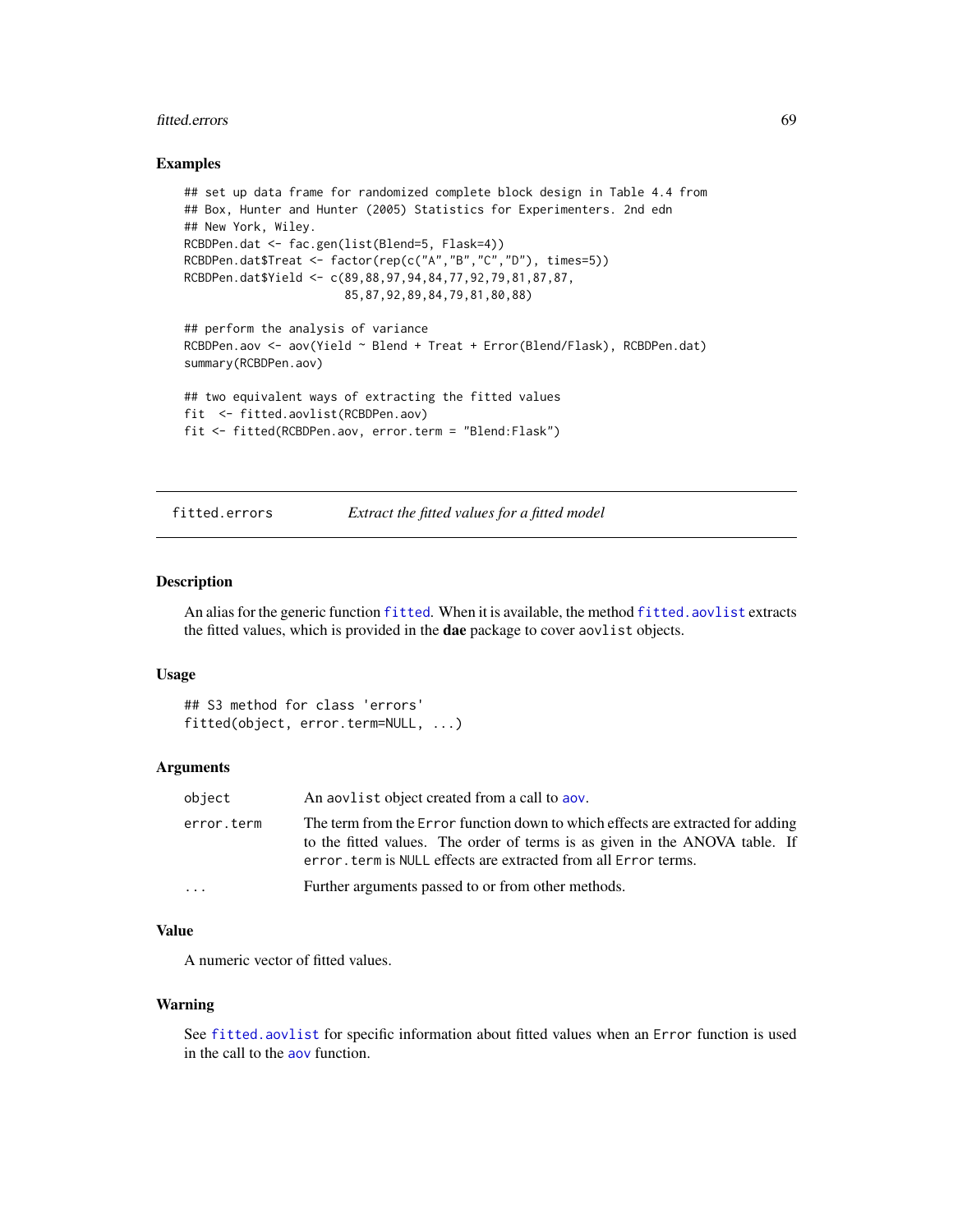#### fitted.errors 69

### Examples

```
## set up data frame for randomized complete block design in Table 4.4 from
## Box, Hunter and Hunter (2005) Statistics for Experimenters. 2nd edn
## New York, Wiley.
RCBDPen.dat <- fac.gen(list(Blend=5, Flask=4))
RCBDPen.dat$Treat <- factor(rep(c("A","B","C","D"), times=5))
RCBDPen.dat$Yield <- c(89,88,97,94,84,77,92,79,81,87,87,
                       85,87,92,89,84,79,81,80,88)
## perform the analysis of variance
RCBDPen.aov <- aov(Yield ~ Blend + Treat + Error(Blend/Flask), RCBDPen.dat)
```
summary(RCBDPen.aov)

```
## two equivalent ways of extracting the fitted values
fit <- fitted.aovlist(RCBDPen.aov)
fit <- fitted(RCBDPen.aov, error.term = "Blend:Flask")
```
<span id="page-68-0"></span>fitted.errors *Extract the fitted values for a fitted model*

# Description

An alias for the generic function [fitted](#page-67-0). When it is available, the method [fitted.aovlist](#page-67-1) extracts the fitted values, which is provided in the dae package to cover aovlist objects.

# Usage

```
## S3 method for class 'errors'
fitted(object, error.term=NULL, ...)
```
#### Arguments

| object     | An about a bigget created from a call to abov.                                                                                                                                                                                    |
|------------|-----------------------------------------------------------------------------------------------------------------------------------------------------------------------------------------------------------------------------------|
| error.term | The term from the Error function down to which effects are extracted for adding<br>to the fitted values. The order of terms is as given in the ANOVA table. If<br>error, term is NULL effects are extracted from all Error terms. |
| $\cdots$   | Further arguments passed to or from other methods.                                                                                                                                                                                |

# Value

A numeric vector of fitted values.

#### Warning

See [fitted.aovlist](#page-67-1) for specific information about fitted values when an Error function is used in the call to the [aov](#page-0-0) function.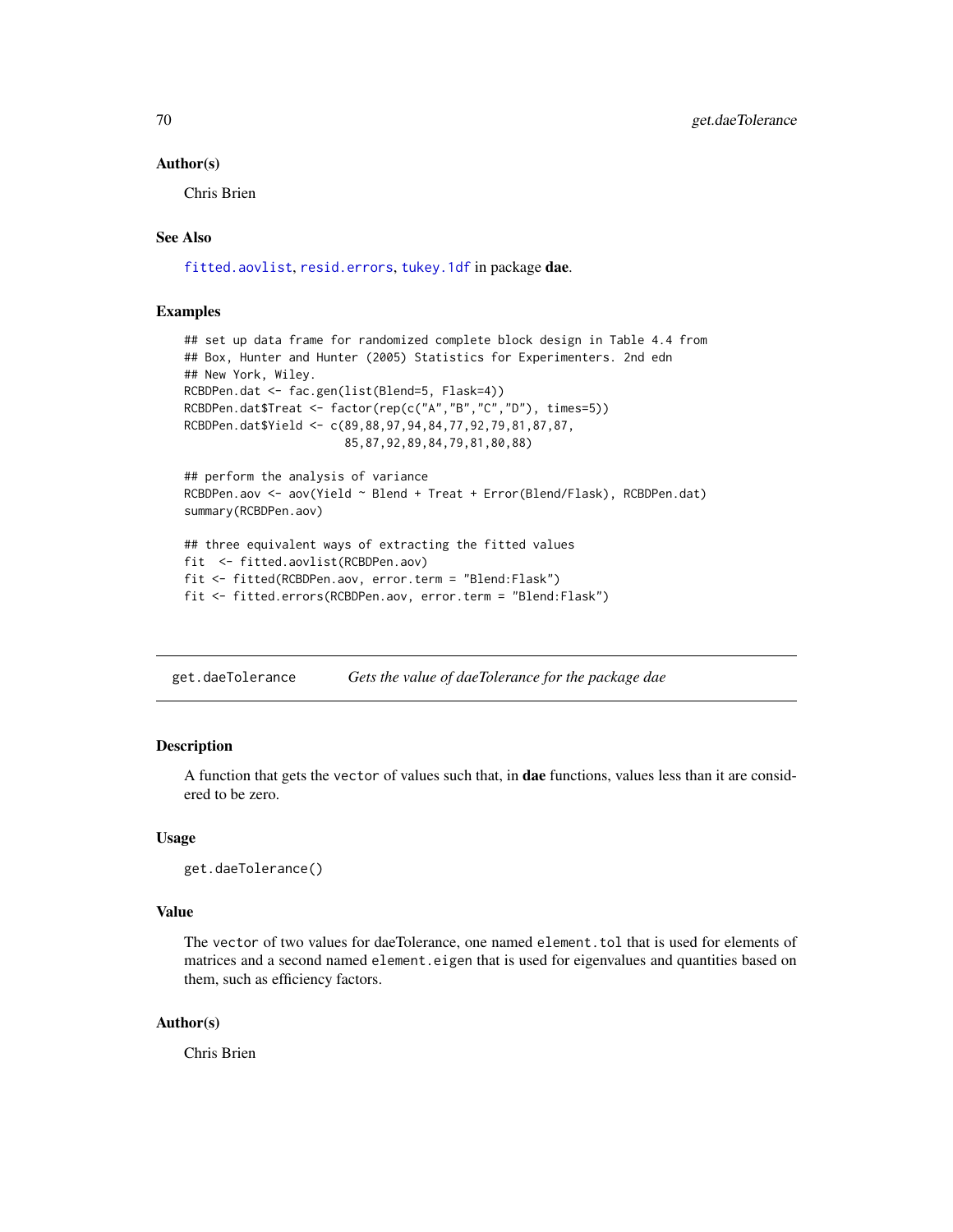### Author(s)

Chris Brien

# See Also

[fitted.aovlist](#page-67-1), [resid.errors](#page-125-0), [tukey.1df](#page-135-0) in package dae.

### Examples

```
## set up data frame for randomized complete block design in Table 4.4 from
## Box, Hunter and Hunter (2005) Statistics for Experimenters. 2nd edn
## New York, Wiley.
RCBDPen.dat <- fac.gen(list(Blend=5, Flask=4))
RCBDPen.dat$Treat <- factor(rep(c("A","B","C","D"), times=5))
RCBDPen.dat$Yield <- c(89,88,97,94,84,77,92,79,81,87,87,
                       85,87,92,89,84,79,81,80,88)
## perform the analysis of variance
RCBDPen.aov <- aov(Yield ~ Blend + Treat + Error(Blend/Flask), RCBDPen.dat)
summary(RCBDPen.aov)
## three equivalent ways of extracting the fitted values
fit <- fitted.aovlist(RCBDPen.aov)
```

```
fit <- fitted(RCBDPen.aov, error.term = "Blend:Flask")
fit <- fitted.errors(RCBDPen.aov, error.term = "Blend:Flask")
```
get.daeTolerance *Gets the value of daeTolerance for the package dae*

### Description

A function that gets the vector of values such that, in dae functions, values less than it are considered to be zero.

### Usage

```
get.daeTolerance()
```
#### Value

The vector of two values for daeTolerance, one named element. tol that is used for elements of matrices and a second named element.eigen that is used for eigenvalues and quantities based on them, such as efficiency factors.

### Author(s)

Chris Brien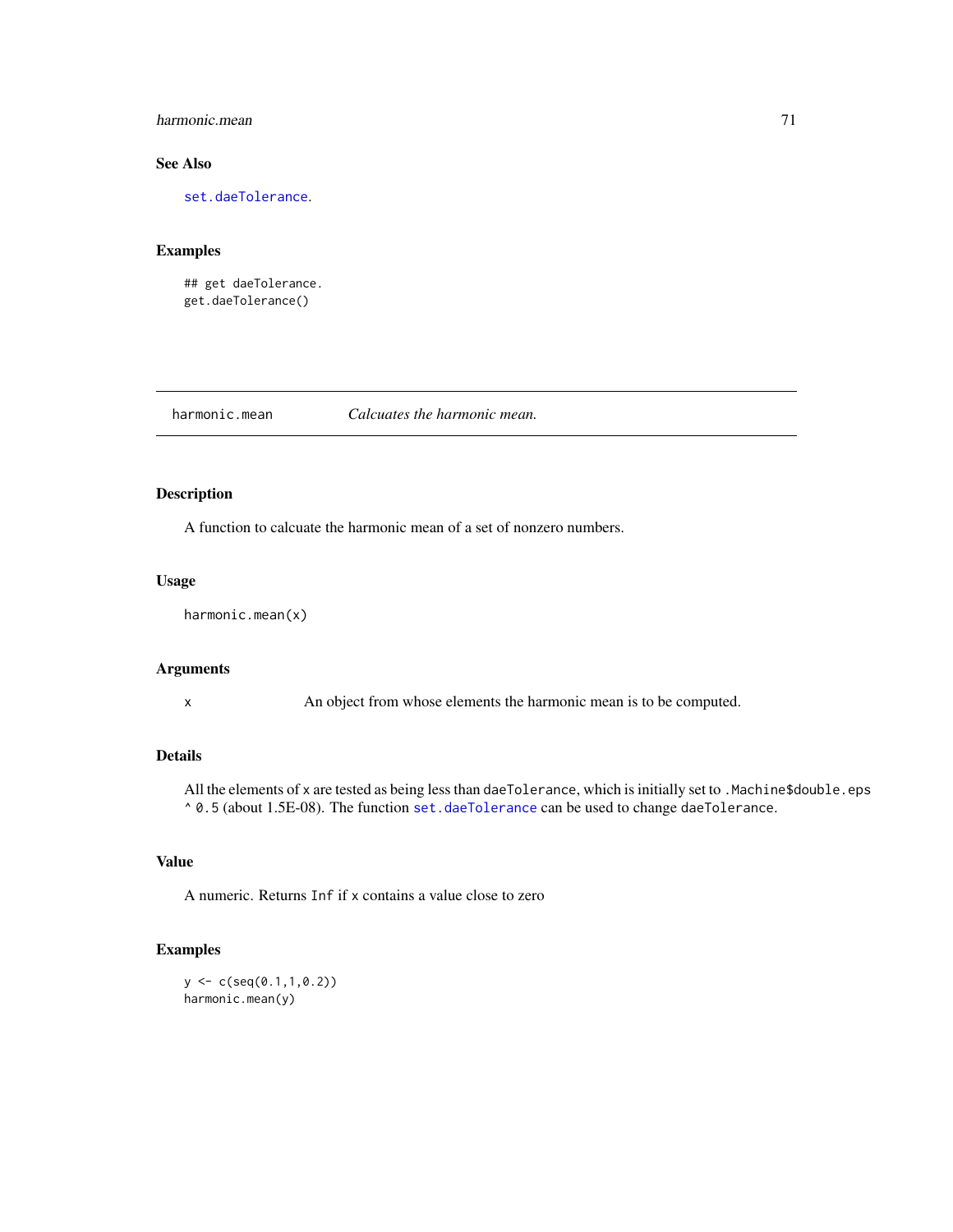# harmonic.mean 71

# See Also

[set.daeTolerance](#page-129-0).

# Examples

## get daeTolerance. get.daeTolerance()

harmonic.mean *Calcuates the harmonic mean.*

# Description

A function to calcuate the harmonic mean of a set of nonzero numbers.

# Usage

```
harmonic.mean(x)
```
# Arguments

x An object from whose elements the harmonic mean is to be computed.

# Details

All the elements of x are tested as being less than daeTolerance, which is initially set to .Machine\$double.eps ^ 0.5 (about 1.5E-08). The function [set.daeTolerance](#page-129-0) can be used to change daeTolerance.

# Value

A numeric. Returns Inf if x contains a value close to zero

# Examples

```
y \leftarrow c(\text{seq}(0.1, 1, 0.2))harmonic.mean(y)
```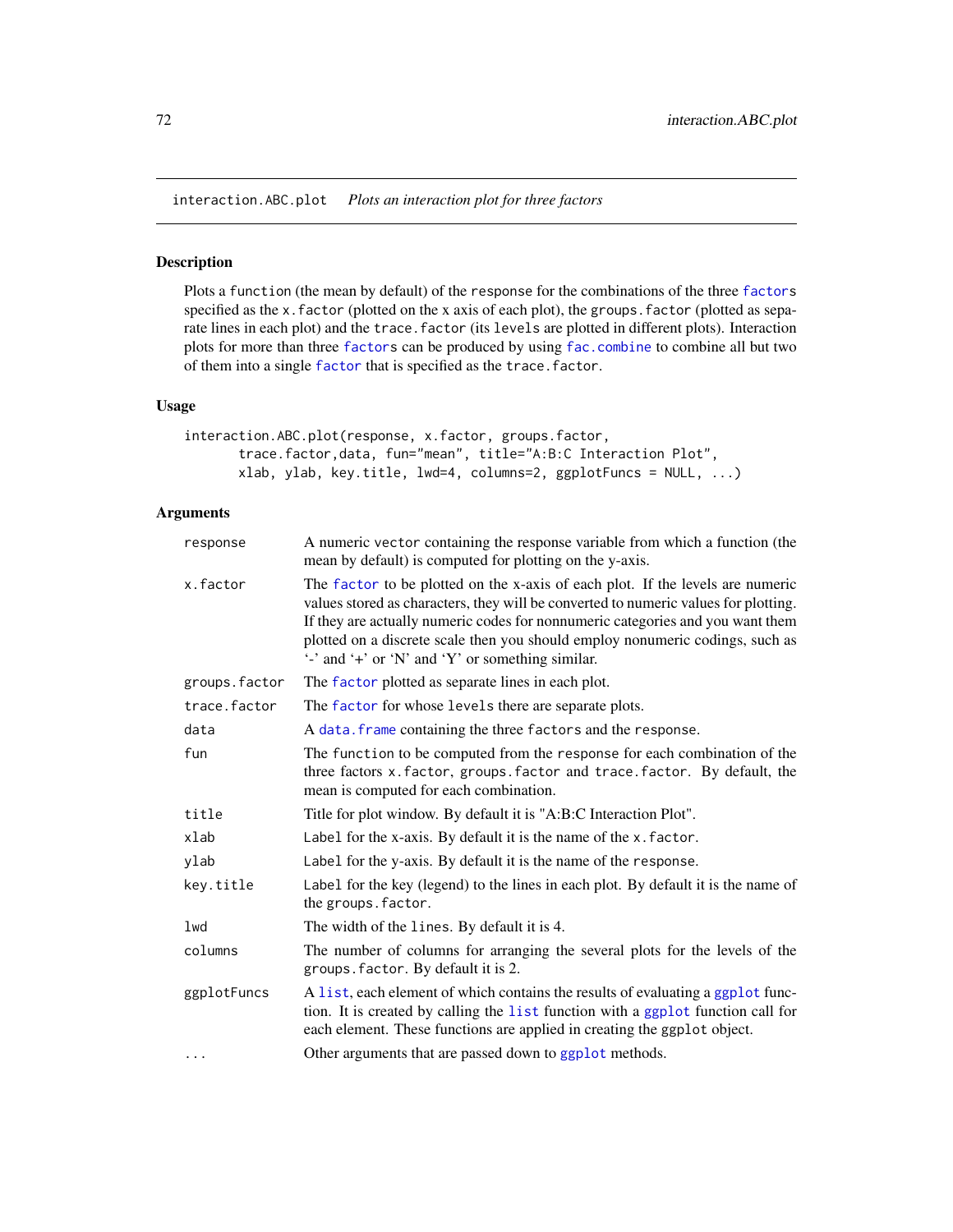interaction.ABC.plot *Plots an interaction plot for three factors*

### Description

Plots a function (the mean by default) of the response for the combinations of the three [factors](#page-0-0) specified as the x.factor (plotted on the x axis of each plot), the groups.factor (plotted as separate lines in each plot) and the trace. factor (its levels are plotted in different plots). Interaction plots for more than three [factors](#page-0-0) can be produced by using [fac.combine](#page-48-0) to combine all but two of them into a single [factor](#page-0-0) that is specified as the trace.factor.

### Usage

```
interaction.ABC.plot(response, x.factor, groups.factor,
      trace.factor,data, fun="mean", title="A:B:C Interaction Plot",
      xlab, ylab, key.title, lwd=4, columns=2, ggplotFuncs = NULL, ...)
```
# Arguments

| response      | A numeric vector containing the response variable from which a function (the<br>mean by default) is computed for plotting on the y-axis.                                                                                                                                                                                                                                                                             |
|---------------|----------------------------------------------------------------------------------------------------------------------------------------------------------------------------------------------------------------------------------------------------------------------------------------------------------------------------------------------------------------------------------------------------------------------|
| x.factor      | The factor to be plotted on the x-axis of each plot. If the levels are numeric<br>values stored as characters, they will be converted to numeric values for plotting.<br>If they are actually numeric codes for nonnumeric categories and you want them<br>plotted on a discrete scale then you should employ nonumeric codings, such as<br>$\cdot$ and $\cdot$ + or $\cdot$ N' and $\cdot$ Y' or something similar. |
| groups.factor | The factor plotted as separate lines in each plot.                                                                                                                                                                                                                                                                                                                                                                   |
| trace.factor  | The factor for whose levels there are separate plots.                                                                                                                                                                                                                                                                                                                                                                |
| data          | A data. frame containing the three factors and the response.                                                                                                                                                                                                                                                                                                                                                         |
| fun           | The function to be computed from the response for each combination of the<br>three factors x. factor, groups. factor and trace. factor. By default, the<br>mean is computed for each combination.                                                                                                                                                                                                                    |
| title         | Title for plot window. By default it is "A:B:C Interaction Plot".                                                                                                                                                                                                                                                                                                                                                    |
| xlab          | Label for the x-axis. By default it is the name of the x. factor.                                                                                                                                                                                                                                                                                                                                                    |
| ylab          | Label for the y-axis. By default it is the name of the response.                                                                                                                                                                                                                                                                                                                                                     |
| key.title     | Label for the key (legend) to the lines in each plot. By default it is the name of<br>the groups. factor.                                                                                                                                                                                                                                                                                                            |
| lwd           | The width of the lines. By default it is 4.                                                                                                                                                                                                                                                                                                                                                                          |
| columns       | The number of columns for arranging the several plots for the levels of the<br>groups. factor. By default it is 2.                                                                                                                                                                                                                                                                                                   |
| ggplotFuncs   | A list, each element of which contains the results of evaluating a ggplot func-<br>tion. It is created by calling the list function with a ggplot function call for<br>each element. These functions are applied in creating the ggplot object.                                                                                                                                                                      |
| $\cdots$      | Other arguments that are passed down to ggplot methods.                                                                                                                                                                                                                                                                                                                                                              |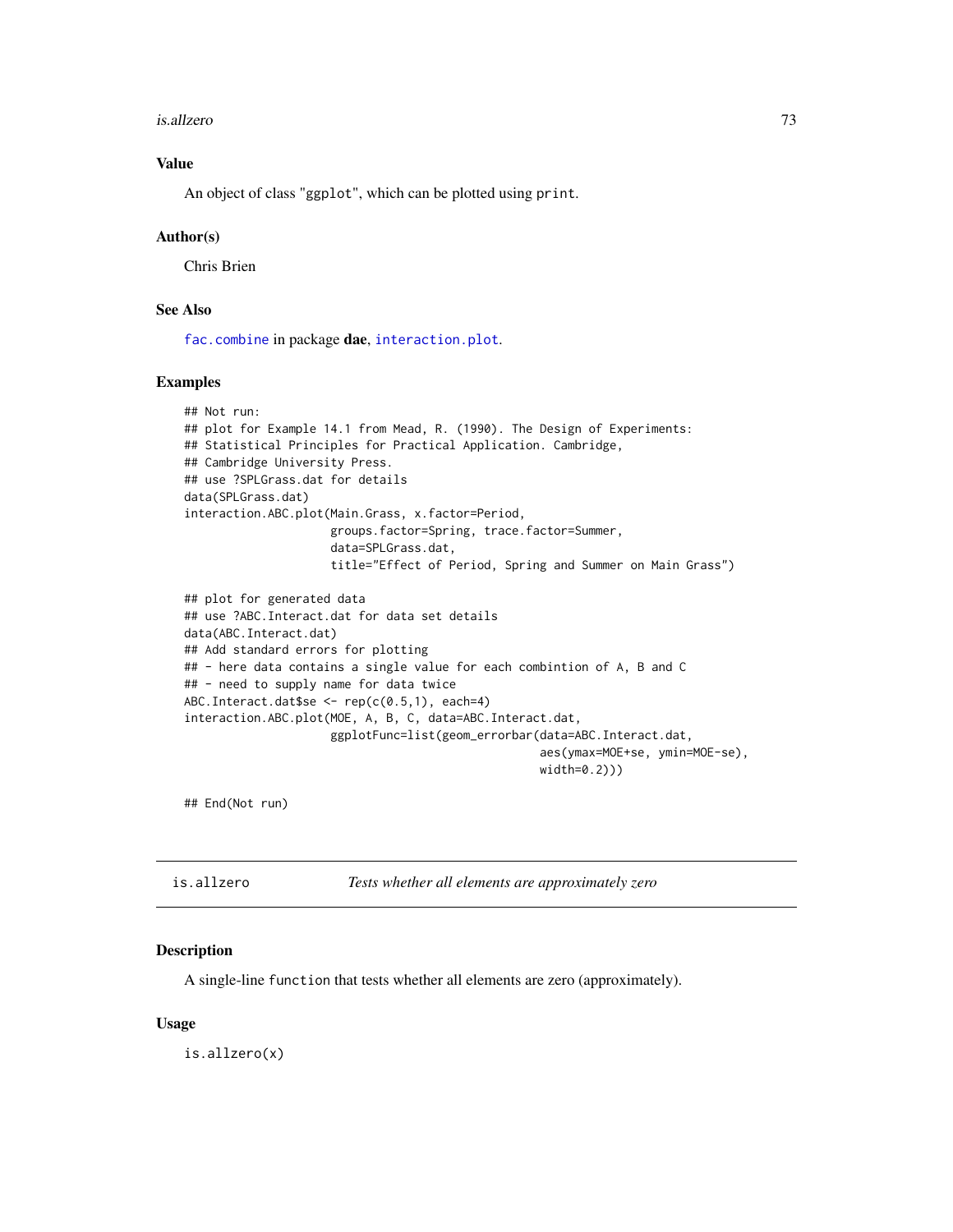#### is.allzero 73

# Value

An object of class "ggplot", which can be plotted using print.

#### Author(s)

Chris Brien

# See Also

[fac.combine](#page-48-0) in package dae, [interaction.plot](#page-0-0).

## Examples

```
## Not run:
## plot for Example 14.1 from Mead, R. (1990). The Design of Experiments:
## Statistical Principles for Practical Application. Cambridge,
## Cambridge University Press.
## use ?SPLGrass.dat for details
data(SPLGrass.dat)
interaction.ABC.plot(Main.Grass, x.factor=Period,
                     groups.factor=Spring, trace.factor=Summer,
                     data=SPLGrass.dat,
                     title="Effect of Period, Spring and Summer on Main Grass")
## plot for generated data
## use ?ABC.Interact.dat for data set details
data(ABC.Interact.dat)
## Add standard errors for plotting
## - here data contains a single value for each combintion of A, B and C
## - need to supply name for data twice
ABC. Interact.dat$se <- rep(c(0.5,1), each=4)interaction.ABC.plot(MOE, A, B, C, data=ABC.Interact.dat,
                     ggplotFunc=list(geom_errorbar(data=ABC.Interact.dat,
                                                   aes(ymax=MOE+se, ymin=MOE-se),
                                                   width=0.2)))
```
## End(Not run)

| is.allzero | Tests whether all elements are approximately zero |
|------------|---------------------------------------------------|
|------------|---------------------------------------------------|

## Description

A single-line function that tests whether all elements are zero (approximately).

## Usage

is.allzero(x)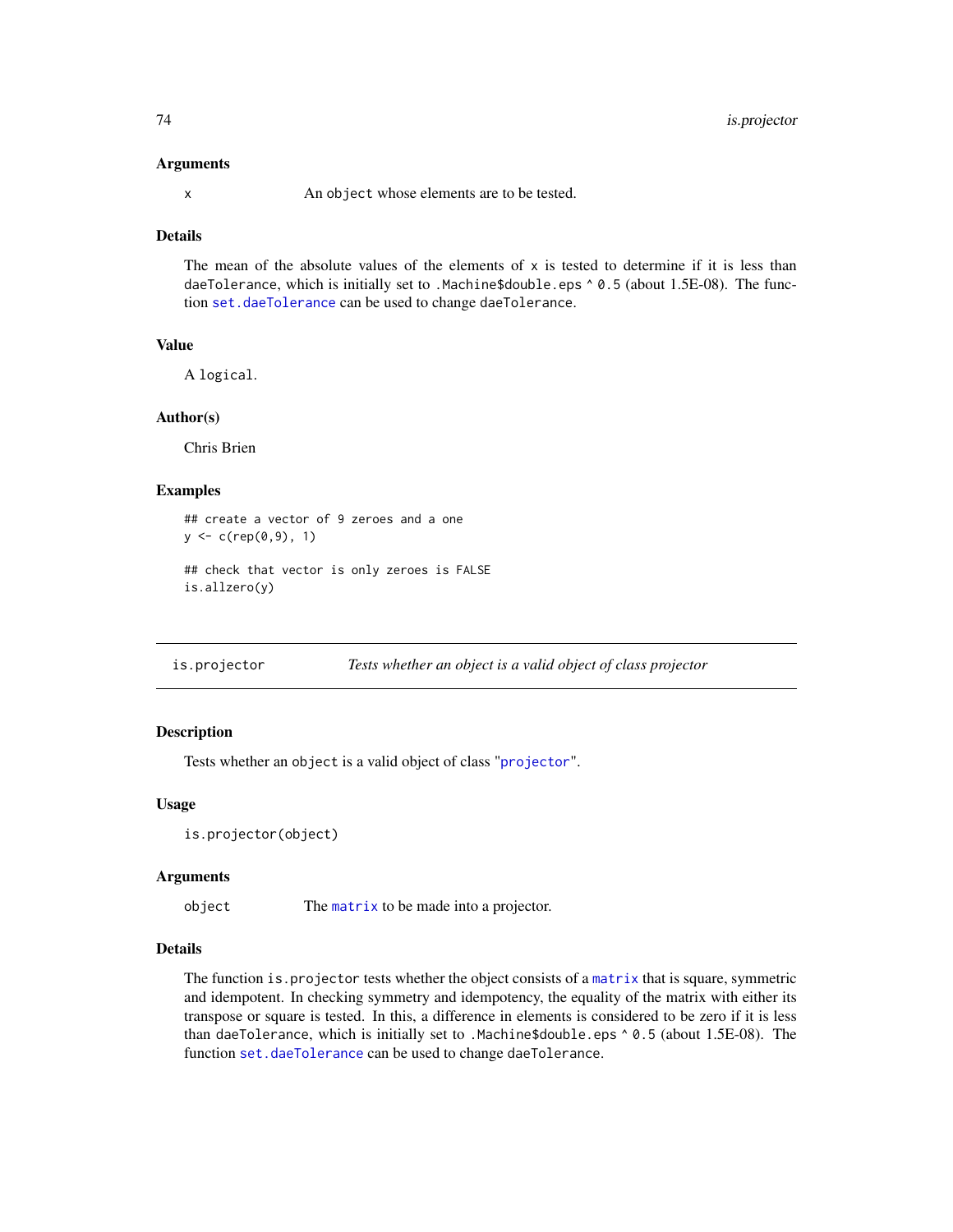#### Arguments

x An object whose elements are to be tested.

# Details

The mean of the absolute values of the elements of  $x$  is tested to determine if it is less than daeTolerance, which is initially set to .Machine\$double.eps ^ 0.5 (about 1.5E-08). The function [set.daeTolerance](#page-129-0) can be used to change daeTolerance.

# Value

A logical.

#### Author(s)

Chris Brien

#### Examples

```
## create a vector of 9 zeroes and a one
y \leq c (rep(0,9), 1)
## check that vector is only zeroes is FALSE
is.allzero(y)
```
is.projector *Tests whether an object is a valid object of class projector*

## Description

Tests whether an object is a valid object of class "[projector](#page-114-0)".

#### Usage

```
is.projector(object)
```
#### Arguments

object The [matrix](#page-0-0) to be made into a projector.

## Details

The function is. projector tests whether the object consists of a [matrix](#page-0-0) that is square, symmetric and idempotent. In checking symmetry and idempotency, the equality of the matrix with either its transpose or square is tested. In this, a difference in elements is considered to be zero if it is less than daeTolerance, which is initially set to .Machine\$double.eps ^ 0.5 (about 1.5E-08). The function [set.daeTolerance](#page-129-0) can be used to change daeTolerance.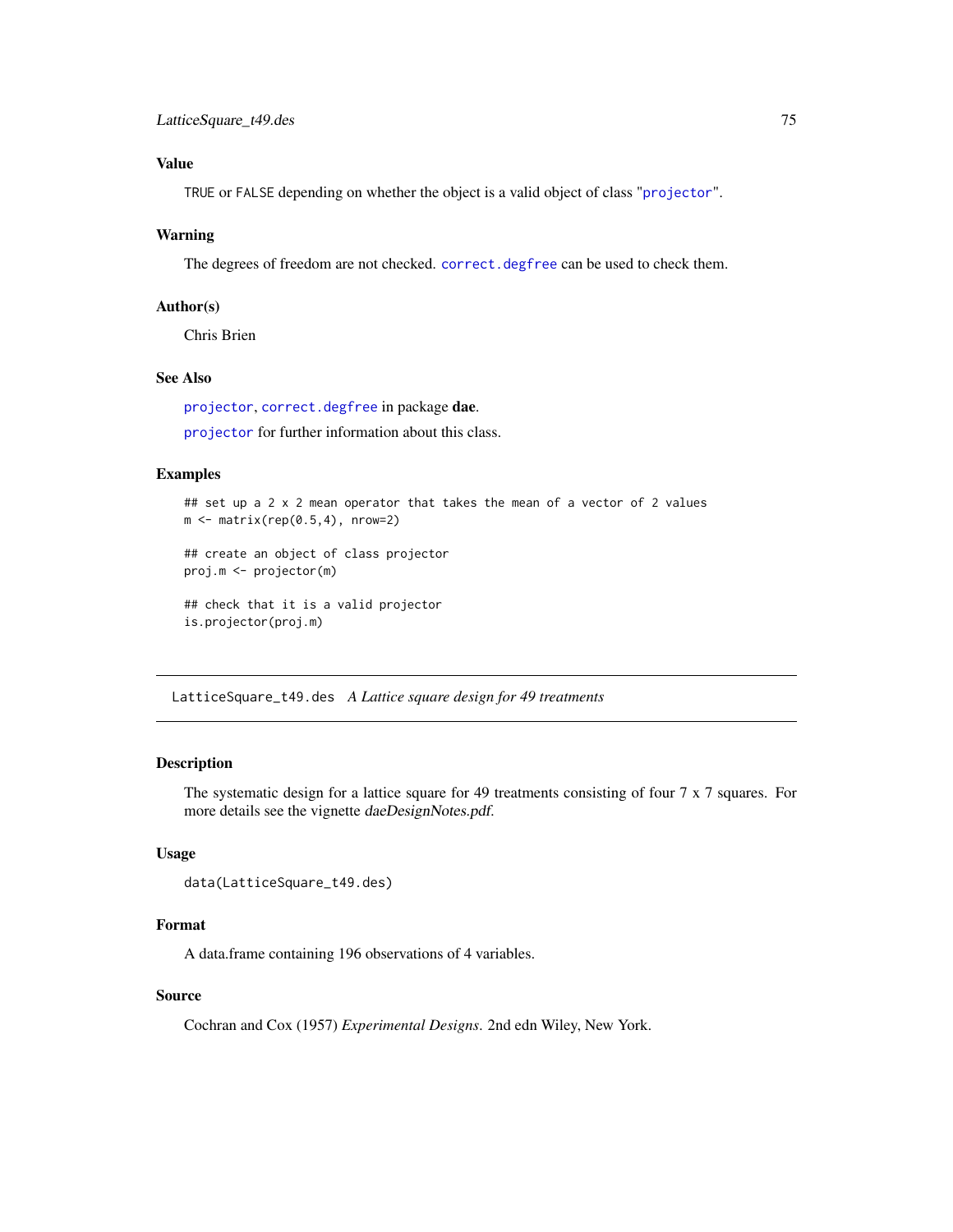# Value

TRUE or FALSE depending on whether the object is a valid object of class "[projector](#page-114-0)".

## Warning

The degrees of freedom are not checked. [correct.degfree](#page-14-0) can be used to check them.

# Author(s)

Chris Brien

# See Also

[projector](#page-113-0), [correct.degfree](#page-14-0) in package dae.

[projector](#page-114-0) for further information about this class.

# Examples

```
## set up a 2 x 2 mean operator that takes the mean of a vector of 2 values
m \leq - matrix(rep(0.5,4), nrow=2)
## create an object of class projector
proj.m <- projector(m)
## check that it is a valid projector
is.projector(proj.m)
```
LatticeSquare\_t49.des *A Lattice square design for 49 treatments*

# Description

The systematic design for a lattice square for 49 treatments consisting of four 7 x 7 squares. For more details see the vignette daeDesignNotes.pdf.

# Usage

```
data(LatticeSquare_t49.des)
```
# Format

A data.frame containing 196 observations of 4 variables.

# Source

Cochran and Cox (1957) *Experimental Designs*. 2nd edn Wiley, New York.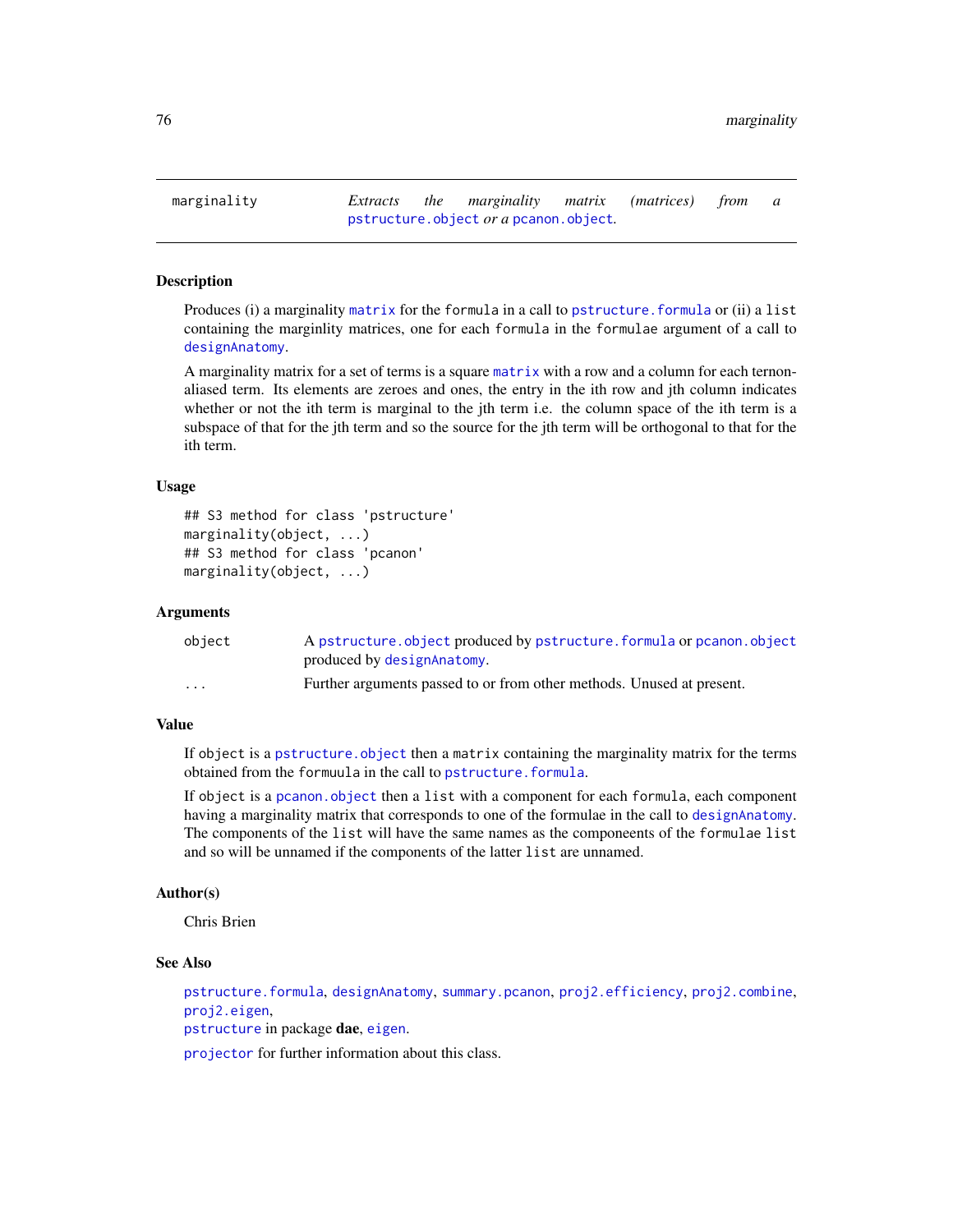Produces (i) a marginality [matrix](#page-0-0) for the formula in a call to [pstructure.formula](#page-118-0) or (ii) a list containing the marginlity matrices, one for each formula in the formulae argument of a call to [designAnatomy](#page-21-0).

A marginality matrix for a set of terms is a square [matrix](#page-0-0) with a row and a column for each ternonaliased term. Its elements are zeroes and ones, the entry in the ith row and jth column indicates whether or not the ith term is marginal to the jth term i.e. the column space of the ith term is a subspace of that for the jth term and so the source for the jth term will be orthogonal to that for the ith term.

# Usage

```
## S3 method for class 'pstructure'
marginality(object, ...)
## S3 method for class 'pcanon'
marginality(object, ...)
```
## Arguments

| object               | A pstructure.object produced by pstructure.formula or pcanon.object   |
|----------------------|-----------------------------------------------------------------------|
|                      | produced by designAnatomy.                                            |
| $\ddot{\phantom{0}}$ | Further arguments passed to or from other methods. Unused at present. |

## Value

If object is a pstructure. object then a matrix containing the marginality matrix for the terms obtained from the formuula in the call to [pstructure.formula](#page-118-0).

If object is a [pcanon.object](#page-102-0) then a list with a component for each formula, each component having a marginality matrix that corresponds to one of the formulae in the call to [designAnatomy](#page-21-0). The components of the list will have the same names as the componeents of the formulae list and so will be unnamed if the components of the latter list are unnamed.

## Author(s)

Chris Brien

# See Also

[pstructure.formula](#page-118-0), [designAnatomy](#page-21-0), [summary.pcanon](#page-133-0), [proj2.efficiency](#page-110-0), [proj2.combine](#page-109-0), [proj2.eigen](#page-112-0),

[pstructure](#page-118-1) in package dae, [eigen](#page-0-0).

[projector](#page-114-0) for further information about this class.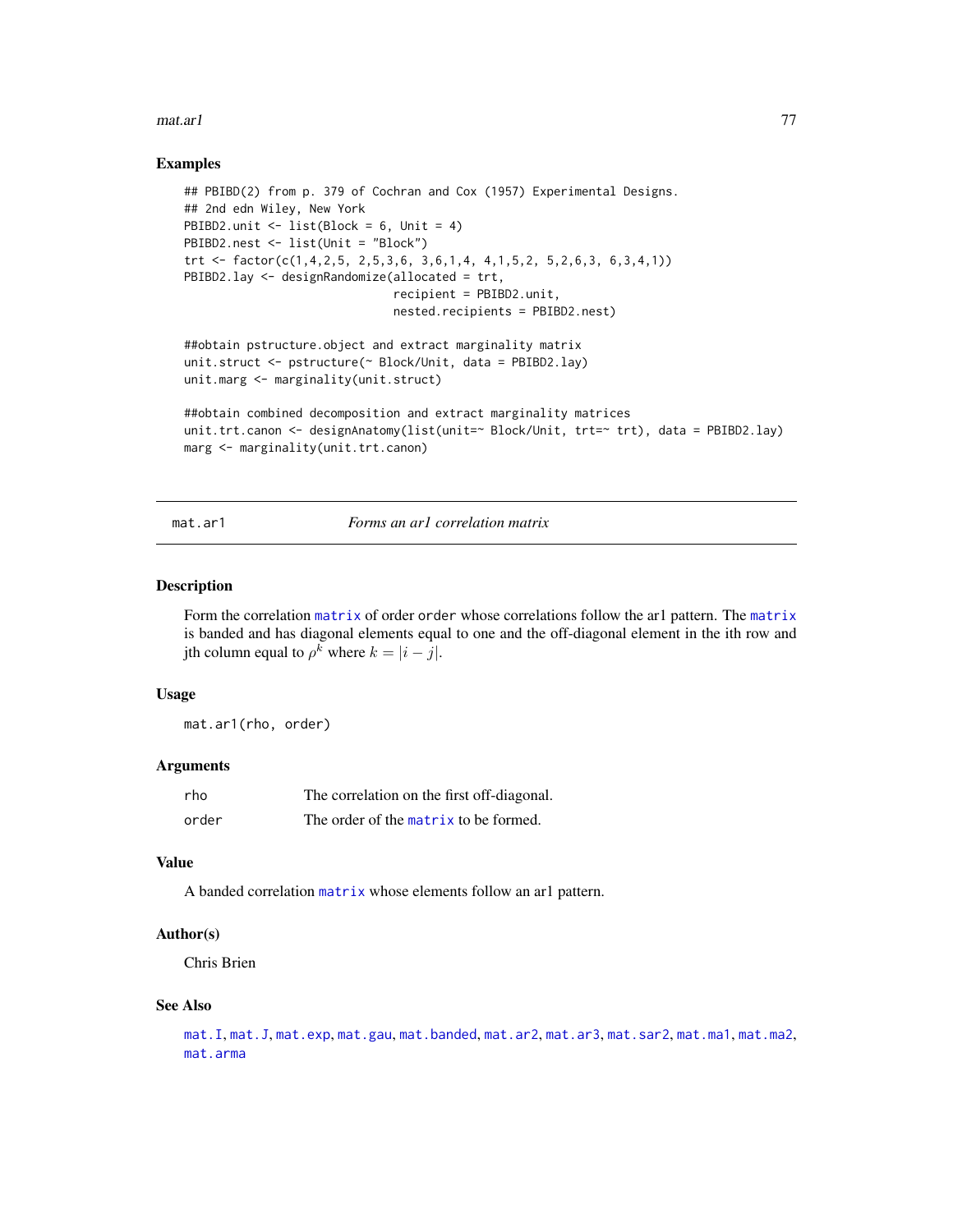#### mat.ar1 77

## Examples

```
## PBIBD(2) from p. 379 of Cochran and Cox (1957) Experimental Designs.
## 2nd edn Wiley, New York
PBIBD2.unit \leftarrow list(Block = 6, Unit = 4)
PBIBD2.nest <- list(Unit = "Block")
trt <- factor(c(1,4,2,5, 2,5,3,6, 3,6,1,4, 4,1,5,2, 5,2,6,3, 6,3,4,1))
PBIBD2.lay <- designRandomize(allocated = trt,
                              recipient = PBIBD2.unit,
                              nested.recipients = PBIBD2.nest)
##obtain pstructure.object and extract marginality matrix
unit.struct <- pstructure(~ Block/Unit, data = PBIBD2.lay)
unit.marg <- marginality(unit.struct)
##obtain combined decomposition and extract marginality matrices
unit.trt.canon <- designAnatomy(list(unit=~ Block/Unit, trt=~ trt), data = PBIBD2.lay)
marg <- marginality(unit.trt.canon)
```
# <span id="page-76-0"></span>mat.ar1 *Forms an ar1 correlation matrix*

#### Description

Form the correlation [matrix](#page-0-0) of order order whose correlations follow the ar1 pattern. The [matrix](#page-0-0) is banded and has diagonal elements equal to one and the off-diagonal element in the ith row and jth column equal to  $\rho^k$  where  $k = |i - j|$ .

## Usage

mat.ar1(rho, order)

#### Arguments

| rho   | The correlation on the first off-diagonal. |
|-------|--------------------------------------------|
| order | The order of the matrix to be formed.      |

# Value

A banded correlation [matrix](#page-0-0) whose elements follow an ar1 pattern.

## Author(s)

Chris Brien

#### See Also

```
mat.Imat.Jmat.expmat.gaumat.bandedmat.ar2mat.ar3mat.sar2mat.ma1mat.ma2,
mat.arma
```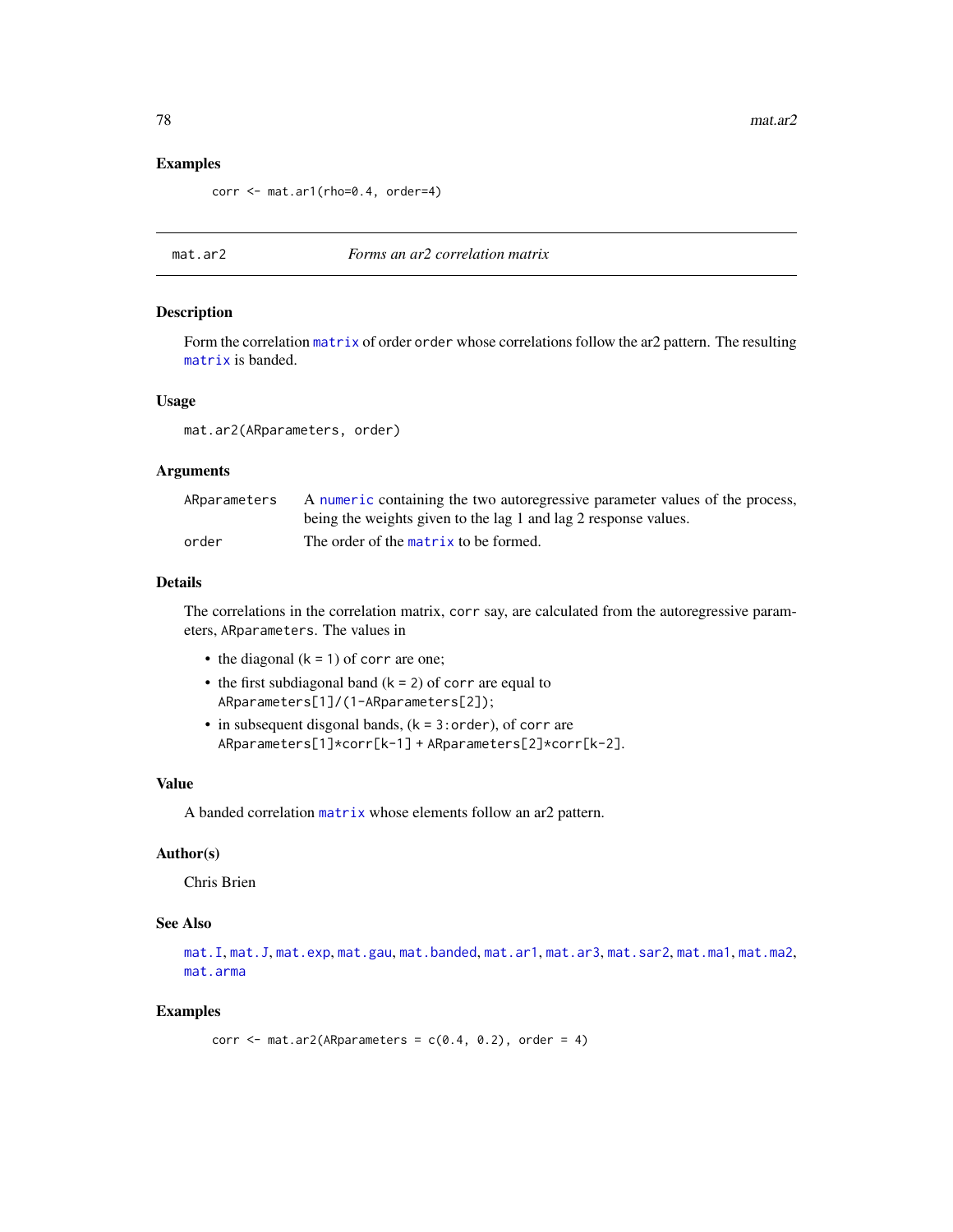## Examples

corr <- mat.ar1(rho=0.4, order=4)

## <span id="page-77-0"></span>mat.ar2 *Forms an ar2 correlation matrix*

#### Description

Form the correlation [matrix](#page-0-0) of order order whose correlations follow the ar2 pattern. The resulting [matrix](#page-0-0) is banded.

#### Usage

mat.ar2(ARparameters, order)

# Arguments

| ARparameters | A numeric containing the two autoregressive parameter values of the process, |
|--------------|------------------------------------------------------------------------------|
|              | being the weights given to the lag 1 and lag 2 response values.              |
| order        | The order of the matrix to be formed.                                        |

## Details

The correlations in the correlation matrix, corr say, are calculated from the autoregressive parameters, ARparameters. The values in

- the diagonal  $(k = 1)$  of corr are one;
- the first subdiagonal band  $(k = 2)$  of corr are equal to ARparameters[1]/(1-ARparameters[2]);
- $\bullet$  in subsequent disgonal bands, ( $k = 3$ : order), of corr are ARparameters[1]\*corr[k-1] + ARparameters[2]\*corr[k-2].

#### Value

A banded correlation [matrix](#page-0-0) whose elements follow an ar2 pattern.

## Author(s)

Chris Brien

## See Also

[mat.I](#page-84-0), [mat.J](#page-85-0), [mat.exp](#page-83-0), [mat.gau](#page-83-1), [mat.banded](#page-80-0), [mat.ar1](#page-76-0), [mat.ar3](#page-78-0), [mat.sar2](#page-91-0), [mat.ma1](#page-86-0), [mat.ma2](#page-86-1), [mat.arma](#page-79-0)

# Examples

corr  $\leq$  mat.ar2(ARparameters =  $c(0.4, 0.2)$ , order = 4)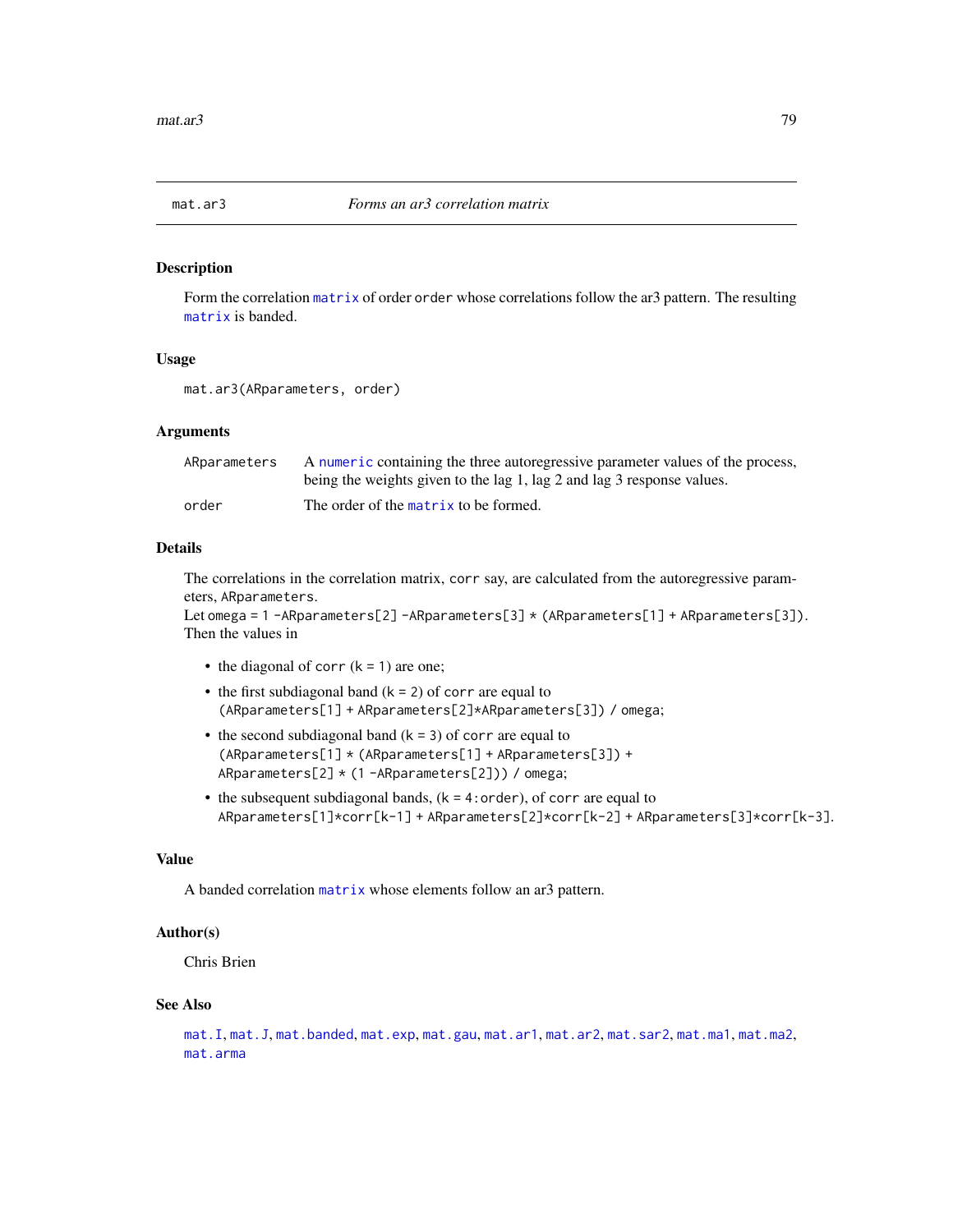<span id="page-78-0"></span>

Form the correlation [matrix](#page-0-0) of order order whose correlations follow the ar3 pattern. The resulting [matrix](#page-0-0) is banded.

# Usage

mat.ar3(ARparameters, order)

## Arguments

| ARparameters | A numeric containing the three autoregressive parameter values of the process, |
|--------------|--------------------------------------------------------------------------------|
|              | being the weights given to the lag 1, lag 2 and lag 3 response values.         |
| order        | The order of the matrix to be formed.                                          |

# Details

The correlations in the correlation matrix, corr say, are calculated from the autoregressive parameters, ARparameters.

Let omega = 1 -ARparameters[2] -ARparameters[3] \* (ARparameters[1] + ARparameters[3]). Then the values in

- the diagonal of corr  $(k = 1)$  are one;
- the first subdiagonal band  $(k = 2)$  of corr are equal to (ARparameters[1] + ARparameters[2]\*ARparameters[3]) / omega;
- the second subdiagonal band  $(k = 3)$  of corr are equal to (ARparameters[1] \* (ARparameters[1] + ARparameters[3]) + ARparameters[2] \* (1 -ARparameters[2])) / omega;
- the subsequent subdiagonal bands,  $(k = 4:order)$ , of corr are equal to ARparameters[1]\*corr[k-1] + ARparameters[2]\*corr[k-2] + ARparameters[3]\*corr[k-3].

# Value

A banded correlation [matrix](#page-0-0) whose elements follow an ar3 pattern.

# Author(s)

Chris Brien

#### See Also

```
mat.I, mat.J, mat.banded, mat.exp, mat.gau, mat.ar1, mat.ar2, mat.sar2, mat.ma1, mat.ma2,
mat.arma
```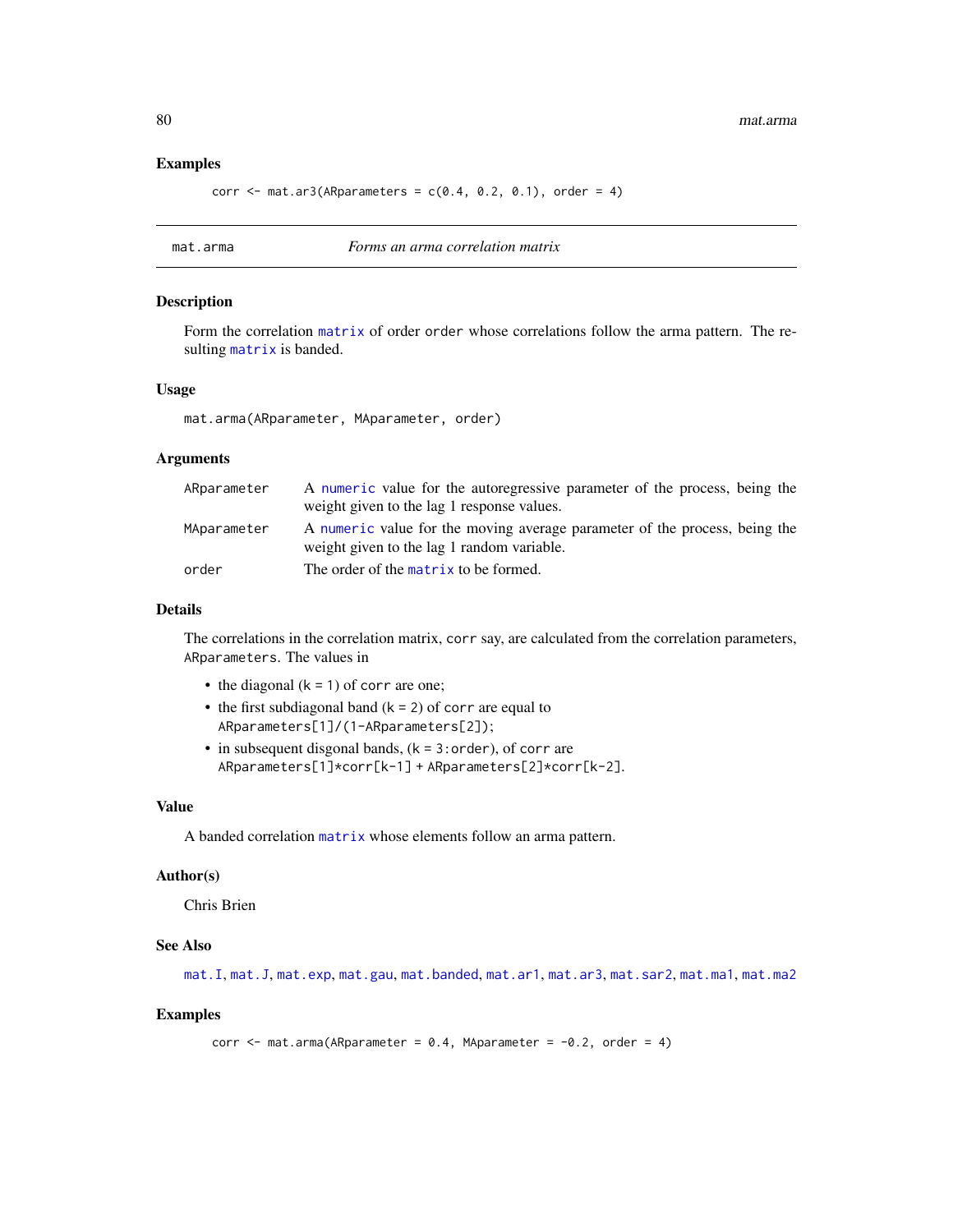## Examples

corr  $\leq$  mat.ar3(ARparameters =  $c(0.4, 0.2, 0.1)$ , order = 4)

<span id="page-79-0"></span>mat.arma *Forms an arma correlation matrix*

## Description

Form the correlation [matrix](#page-0-0) of order order whose correlations follow the arma pattern. The resulting [matrix](#page-0-0) is banded.

#### Usage

mat.arma(ARparameter, MAparameter, order)

#### Arguments

| ARparameter | A numeric value for the autoregressive parameter of the process, being the                                               |
|-------------|--------------------------------------------------------------------------------------------------------------------------|
|             | weight given to the lag 1 response values.                                                                               |
| MAparameter | A numeric value for the moving average parameter of the process, being the<br>weight given to the lag 1 random variable. |
| order       | The order of the matrix to be formed.                                                                                    |

## Details

The correlations in the correlation matrix, corr say, are calculated from the correlation parameters, ARparameters. The values in

- the diagonal  $(k = 1)$  of corr are one;
- the first subdiagonal band  $(k = 2)$  of corr are equal to ARparameters[1]/(1-ARparameters[2]);
- $\bullet$  in subsequent disgonal bands, ( $k = 3$ : order), of corr are ARparameters[1]\*corr[k-1] + ARparameters[2]\*corr[k-2].

## Value

A banded correlation [matrix](#page-0-0) whose elements follow an arma pattern.

#### Author(s)

Chris Brien

# See Also

[mat.I](#page-84-0), [mat.J](#page-85-0), [mat.exp](#page-83-0), [mat.gau](#page-83-1), [mat.banded](#page-80-0), [mat.ar1](#page-76-0), [mat.ar3](#page-78-0), [mat.sar2](#page-91-0), [mat.ma1](#page-86-0), [mat.ma2](#page-86-1)

```
corr \leq mat.arma(ARparameter = 0.4, MAparameter = -0.2, order = 4)
```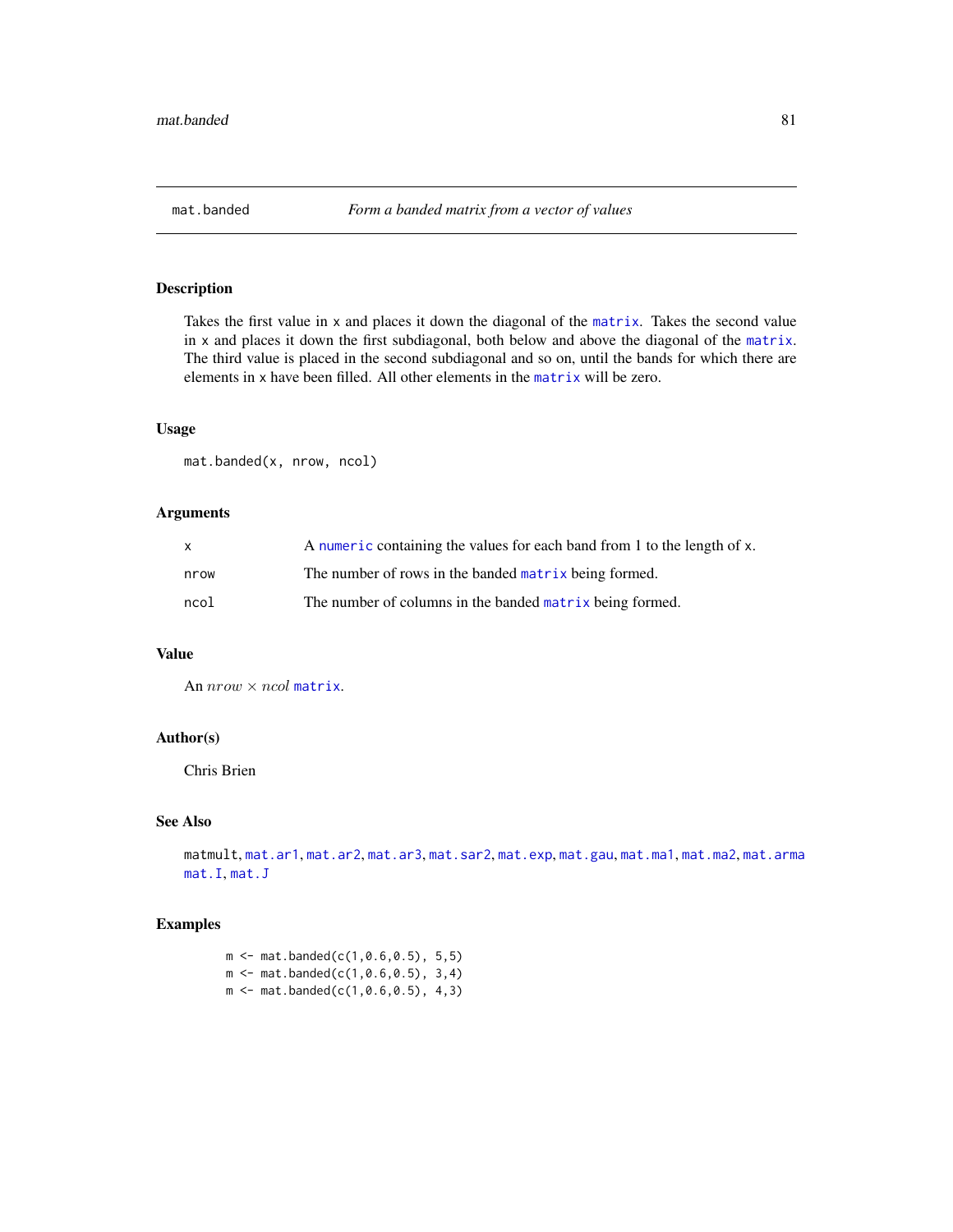<span id="page-80-0"></span>

Takes the first value in x and places it down the diagonal of the [matrix](#page-0-0). Takes the second value in x and places it down the first subdiagonal, both below and above the diagonal of the [matrix](#page-0-0). The third value is placed in the second subdiagonal and so on, until the bands for which there are elements in x have been filled. All other elements in the [matrix](#page-0-0) will be zero.

# Usage

mat.banded(x, nrow, ncol)

# Arguments

| $\mathsf{x}$ | A numeric containing the values for each band from 1 to the length of x. |
|--------------|--------------------------------------------------------------------------|
| nrow         | The number of rows in the banded matrix being formed.                    |
| ncol         | The number of columns in the banded matrix being formed.                 |

# Value

An  $nrow \times ncol$  [matrix](#page-0-0).

# Author(s)

Chris Brien

## See Also

```
matmult, mat.ar1, mat.ar2, mat.ar3, mat.sar2, mat.exp, mat.gau, mat.ma1, mat.ma2, mat.arma
mat.I, mat.J
```
# Examples

 $m \le -$  mat.banded(c(1,0.6,0.5), 5,5)  $m \le - \text{mat.banded}(c(1, 0.6, 0.5), 3, 4)$  $m \leq -m$ at.banded(c(1,0.6,0.5), 4,3)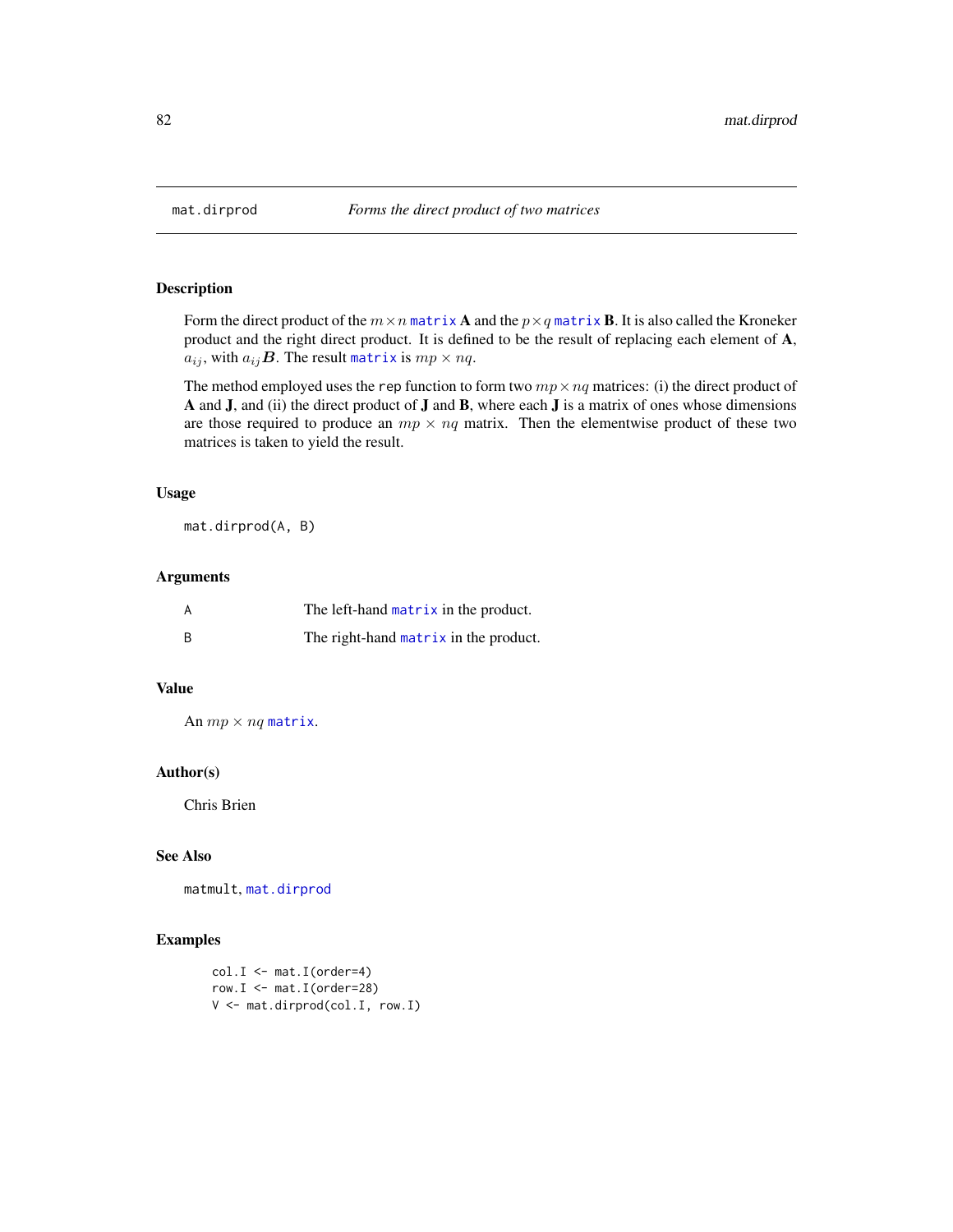<span id="page-81-0"></span>

Form the direct product of the  $m \times n$  [matrix](#page-0-0) **A** and the  $p \times q$  matrix **B**. It is also called the Kroneker product and the right direct product. It is defined to be the result of replacing each element of A,  $a_{ij}$ , with  $a_{ij}$ **B**. The result [matrix](#page-0-0) is  $mp \times nq$ .

The method employed uses the rep function to form two  $mp \times nq$  matrices: (i) the direct product of A and J, and (ii) the direct product of J and B, where each J is a matrix of ones whose dimensions are those required to produce an  $mp \times nq$  matrix. Then the elementwise product of these two matrices is taken to yield the result.

#### Usage

mat.dirprod(A, B)

# Arguments

| A   | The left-hand matrix in the product.  |
|-----|---------------------------------------|
| - B | The right-hand matrix in the product. |

#### Value

An  $mp \times nq$  [matrix](#page-0-0).

## Author(s)

Chris Brien

# See Also

matmult, [mat.dirprod](#page-81-0)

```
col.I \leftarrow mat.I(order=4)row. I \leq - \text{mat.I}(\text{order}=28)V <- mat.dirprod(col.I, row.I)
```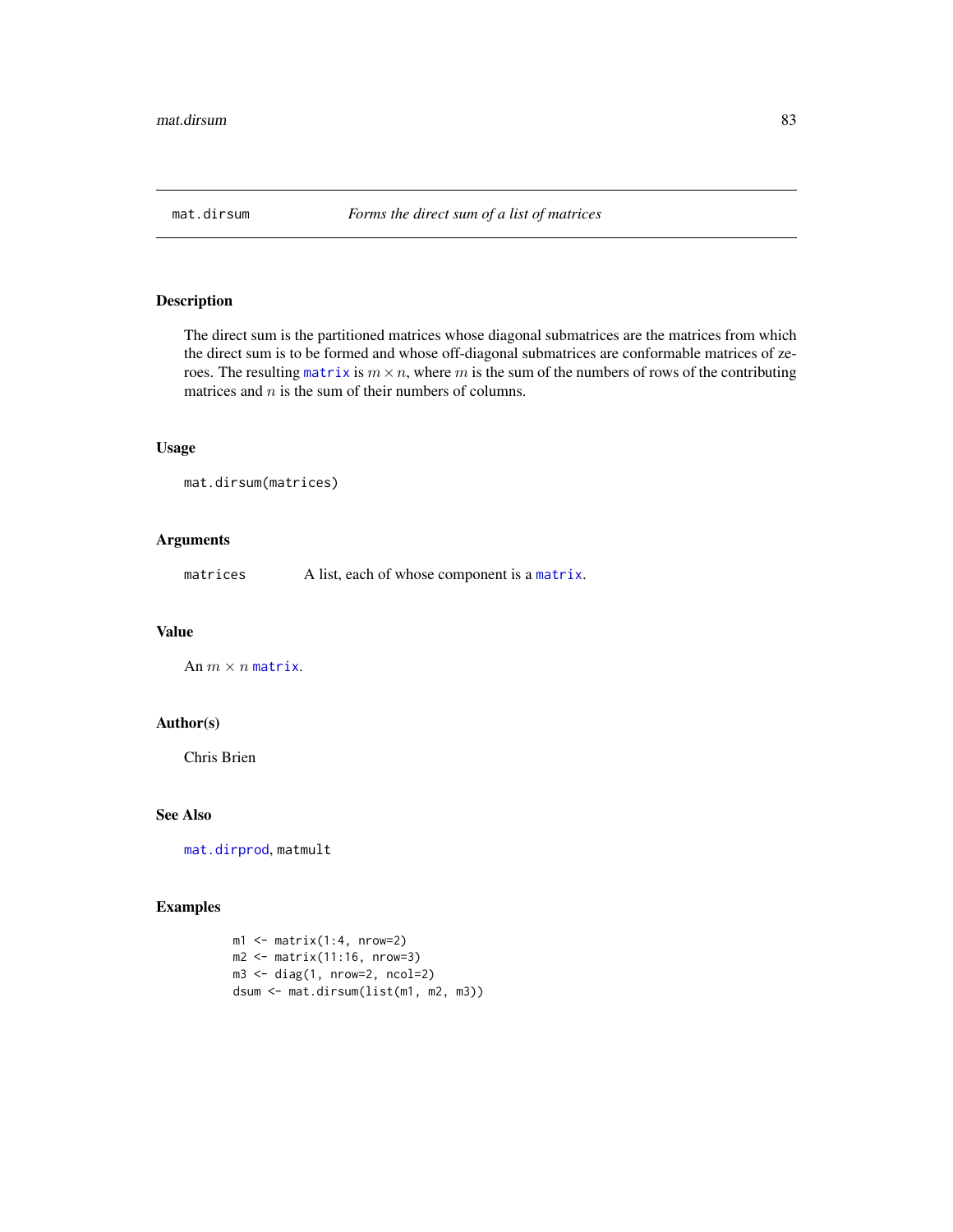The direct sum is the partitioned matrices whose diagonal submatrices are the matrices from which the direct sum is to be formed and whose off-diagonal submatrices are conformable matrices of zeroes. The resulting [matrix](#page-0-0) is  $m \times n$ , where m is the sum of the numbers of rows of the contributing matrices and  $n$  is the sum of their numbers of columns.

#### Usage

```
mat.dirsum(matrices)
```
# Arguments

matrices A list, each of whose component is a [matrix](#page-0-0).

#### Value

An  $m \times n$  [matrix](#page-0-0).

## Author(s)

Chris Brien

# See Also

[mat.dirprod](#page-81-0), matmult

```
ml \leftarrow matrix(1:4, nrow=2)m2 \leq -\text{matrix}(11:16, \text{nrow=3})m3 <- diag(1, nrow=2, ncol=2)
dsum <- mat.dirsum(list(m1, m2, m3))
```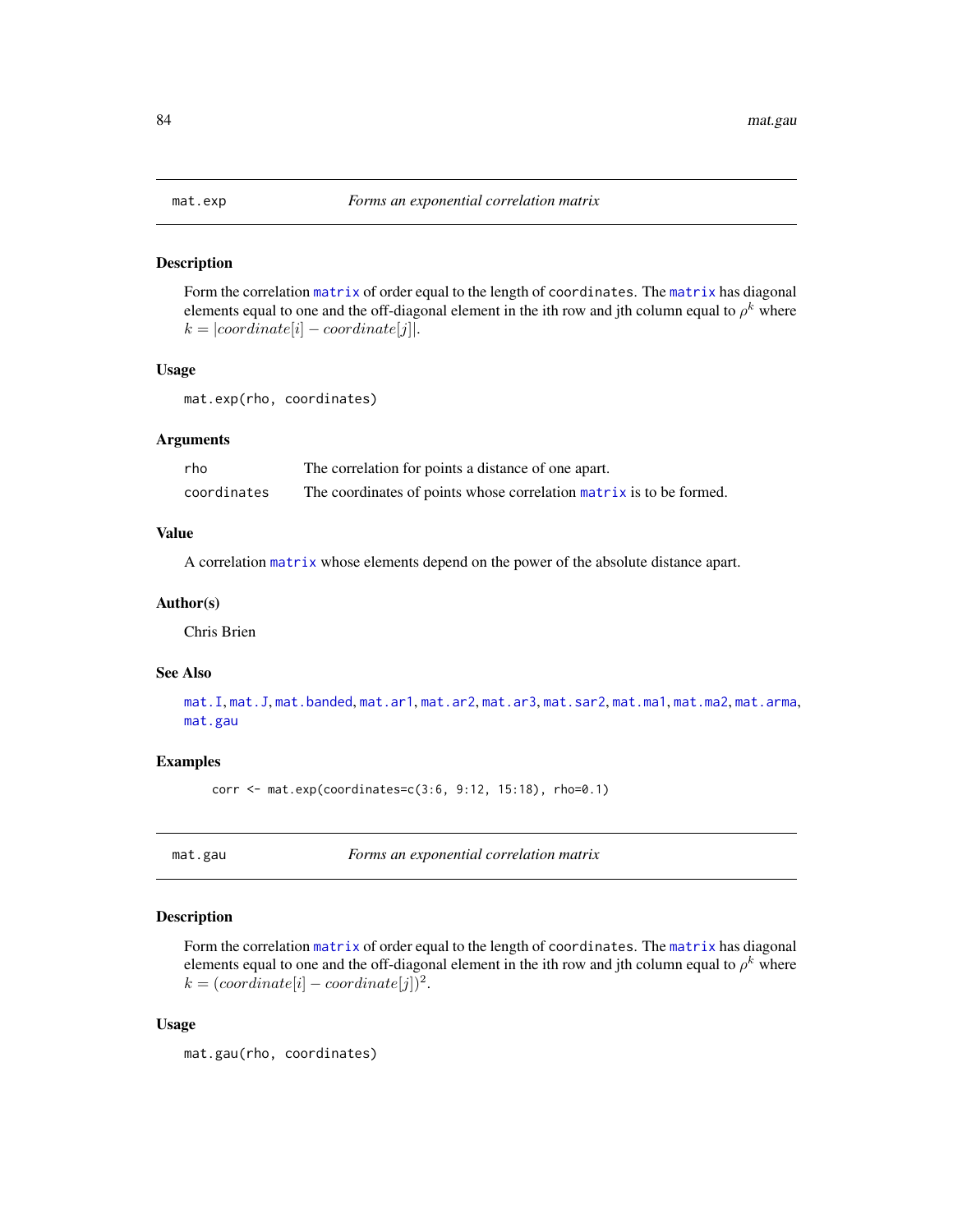<span id="page-83-0"></span>Form the correlation [matrix](#page-0-0) of order equal to the length of coordinates. The [matrix](#page-0-0) has diagonal elements equal to one and the off-diagonal element in the ith row and jth column equal to  $\rho^k$  where  $k = |coordinate[i] - coordinate[j]|.$ 

#### Usage

mat.exp(rho, coordinates)

#### Arguments

| rho         | The correlation for points a distance of one apart.                 |
|-------------|---------------------------------------------------------------------|
| coordinates | The coordinates of points whose correlation matrix is to be formed. |

## Value

A correlation [matrix](#page-0-0) whose elements depend on the power of the absolute distance apart.

#### Author(s)

Chris Brien

## See Also

[mat.I](#page-84-0), [mat.J](#page-85-0), [mat.banded](#page-80-0), [mat.ar1](#page-76-0), [mat.ar2](#page-77-0), [mat.ar3](#page-78-0), [mat.sar2](#page-91-0), [mat.ma1](#page-86-0), [mat.ma2](#page-86-1), [mat.arma](#page-79-0), [mat.gau](#page-83-1)

# Examples

corr <- mat.exp(coordinates=c(3:6, 9:12, 15:18), rho=0.1)

<span id="page-83-1"></span>mat.gau *Forms an exponential correlation matrix*

# Description

Form the correlation [matrix](#page-0-0) of order equal to the length of coordinates. The [matrix](#page-0-0) has diagonal elements equal to one and the off-diagonal element in the ith row and jth column equal to  $\rho^k$  where  $k = (coordinate[i] - coordinate[j])^2$ .

## Usage

mat.gau(rho, coordinates)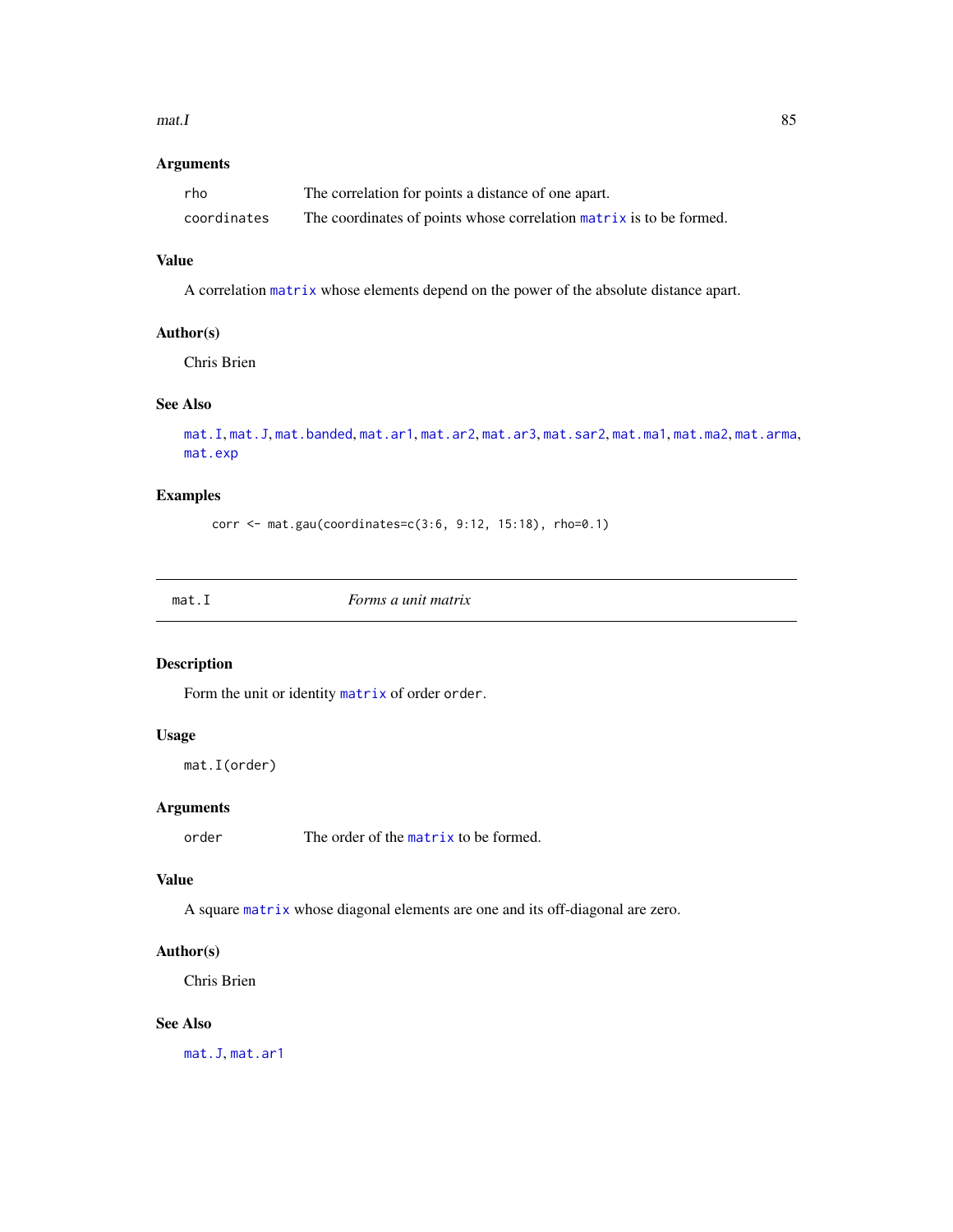#### $\text{mat.}$  I and  $\text{sat.}$  1

# Arguments

| rho         | The correlation for points a distance of one apart.                 |
|-------------|---------------------------------------------------------------------|
| coordinates | The coordinates of points whose correlation matrix is to be formed. |

# Value

A correlation [matrix](#page-0-0) whose elements depend on the power of the absolute distance apart.

## Author(s)

Chris Brien

# See Also

```
mat.I, mat.J, mat.banded, mat.ar1, mat.ar2, mat.ar3, mat.sar2, mat.ma1, mat.ma2, mat.arma,
mat.exp
```
# Examples

corr <- mat.gau(coordinates=c(3:6, 9:12, 15:18), rho=0.1)

<span id="page-84-0"></span>

| <i>Forms a unit matrix</i><br>mat.I |
|-------------------------------------|
|-------------------------------------|

# Description

Form the unit or identity [matrix](#page-0-0) of order order.

# Usage

```
mat.I(order)
```
# Arguments

order The order of the [matrix](#page-0-0) to be formed.

#### Value

A square [matrix](#page-0-0) whose diagonal elements are one and its off-diagonal are zero.

# Author(s)

Chris Brien

# See Also

[mat.J](#page-85-0), [mat.ar1](#page-76-0)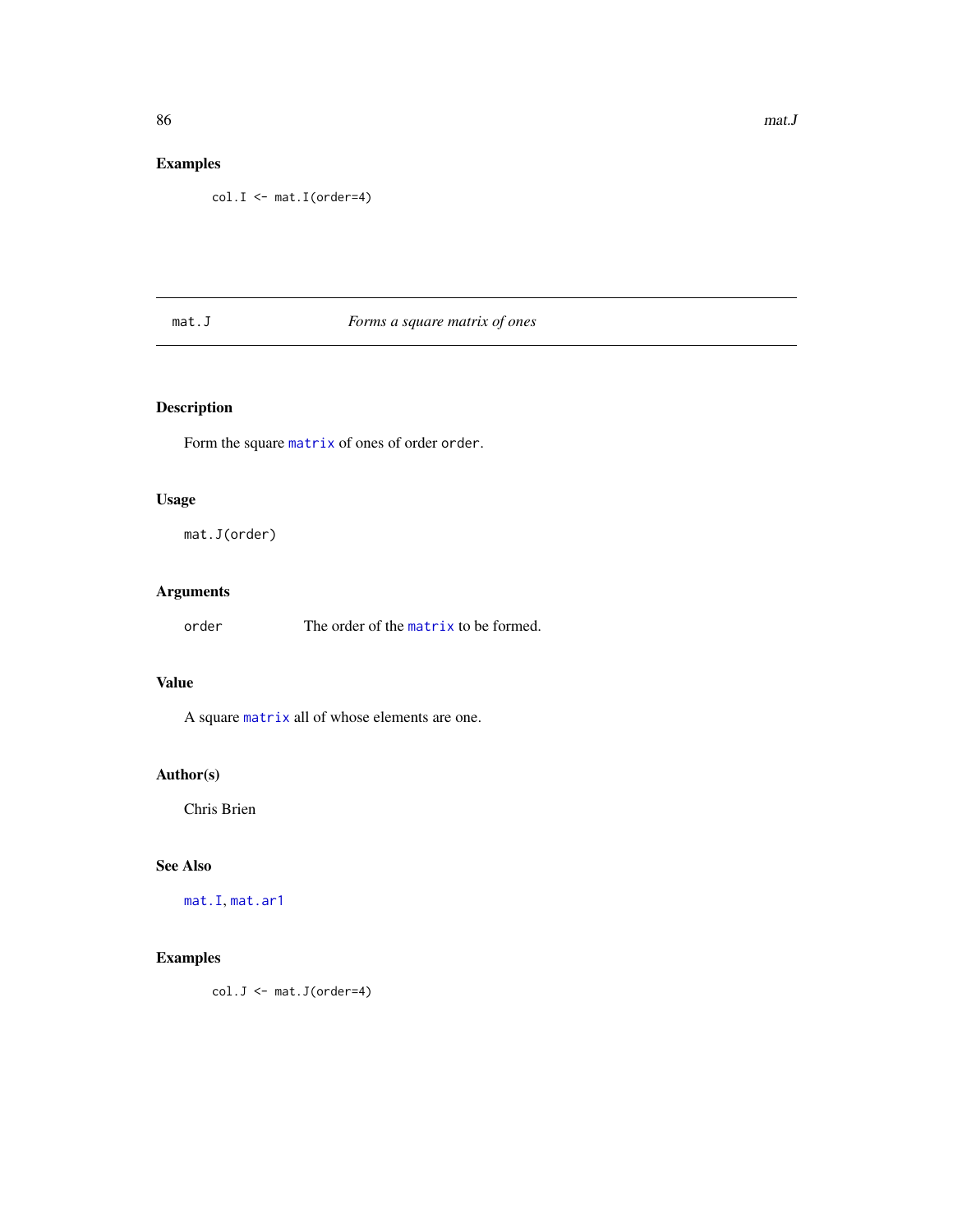# Examples

col.I <- mat.I(order=4)

# <span id="page-85-0"></span>mat.J *Forms a square matrix of ones*

# Description

Form the square [matrix](#page-0-0) of ones of order order.

## Usage

mat.J(order)

# Arguments

order The order of the [matrix](#page-0-0) to be formed.

# Value

A square [matrix](#page-0-0) all of whose elements are one.

# Author(s)

Chris Brien

# See Also

[mat.I](#page-84-0), [mat.ar1](#page-76-0)

# Examples

col.J <- mat.J(order=4)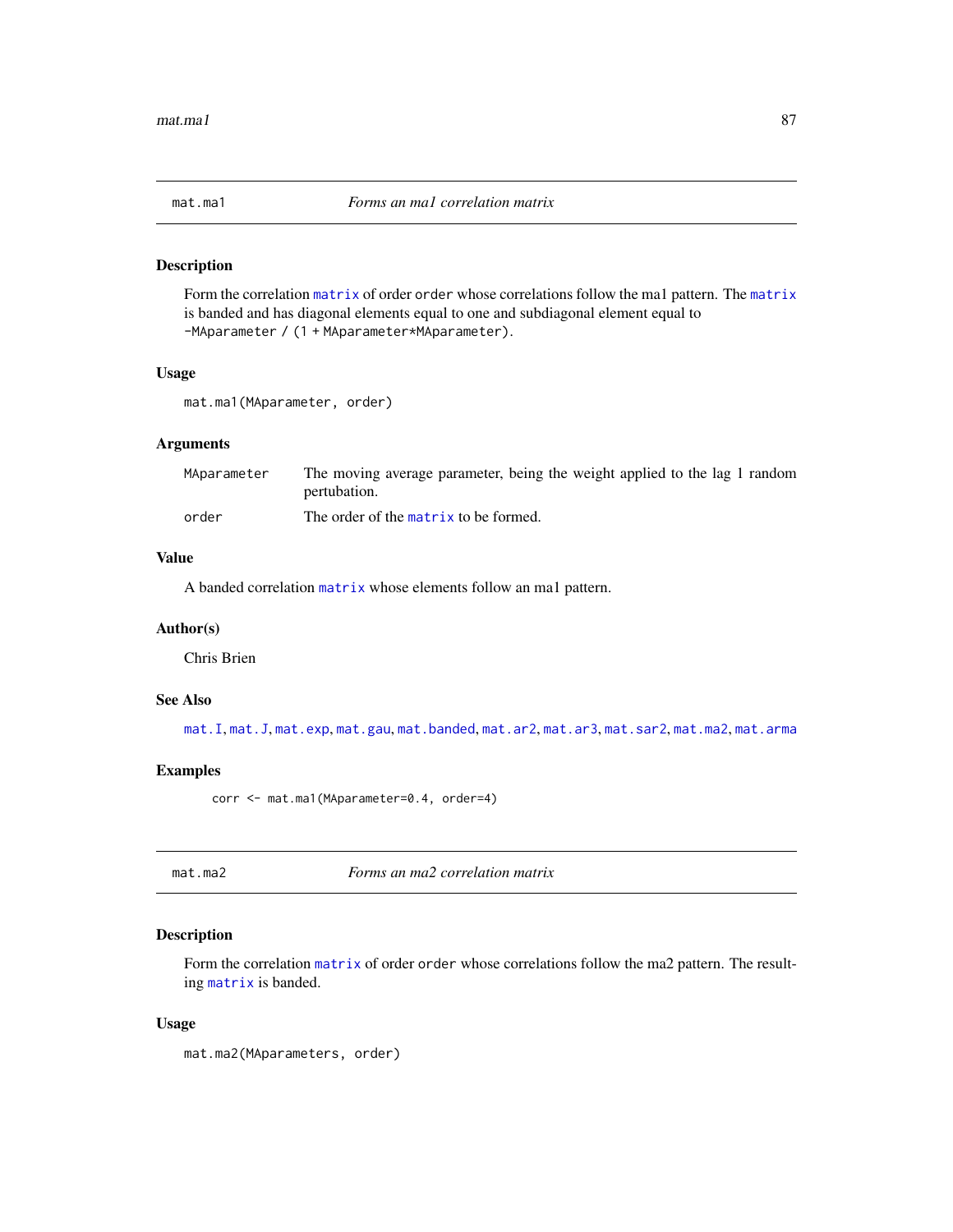<span id="page-86-0"></span>

Form the correlation [matrix](#page-0-0) of order order whose correlations follow the ma1 pattern. The [matrix](#page-0-0) is banded and has diagonal elements equal to one and subdiagonal element equal to -MAparameter / (1 + MAparameter\*MAparameter).

#### Usage

```
mat.ma1(MAparameter, order)
```
# Arguments

| MAparameter | The moving average parameter, being the weight applied to the lag 1 random |
|-------------|----------------------------------------------------------------------------|
|             | pertubation.                                                               |
| order       | The order of the matrix to be formed.                                      |

## Value

A banded correlation [matrix](#page-0-0) whose elements follow an ma1 pattern.

#### Author(s)

Chris Brien

# See Also

[mat.I](#page-84-0), [mat.J](#page-85-0), [mat.exp](#page-83-0), [mat.gau](#page-83-1), [mat.banded](#page-80-0), [mat.ar2](#page-77-0), [mat.ar3](#page-78-0), [mat.sar2](#page-91-0), [mat.ma2](#page-86-1), [mat.arma](#page-79-0)

# Examples

corr <- mat.ma1(MAparameter=0.4, order=4)

<span id="page-86-1"></span>mat.ma2 *Forms an ma2 correlation matrix*

# Description

Form the correlation [matrix](#page-0-0) of order order whose correlations follow the ma2 pattern. The resulting [matrix](#page-0-0) is banded.

#### Usage

mat.ma2(MAparameters, order)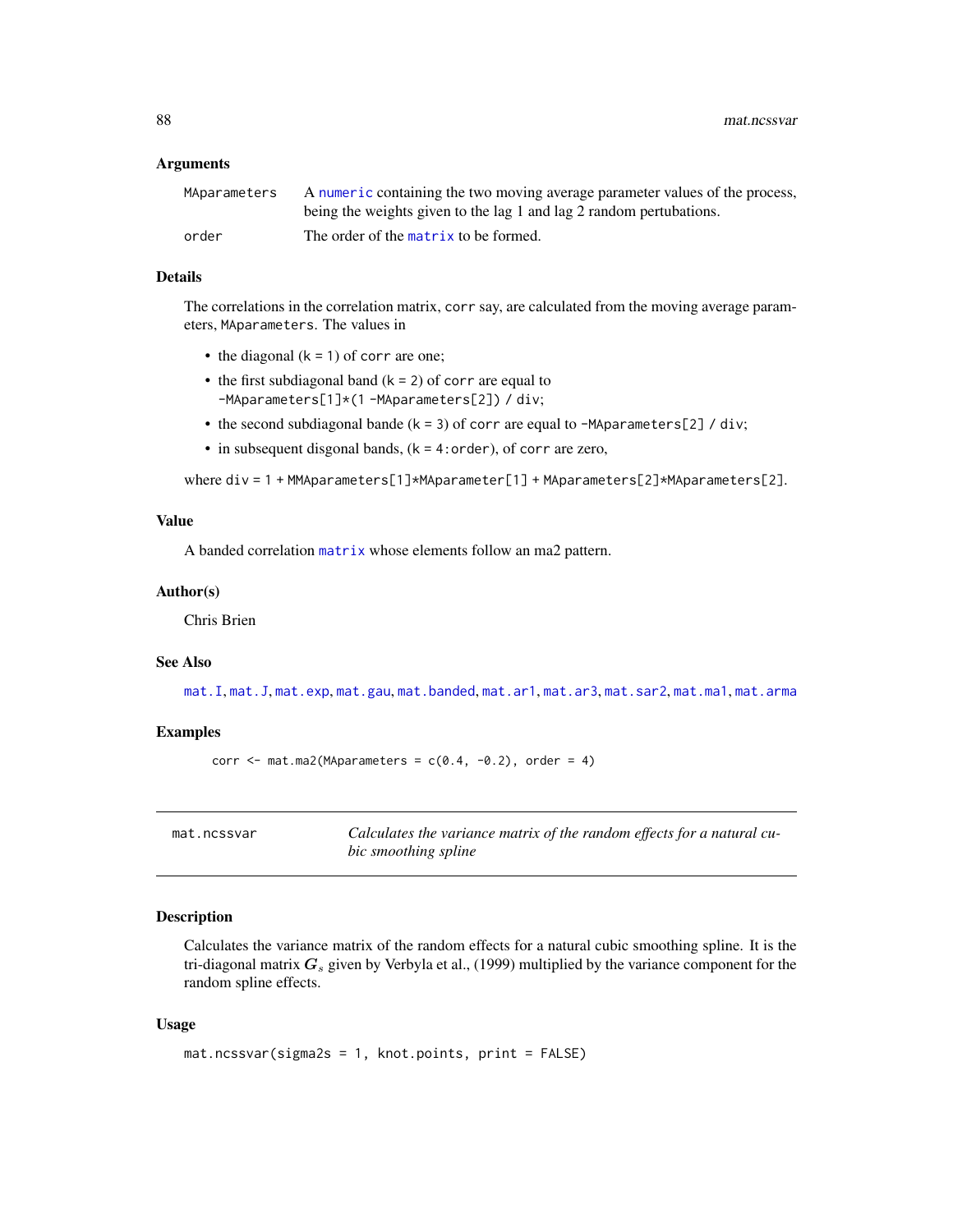88 mat.ncssvar mat.ncssvar mat.ncssvar mat.ncssvar mat.ncssvar mat.ncssvar mat.ncssvar

## Arguments

| MAparameters | A numeric containing the two moving average parameter values of the process, |
|--------------|------------------------------------------------------------------------------|
|              | being the weights given to the lag 1 and lag 2 random pertubations.          |
| order        | The order of the matrix to be formed.                                        |

## Details

The correlations in the correlation matrix, corr say, are calculated from the moving average parameters, MAparameters. The values in

- the diagonal  $(k = 1)$  of corr are one;
- the first subdiagonal band  $(k = 2)$  of corr are equal to -MAparameters[1]\*(1 -MAparameters[2]) / div;
- the second subdiagonal bande  $(k = 3)$  of corr are equal to -MAparameters[2] / div;
- in subsequent disgonal bands, (k = 4:order), of corr are zero,

where div = 1 + MMAparameters[1]\*MAparameter[1] + MAparameters[2]\*MAparameters[2].

## Value

A banded correlation [matrix](#page-0-0) whose elements follow an ma2 pattern.

#### Author(s)

Chris Brien

# See Also

[mat.I](#page-84-0), [mat.J](#page-85-0), [mat.exp](#page-83-0), [mat.gau](#page-83-1), [mat.banded](#page-80-0), [mat.ar1](#page-76-0), [mat.ar3](#page-78-0), [mat.sar2](#page-91-0), [mat.ma1](#page-86-0), [mat.arma](#page-79-0)

## Examples

```
corr \leq mat.ma2(MAparameters = c(0.4, -0.2), order = 4)
```
mat.ncssvar *Calculates the variance matrix of the random effects for a natural cubic smoothing spline*

# Description

Calculates the variance matrix of the random effects for a natural cubic smoothing spline. It is the tri-diagonal matrix  $G_s$  given by Verbyla et al., (1999) multiplied by the variance component for the random spline effects.

## Usage

```
mat.ncssvar(sigma2s = 1, knot.points, print = FALSE)
```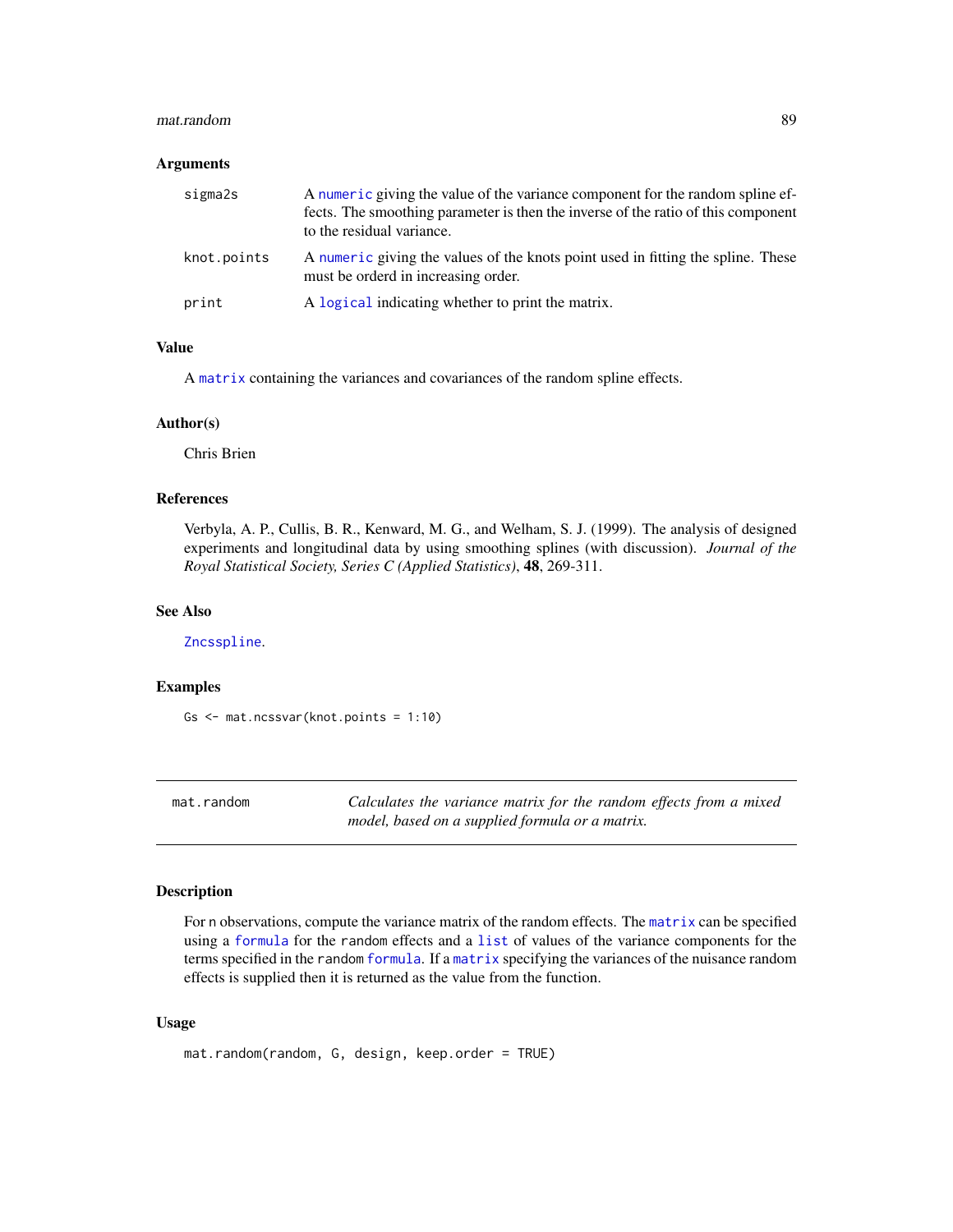#### mat.random 89

#### **Arguments**

| sigma2s     | A numeric giving the value of the variance component for the random spline ef-<br>fects. The smoothing parameter is then the inverse of the ratio of this component<br>to the residual variance. |
|-------------|--------------------------------------------------------------------------------------------------------------------------------------------------------------------------------------------------|
| knot.points | A numeric giving the values of the knots point used in fitting the spline. These<br>must be orderd in increasing order.                                                                          |
| print       | A logical indicating whether to print the matrix.                                                                                                                                                |

# Value

A [matrix](#page-0-0) containing the variances and covariances of the random spline effects.

#### Author(s)

Chris Brien

# References

Verbyla, A. P., Cullis, B. R., Kenward, M. G., and Welham, S. J. (1999). The analysis of designed experiments and longitudinal data by using smoothing splines (with discussion). *Journal of the Royal Statistical Society, Series C (Applied Statistics)*, 48, 269-311.

#### See Also

[Zncsspline](#page-138-0).

# Examples

```
Gs <- mat.ncssvar(knot.points = 1:10)
```
<span id="page-88-0"></span>mat.random *Calculates the variance matrix for the random effects from a mixed model, based on a supplied formula or a matrix.*

#### Description

For n observations, compute the variance matrix of the random effects. The [matrix](#page-0-0) can be specified using a [formula](#page-0-0) for the random effects and a [list](#page-0-0) of values of the variance components for the terms specified in the random [formula](#page-0-0). If a [matrix](#page-0-0) specifying the variances of the nuisance random effects is supplied then it is returned as the value from the function.

## Usage

```
mat.random(random, G, design, keep.order = TRUE)
```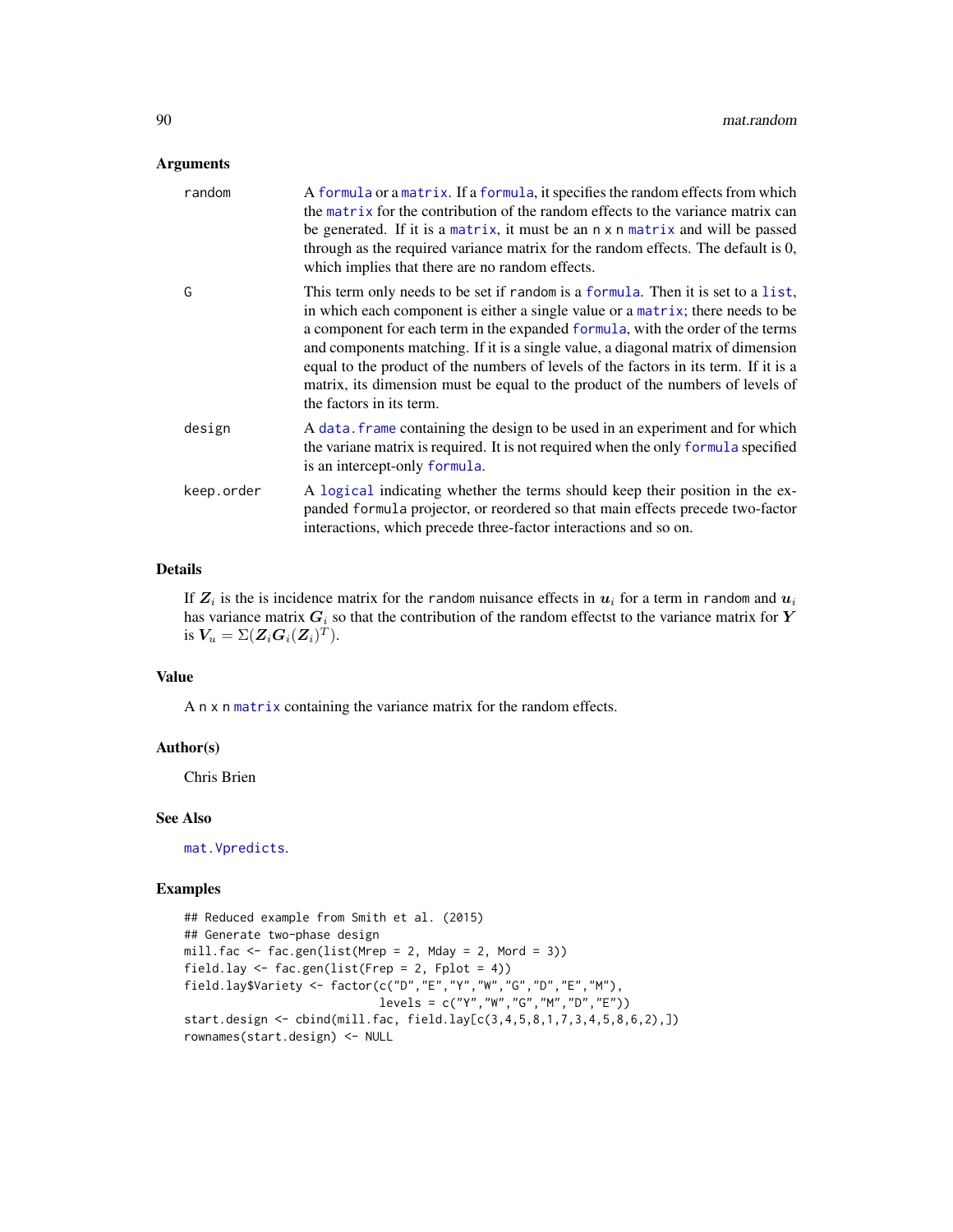## Arguments

| random     | A formula or a matrix. If a formula, it specifies the random effects from which<br>the matrix for the contribution of the random effects to the variance matrix can<br>be generated. If it is a matrix, it must be an n x n matrix and will be passed<br>through as the required variance matrix for the random effects. The default is 0,<br>which implies that there are no random effects.                                                                                                                                                   |
|------------|-------------------------------------------------------------------------------------------------------------------------------------------------------------------------------------------------------------------------------------------------------------------------------------------------------------------------------------------------------------------------------------------------------------------------------------------------------------------------------------------------------------------------------------------------|
| G          | This term only needs to be set if random is a formula. Then it is set to a list,<br>in which each component is either a single value or a matrix; there needs to be<br>a component for each term in the expanded formula, with the order of the terms<br>and components matching. If it is a single value, a diagonal matrix of dimension<br>equal to the product of the numbers of levels of the factors in its term. If it is a<br>matrix, its dimension must be equal to the product of the numbers of levels of<br>the factors in its term. |
| design     | A data. frame containing the design to be used in an experiment and for which<br>the variane matrix is required. It is not required when the only formula specified<br>is an intercept-only formula.                                                                                                                                                                                                                                                                                                                                            |
| keep.order | A logical indicating whether the terms should keep their position in the ex-<br>panded formula projector, or reordered so that main effects precede two-factor<br>interactions, which precede three-factor interactions and so on.                                                                                                                                                                                                                                                                                                              |

# Details

If  $\mathbf{Z}_i$  is the is incidence matrix for the random nuisance effects in  $\bm{u}_i$  for a term in random and  $\bm{u}_i$ has variance matrix  $G_i$  so that the contribution of the random effectst to the variance matrix for Y is  $V_u = \Sigma(\mathbf{Z}_i \mathbf{G}_i(\mathbf{Z}_i)^T)$ .

## Value

A n x n [matrix](#page-0-0) containing the variance matrix for the random effects.

#### Author(s)

Chris Brien

# See Also

[mat.Vpredicts](#page-94-0).

```
## Reduced example from Smith et al. (2015)
## Generate two-phase design
mill.fac \leq fac.gen(list(Mrep = 2, Mday = 2, Mord = 3))
field.lay \le fac.gen(list(Frep = 2, Fplot = 4))
field.lay$Variety <- factor(c("D","E","Y","W","G","D","E","M"),
                             levels = c("Y","W","G","M","D","E"))
start.design <- cbind(mill.fac, field.lay[c(3,4,5,8,1,7,3,4,5,8,6,2),])
rownames(start.design) <- NULL
```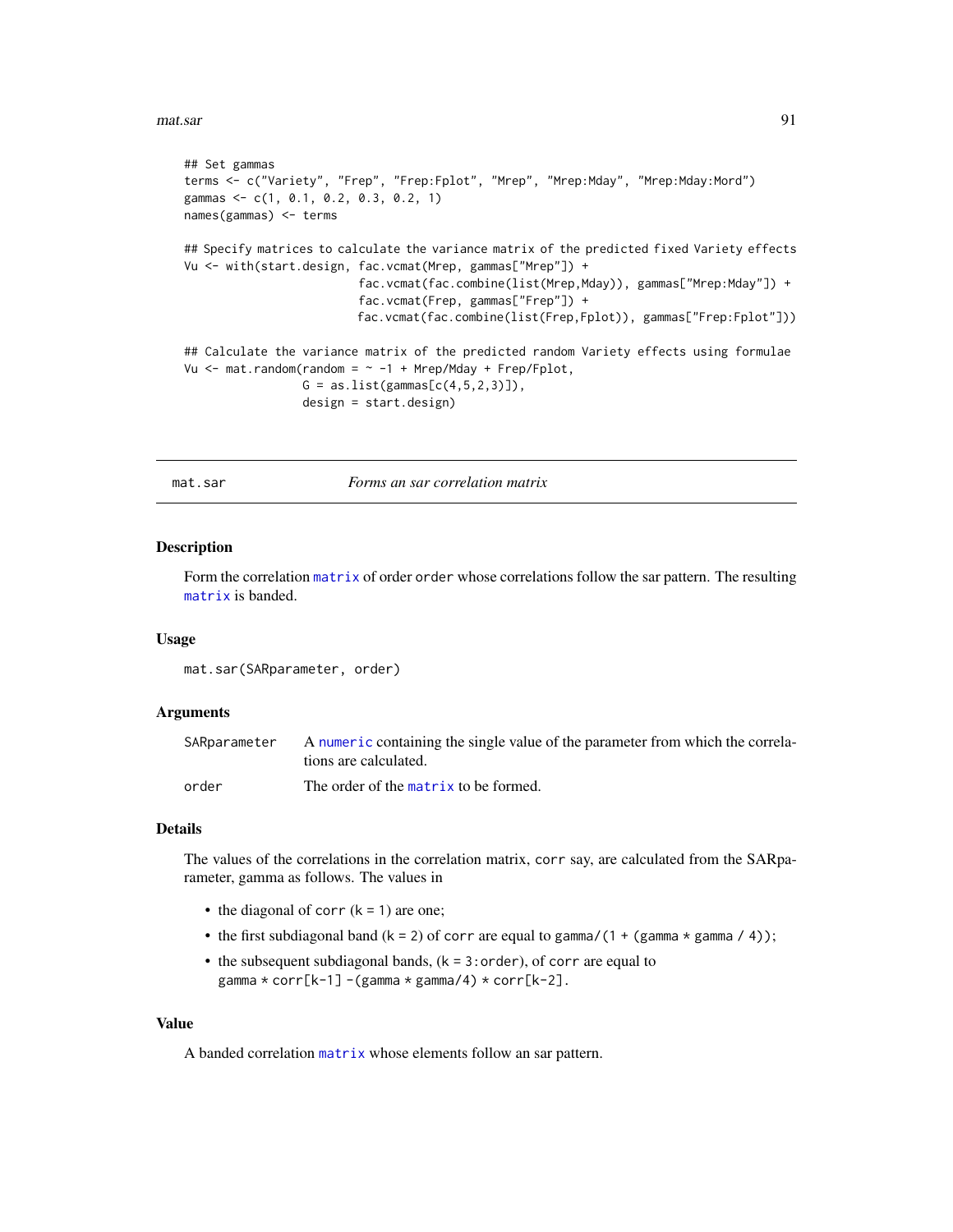#### mat.sar 91

```
## Set gammas
terms <- c("Variety", "Frep", "Frep:Fplot", "Mrep", "Mrep:Mday", "Mrep:Mday:Mord")
gammas <- c(1, 0.1, 0.2, 0.3, 0.2, 1)
names(gammas) <- terms
## Specify matrices to calculate the variance matrix of the predicted fixed Variety effects
Vu <- with(start.design, fac.vcmat(Mrep, gammas["Mrep"]) +
                         fac.vcmat(fac.combine(list(Mrep,Mday)), gammas["Mrep:Mday"]) +
                         fac.vcmat(Frep, gammas["Frep"]) +
                         fac.vcmat(fac.combine(list(Frep,Fplot)), gammas["Frep:Fplot"]))
## Calculate the variance matrix of the predicted random Variety effects using formulae
Vu \leq mat.random(random = \sim -1 + Mrep/Mday + Frep/Fplot,
                 G = as.list(gammas[c(4,5,2,3)]),design = start.design)
```
<span id="page-90-0"></span>mat.sar *Forms an sar correlation matrix*

## Description

Form the correlation [matrix](#page-0-0) of order order whose correlations follow the sar pattern. The resulting [matrix](#page-0-0) is banded.

#### Usage

mat.sar(SARparameter, order)

#### Arguments

| SARparameter | A numeric containing the single value of the parameter from which the correla-<br>tions are calculated. |
|--------------|---------------------------------------------------------------------------------------------------------|
| order        | The order of the matrix to be formed.                                                                   |

## Details

The values of the correlations in the correlation matrix, corr say, are calculated from the SARparameter, gamma as follows. The values in

- the diagonal of corr  $(k = 1)$  are one;
- the first subdiagonal band  $(k = 2)$  of corr are equal to gamma/(1 + (gamma  $*$  gamma / 4));
- the subsequent subdiagonal bands,  $(k = 3:order)$ , of corr are equal to gamma \* corr[k-1] -(gamma \* gamma/4) \* corr[k-2].

#### Value

A banded correlation [matrix](#page-0-0) whose elements follow an sar pattern.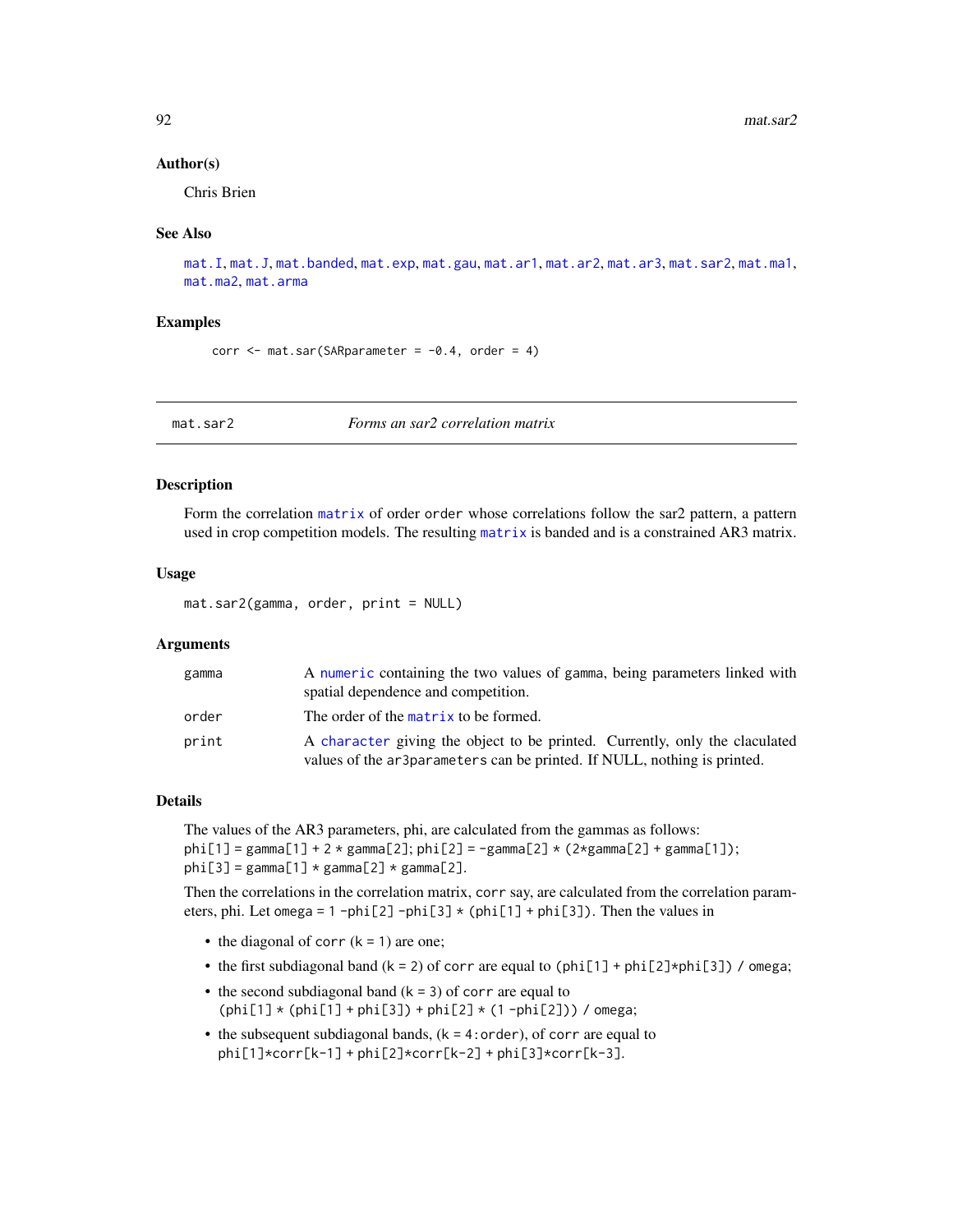#### Author(s)

Chris Brien

#### See Also

```
mat.I, mat.J, mat.banded, mat.exp, mat.gau, mat.ar1, mat.ar2, mat.ar3, mat.sar2, mat.ma1,
mat.ma2, mat.arma
```
#### Examples

corr  $\leq$  mat.sar(SARparameter =  $-0.4$ , order = 4)

<span id="page-91-0"></span>mat.sar2 *Forms an sar2 correlation matrix*

## Description

Form the correlation [matrix](#page-0-0) of order order whose correlations follow the sar2 pattern, a pattern used in crop competition models. The resulting [matrix](#page-0-0) is banded and is a constrained AR3 matrix.

# Usage

mat.sar2(gamma, order, print = NULL)

#### **Arguments**

| gamma | A numeric containing the two values of gamma, being parameters linked with<br>spatial dependence and competition.                                       |
|-------|---------------------------------------------------------------------------------------------------------------------------------------------------------|
| order | The order of the matrix to be formed.                                                                                                                   |
| print | A character giving the object to be printed. Currently, only the claculated<br>values of the ar3parameters can be printed. If NULL, nothing is printed. |

#### Details

The values of the AR3 parameters, phi, are calculated from the gammas as follows:  $phi[1] = gamma[1] + 2 * gamma[2]; phi[2] = -gammaa[2] * (2 * gamma[2] + gamma[1]);$ phi[3] = gamma[1]  $*$  gamma[2]  $*$  gamma[2].

Then the correlations in the correlation matrix, corr say, are calculated from the correlation parameters, phi. Let omega = 1 -phi[2] -phi[3]  $\star$  (phi[1] + phi[3]). Then the values in

- the diagonal of corr  $(k = 1)$  are one;
- the first subdiagonal band  $(k = 2)$  of corr are equal to  $(\text{phi}[1] + \text{phi}[2] * \text{phi}[3])$  / omega;
- the second subdiagonal band  $(k = 3)$  of corr are equal to  $(\text{phi}[1] * (\text{phi}[1] + \text{phi}[3]) + \text{phi}[2] * (1 - \text{phi}[2]))$  / omega;
- $\bullet$  the subsequent subdiagonal bands,  $(k = 4:order)$ , of corr are equal to phi[1]\*corr[k-1] + phi[2]\*corr[k-2] + phi[3]\*corr[k-3].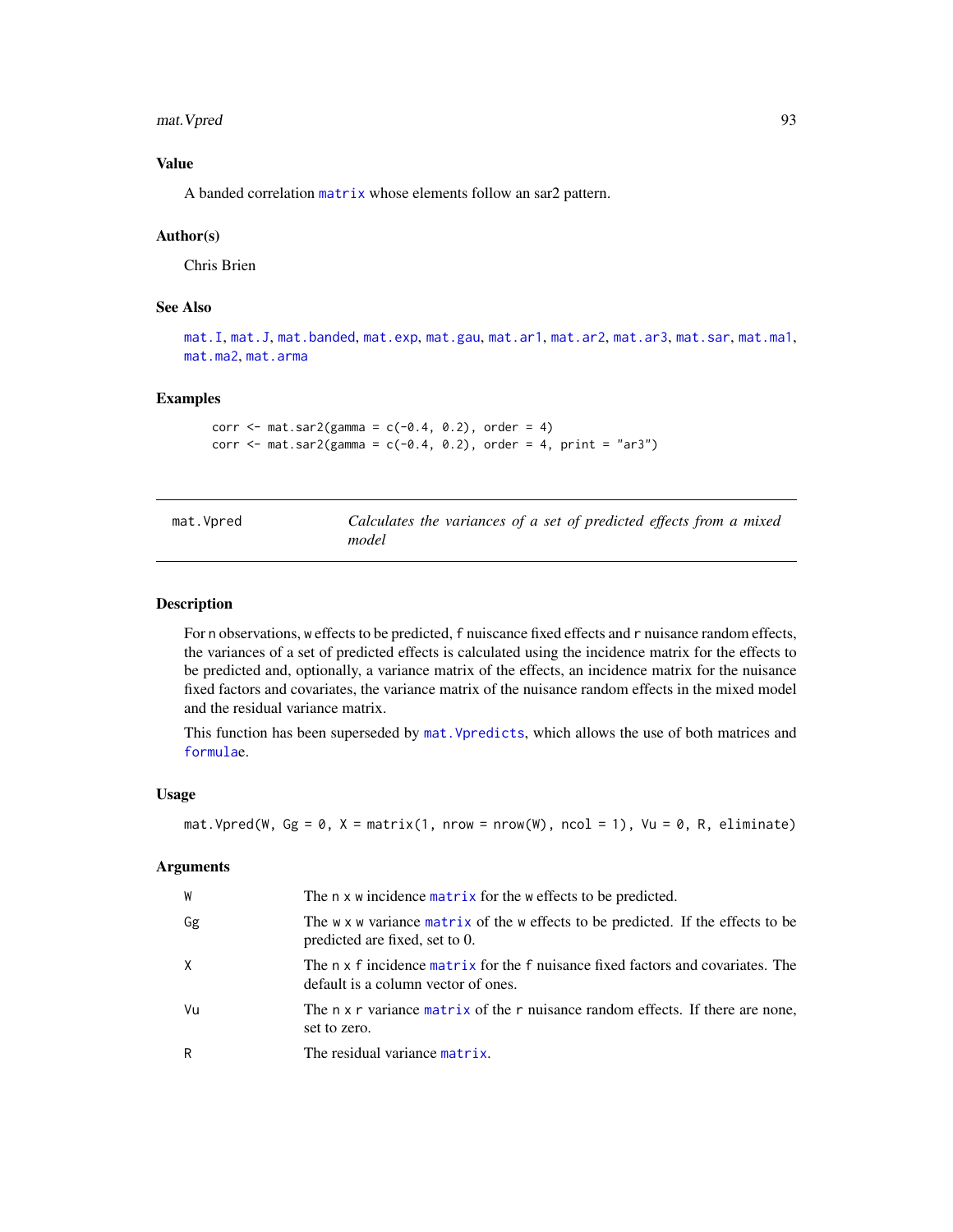mat. Vpred 93

# Value

A banded correlation [matrix](#page-0-0) whose elements follow an sar2 pattern.

#### Author(s)

Chris Brien

# See Also

[mat.I](#page-84-0), [mat.J](#page-85-0), [mat.banded](#page-80-0), [mat.exp](#page-83-0), [mat.gau](#page-83-1), [mat.ar1](#page-76-0), [mat.ar2](#page-77-0), [mat.ar3](#page-78-0), [mat.sar](#page-90-0), [mat.ma1](#page-86-0), [mat.ma2](#page-86-1), [mat.arma](#page-79-0)

#### Examples

```
corr \leq mat.sar2(gamma = c(-0.4, 0.2), order = 4)
corr \le mat.sar2(gamma = c(-0.4, 0.2), order = 4, print = "ar3")
```
<span id="page-92-0"></span>

| mat.Vpred | Calculates the variances of a set of predicted effects from a mixed |  |  |  |  |  |
|-----------|---------------------------------------------------------------------|--|--|--|--|--|
|           | model                                                               |  |  |  |  |  |

## Description

For n observations, w effects to be predicted, f nuiscance fixed effects and r nuisance random effects, the variances of a set of predicted effects is calculated using the incidence matrix for the effects to be predicted and, optionally, a variance matrix of the effects, an incidence matrix for the nuisance fixed factors and covariates, the variance matrix of the nuisance random effects in the mixed model and the residual variance matrix.

This function has been superseded by [mat.Vpredicts](#page-94-0), which allows the use of both matrices and [formula](#page-0-0)e.

## Usage

```
mat. Vpred(W, Gg = 0, X = matrix(1, nrow = nrow(W), ncol = 1), Vu = 0, R, eliminate)
```
#### Arguments

| W  | The n x w incidence matrix for the w effects to be predicted.                                                          |
|----|------------------------------------------------------------------------------------------------------------------------|
| Gg | The w x w variance matrix of the w effects to be predicted. If the effects to be<br>predicted are fixed, set to 0.     |
| X  | The n x f incidence matrix for the f nuisance fixed factors and covariates. The<br>default is a column vector of ones. |
| Vu | The n x r variance matrix of the r nuisance random effects. If there are none,<br>set to zero.                         |
| R  | The residual variance matrix.                                                                                          |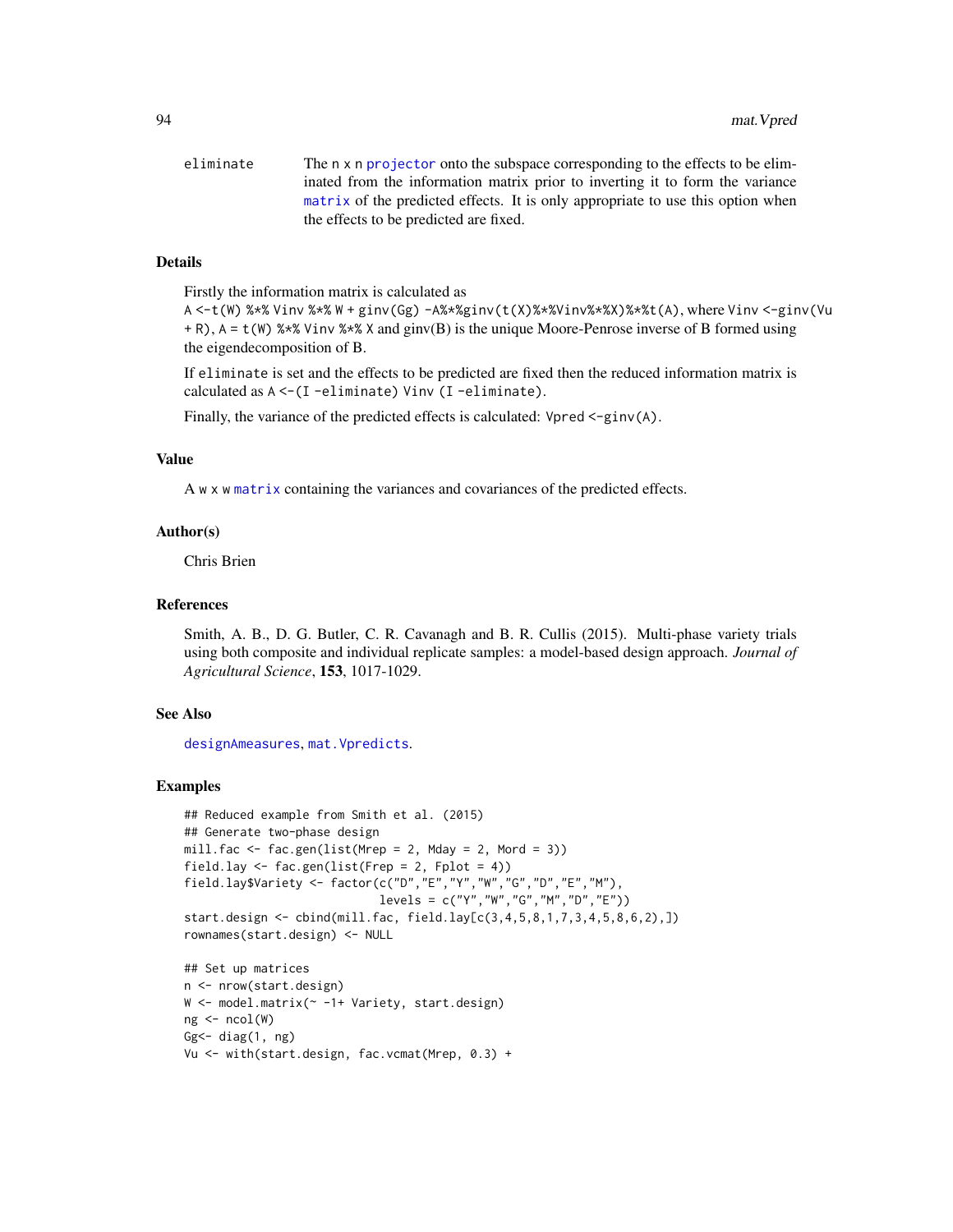| eliminate | The n x n projector onto the subspace corresponding to the effects to be elim-  |
|-----------|---------------------------------------------------------------------------------|
|           | inated from the information matrix prior to inverting it to form the variance   |
|           | matrix of the predicted effects. It is only appropriate to use this option when |
|           | the effects to be predicted are fixed.                                          |

## Details

Firstly the information matrix is calculated as

A <-t(W) %\*% Vinv %\*% W + ginv(Gg) -A%\*%ginv(t(X)%\*%Vinv%\*%X)%\*%t(A), where Vinv <-ginv(Vu + R), A = t(W) %\*% Vinv %\*% X and ginv(B) is the unique Moore-Penrose inverse of B formed using the eigendecomposition of B.

If eliminate is set and the effects to be predicted are fixed then the reduced information matrix is calculated as A <-(I -eliminate) Vinv (I -eliminate).

Finally, the variance of the predicted effects is calculated: Vpred <-ginv(A).

#### Value

A w x w [matrix](#page-0-0) containing the variances and covariances of the predicted effects.

#### Author(s)

Chris Brien

#### References

Smith, A. B., D. G. Butler, C. R. Cavanagh and B. R. Cullis (2015). Multi-phase variety trials using both composite and individual replicate samples: a model-based design approach. *Journal of Agricultural Science*, 153, 1017-1029.

#### See Also

[designAmeasures](#page-19-0), [mat.Vpredicts](#page-94-0).

```
## Reduced example from Smith et al. (2015)
## Generate two-phase design
mill.fac \leq fac.gen(list(Mrep = 2, Mday = 2, Mord = 3))
field.lay \leq fac.gen(list(Frep = 2, Fplot = 4))
field.lay$Variety <- factor(c("D","E","Y","W","G","D","E","M"),
                            levels = c("Y", "W", "G", "M", "D", "E"))start.design <- cbind(mill.fac, field.lay[c(3,4,5,8,1,7,3,4,5,8,6,2),])
rownames(start.design) <- NULL
```

```
## Set up matrices
n <- nrow(start.design)
W <- model.matrix(~ -1+ Variety, start.design)
ng <- ncol(W)
Gg \leftarrow diag(1, ng)Vu <- with(start.design, fac.vcmat(Mrep, 0.3) +
```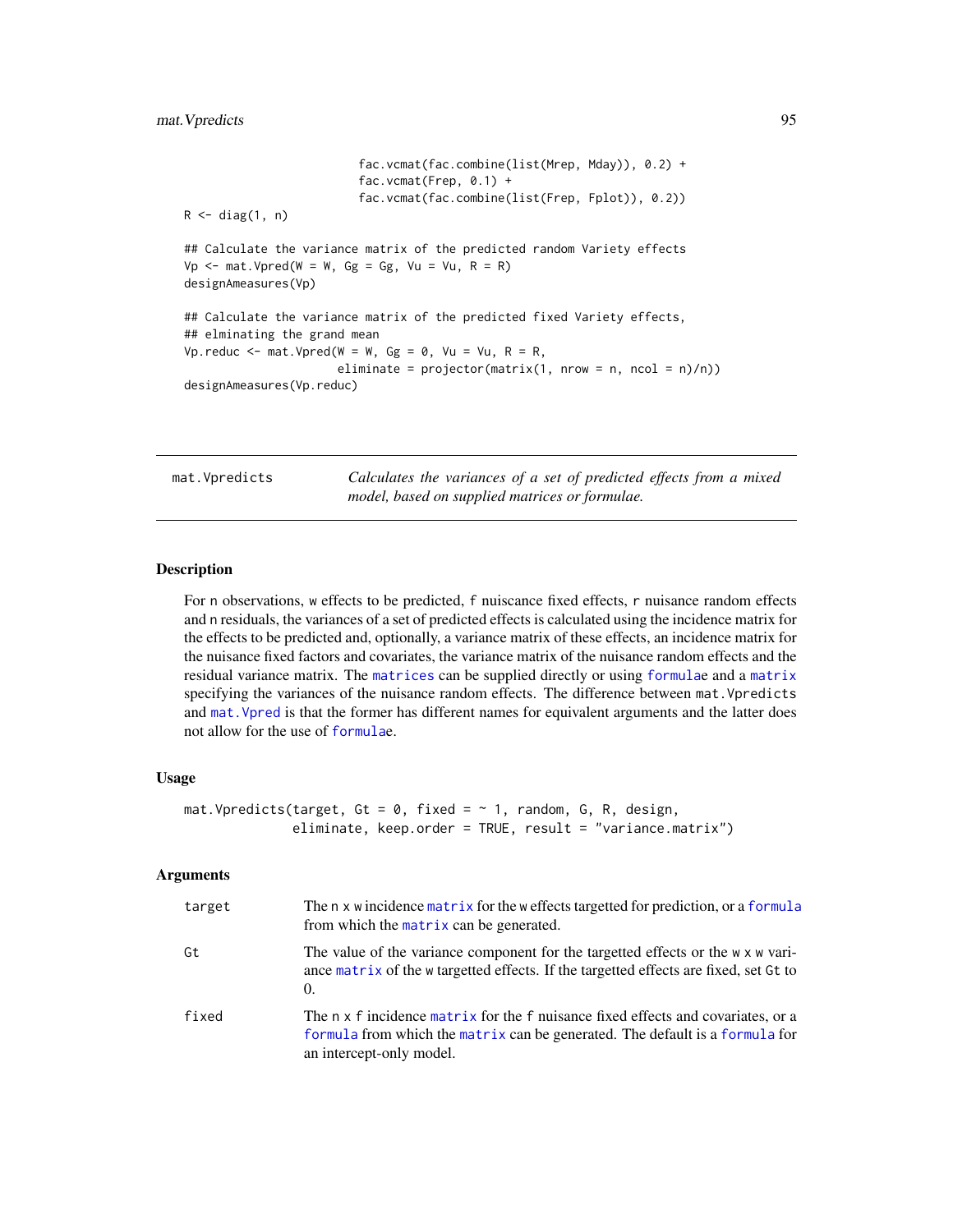```
fac.vcmat(fac.combine(list(Mrep, Mday)), 0.2) +
                          fac.vcmat(Frep, 0.1) +
                          fac.vcmat(fac.combine(list(Frep, Fplot)), 0.2))
R \leftarrow diag(1, n)## Calculate the variance matrix of the predicted random Variety effects
Vp \le - mat. Vpred(W = W, Gg = Gg, Vu = Vu, R = R)
designAmeasures(Vp)
## Calculate the variance matrix of the predicted fixed Variety effects,
## elminating the grand mean
Vp.reduc <- mat.Vpred(W = W, Gg = \theta, Vu = Vu, R = R,
                       eliminate = projector(matrix(1, nrow = n, ncol = n)/n))designAmeasures(Vp.reduc)
```
<span id="page-94-0"></span>mat.Vpredicts *Calculates the variances of a set of predicted effects from a mixed model, based on supplied matrices or formulae.*

## Description

For n observations, w effects to be predicted, f nuiscance fixed effects, r nuisance random effects and n residuals, the variances of a set of predicted effects is calculated using the incidence matrix for the effects to be predicted and, optionally, a variance matrix of these effects, an incidence matrix for the nuisance fixed factors and covariates, the variance matrix of the nuisance random effects and the residual variance matrix. The [matrices](#page-0-0) can be supplied directly or using [formula](#page-0-0)e and a [matrix](#page-0-0) specifying the variances of the nuisance random effects. The difference between mat. Vpredicts and [mat.Vpred](#page-92-0) is that the former has different names for equivalent arguments and the latter does not allow for the use of [formula](#page-0-0)e.

## Usage

```
mat.Vpredicts(target, Gt = 0, fixed = \sim 1, random, G, R, design,
              eliminate, keep.order = TRUE, result = "variance.matrix")
```
## Arguments

| target | The n x w incidence matrix for the w effects targetted for prediction, or a formula<br>from which the matrix can be generated.                                                               |
|--------|----------------------------------------------------------------------------------------------------------------------------------------------------------------------------------------------|
| Gt     | The value of the variance component for the targetted effects or the w x w vari-<br>ance matrix of the w targetted effects. If the targetted effects are fixed, set Gt to<br>$\Omega$ .      |
| fixed  | The n x f incidence matrix for the f nuisance fixed effects and covariates, or a<br>formula from which the matrix can be generated. The default is a formula for<br>an intercept-only model. |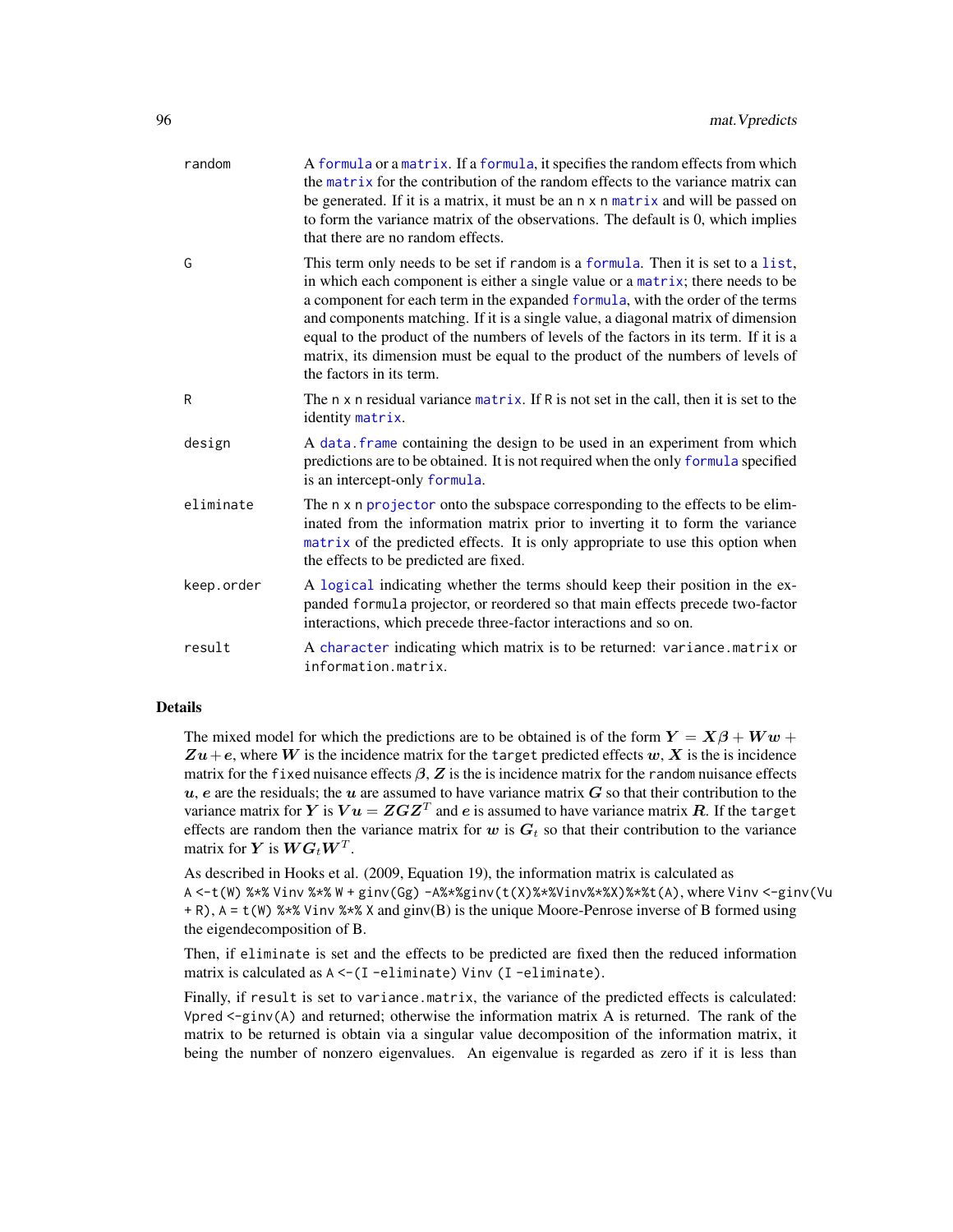| random     | A formula or a matrix. If a formula, it specifies the random effects from which<br>the matrix for the contribution of the random effects to the variance matrix can<br>be generated. If it is a matrix, it must be an n x n matrix and will be passed on<br>to form the variance matrix of the observations. The default is 0, which implies<br>that there are no random effects.                                                                                                                                                               |
|------------|-------------------------------------------------------------------------------------------------------------------------------------------------------------------------------------------------------------------------------------------------------------------------------------------------------------------------------------------------------------------------------------------------------------------------------------------------------------------------------------------------------------------------------------------------|
| G          | This term only needs to be set if random is a formula. Then it is set to a list,<br>in which each component is either a single value or a matrix; there needs to be<br>a component for each term in the expanded formula, with the order of the terms<br>and components matching. If it is a single value, a diagonal matrix of dimension<br>equal to the product of the numbers of levels of the factors in its term. If it is a<br>matrix, its dimension must be equal to the product of the numbers of levels of<br>the factors in its term. |
| R          | The n x n residual variance matrix. If R is not set in the call, then it is set to the<br>identity matrix.                                                                                                                                                                                                                                                                                                                                                                                                                                      |
| design     | A data. frame containing the design to be used in an experiment from which<br>predictions are to be obtained. It is not required when the only formula specified<br>is an intercept-only formula.                                                                                                                                                                                                                                                                                                                                               |
| eliminate  | The n x n projector onto the subspace corresponding to the effects to be elim-<br>inated from the information matrix prior to inverting it to form the variance<br>matrix of the predicted effects. It is only appropriate to use this option when<br>the effects to be predicted are fixed.                                                                                                                                                                                                                                                    |
| keep.order | A logical indicating whether the terms should keep their position in the ex-<br>panded formula projector, or reordered so that main effects precede two-factor<br>interactions, which precede three-factor interactions and so on.                                                                                                                                                                                                                                                                                                              |
| result     | A character indicating which matrix is to be returned: variance.matrix or<br>information.matrix.                                                                                                                                                                                                                                                                                                                                                                                                                                                |

## Details

The mixed model for which the predictions are to be obtained is of the form  $Y = X\beta + Ww +$  $Zu+e$ , where W is the incidence matrix for the target predicted effects w, X is the is incidence matrix for the fixed nuisance effects  $\beta$ , Z is the is incidence matrix for the random nuisance effects  $u, e$  are the residuals; the  $u$  are assumed to have variance matrix  $G$  so that their contribution to the variance matrix for  $\bm{Y}$  is  $\bm{V} \bm{u} = \bm{Z} \bm{G} \bm{Z}^T$  and  $\bm{e}$  is assumed to have variance matrix  $\bm{R}$ . If the target effects are random then the variance matrix for w is  $G_t$  so that their contribution to the variance matrix for  $\boldsymbol{Y}$  is  $\boldsymbol{W}\boldsymbol{G}_t\boldsymbol{W}^T$ .

As described in Hooks et al. (2009, Equation 19), the information matrix is calculated as A <-t(W) %\*% Vinv %\*% W + ginv(Gg) -A%\*%ginv(t(X)%\*%Vinv%\*%X)%\*%t(A), where Vinv <-ginv(Vu + R), A = t(W) %\*% Vinv %\*% X and ginv(B) is the unique Moore-Penrose inverse of B formed using the eigendecomposition of B.

Then, if eliminate is set and the effects to be predicted are fixed then the reduced information matrix is calculated as A <-(I -eliminate) Vinv (I -eliminate).

Finally, if result is set to variance.matrix, the variance of the predicted effects is calculated: Vpred  $\leq$ -ginv(A) and returned; otherwise the information matrix A is returned. The rank of the matrix to be returned is obtain via a singular value decomposition of the information matrix, it being the number of nonzero eigenvalues. An eigenvalue is regarded as zero if it is less than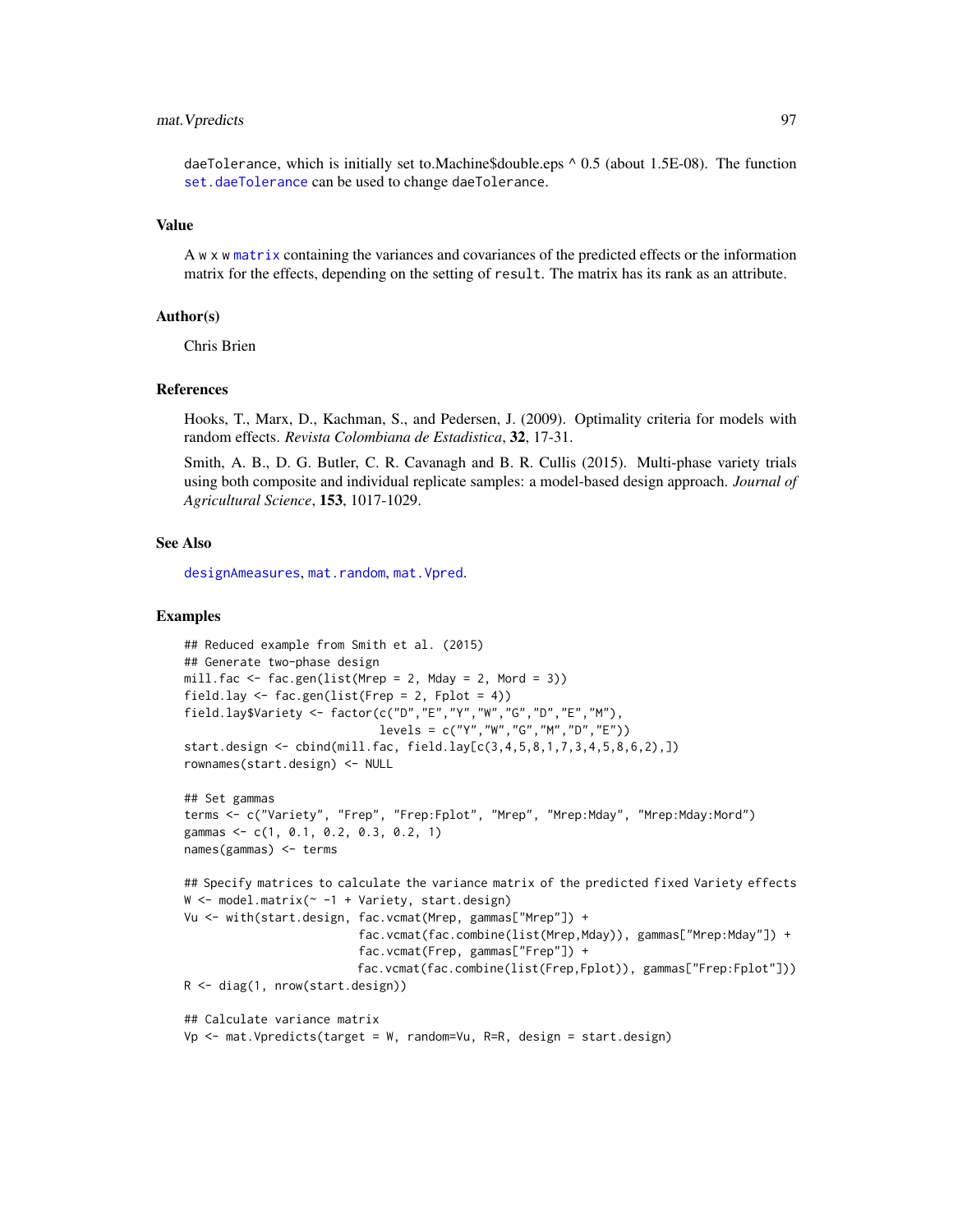# mat.Vpredicts 97

daeTolerance, which is initially set to.Machine\$double.eps ^ 0.5 (about 1.5E-08). The function [set.daeTolerance](#page-129-0) can be used to change daeTolerance.

#### Value

A w x w [matrix](#page-0-0) containing the variances and covariances of the predicted effects or the information matrix for the effects, depending on the setting of result. The matrix has its rank as an attribute.

## Author(s)

Chris Brien

#### References

Hooks, T., Marx, D., Kachman, S., and Pedersen, J. (2009). Optimality criteria for models with random effects. *Revista Colombiana de Estadistica*, 32, 17-31.

Smith, A. B., D. G. Butler, C. R. Cavanagh and B. R. Cullis (2015). Multi-phase variety trials using both composite and individual replicate samples: a model-based design approach. *Journal of Agricultural Science*, 153, 1017-1029.

## See Also

[designAmeasures](#page-19-0), [mat.random](#page-88-0), [mat.Vpred](#page-92-0).

```
## Reduced example from Smith et al. (2015)
## Generate two-phase design
mill.fac < - fac.gen(list(Mrep = 2, Madg = 2, Mord = 3))field.lay \leq fac.gen(list(Frep = 2, Fplot = 4))
field.lay$Variety <- factor(c("D","E","Y","W","G","D","E","M"),
                            levels = c("Y", "W", "G", "M", "D", "E"))start.design <- cbind(mill.fac, field.lay[c(3,4,5,8,1,7,3,4,5,8,6,2),])
rownames(start.design) <- NULL
## Set gammas
terms <- c("Variety", "Frep", "Frep:Fplot", "Mrep", "Mrep:Mday", "Mrep:Mday:Mord")
gammas <- c(1, 0.1, 0.2, 0.3, 0.2, 1)
names(gammas) <- terms
## Specify matrices to calculate the variance matrix of the predicted fixed Variety effects
W <- model.matrix(~ -1 + Variety, start.design)
Vu <- with(start.design, fac.vcmat(Mrep, gammas["Mrep"]) +
                         fac.vcmat(fac.combine(list(Mrep,Mday)), gammas["Mrep:Mday"]) +
                         fac.vcmat(Frep, gammas["Frep"]) +
                         fac.vcmat(fac.combine(list(Frep,Fplot)), gammas["Frep:Fplot"]))
R <- diag(1, nrow(start.design))
## Calculate variance matrix
Vp <- mat.Vpredicts(target = W, random=Vu, R=R, design = start.design)
```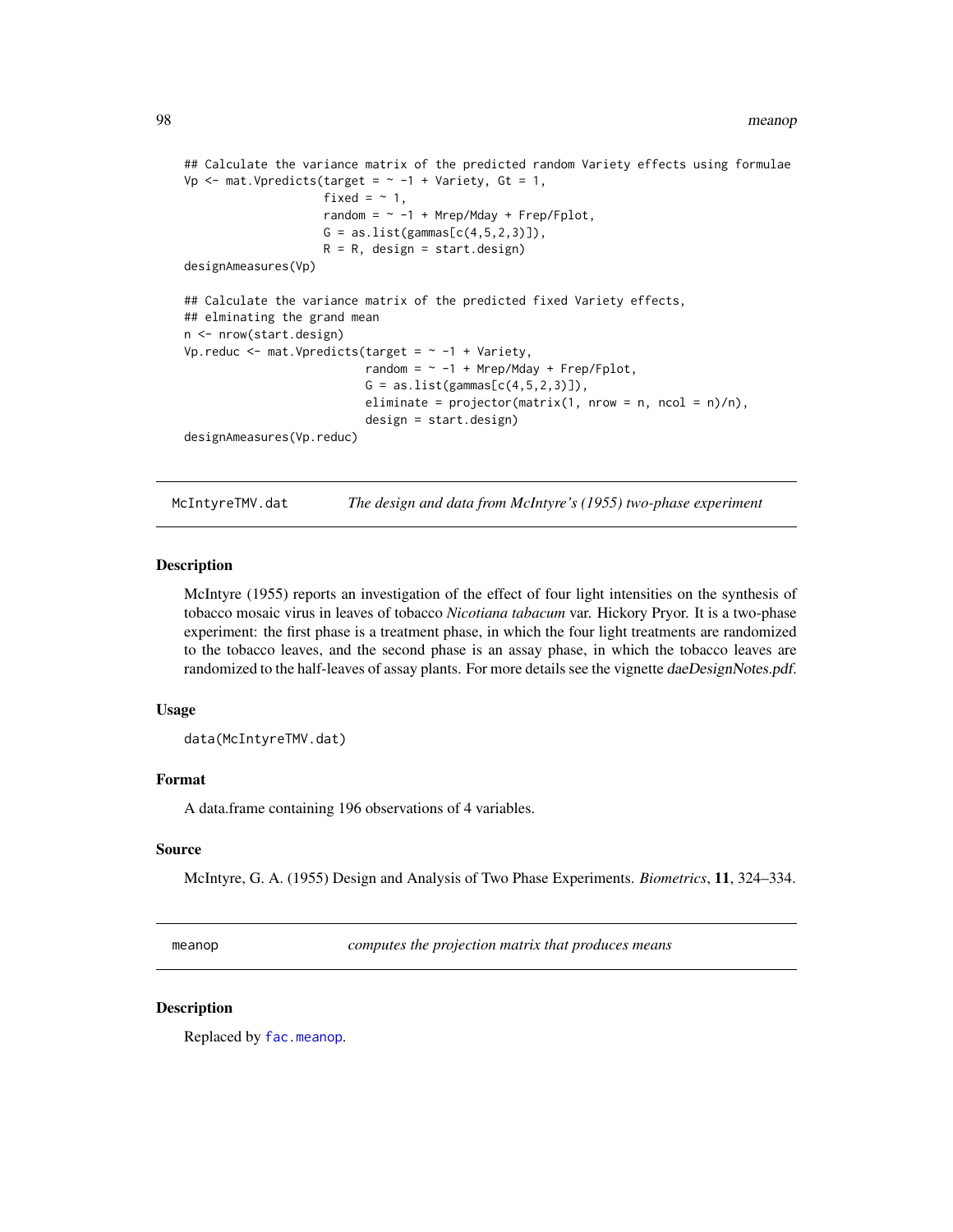```
## Calculate the variance matrix of the predicted random Variety effects using formulae
Vp \leq mat. Vpredicts(target = \sim -1 + Variety, Gt = 1,
                    fixed = \sim 1,
                    random = \sim -1 + Mrep/Mday + Frep/Fplot,
                    G = as.list(gammas[c(4,5,2,3)]),R = R, design = start.design)
designAmeasures(Vp)
## Calculate the variance matrix of the predicted fixed Variety effects,
## elminating the grand mean
n <- nrow(start.design)
Vp.reduc \leq mat. Vpredicts(target = \sim -1 + Variety,
                           random = \sim -1 + Mrep/Mday + Frep/Fplot,
                           G = as.list(gammas[c(4,5,2,3)]),eliminate = projector(matrix(1, nrow = n, ncol = n)/n),
                           design = start.design)
designAmeasures(Vp.reduc)
```
McIntyreTMV.dat *The design and data from McIntyre's (1955) two-phase experiment*

## **Description**

McIntyre (1955) reports an investigation of the effect of four light intensities on the synthesis of tobacco mosaic virus in leaves of tobacco *Nicotiana tabacum* var. Hickory Pryor. It is a two-phase experiment: the first phase is a treatment phase, in which the four light treatments are randomized to the tobacco leaves, and the second phase is an assay phase, in which the tobacco leaves are randomized to the half-leaves of assay plants. For more details see the vignette daeDesignNotes.pdf.

## Usage

data(McIntyreTMV.dat)

## Format

A data.frame containing 196 observations of 4 variables.

#### Source

McIntyre, G. A. (1955) Design and Analysis of Two Phase Experiments. *Biometrics*, 11, 324–334.

meanop *computes the projection matrix that produces means*

# **Description**

Replaced by [fac.meanop](#page-54-0).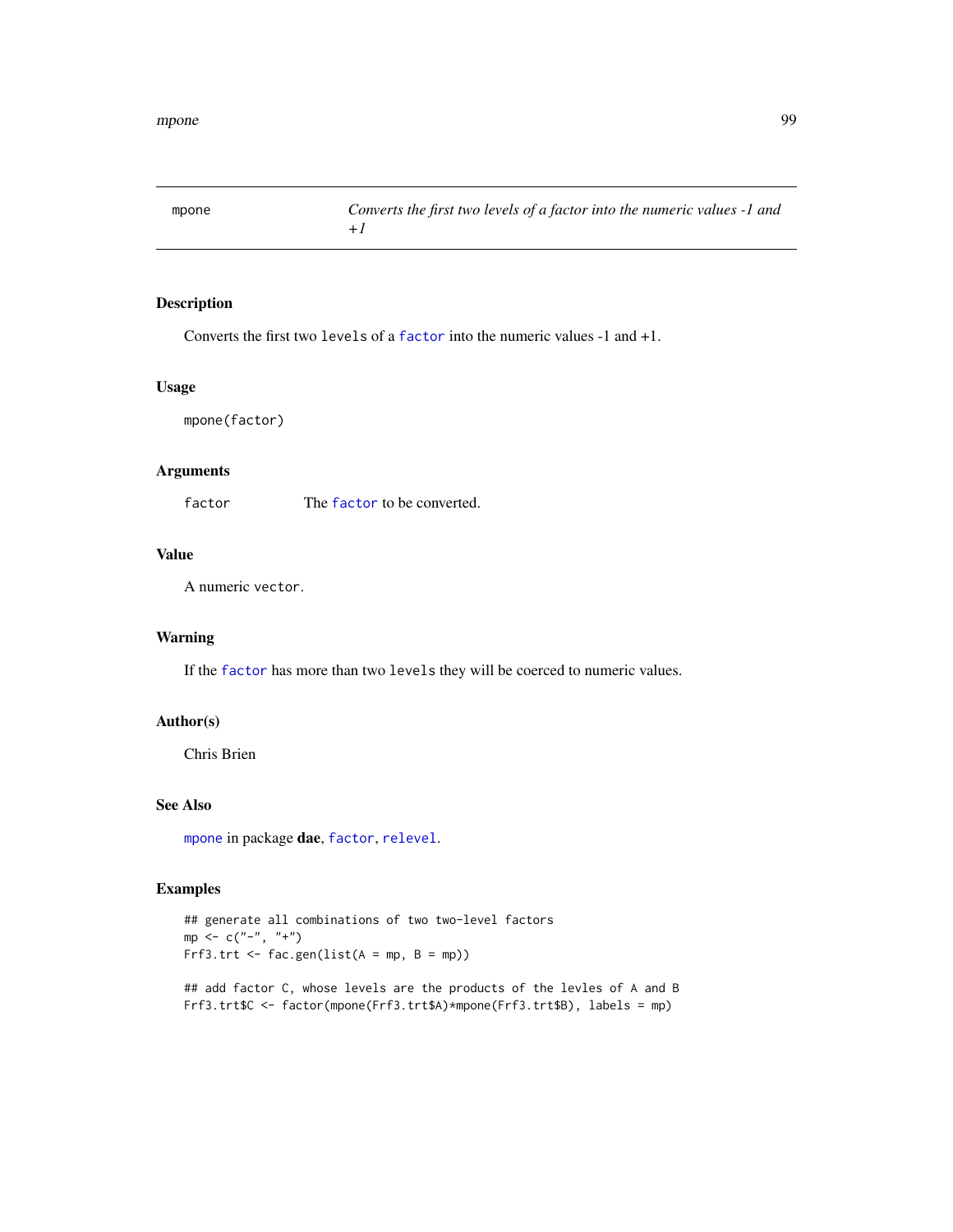<span id="page-98-0"></span>

Converts the first two levels of a [factor](#page-0-0) into the numeric values -1 and +1.

## Usage

mpone(factor)

# Arguments

[factor](#page-0-0) The factor to be converted.

## Value

A numeric vector.

# Warning

If the [factor](#page-0-0) has more than two levels they will be coerced to numeric values.

## Author(s)

Chris Brien

# See Also

[mpone](#page-98-0) in package dae, [factor](#page-0-0), [relevel](#page-0-0).

```
## generate all combinations of two two-level factors
mp < -c("-", "+")Frf3.trt <- fac.gen(list(A = mp, B = mp))
## add factor C, whose levels are the products of the levles of A and B
Frf3.trt$C <- factor(mpone(Frf3.trt$A)*mpone(Frf3.trt$B), labels = mp)
```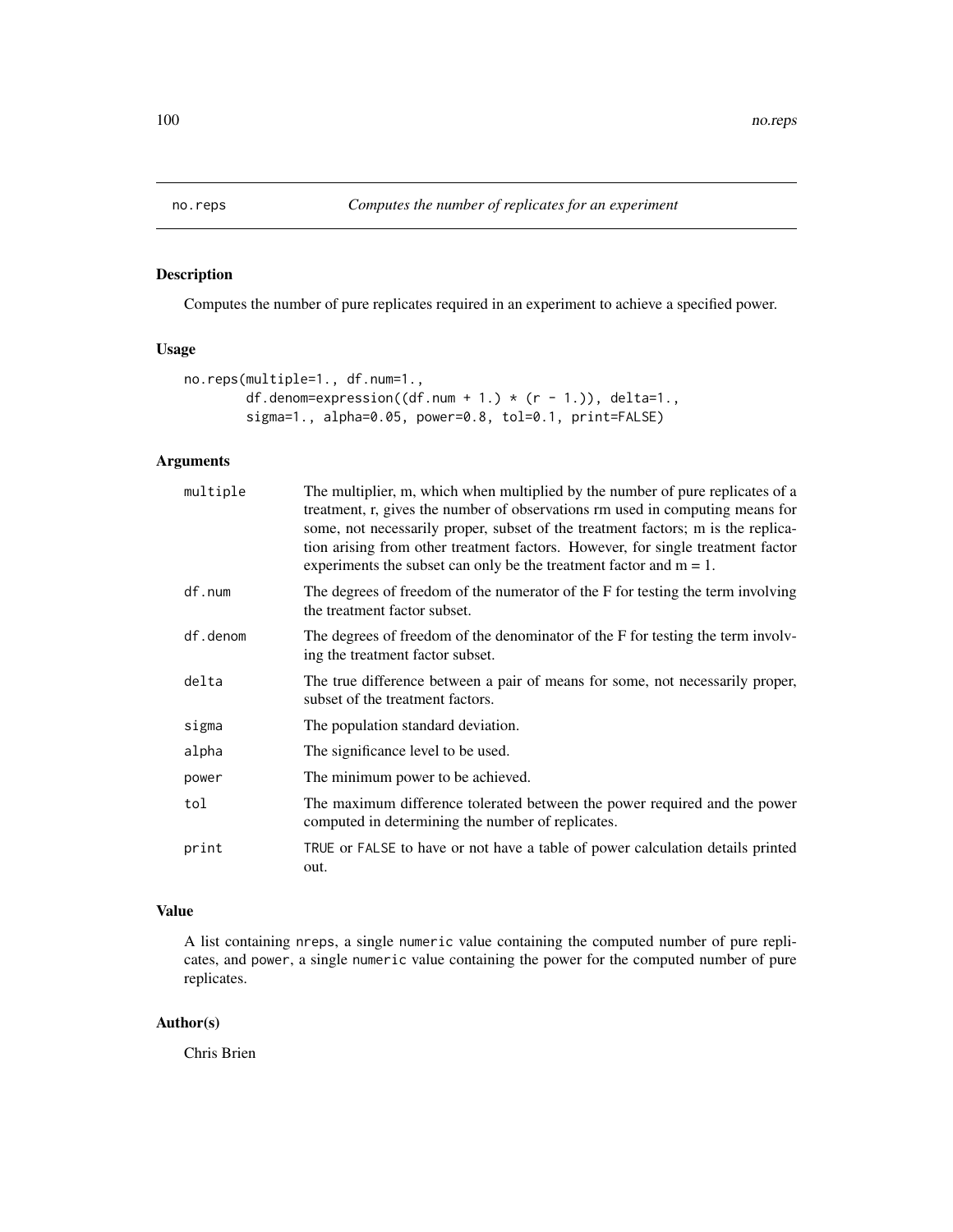<span id="page-99-0"></span>

Computes the number of pure replicates required in an experiment to achieve a specified power.

# Usage

```
no.reps(multiple=1., df.num=1.,
        df.denom=expression((df.num + 1.) * (r - 1.)), delta=1.,
        sigma=1., alpha=0.05, power=0.8, tol=0.1, print=FALSE)
```
# Arguments

| multiple | The multiplier, m, which when multiplied by the number of pure replicates of a<br>treatment, r, gives the number of observations rm used in computing means for<br>some, not necessarily proper, subset of the treatment factors; m is the replica-<br>tion arising from other treatment factors. However, for single treatment factor<br>experiments the subset can only be the treatment factor and $m = 1$ . |
|----------|-----------------------------------------------------------------------------------------------------------------------------------------------------------------------------------------------------------------------------------------------------------------------------------------------------------------------------------------------------------------------------------------------------------------|
| df.num   | The degrees of freedom of the numerator of the F for testing the term involving<br>the treatment factor subset.                                                                                                                                                                                                                                                                                                 |
| df.denom | The degrees of freedom of the denominator of the F for testing the term involv-<br>ing the treatment factor subset.                                                                                                                                                                                                                                                                                             |
| delta    | The true difference between a pair of means for some, not necessarily proper,<br>subset of the treatment factors.                                                                                                                                                                                                                                                                                               |
| sigma    | The population standard deviation.                                                                                                                                                                                                                                                                                                                                                                              |
| alpha    | The significance level to be used.                                                                                                                                                                                                                                                                                                                                                                              |
| power    | The minimum power to be achieved.                                                                                                                                                                                                                                                                                                                                                                               |
| tol      | The maximum difference tolerated between the power required and the power<br>computed in determining the number of replicates.                                                                                                                                                                                                                                                                                  |
| print    | TRUE or FALSE to have or not have a table of power calculation details printed<br>out.                                                                                                                                                                                                                                                                                                                          |

# Value

A list containing nreps, a single numeric value containing the computed number of pure replicates, and power, a single numeric value containing the power for the computed number of pure replicates.

# Author(s)

Chris Brien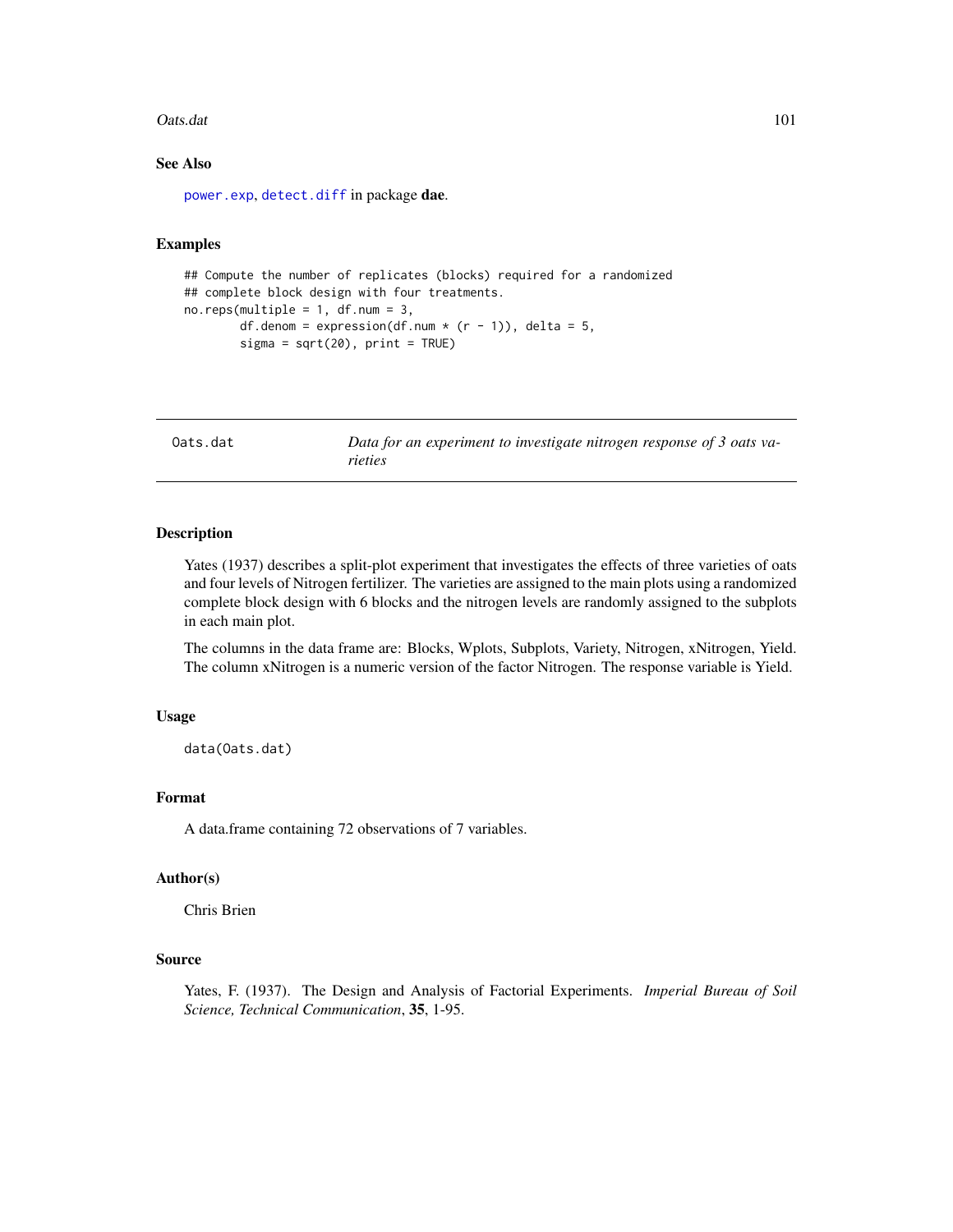#### Oats.dat 101

# See Also

[power.exp](#page-103-0), [detect.diff](#page-41-0) in package dae.

#### Examples

```
## Compute the number of replicates (blocks) required for a randomized
## complete block design with four treatments.
no. reps(multiple = 1, df.num = 3,
       df.denom = expression(df.num * (r - 1)), delta = 5,
       signa = sqrt(20), print = TRUE)
```
Oats.dat *Data for an experiment to investigate nitrogen response of 3 oats varieties*

## Description

Yates (1937) describes a split-plot experiment that investigates the effects of three varieties of oats and four levels of Nitrogen fertilizer. The varieties are assigned to the main plots using a randomized complete block design with 6 blocks and the nitrogen levels are randomly assigned to the subplots in each main plot.

The columns in the data frame are: Blocks, Wplots, Subplots, Variety, Nitrogen, xNitrogen, Yield. The column xNitrogen is a numeric version of the factor Nitrogen. The response variable is Yield.

## Usage

data(Oats.dat)

# Format

A data.frame containing 72 observations of 7 variables.

#### Author(s)

Chris Brien

## Source

Yates, F. (1937). The Design and Analysis of Factorial Experiments. *Imperial Bureau of Soil Science, Technical Communication*, 35, 1-95.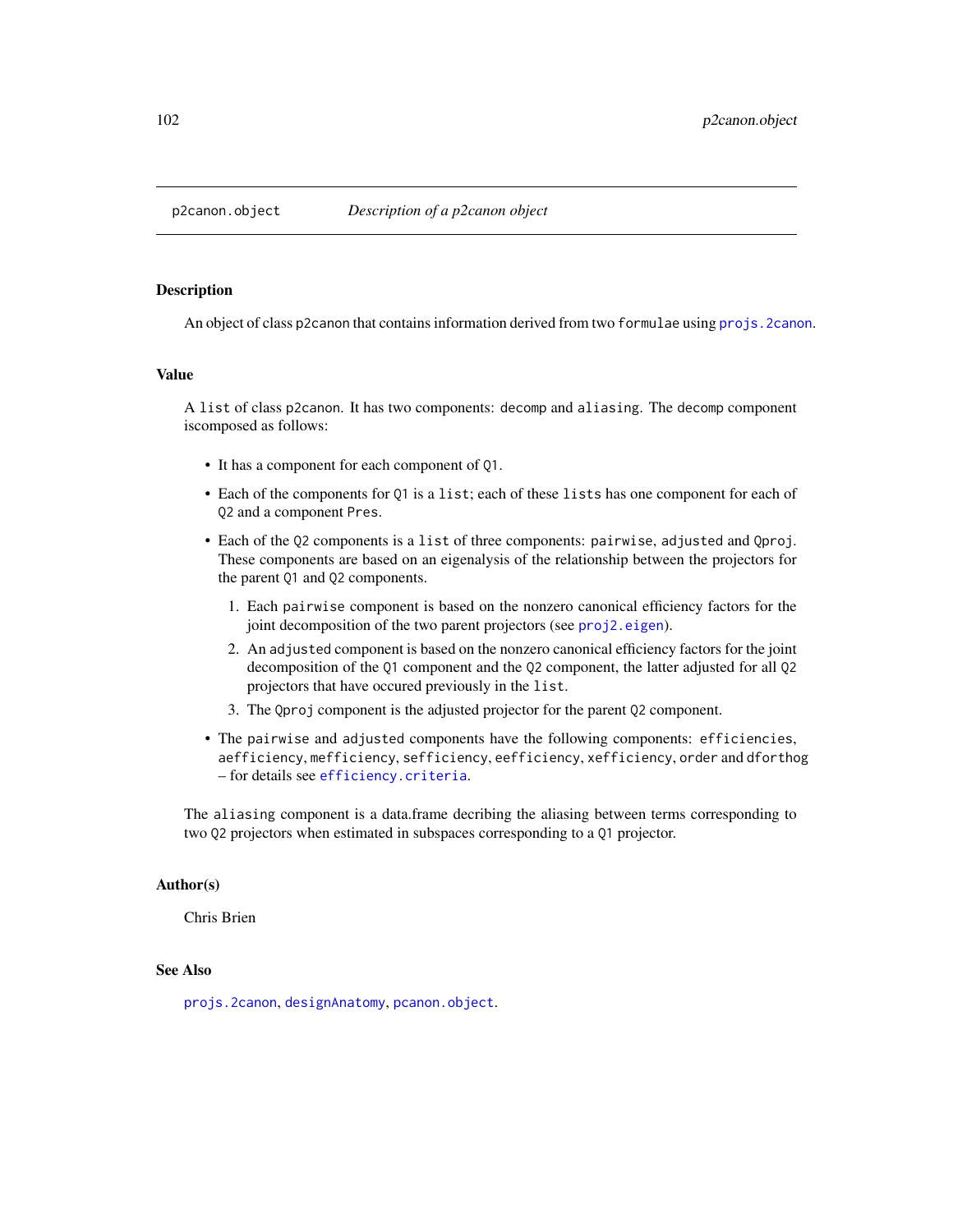<span id="page-101-0"></span>

An object of class p2canon that contains information derived from two formulae using [projs.2canon](#page-116-0).

## Value

A list of class p2canon. It has two components: decomp and aliasing. The decomp component iscomposed as follows:

- It has a component for each component of Q1.
- Each of the components for Q1 is a list; each of these lists has one component for each of Q2 and a component Pres.
- Each of the Q2 components is a list of three components: pairwise, adjusted and Qproj. These components are based on an eigenalysis of the relationship between the projectors for the parent Q1 and Q2 components.
	- 1. Each pairwise component is based on the nonzero canonical efficiency factors for the joint decomposition of the two parent projectors (see [proj2.eigen](#page-112-0)).
	- 2. An adjusted component is based on the nonzero canonical efficiency factors for the joint decomposition of the Q1 component and the Q2 component, the latter adjusted for all Q2 projectors that have occured previously in the list.
	- 3. The Qproj component is the adjusted projector for the parent Q2 component.
- The pairwise and adjusted components have the following components: efficiencies, aefficiency, mefficiency, sefficiency, eefficiency, xefficiency, order and dforthog – for details see [efficiency.criteria](#page-43-0).

The aliasing component is a data.frame decribing the aliasing between terms corresponding to two Q2 projectors when estimated in subspaces corresponding to a Q1 projector.

## Author(s)

Chris Brien

## See Also

[projs.2canon](#page-116-0), [designAnatomy](#page-21-0), [pcanon.object](#page-102-0).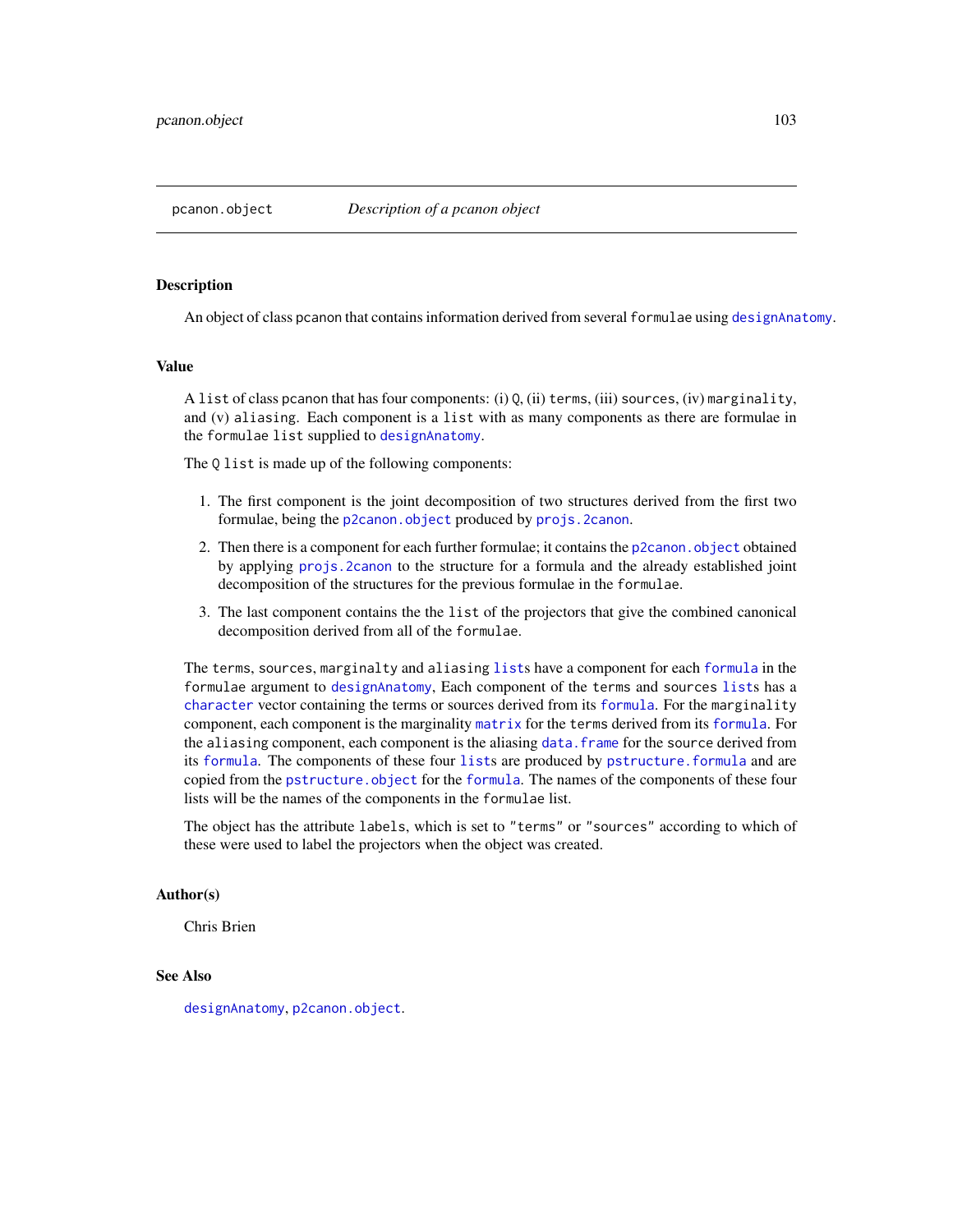<span id="page-102-0"></span>An object of class pcanon that contains information derived from several formulae using [designAnatomy](#page-21-0).

# Value

A list of class pcanon that has four components: (i) Q, (ii) terms, (iii) sources, (iv) marginality, and (v) aliasing. Each component is a list with as many components as there are formulae in the formulae list supplied to [designAnatomy](#page-21-0).

The  $Q$  list is made up of the following components:

- 1. The first component is the joint decomposition of two structures derived from the first two formulae, being the [p2canon.object](#page-101-0) produced by [projs.2canon](#page-116-0).
- 2. Then there is a component for each further formulae; it contains the [p2canon.object](#page-101-0) obtained by applying [projs.2canon](#page-116-0) to the structure for a formula and the already established joint decomposition of the structures for the previous formulae in the formulae.
- 3. The last component contains the the list of the projectors that give the combined canonical decomposition derived from all of the formulae.

The terms, sources, marginalty and aliasing [list](#page-0-0)s have a component for each [formula](#page-0-0) in the formulae argument to [designAnatomy](#page-21-0), Each component of the terms and sources [list](#page-0-0)s has a [character](#page-0-0) vector containing the terms or sources derived from its [formula](#page-0-0). For the marginality component, each component is the marginality [matrix](#page-0-0) for the terms derived from its [formula](#page-0-0). For the aliasing component, each component is the aliasing [data.frame](#page-0-0) for the source derived from its [formula](#page-0-0). The components of these four [list](#page-0-0)s are produced by [pstructure.formula](#page-118-0) and are copied from the [pstructure.object](#page-122-0) for the [formula](#page-0-0). The names of the components of these four lists will be the names of the components in the formulae list.

The object has the attribute labels, which is set to "terms" or "sources" according to which of these were used to label the projectors when the object was created.

## Author(s)

Chris Brien

#### See Also

[designAnatomy](#page-21-0), [p2canon.object](#page-101-0).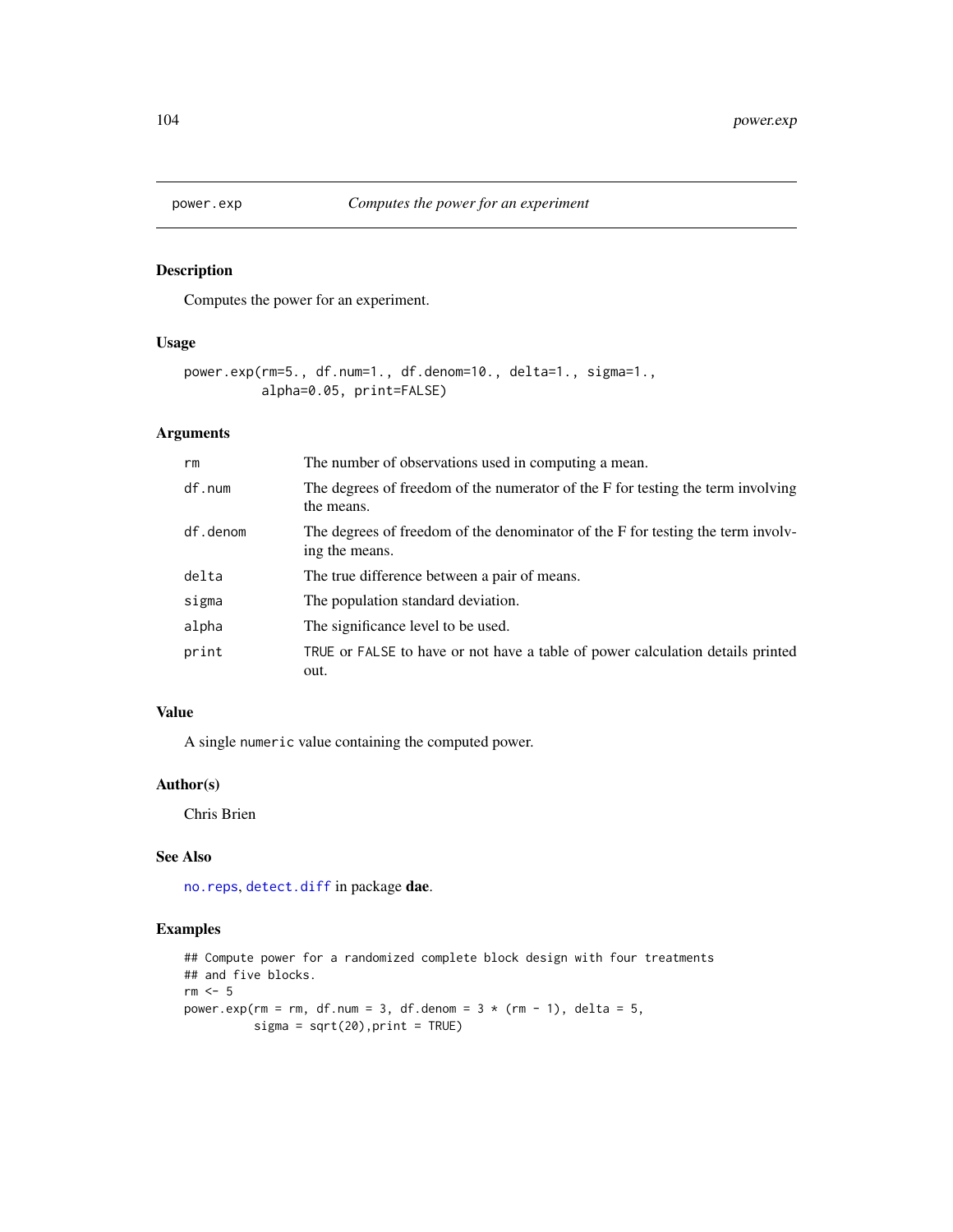<span id="page-103-0"></span>

Computes the power for an experiment.

# Usage

```
power.exp(rm=5., df.num=1., df.denom=10., delta=1., sigma=1.,
          alpha=0.05, print=FALSE)
```
# Arguments

| rm       | The number of observations used in computing a mean.                                              |
|----------|---------------------------------------------------------------------------------------------------|
| df.num   | The degrees of freedom of the numerator of the F for testing the term involving<br>the means.     |
| df.denom | The degrees of freedom of the denominator of the F for testing the term involv-<br>ing the means. |
| delta    | The true difference between a pair of means.                                                      |
| sigma    | The population standard deviation.                                                                |
| alpha    | The significance level to be used.                                                                |
| print    | TRUE or FALSE to have or not have a table of power calculation details printed<br>out.            |

## Value

A single numeric value containing the computed power.

#### Author(s)

Chris Brien

# See Also

[no.reps](#page-99-0), [detect.diff](#page-41-0) in package dae.

```
## Compute power for a randomized complete block design with four treatments
## and five blocks.
rm < - 5power.exp(rm = rm, df.num = 3, df.denom = 3 * (rm - 1), delta = 5,
          signa = sqrt(20), print = TRUE)
```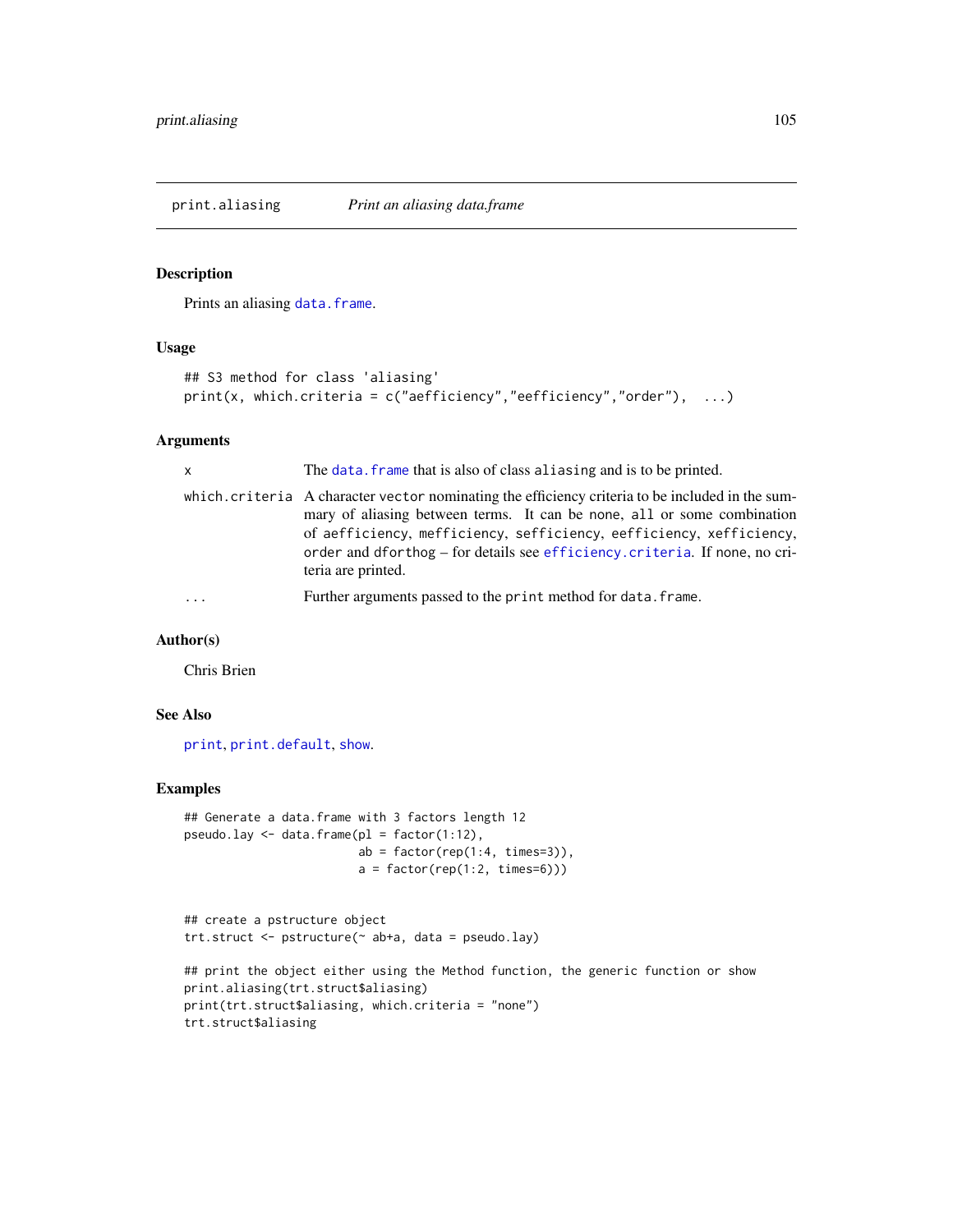<span id="page-104-0"></span>print.aliasing *Print an aliasing data.frame*

# Description

Prints an aliasing [data.frame](#page-0-0).

# Usage

```
## S3 method for class 'aliasing'
print(x, which.criteria = c("aefficiency", "eefficiency", "order"), ...)
```
## Arguments

| $\mathsf{x}$ | The data, frame that is also of class aliasing and is to be printed.                                                                                                                                                                                                                                                                                   |
|--------------|--------------------------------------------------------------------------------------------------------------------------------------------------------------------------------------------------------------------------------------------------------------------------------------------------------------------------------------------------------|
|              | which.criteria A character vector nominating the efficiency criteria to be included in the sum-<br>mary of aliasing between terms. It can be none, all or some combination<br>of aefficiency, mefficiency, sefficiency, eefficiency, xefficiency,<br>order and dforthog – for details see efficiency. criteria. If none, no cri-<br>teria are printed. |
|              | Further arguments passed to the print method for data. frame.                                                                                                                                                                                                                                                                                          |

## Author(s)

Chris Brien

## See Also

[print](#page-0-0), [print.default](#page-0-0), [show](#page-0-0).

```
## Generate a data.frame with 3 factors length 12
pseudo.lay <- data.frame(pl = factor(1:12),
                        ab = factor(rep(1:4, times=3)),a = factor(rep(1:2, times=6)))
```

```
## create a pstructure object
trt.struct <- pstructure(~ ab+a, data = pseudo.lay)
```

```
## print the object either using the Method function, the generic function or show
print.aliasing(trt.struct$aliasing)
print(trt.struct$aliasing, which.criteria = "none")
trt.struct$aliasing
```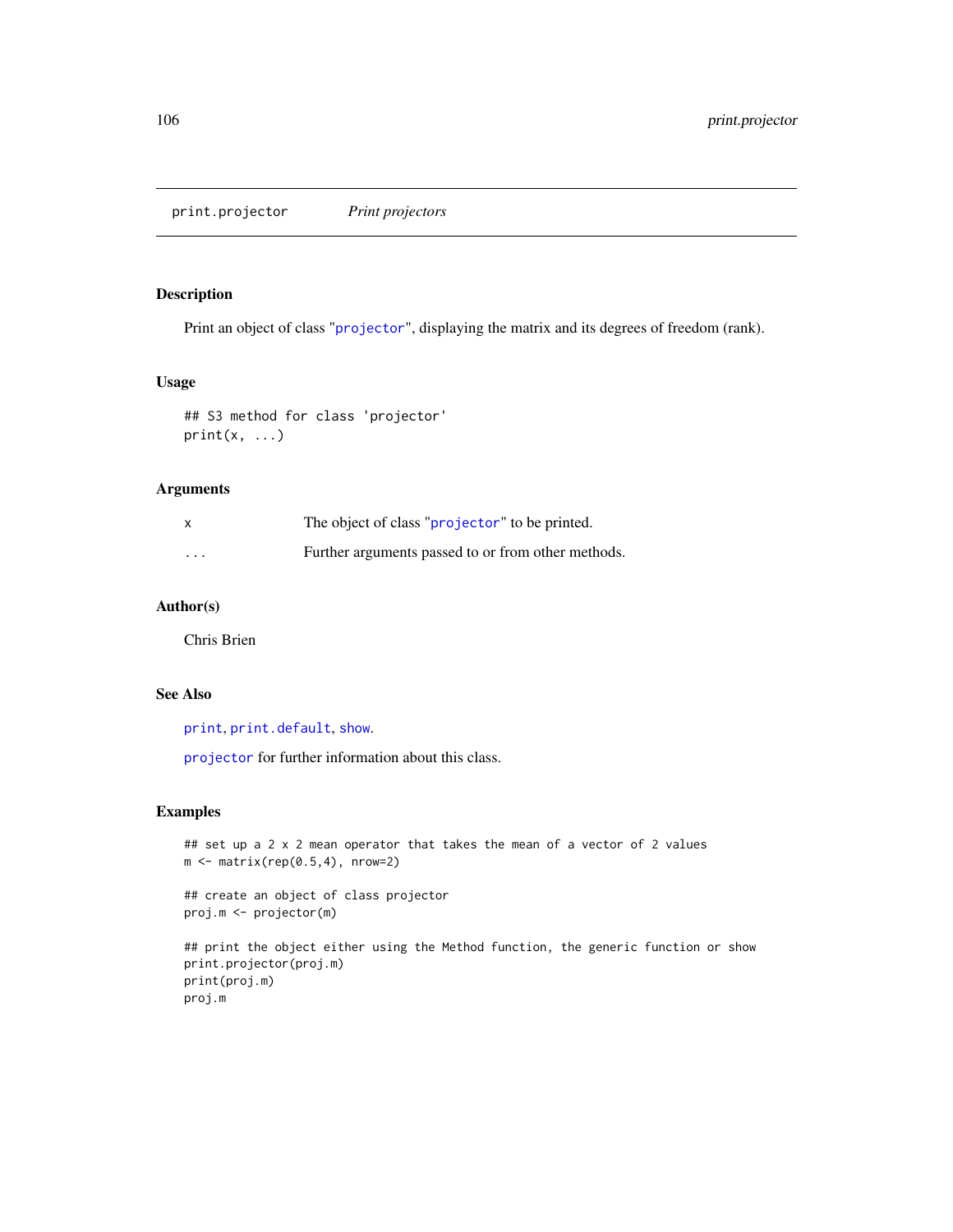print.projector *Print projectors*

## Description

Print an object of class "[projector](#page-114-0)", displaying the matrix and its degrees of freedom (rank).

## Usage

```
## S3 method for class 'projector'
print(x, \ldots)
```
# Arguments

| $\times$ | The object of class "projector" to be printed.     |
|----------|----------------------------------------------------|
| $\cdots$ | Further arguments passed to or from other methods. |

# Author(s)

Chris Brien

## See Also

[print](#page-0-0), [print.default](#page-0-0), [show](#page-0-0).

[projector](#page-114-0) for further information about this class.

# Examples

```
## set up a 2 x 2 mean operator that takes the mean of a vector of 2 values
m \leftarrow matrix(rep(0.5,4), nrow=2)
```
## create an object of class projector proj.m <- projector(m)

## print the object either using the Method function, the generic function or show print.projector(proj.m) print(proj.m) proj.m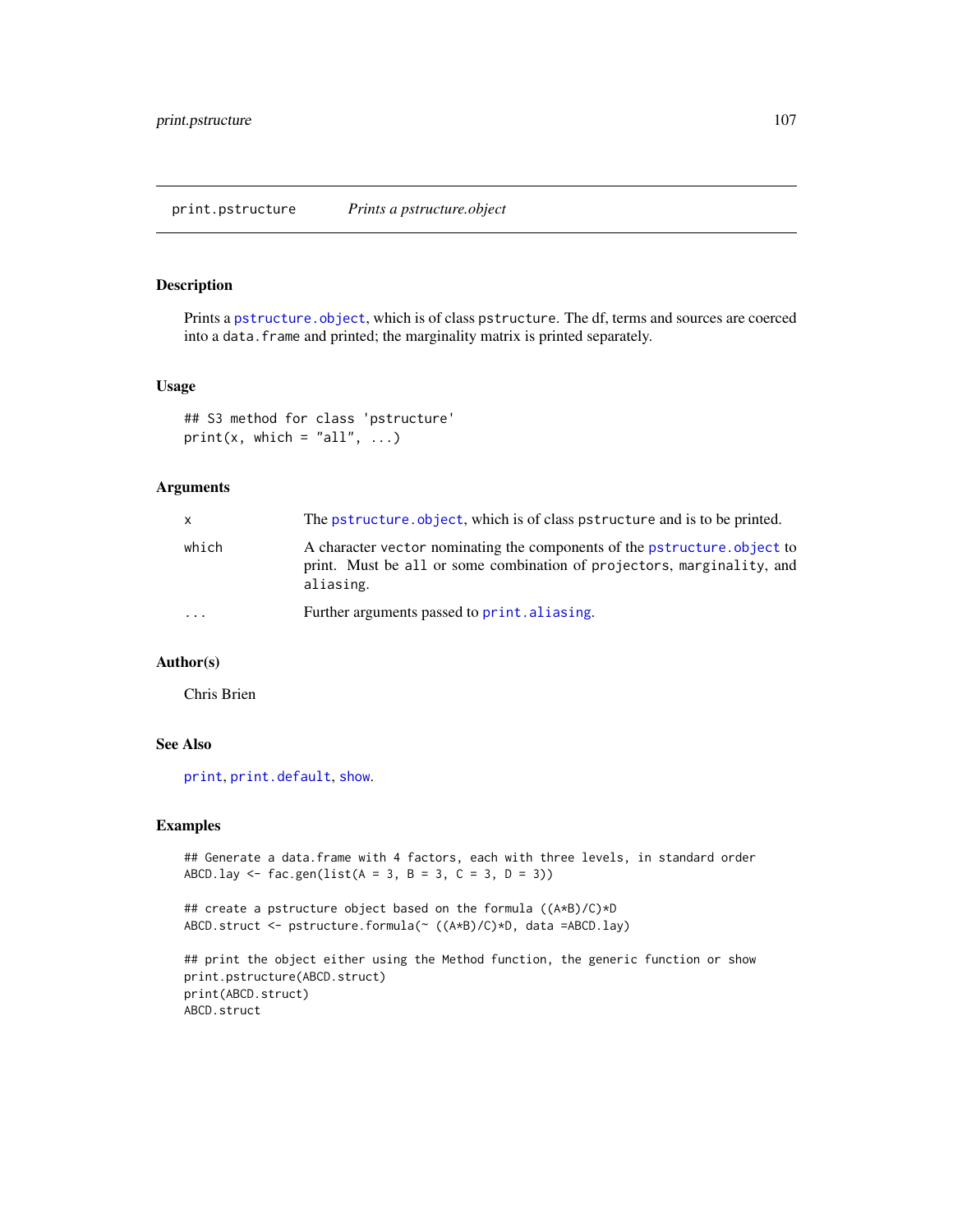print.pstructure *Prints a pstructure.object*

## Description

Prints a [pstructure.object](#page-122-0), which is of class pstructure. The df, terms and sources are coerced into a data. frame and printed; the marginality matrix is printed separately.

## Usage

```
## S3 method for class 'pstructure'
print(x, which = "all", \ldots)
```
# Arguments

| X       | The pstructure object, which is of class pstructure and is to be printed.                                                                                       |
|---------|-----------------------------------------------------------------------------------------------------------------------------------------------------------------|
| which   | A character vector nominating the components of the pstructure.object to<br>print. Must be all or some combination of projectors, marginality, and<br>aliasing. |
| $\cdot$ | Further arguments passed to print. aliasing.                                                                                                                    |

# Author(s)

Chris Brien

# See Also

[print](#page-0-0), [print.default](#page-0-0), [show](#page-0-0).

#### Examples

```
## Generate a data.frame with 4 factors, each with three levels, in standard order
ABCD.lay \leq fac.gen(list(A = 3, B = 3, C = 3, D = 3))
```
## create a pstructure object based on the formula ((A\*B)/C)\*D ABCD.struct <- pstructure.formula(~ ((A\*B)/C)\*D, data =ABCD.lay)

```
## print the object either using the Method function, the generic function or show
print.pstructure(ABCD.struct)
print(ABCD.struct)
ABCD.struct
```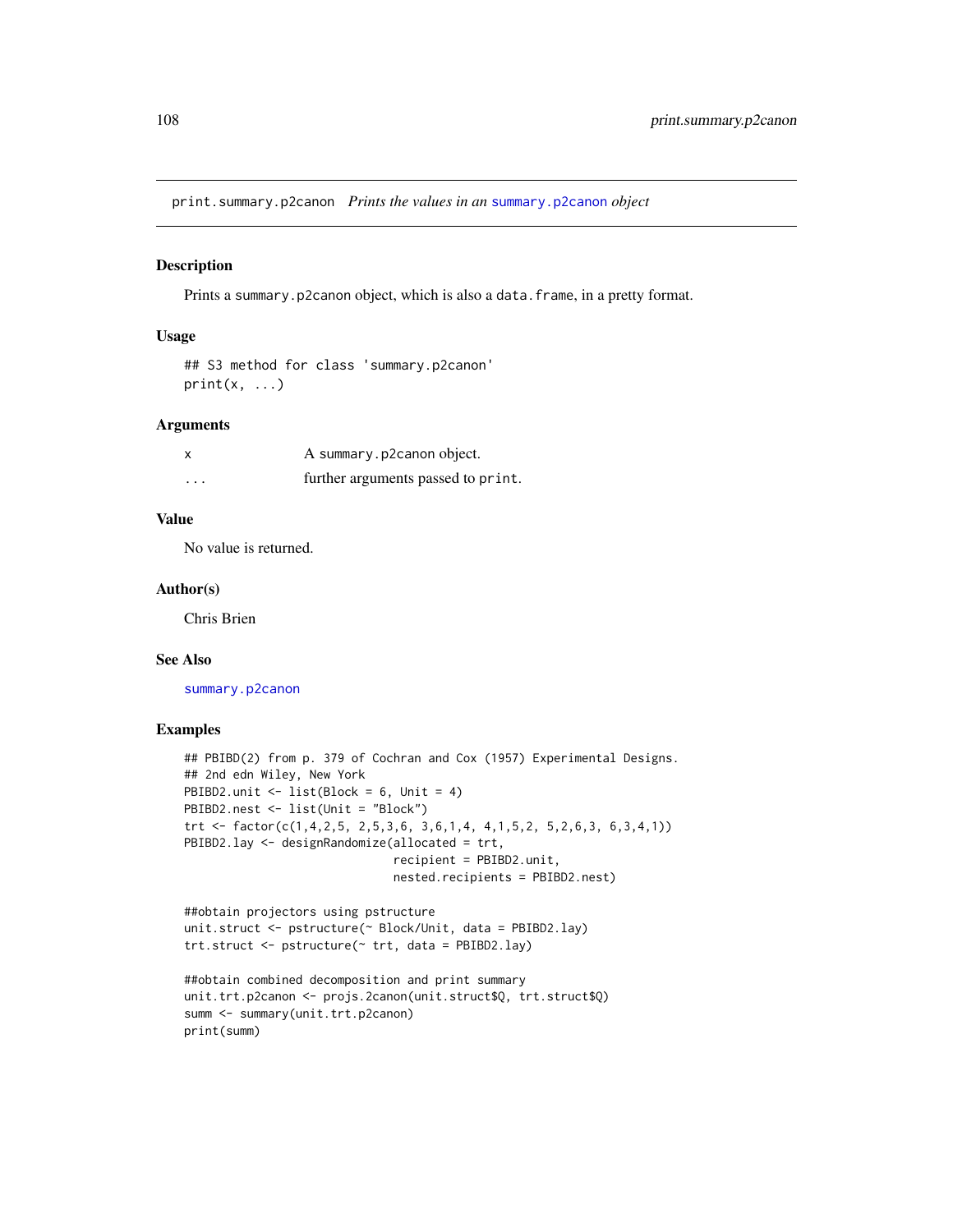print.summary.p2canon *Prints the values in an* [summary.p2canon](#page-132-0) *object*

#### Description

Prints a summary.p2canon object, which is also a data.frame, in a pretty format.

## Usage

```
## S3 method for class 'summary.p2canon'
print(x, \ldots)
```
#### Arguments

| X | A summary.p2canon object.          |
|---|------------------------------------|
| . | further arguments passed to print. |

# Value

No value is returned.

# Author(s)

Chris Brien

# See Also

[summary.p2canon](#page-132-0)

```
## PBIBD(2) from p. 379 of Cochran and Cox (1957) Experimental Designs.
## 2nd edn Wiley, New York
PBIBD2.unit \leftarrow list(Block = 6, Unit = 4)
PBIBD2.nest <- list(Unit = "Block")
trt <- factor(c(1,4,2,5, 2,5,3,6, 3,6,1,4, 4,1,5,2, 5,2,6,3, 6,3,4,1))
PBIBD2.lay <- designRandomize(allocated = trt,
                              recipient = PBIBD2.unit,
                              nested.recipients = PBIBD2.nest)
```

```
##obtain projectors using pstructure
unit.struct <- pstructure(~ Block/Unit, data = PBIBD2.lay)
trt.struct <- pstructure(~ trt, data = PBIBD2.lay)
```

```
##obtain combined decomposition and print summary
unit.trt.p2canon <- projs.2canon(unit.struct$Q, trt.struct$Q)
summ <- summary(unit.trt.p2canon)
print(summ)
```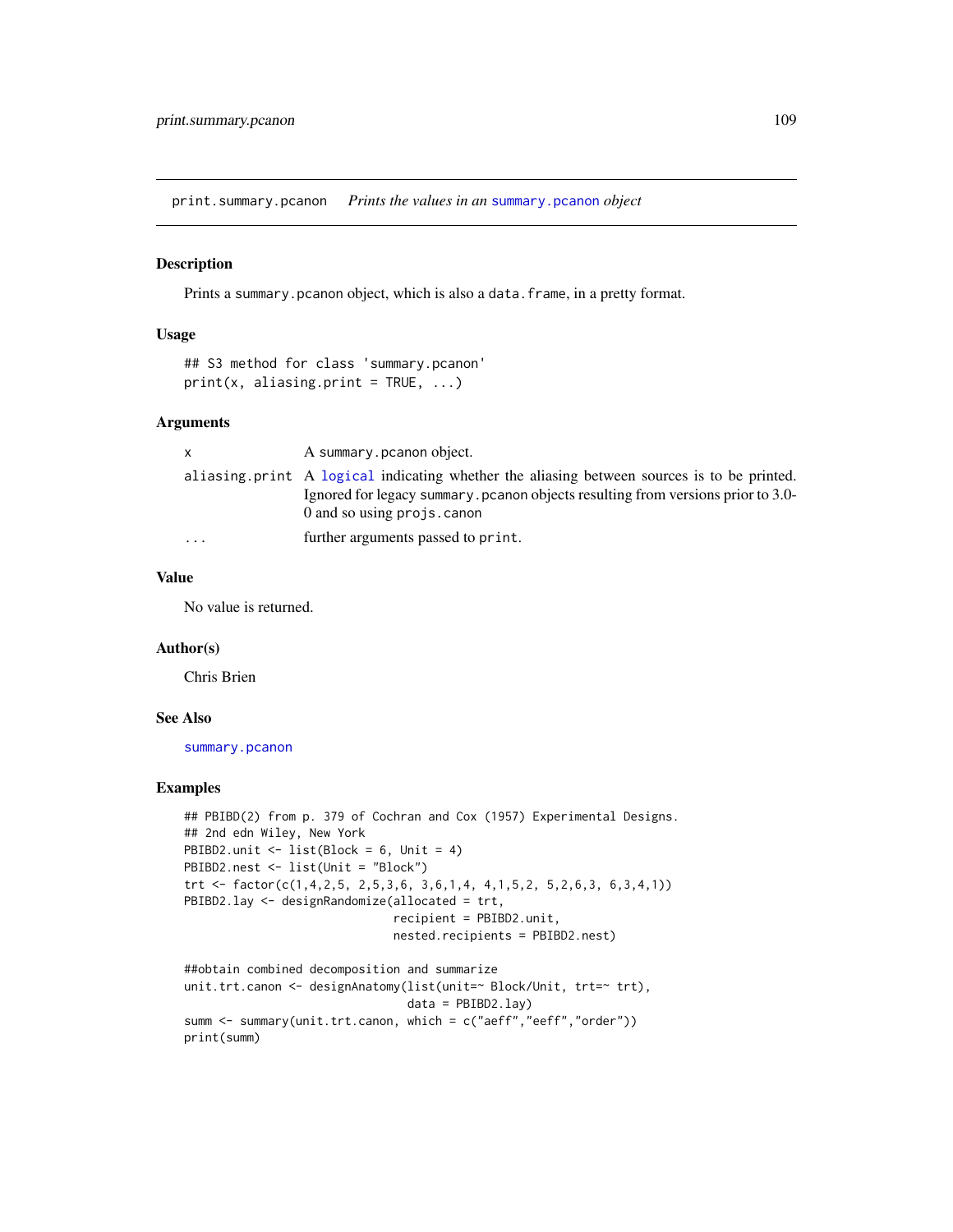<span id="page-108-1"></span><span id="page-108-0"></span>print.summary.pcanon *Prints the values in an* [summary.pcanon](#page-133-0) *object*

## Description

Prints a summary.pcanon object, which is also a data.frame, in a pretty format.

## Usage

```
## S3 method for class 'summary.pcanon'
print(x, aliasing.print = TRUE, ...)
```
## Arguments

| X        | A summary pcanon object.                                                                                                                                                                                     |
|----------|--------------------------------------------------------------------------------------------------------------------------------------------------------------------------------------------------------------|
|          | aliasing print A logical indicating whether the aliasing between sources is to be printed.<br>Ignored for legacy summary, pcanon objects resulting from versions prior to 3.0-<br>0 and so using projs.canon |
| $\cdots$ | further arguments passed to print.                                                                                                                                                                           |

#### Value

No value is returned.

#### Author(s)

Chris Brien

## See Also

[summary.pcanon](#page-133-0)

#### Examples

```
## PBIBD(2) from p. 379 of Cochran and Cox (1957) Experimental Designs.
## 2nd edn Wiley, New York
PBIBD2.unit \leftarrow list(Block = 6, Unit = 4)
PBIBD2.nest <- list(Unit = "Block")
trt <- factor(c(1,4,2,5, 2,5,3,6, 3,6,1,4, 4,1,5,2, 5,2,6,3, 6,3,4,1))
PBIBD2.lay <- designRandomize(allocated = trt,
                               recipient = PBIBD2.unit,
                               nested.recipients = PBIBD2.nest)
```

```
##obtain combined decomposition and summarize
unit.trt.canon <- designAnatomy(list(unit=~ Block/Unit, trt=~ trt),
                               data = PBIBD2.lay)
summ <- summary(unit.trt.canon, which = c("aeff","eeff","order"))
print(summ)
```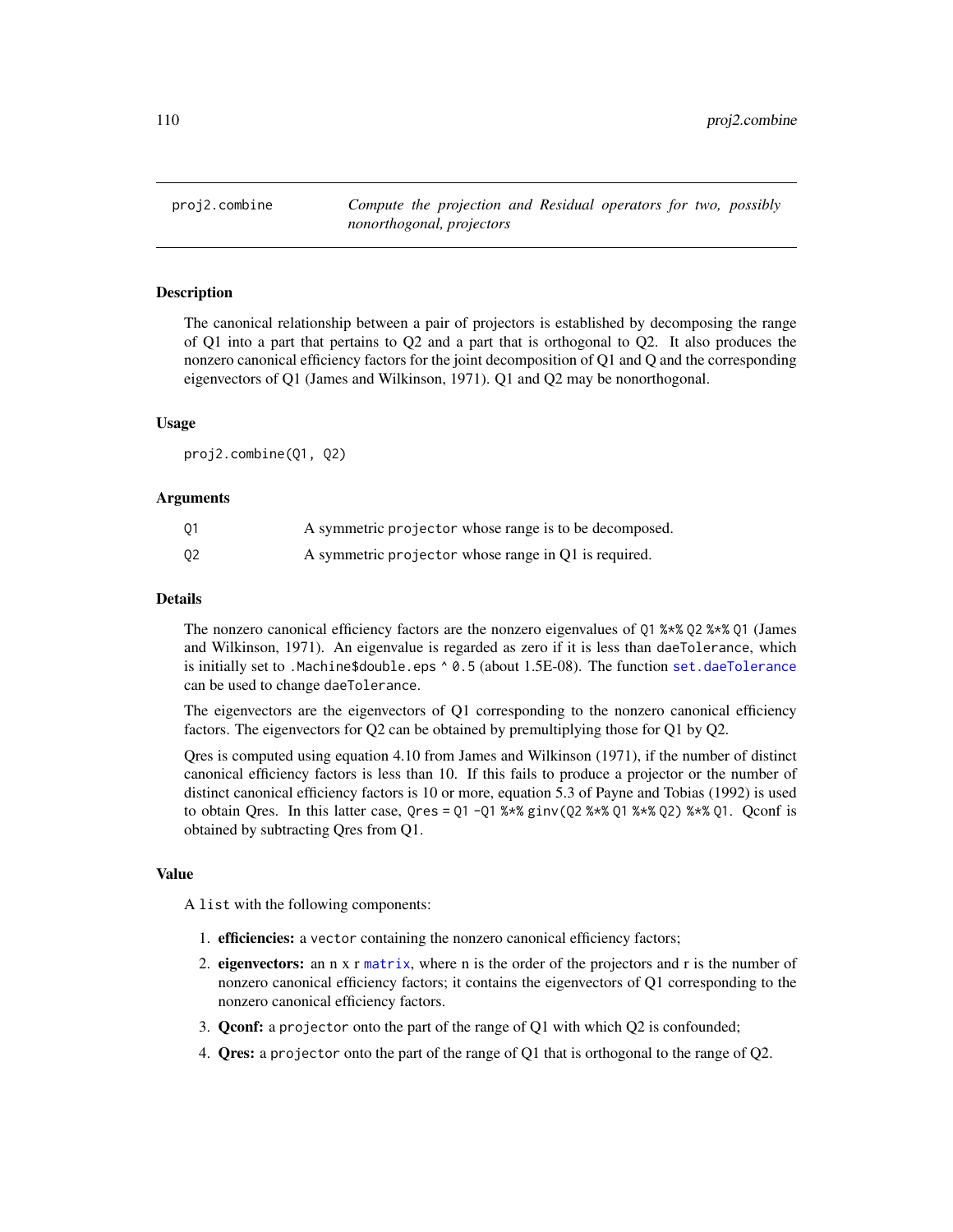<span id="page-109-1"></span><span id="page-109-0"></span>proj2.combine *Compute the projection and Residual operators for two, possibly nonorthogonal, projectors*

## **Description**

The canonical relationship between a pair of projectors is established by decomposing the range of Q1 into a part that pertains to Q2 and a part that is orthogonal to Q2. It also produces the nonzero canonical efficiency factors for the joint decomposition of Q1 and Q and the corresponding eigenvectors of Q1 (James and Wilkinson, 1971). Q1 and Q2 may be nonorthogonal.

#### Usage

proj2.combine(Q1, Q2)

#### Arguments

| 01             | A symmetric projector whose range is to be decomposed. |
|----------------|--------------------------------------------------------|
| Q <sub>2</sub> | A symmetric projector whose range in Q1 is required.   |

## Details

The nonzero canonical efficiency factors are the nonzero eigenvalues of Q1 %\*% Q2 %\*% Q1 (James and Wilkinson, 1971). An eigenvalue is regarded as zero if it is less than daeTolerance, which is initially set to .Machine\$double.eps ^ 0.5 (about 1.5E-08). The function [set.daeTolerance](#page-129-0) can be used to change daeTolerance.

The eigenvectors are the eigenvectors of Q1 corresponding to the nonzero canonical efficiency factors. The eigenvectors for Q2 can be obtained by premultiplying those for Q1 by Q2.

Qres is computed using equation 4.10 from James and Wilkinson (1971), if the number of distinct canonical efficiency factors is less than 10. If this fails to produce a projector or the number of distinct canonical efficiency factors is 10 or more, equation 5.3 of Payne and Tobias (1992) is used to obtain Qres. In this latter case,  $Qres = Q1 - Q1$  %\*%  $ginv(Q2$  %\*%  $Q1$  %\*%  $Q2$ ) %\*%  $Q1$ . Qconf is obtained by subtracting Qres from Q1.

#### Value

A list with the following components:

- 1. efficiencies: a vector containing the nonzero canonical efficiency factors;
- 2. eigenvectors: an n x r [matrix](#page-0-0), where n is the order of the projectors and r is the number of nonzero canonical efficiency factors; it contains the eigenvectors of Q1 corresponding to the nonzero canonical efficiency factors.
- 3. Qconf: a projector onto the part of the range of Q1 with which Q2 is confounded;
- 4. Qres: a projector onto the part of the range of Q1 that is orthogonal to the range of Q2.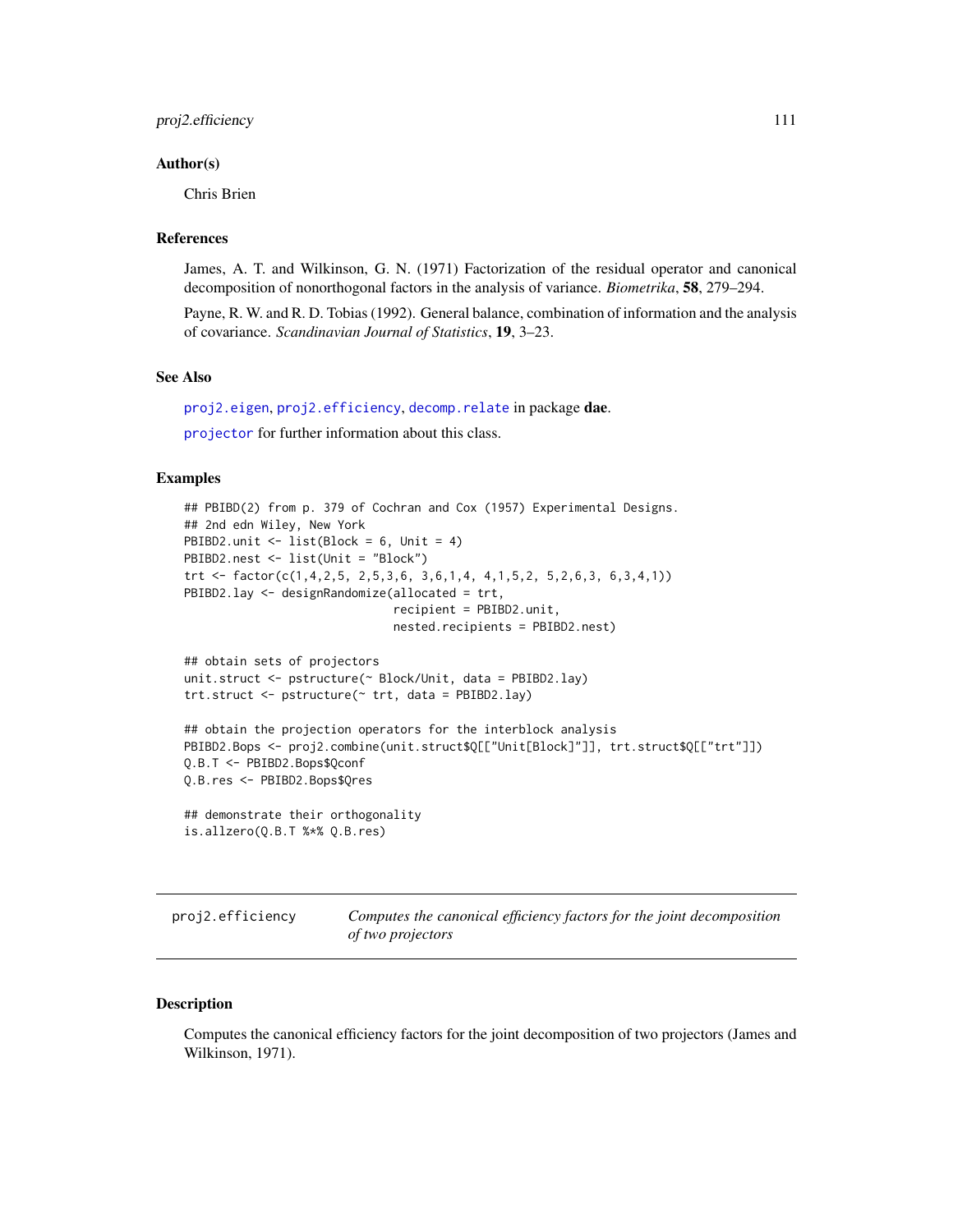#### <span id="page-110-1"></span>Author(s)

Chris Brien

# References

James, A. T. and Wilkinson, G. N. (1971) Factorization of the residual operator and canonical decomposition of nonorthogonal factors in the analysis of variance. *Biometrika*, 58, 279–294.

Payne, R. W. and R. D. Tobias (1992). General balance, combination of information and the analysis of covariance. *Scandinavian Journal of Statistics*, 19, 3–23.

## See Also

[proj2.eigen](#page-112-0), [proj2.efficiency](#page-110-0), [decomp.relate](#page-16-0) in package dae.

[projector](#page-114-0) for further information about this class.

## Examples

```
## PBIBD(2) from p. 379 of Cochran and Cox (1957) Experimental Designs.
## 2nd edn Wiley, New York
PBIBD2.unit \leftarrow list(Block = 6, Unit = 4)
PBIBD2.nest <- list(Unit = "Block")
trt <- factor(c(1,4,2,5, 2,5,3,6, 3,6,1,4, 4,1,5,2, 5,2,6,3, 6,3,4,1))
PBIBD2.lay <- designRandomize(allocated = trt,
                              recipient = PBIBD2.unit,
                              nested.recipients = PBIBD2.nest)
## obtain sets of projectors
unit.struct <- pstructure(~ Block/Unit, data = PBIBD2.lay)
trt.struct <- pstructure(~ trt, data = PBIBD2.lay)
## obtain the projection operators for the interblock analysis
PBIBD2.Bops <- proj2.combine(unit.struct$Q[["Unit[Block]"]], trt.struct$Q[["trt"]])
Q.B.T <- PBIBD2.Bops$Qconf
Q.B.res <- PBIBD2.Bops$Qres
## demonstrate their orthogonality
```

```
is.allzero(Q.B.T %*% Q.B.res)
```
<span id="page-110-0"></span>proj2.efficiency *Computes the canonical efficiency factors for the joint decomposition of two projectors*

#### **Description**

Computes the canonical efficiency factors for the joint decomposition of two projectors (James and Wilkinson, 1971).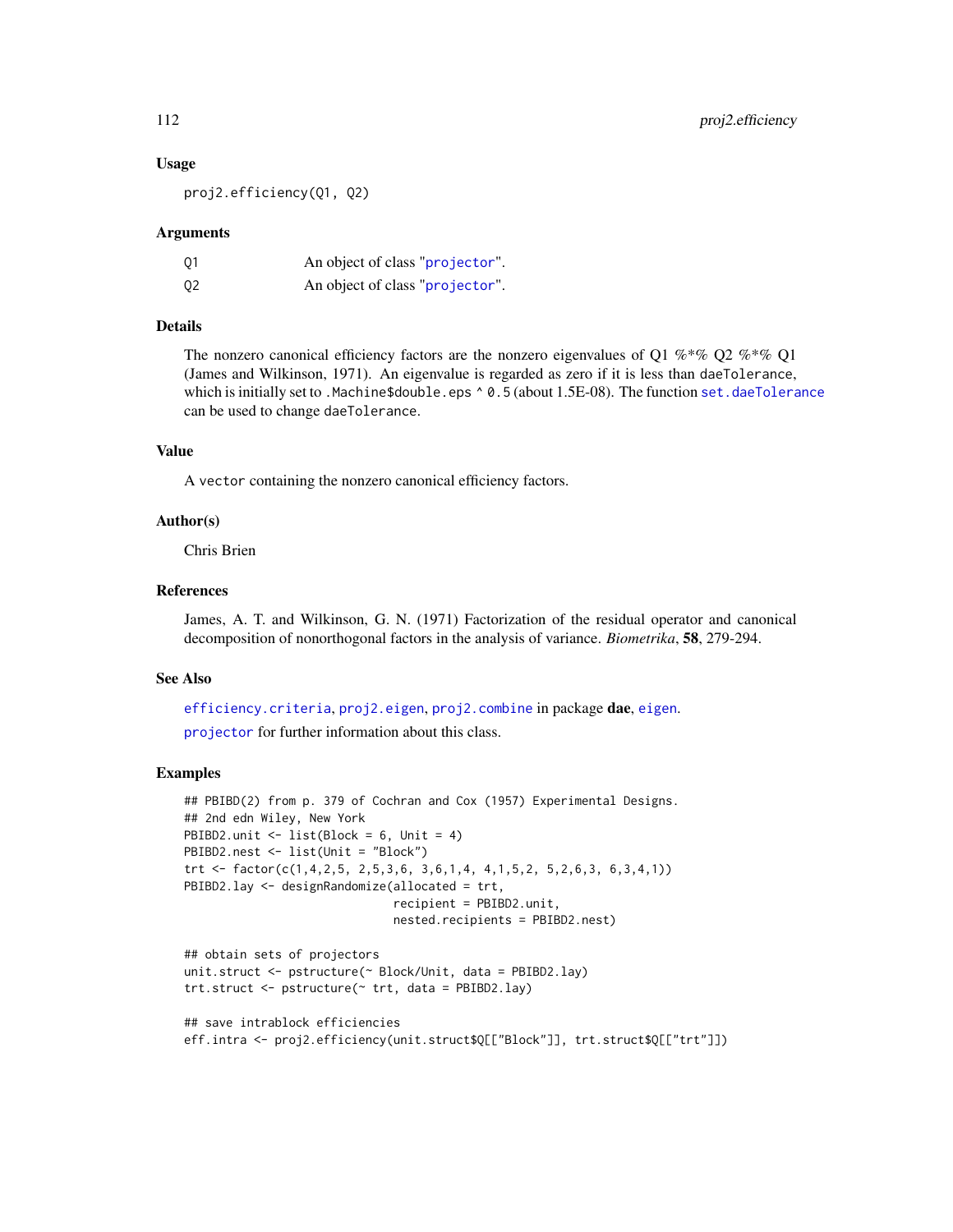#### Usage

proj2.efficiency(Q1, Q2)

#### Arguments

| 01 | An object of class "projector". |
|----|---------------------------------|
| Q2 | An object of class "projector". |

# Details

The nonzero canonical efficiency factors are the nonzero eigenvalues of Q1 % $*$ % Q2 % $*$ % Q1 (James and Wilkinson, 1971). An eigenvalue is regarded as zero if it is less than daeTolerance, which is initially set to .Machine\$double.eps ^ 0.5 (about 1.5E-08). The function [set.daeTolerance](#page-129-0) can be used to change daeTolerance.

#### Value

A vector containing the nonzero canonical efficiency factors.

## Author(s)

Chris Brien

#### References

James, A. T. and Wilkinson, G. N. (1971) Factorization of the residual operator and canonical decomposition of nonorthogonal factors in the analysis of variance. *Biometrika*, 58, 279-294.

#### See Also

[efficiency.criteria](#page-43-0), [proj2.eigen](#page-112-0), [proj2.combine](#page-109-0) in package dae, [eigen](#page-0-0).

[projector](#page-114-0) for further information about this class.

#### Examples

```
## PBIBD(2) from p. 379 of Cochran and Cox (1957) Experimental Designs.
## 2nd edn Wiley, New York
PBIBD2.unit <- list(Block = 6, Unit = 4)
PBIBD2.nest <- list(Unit = "Block")
trt <- factor(c(1,4,2,5, 2,5,3,6, 3,6,1,4, 4,1,5,2, 5,2,6,3, 6,3,4,1))
PBIBD2.lay <- designRandomize(allocated = trt,
                              recipient = PBIBD2.unit,
                              nested.recipients = PBIBD2.nest)
## obtain sets of projectors
unit.struct <- pstructure(~ Block/Unit, data = PBIBD2.lay)
trt.struct <- pstructure(~ trt, data = PBIBD2.lay)
```

```
## save intrablock efficiencies
eff.intra <- proj2.efficiency(unit.struct$Q[["Block"]], trt.struct$Q[["trt"]])
```
<span id="page-111-0"></span>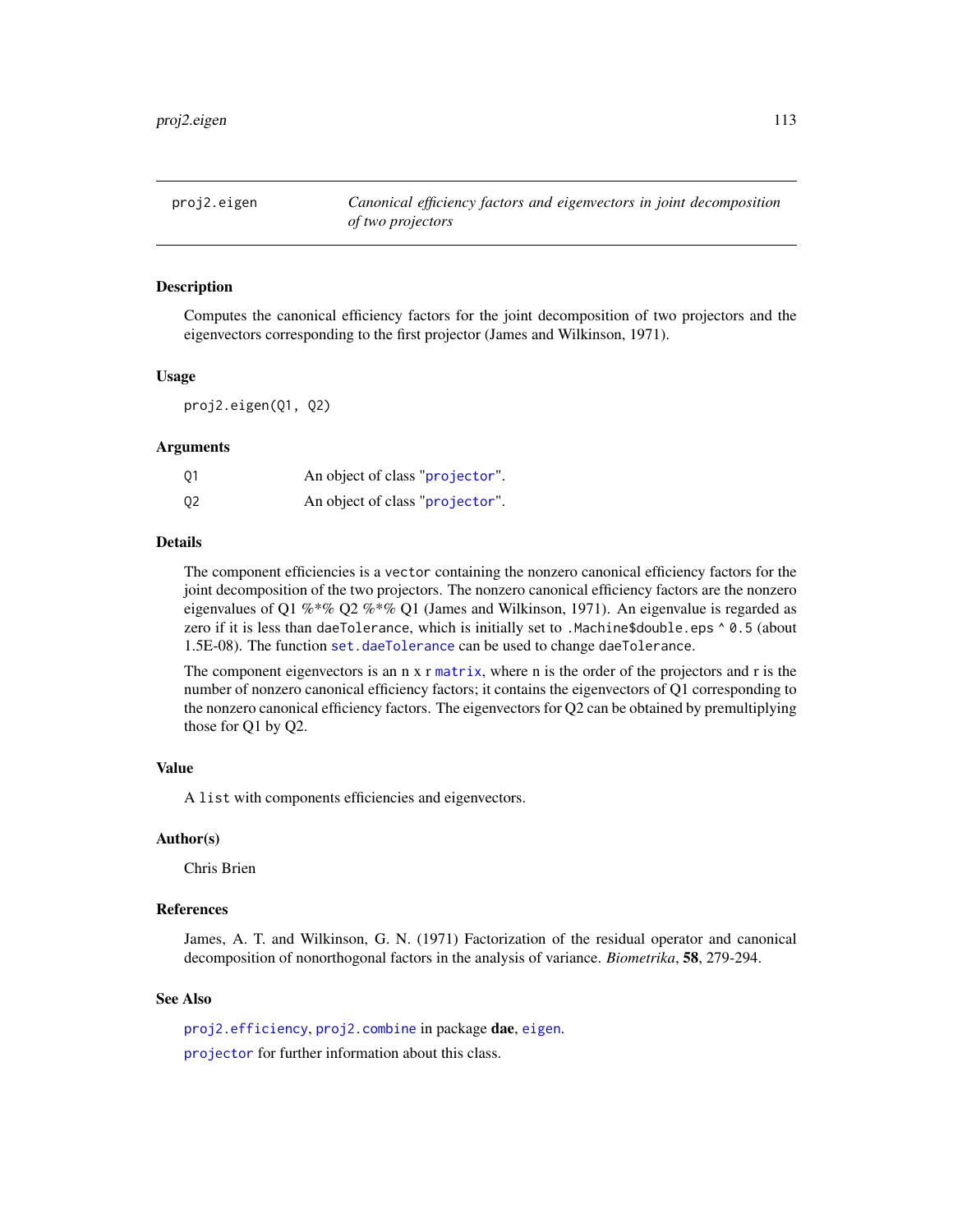<span id="page-112-1"></span><span id="page-112-0"></span>proj2.eigen *Canonical efficiency factors and eigenvectors in joint decomposition of two projectors*

## **Description**

Computes the canonical efficiency factors for the joint decomposition of two projectors and the eigenvectors corresponding to the first projector (James and Wilkinson, 1971).

#### Usage

proj2.eigen(Q1, Q2)

#### Arguments

| 01 | An object of class "projector". |
|----|---------------------------------|
| 02 | An object of class "projector". |

#### Details

The component efficiencies is a vector containing the nonzero canonical efficiency factors for the joint decomposition of the two projectors. The nonzero canonical efficiency factors are the nonzero eigenvalues of Q1 %\*% Q2 %\*% Q1 (James and Wilkinson, 1971). An eigenvalue is regarded as zero if it is less than daeTolerance, which is initially set to .Machine\$double.eps  $\land$  0.5 (about 1.5E-08). The function [set.daeTolerance](#page-129-0) can be used to change daeTolerance.

The component eigenvectors is an n x r [matrix](#page-0-0), where n is the order of the projectors and r is the number of nonzero canonical efficiency factors; it contains the eigenvectors of Q1 corresponding to the nonzero canonical efficiency factors. The eigenvectors for Q2 can be obtained by premultiplying those for Q1 by Q2.

## Value

A list with components efficiencies and eigenvectors.

#### Author(s)

Chris Brien

#### References

James, A. T. and Wilkinson, G. N. (1971) Factorization of the residual operator and canonical decomposition of nonorthogonal factors in the analysis of variance. *Biometrika*, 58, 279-294.

## See Also

[proj2.efficiency](#page-110-0), [proj2.combine](#page-109-0) in package dae, [eigen](#page-0-0). [projector](#page-114-0) for further information about this class.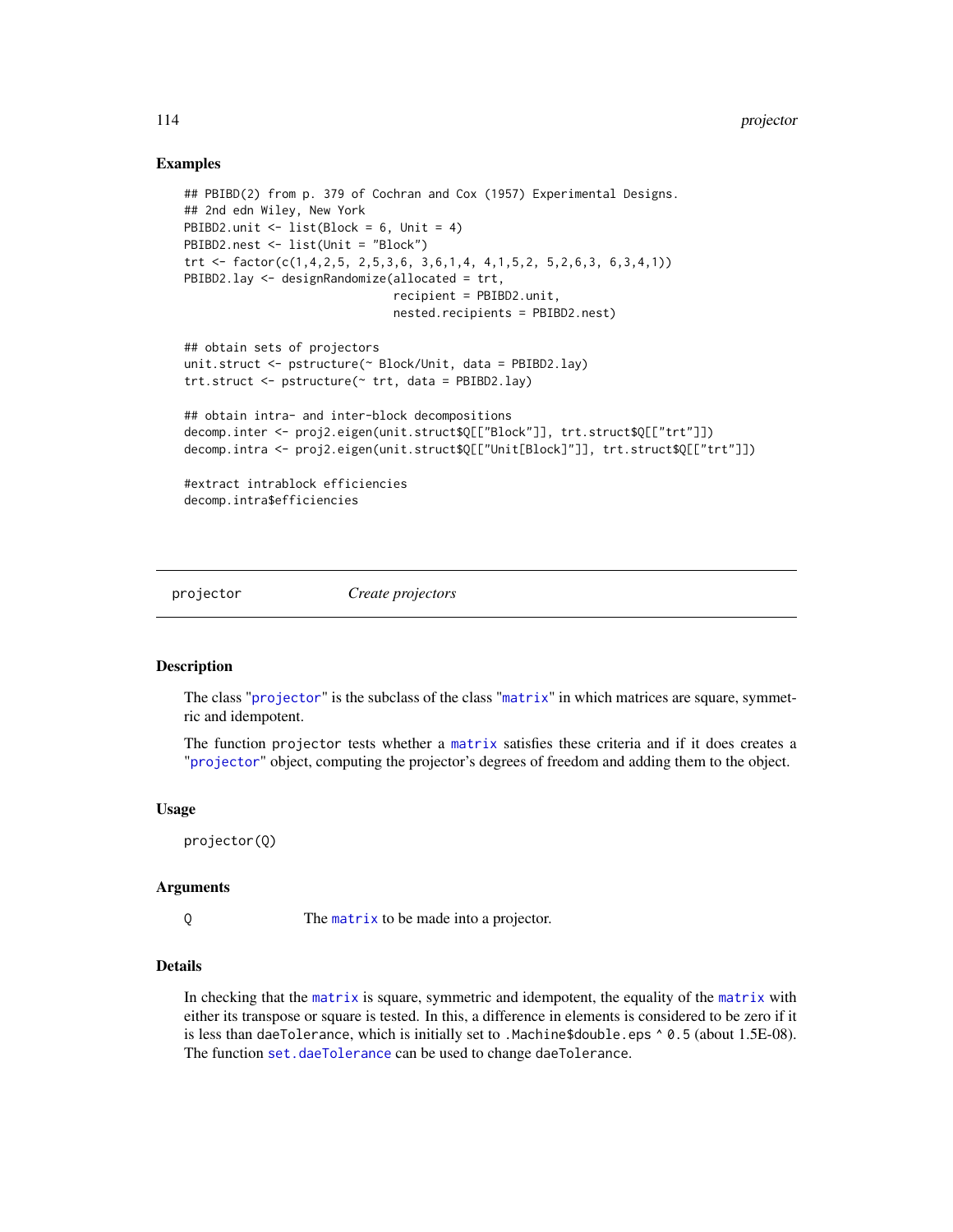## <span id="page-113-1"></span>Examples

```
## PBIBD(2) from p. 379 of Cochran and Cox (1957) Experimental Designs.
## 2nd edn Wiley, New York
PBIBD2.unit <- list(Block = 6, Unit = 4)
PBIBD2.nest <- list(Unit = "Block")
trt <- factor(c(1,4,2,5, 2,5,3,6, 3,6,1,4, 4,1,5,2, 5,2,6,3, 6,3,4,1))
PBIBD2.lay <- designRandomize(allocated = trt,
                              recipient = PBIBD2.unit,
                              nested.recipients = PBIBD2.nest)
## obtain sets of projectors
unit.struct <- pstructure(~ Block/Unit, data = PBIBD2.lay)
trt.struct <- pstructure(~ trt, data = PBIBD2.lay)
## obtain intra- and inter-block decompositions
decomp.inter <- proj2.eigen(unit.struct$Q[["Block"]], trt.struct$Q[["trt"]])
decomp.intra <- proj2.eigen(unit.struct$Q[["Unit[Block]"]], trt.struct$Q[["trt"]])
#extract intrablock efficiencies
decomp.intra$efficiencies
```
<span id="page-113-0"></span>

projector *Create projectors*

## **Description**

The class "[projector](#page-114-0)" is the subclass of the class "[matrix](#page-0-0)" in which matrices are square, symmetric and idempotent.

The function projector tests whether a [matrix](#page-0-0) satisfies these criteria and if it does creates a "[projector](#page-114-0)" object, computing the projector's degrees of freedom and adding them to the object.

#### Usage

projector(Q)

## Arguments

Q The [matrix](#page-0-0) to be made into a projector.

## Details

In checking that the [matrix](#page-0-0) is square, symmetric and idempotent, the equality of the [matrix](#page-0-0) with either its transpose or square is tested. In this, a difference in elements is considered to be zero if it is less than daeTolerance, which is initially set to .Machine\$double.eps ^ 0.5 (about 1.5E-08). The function [set.daeTolerance](#page-129-0) can be used to change daeTolerance.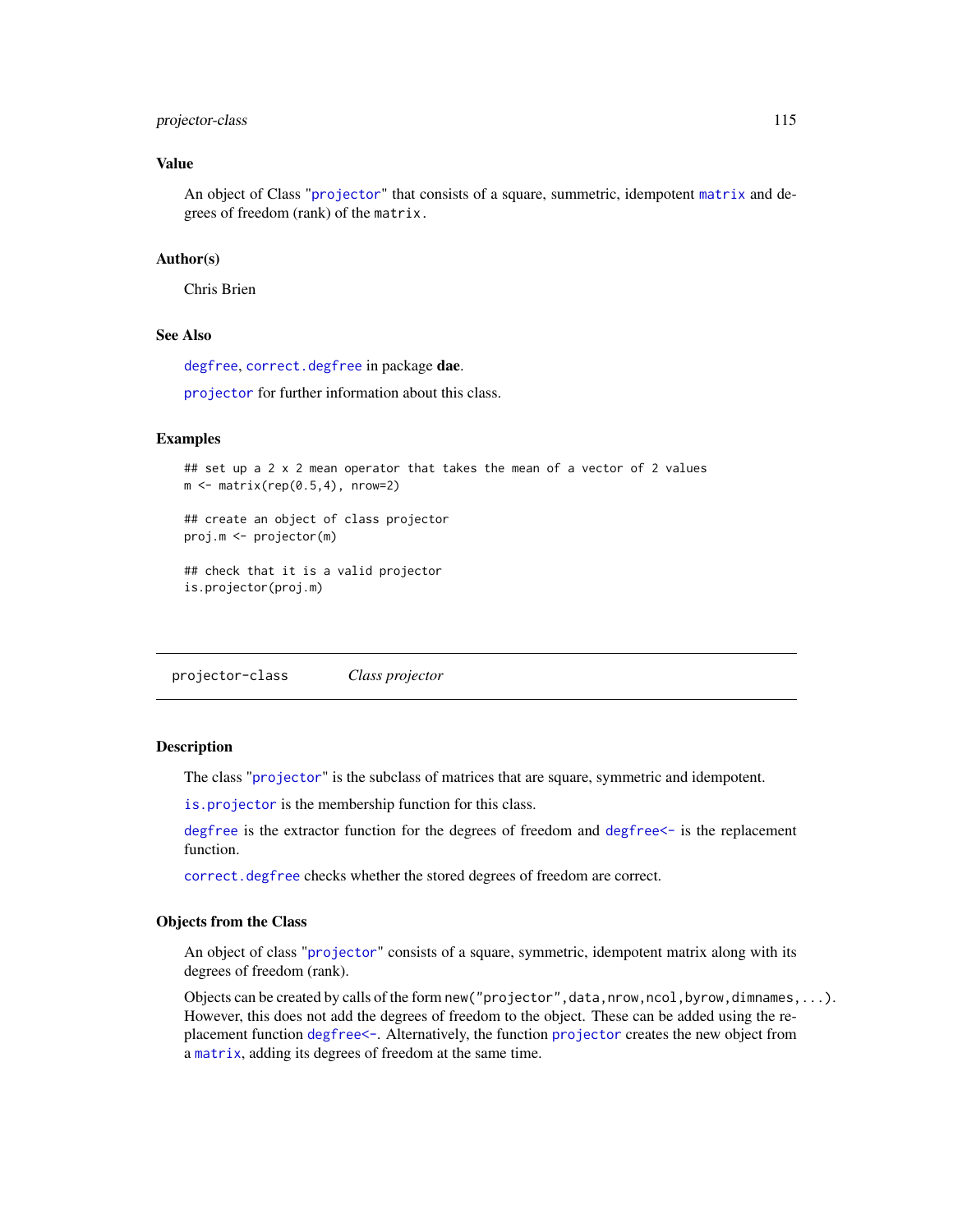## <span id="page-114-1"></span>projector-class 115

## Value

An object of Class "[projector](#page-114-0)" that consists of a square, summetric, idempotent [matrix](#page-0-0) and degrees of freedom (rank) of the matrix.

#### Author(s)

Chris Brien

## See Also

[degfree](#page-17-0), [correct.degfree](#page-14-0) in package dae.

[projector](#page-114-0) for further information about this class.

#### Examples

```
## set up a 2 x 2 mean operator that takes the mean of a vector of 2 values
m \leftarrow matrix(rep(0.5, 4), nrow=2)## create an object of class projector
proj.m <- projector(m)
## check that it is a valid projector
is.projector(proj.m)
```
<span id="page-114-0"></span>projector-class *Class projector*

#### Description

The class "[projector](#page-114-0)" is the subclass of matrices that are square, symmetric and idempotent.

[is.projector](#page-73-0) is the membership function for this class.

[degfree](#page-17-0) is the extractor function for the degrees of freedom and [degfree<-](#page-17-0) is the replacement function.

[correct.degfree](#page-14-0) checks whether the stored degrees of freedom are correct.

#### Objects from the Class

An object of class "[projector](#page-114-0)" consists of a square, symmetric, idempotent matrix along with its degrees of freedom (rank).

Objects can be created by calls of the form new ("projector", data, nrow, ncol, byrow, dimnames, ...). However, this does not add the degrees of freedom to the object. These can be added using the replacement function [degfree<-](#page-17-0). Alternatively, the function [projector](#page-113-0) creates the new object from a [matrix](#page-0-0), adding its degrees of freedom at the same time.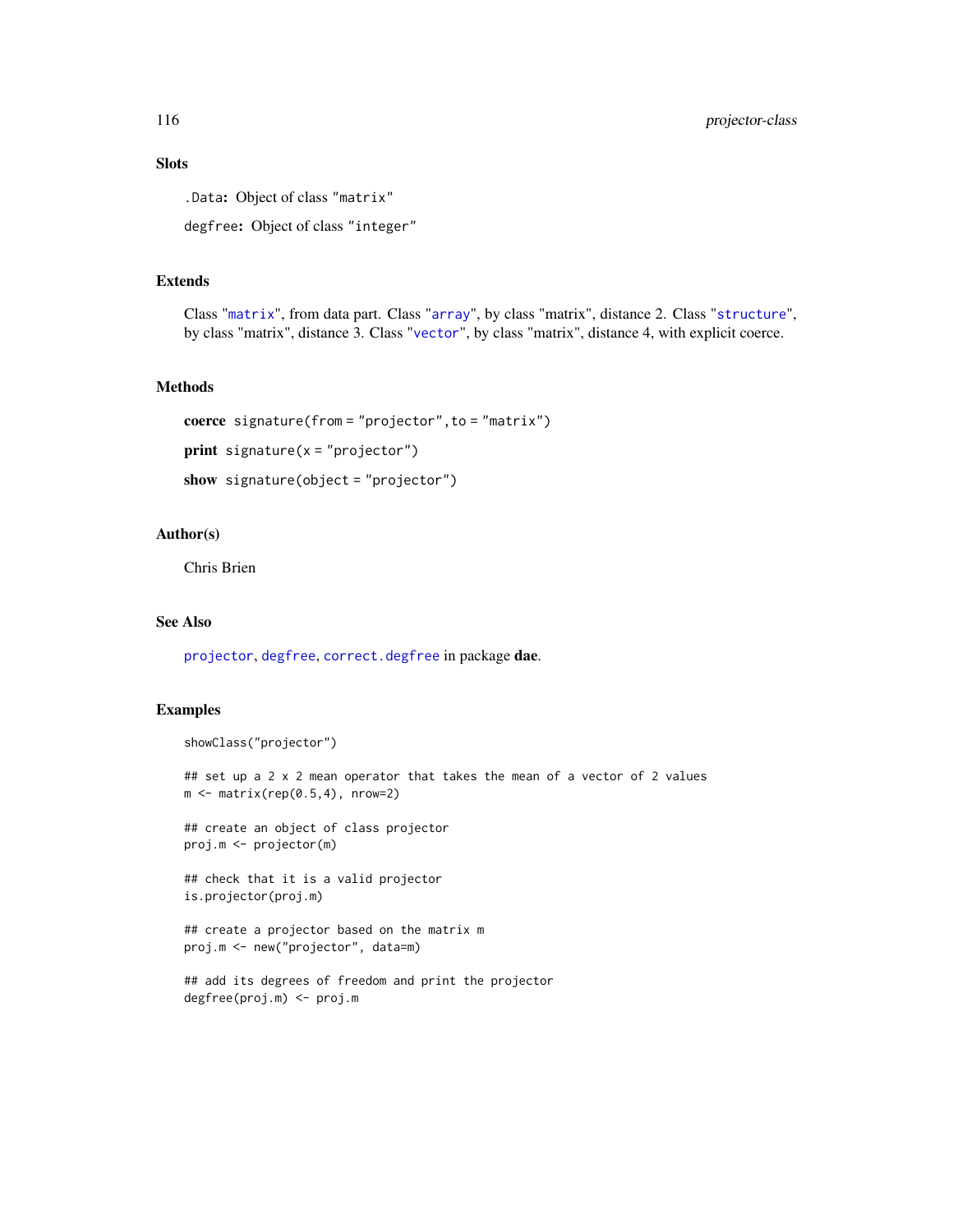# Slots

.Data: Object of class "matrix"

degfree: Object of class "integer"

## Extends

Class "[matrix](#page-0-0)", from data part. Class "[array](#page-0-0)", by class "matrix", distance 2. Class "[structure](#page-0-0)", by class "matrix", distance 3. Class "[vector](#page-0-0)", by class "matrix", distance 4, with explicit coerce.

## Methods

```
coerce signature(from = "projector",to = "matrix")
print signature(x = "projector")show signature(object = "projector")
```
#### Author(s)

Chris Brien

## See Also

[projector](#page-113-0), [degfree](#page-17-0), [correct.degfree](#page-14-0) in package dae.

## Examples

```
showClass("projector")
```
## set up a 2 x 2 mean operator that takes the mean of a vector of 2 values  $m \leftarrow matrix(rep(0.5, 4), nrow=2)$ 

## create an object of class projector proj.m <- projector(m)

## check that it is a valid projector is.projector(proj.m)

## create a projector based on the matrix m proj.m <- new("projector", data=m)

```
## add its degrees of freedom and print the projector
degfree(proj.m) <- proj.m
```
<span id="page-115-0"></span>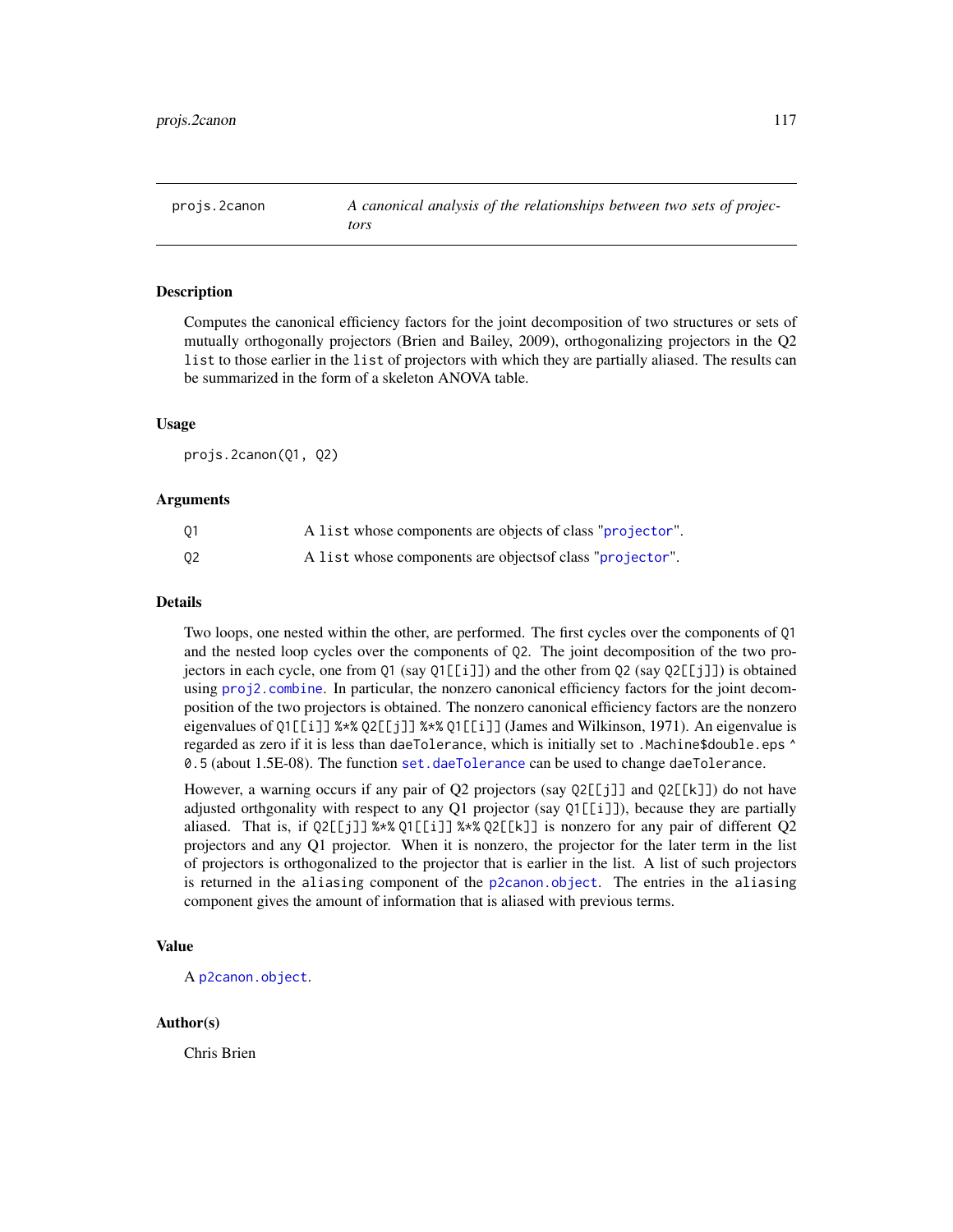#### <span id="page-116-1"></span><span id="page-116-0"></span>Description

Computes the canonical efficiency factors for the joint decomposition of two structures or sets of mutually orthogonally projectors (Brien and Bailey, 2009), orthogonalizing projectors in the Q2 list to those earlier in the list of projectors with which they are partially aliased. The results can be summarized in the form of a skeleton ANOVA table.

#### Usage

projs.2canon(Q1, Q2)

#### Arguments

| 01 | A list whose components are objects of class "projector". |
|----|-----------------------------------------------------------|
| Q2 | A list whose components are objects of class "projector". |

#### Details

Two loops, one nested within the other, are performed. The first cycles over the components of Q1 and the nested loop cycles over the components of Q2. The joint decomposition of the two projectors in each cycle, one from Q1 (say Q1[[i]]) and the other from Q2 (say Q2[[j]]) is obtained using [proj2.combine](#page-109-0). In particular, the nonzero canonical efficiency factors for the joint decomposition of the two projectors is obtained. The nonzero canonical efficiency factors are the nonzero eigenvalues of Q1[[i]] %\*% Q2[[j]] %\*% Q1[[i]] (James and Wilkinson, 1971). An eigenvalue is regarded as zero if it is less than daeTolerance, which is initially set to .Machine\$double.eps ^ 0.5 (about 1.5E-08). The function [set.daeTolerance](#page-129-0) can be used to change daeTolerance.

However, a warning occurs if any pair of Q2 projectors (say Q2[[j]] and Q2[[k]]) do not have adjusted orthgonality with respect to any  $Q1$  projector (say  $Q1[\lfloor i \rfloor]$ ), because they are partially aliased. That is, if Q2[[j]] %\*% Q1[[i]] %\*% Q2[[k]] is nonzero for any pair of different Q2 projectors and any Q1 projector. When it is nonzero, the projector for the later term in the list of projectors is orthogonalized to the projector that is earlier in the list. A list of such projectors is returned in the aliasing component of the [p2canon.object](#page-101-0). The entries in the aliasing component gives the amount of information that is aliased with previous terms.

#### Value

A [p2canon.object](#page-101-0).

#### Author(s)

Chris Brien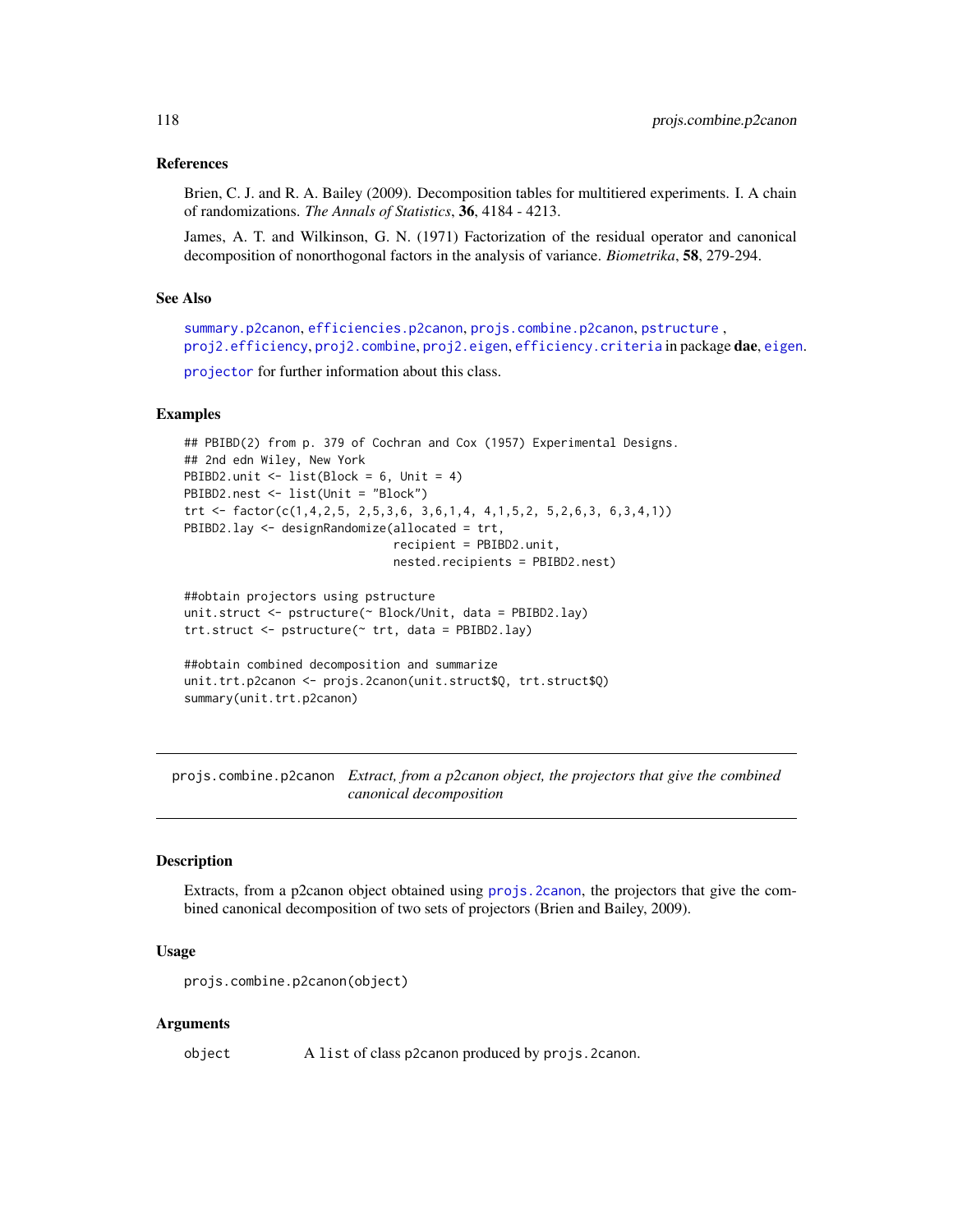#### <span id="page-117-1"></span>References

Brien, C. J. and R. A. Bailey (2009). Decomposition tables for multitiered experiments. I. A chain of randomizations. *The Annals of Statistics*, 36, 4184 - 4213.

James, A. T. and Wilkinson, G. N. (1971) Factorization of the residual operator and canonical decomposition of nonorthogonal factors in the analysis of variance. *Biometrika*, 58, 279-294.

## See Also

```
summary.p2canon, efficiencies.p2canon, projs.combine.p2canon, pstructure ,
proj2.efficiencyproj2.combineproj2.eigenefficiency.criteriaeigen.
```
[projector](#page-114-0) for further information about this class.

#### Examples

```
## PBIBD(2) from p. 379 of Cochran and Cox (1957) Experimental Designs.
## 2nd edn Wiley, New York
PBIBD2.unit \leftarrow list(Block = 6, Unit = 4)
PBIBD2.nest <- list(Unit = "Block")
trt <- factor(c(1,4,2,5, 2,5,3,6, 3,6,1,4, 4,1,5,2, 5,2,6,3, 6,3,4,1))
PBIBD2.lay <- designRandomize(allocated = trt,
                               recipient = PBIBD2.unit,
                               nested.recipients = PBIBD2.nest)
```

```
##obtain projectors using pstructure
unit.struct <- pstructure(~ Block/Unit, data = PBIBD2.lay)
trt.struct <- pstructure(~ trt, data = PBIBD2.lay)
```

```
##obtain combined decomposition and summarize
unit.trt.p2canon <- projs.2canon(unit.struct$Q, trt.struct$Q)
summary(unit.trt.p2canon)
```
<span id="page-117-0"></span>projs.combine.p2canon *Extract, from a p2canon object, the projectors that give the combined canonical decomposition*

## **Description**

Extracts, from a p2canon object obtained using [projs.2canon](#page-116-0), the projectors that give the combined canonical decomposition of two sets of projectors (Brien and Bailey, 2009).

## Usage

projs.combine.p2canon(object)

#### Arguments

object A list of class p2canon produced by projs.2canon.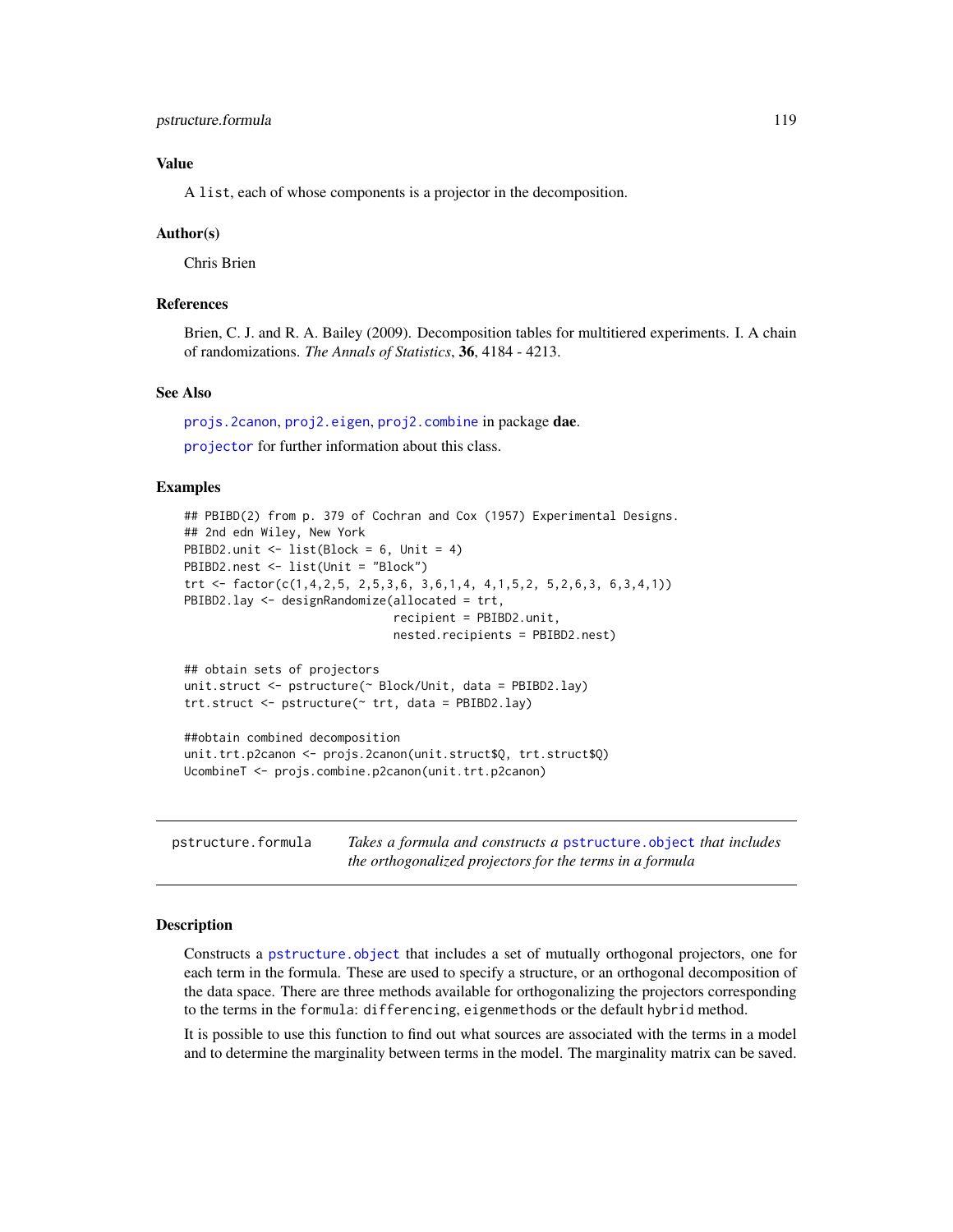## <span id="page-118-2"></span>Value

A list, each of whose components is a projector in the decomposition.

#### Author(s)

Chris Brien

## References

Brien, C. J. and R. A. Bailey (2009). Decomposition tables for multitiered experiments. I. A chain of randomizations. *The Annals of Statistics*, 36, 4184 - 4213.

## See Also

[projs.2canon](#page-116-0), [proj2.eigen](#page-112-0), [proj2.combine](#page-109-0) in package dae.

[projector](#page-114-0) for further information about this class.

## Examples

```
## PBIBD(2) from p. 379 of Cochran and Cox (1957) Experimental Designs.
## 2nd edn Wiley, New York
PBIBD2.unit <- list(Block = 6, Unit = 4)
PBIBD2.nest <- list(Unit = "Block")
trt <- factor(c(1,4,2,5, 2,5,3,6, 3,6,1,4, 4,1,5,2, 5,2,6,3, 6,3,4,1))
PBIBD2.lay <- designRandomize(allocated = trt,
                              recipient = PBIBD2.unit,
                              nested.recipients = PBIBD2.nest)
## obtain sets of projectors
unit.struct <- pstructure(~ Block/Unit, data = PBIBD2.lay)
trt.struct <- pstructure(~ trt, data = PBIBD2.lay)
##obtain combined decomposition
unit.trt.p2canon <- projs.2canon(unit.struct$Q, trt.struct$Q)
```

```
UcombineT <- projs.combine.p2canon(unit.trt.p2canon)
```
<span id="page-118-1"></span>

| pstructure.formula | Takes a formula and constructs a pstructure object that includes |
|--------------------|------------------------------------------------------------------|
|                    | the orthogonalized projectors for the terms in a formula         |

## <span id="page-118-0"></span>Description

Constructs a [pstructure.object](#page-122-0) that includes a set of mutually orthogonal projectors, one for each term in the formula. These are used to specify a structure, or an orthogonal decomposition of the data space. There are three methods available for orthogonalizing the projectors corresponding to the terms in the formula: differencing, eigenmethods or the default hybrid method.

It is possible to use this function to find out what sources are associated with the terms in a model and to determine the marginality between terms in the model. The marginality matrix can be saved.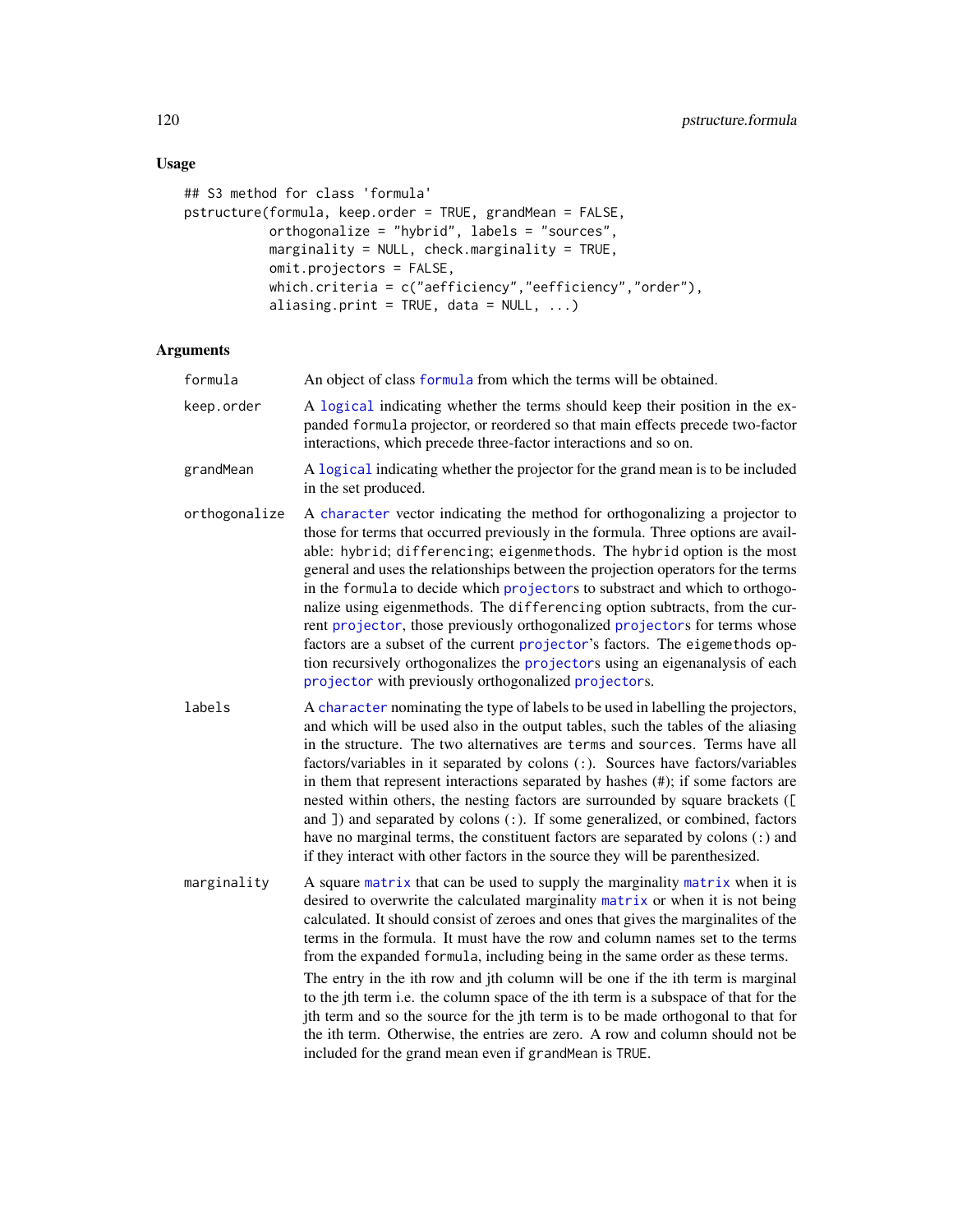# Usage

```
## S3 method for class 'formula'
pstructure(formula, keep.order = TRUE, grandMean = FALSE,
           orthogonalize = "hybrid", labels = "sources",
          marginality = NULL, check.marginality = TRUE,
          omit.projectors = FALSE,
          which.criteria = c("aefficiency","eefficiency","order"),
          aliasing.print = TRUE, data = NULL, ...)
```
## Arguments

| formula       | An object of class formula from which the terms will be obtained.                                                                                                                                                                                                                                                                                                                                                                                                                                                                                                                                                                                                                                                                                                                                                              |
|---------------|--------------------------------------------------------------------------------------------------------------------------------------------------------------------------------------------------------------------------------------------------------------------------------------------------------------------------------------------------------------------------------------------------------------------------------------------------------------------------------------------------------------------------------------------------------------------------------------------------------------------------------------------------------------------------------------------------------------------------------------------------------------------------------------------------------------------------------|
| keep.order    | A logical indicating whether the terms should keep their position in the ex-<br>panded formula projector, or reordered so that main effects precede two-factor<br>interactions, which precede three-factor interactions and so on.                                                                                                                                                                                                                                                                                                                                                                                                                                                                                                                                                                                             |
| grandMean     | A logical indicating whether the projector for the grand mean is to be included<br>in the set produced.                                                                                                                                                                                                                                                                                                                                                                                                                                                                                                                                                                                                                                                                                                                        |
| orthogonalize | A character vector indicating the method for orthogonalizing a projector to<br>those for terms that occurred previously in the formula. Three options are avail-<br>able: hybrid; differencing; eigenmethods. The hybrid option is the most<br>general and uses the relationships between the projection operators for the terms<br>in the formula to decide which projectors to substract and which to orthogo-<br>nalize using eigenmethods. The differencing option subtracts, from the cur-<br>rent projector, those previously orthogonalized projectors for terms whose<br>factors are a subset of the current projector's factors. The eigemethods op-<br>tion recursively orthogonalizes the projectors using an eigenanalysis of each<br>projector with previously orthogonalized projectors.                         |
| labels        | A character nominating the type of labels to be used in labelling the projectors,<br>and which will be used also in the output tables, such the tables of the aliasing<br>in the structure. The two alternatives are terms and sources. Terms have all<br>factors/variables in it separated by colons (:). Sources have factors/variables<br>in them that represent interactions separated by hashes (#); if some factors are<br>nested within others, the nesting factors are surrounded by square brackets ([<br>and ]) and separated by colons (:). If some generalized, or combined, factors<br>have no marginal terms, the constituent factors are separated by colons (:) and<br>if they interact with other factors in the source they will be parenthesized.                                                           |
| marginality   | A square matrix that can be used to supply the marginality matrix when it is<br>desired to overwrite the calculated marginality matrix or when it is not being<br>calculated. It should consist of zeroes and ones that gives the marginalites of the<br>terms in the formula. It must have the row and column names set to the terms<br>from the expanded formula, including being in the same order as these terms.<br>The entry in the ith row and jth column will be one if the ith term is marginal<br>to the jth term i.e. the column space of the ith term is a subspace of that for the<br>jth term and so the source for the jth term is to be made orthogonal to that for<br>the ith term. Otherwise, the entries are zero. A row and column should not be<br>included for the grand mean even if grandMean is TRUE. |

<span id="page-119-0"></span>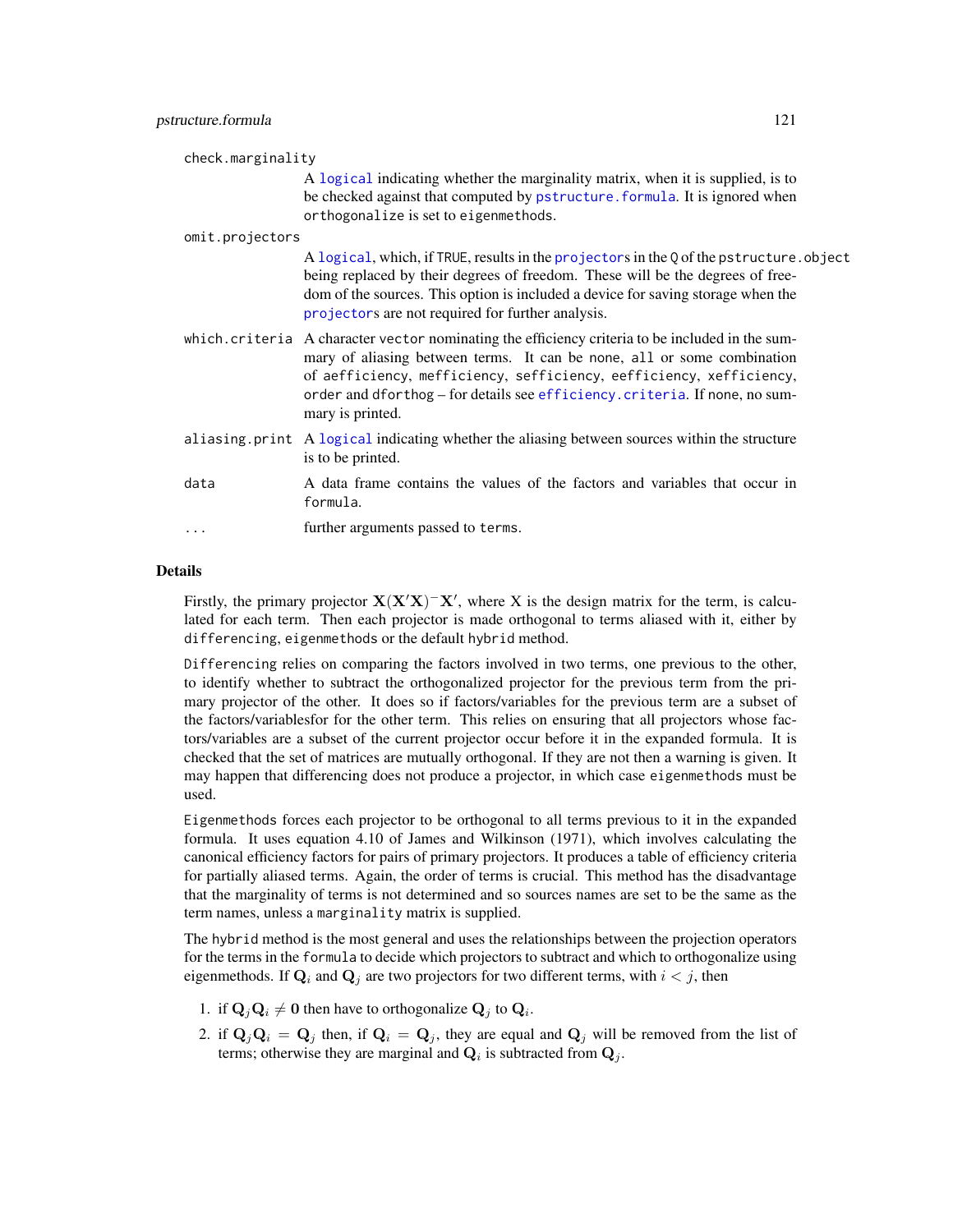<span id="page-120-0"></span>

| check.marginality |                                                                                                                                                                                                                                                                                                                                                      |
|-------------------|------------------------------------------------------------------------------------------------------------------------------------------------------------------------------------------------------------------------------------------------------------------------------------------------------------------------------------------------------|
|                   | A logical indicating whether the marginality matrix, when it is supplied, is to<br>be checked against that computed by pstructure. formula. It is ignored when<br>orthogonalize is set to eigenmethods.                                                                                                                                              |
| omit.projectors   |                                                                                                                                                                                                                                                                                                                                                      |
|                   | A logical, which, if TRUE, results in the projectors in the Q of the pstructure. object<br>being replaced by their degrees of freedom. These will be the degrees of free-<br>dom of the sources. This option is included a device for saving storage when the<br>projectors are not required for further analysis.                                   |
|                   | which.criteria A character vector nominating the efficiency criteria to be included in the sum-<br>mary of aliasing between terms. It can be none, all or some combination<br>of aefficiency, mefficiency, sefficiency, eefficiency, xefficiency,<br>order and dforthog - for details see efficiency. criteria. If none, no sum-<br>mary is printed. |
|                   | aliasing print A logical indicating whether the aliasing between sources within the structure<br>is to be printed.                                                                                                                                                                                                                                   |
| data              | A data frame contains the values of the factors and variables that occur in<br>formula.                                                                                                                                                                                                                                                              |
| .                 | further arguments passed to terms.                                                                                                                                                                                                                                                                                                                   |
|                   |                                                                                                                                                                                                                                                                                                                                                      |

## Details

Firstly, the primary projector  $X(X'X)$ <sup>-</sup> $X'$ , where X is the design matrix for the term, is calculated for each term. Then each projector is made orthogonal to terms aliased with it, either by differencing, eigenmethods or the default hybrid method.

Differencing relies on comparing the factors involved in two terms, one previous to the other, to identify whether to subtract the orthogonalized projector for the previous term from the primary projector of the other. It does so if factors/variables for the previous term are a subset of the factors/variablesfor for the other term. This relies on ensuring that all projectors whose factors/variables are a subset of the current projector occur before it in the expanded formula. It is checked that the set of matrices are mutually orthogonal. If they are not then a warning is given. It may happen that differencing does not produce a projector, in which case eigenmethods must be used.

Eigenmethods forces each projector to be orthogonal to all terms previous to it in the expanded formula. It uses equation 4.10 of James and Wilkinson (1971), which involves calculating the canonical efficiency factors for pairs of primary projectors. It produces a table of efficiency criteria for partially aliased terms. Again, the order of terms is crucial. This method has the disadvantage that the marginality of terms is not determined and so sources names are set to be the same as the term names, unless a marginality matrix is supplied.

The hybrid method is the most general and uses the relationships between the projection operators for the terms in the formula to decide which projectors to subtract and which to orthogonalize using eigenmethods. If  $\mathbf{Q}_i$  and  $\mathbf{Q}_j$  are two projectors for two different terms, with  $i < j$ , then

- 1. if  $\mathbf{Q}_j \mathbf{Q}_i \neq \mathbf{0}$  then have to orthogonalize  $\mathbf{Q}_j$  to  $\mathbf{Q}_i$ .
- 2. if  $\mathbf{Q}_i\mathbf{Q}_i = \mathbf{Q}_j$  then, if  $\mathbf{Q}_i = \mathbf{Q}_j$ , they are equal and  $\mathbf{Q}_j$  will be removed from the list of terms; otherwise they are marginal and  $\mathbf{Q}_i$  is subtracted from  $\mathbf{Q}_j$ .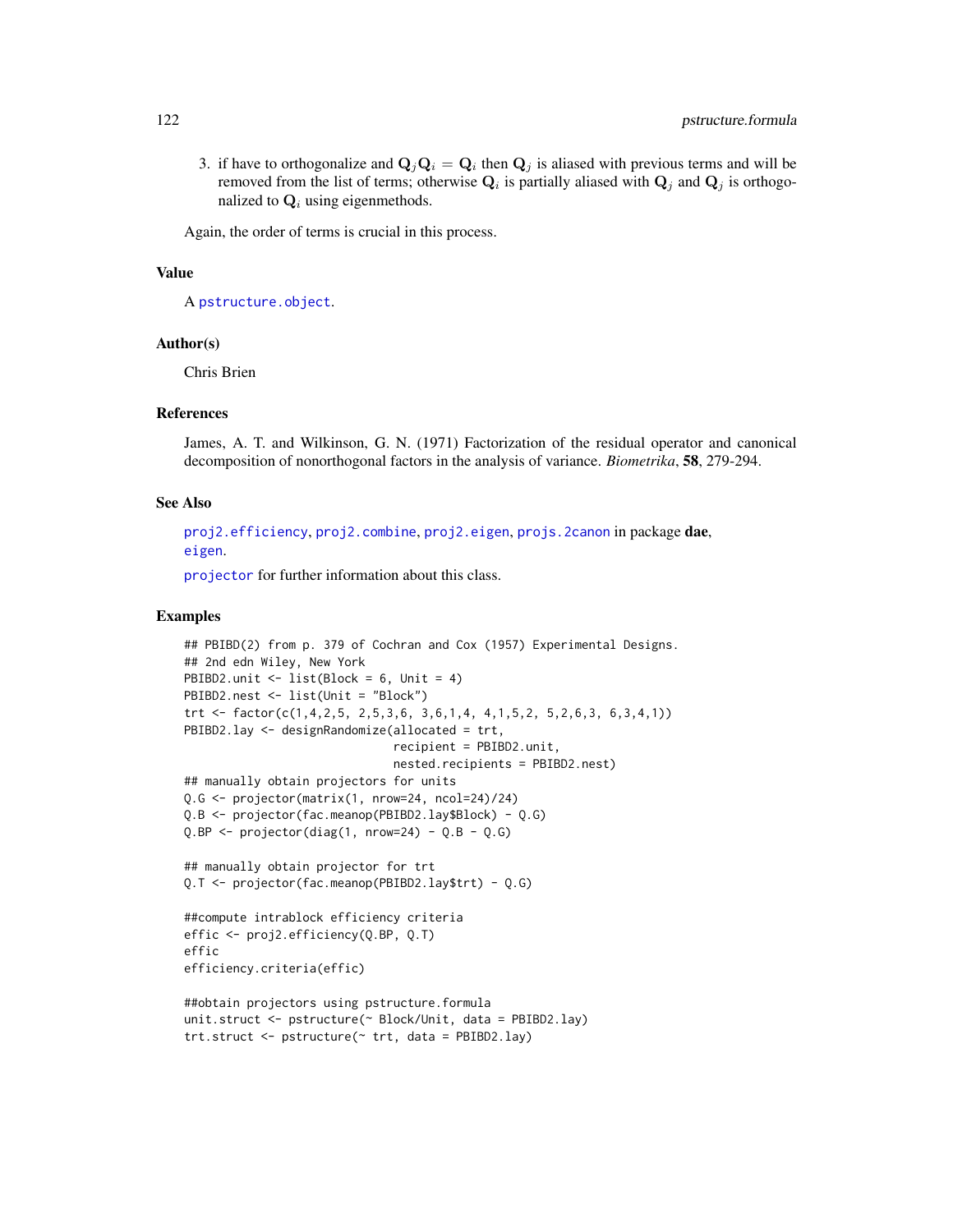<span id="page-121-0"></span>3. if have to orthogonalize and  $\mathbf{Q}_j \mathbf{Q}_i = \mathbf{Q}_i$  then  $\mathbf{Q}_j$  is aliased with previous terms and will be removed from the list of terms; otherwise  $Q_i$  is partially aliased with  $Q_j$  and  $Q_j$  is orthogonalized to  $Q_i$  using eigenmethods.

Again, the order of terms is crucial in this process.

## Value

A [pstructure.object](#page-122-0).

#### Author(s)

Chris Brien

#### References

James, A. T. and Wilkinson, G. N. (1971) Factorization of the residual operator and canonical decomposition of nonorthogonal factors in the analysis of variance. *Biometrika*, 58, 279-294.

#### See Also

[proj2.efficiency](#page-110-0), [proj2.combine](#page-109-0), [proj2.eigen](#page-112-0), [projs.2canon](#page-116-0) in package dae, [eigen](#page-0-0).

[projector](#page-114-0) for further information about this class.

#### Examples

```
## PBIBD(2) from p. 379 of Cochran and Cox (1957) Experimental Designs.
## 2nd edn Wiley, New York
PBIBD2.unit <- list(Block = 6, Unit = 4)
PBIBD2.nest <- list(Unit = "Block")
trt <- factor(c(1,4,2,5, 2,5,3,6, 3,6,1,4, 4,1,5,2, 5,2,6,3, 6,3,4,1))
PBIBD2.lay <- designRandomize(allocated = trt,
                              recipient = PBIBD2.unit,
                              nested.recipients = PBIBD2.nest)
## manually obtain projectors for units
Q.G <- projector(matrix(1, nrow=24, ncol=24)/24)
Q.B <- projector(fac.meanop(PBIBD2.lay$Block) - Q.G)
Q.BP \leq projector(diag(1, nrow=24) - Q.B - Q.G)
## manually obtain projector for trt
Q.T <- projector(fac.meanop(PBIBD2.lay$trt) - Q.G)
##compute intrablock efficiency criteria
effic <- proj2.efficiency(Q.BP, Q.T)
effic
efficiency.criteria(effic)
##obtain projectors using pstructure.formula
unit.struct <- pstructure(~ Block/Unit, data = PBIBD2.lay)
trt.struct <- pstructure(~ trt, data = PBIBD2.lay)
```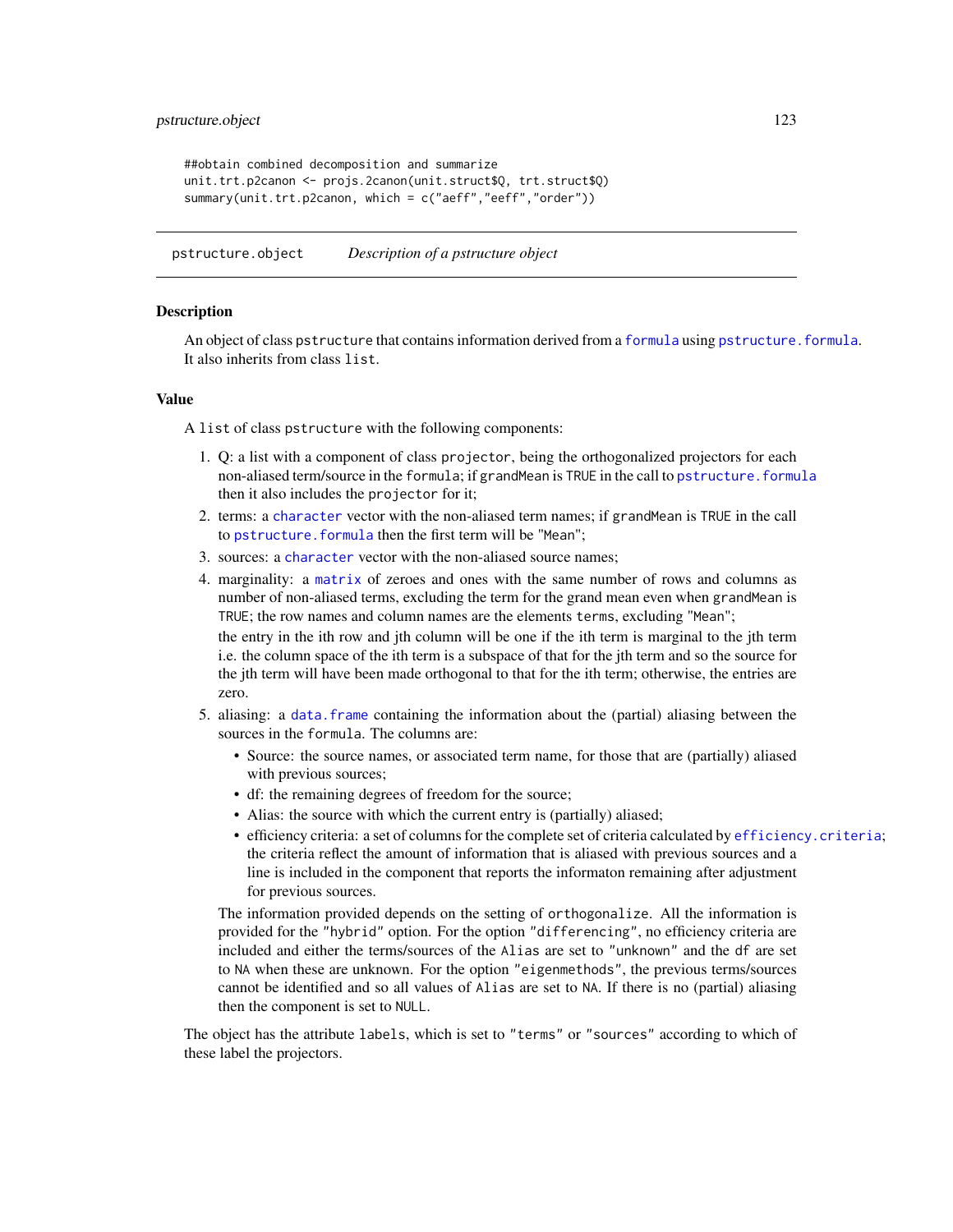```
##obtain combined decomposition and summarize
unit.trt.p2canon <- projs.2canon(unit.struct$Q, trt.struct$Q)
summary(unit.trt.p2canon, which = c("aeff","eeff","order"))
```
<span id="page-122-0"></span>pstructure.object *Description of a pstructure object*

#### **Description**

An object of class pstructure that contains information derived from a [formula](#page-0-0) using [pstructure.formula](#page-118-1). It also inherits from class list.

#### Value

A list of class pstructure with the following components:

- 1. Q: a list with a component of class projector, being the orthogonalized projectors for each non-aliased term/source in the formula; if grandMean is TRUE in the call to [pstructure.formula](#page-118-1) then it also includes the projector for it;
- 2. terms: a [character](#page-0-0) vector with the non-aliased term names; if grandMean is TRUE in the call to pstructure. formula then the first term will be "Mean";
- 3. sources: a [character](#page-0-0) vector with the non-aliased source names;
- 4. marginality: a [matrix](#page-0-0) of zeroes and ones with the same number of rows and columns as number of non-aliased terms, excluding the term for the grand mean even when grandMean is TRUE; the row names and column names are the elements terms, excluding "Mean"; the entry in the ith row and jth column will be one if the ith term is marginal to the jth term i.e. the column space of the ith term is a subspace of that for the jth term and so the source for the jth term will have been made orthogonal to that for the ith term; otherwise, the entries are zero.
- 5. aliasing: a [data.frame](#page-0-0) containing the information about the (partial) aliasing between the sources in the formula. The columns are:
	- Source: the source names, or associated term name, for those that are (partially) aliased with previous sources;
	- df: the remaining degrees of freedom for the source;
	- Alias: the source with which the current entry is (partially) aliased;
	- efficiency criteria: a set of columns for the complete set of criteria calculated by [efficiency.criteria](#page-43-0); the criteria reflect the amount of information that is aliased with previous sources and a line is included in the component that reports the informaton remaining after adjustment for previous sources.

The information provided depends on the setting of orthogonalize. All the information is provided for the "hybrid" option. For the option "differencing", no efficiency criteria are included and either the terms/sources of the Alias are set to "unknown" and the df are set to NA when these are unknown. For the option "eigenmethods", the previous terms/sources cannot be identified and so all values of Alias are set to NA. If there is no (partial) aliasing then the component is set to NULL.

The object has the attribute labels, which is set to "terms" or "sources" according to which of these label the projectors.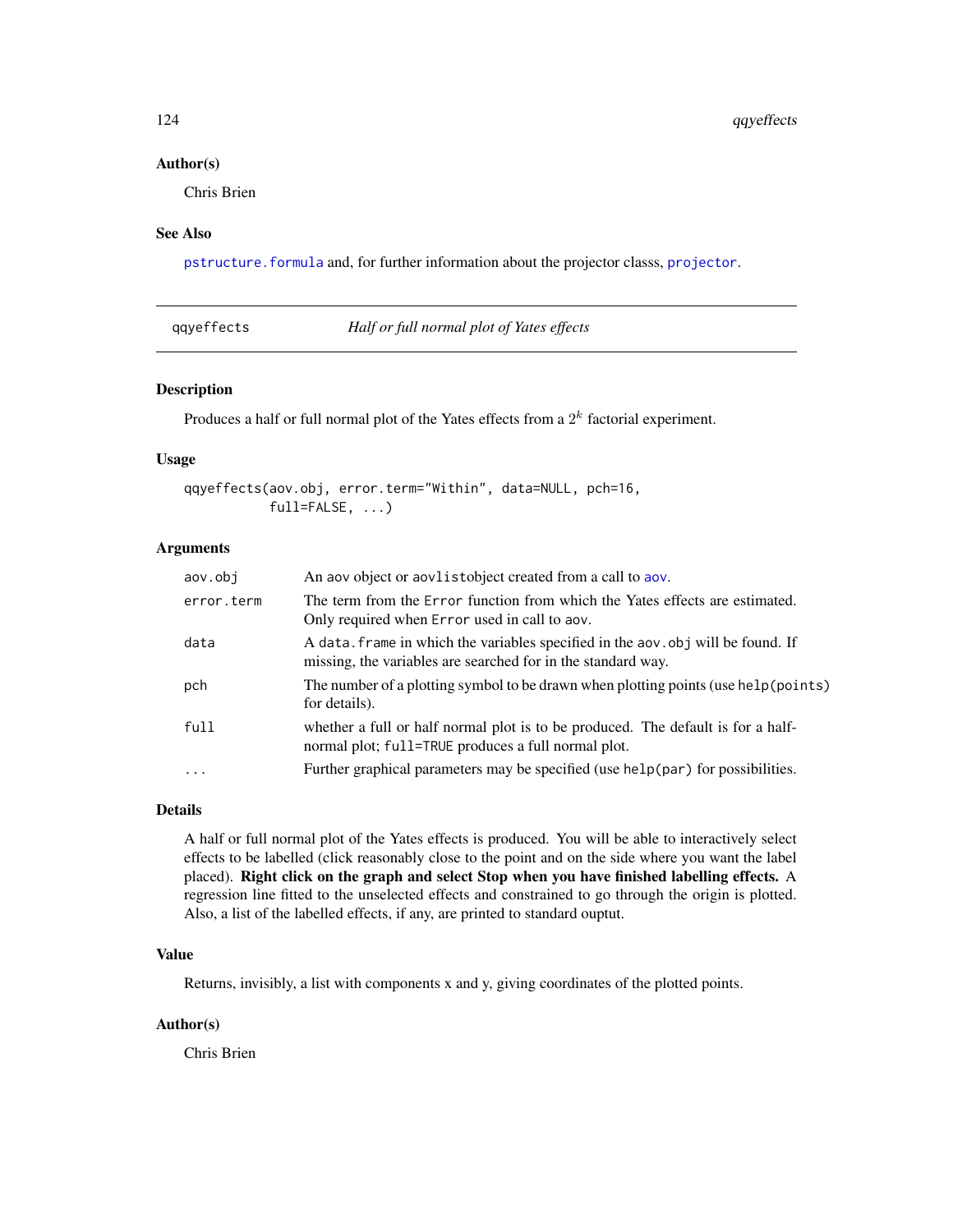#### <span id="page-123-1"></span>Author(s)

Chris Brien

## See Also

[pstructure.formula](#page-118-1) and, for further information about the projector classs, [projector](#page-114-0).

<span id="page-123-0"></span>qqyeffects *Half or full normal plot of Yates effects*

#### Description

Produces a half or full normal plot of the Yates effects from a  $2<sup>k</sup>$  factorial experiment.

#### Usage

```
qqyeffects(aov.obj, error.term="Within", data=NULL, pch=16,
           full=FALSE, ...)
```
# Arguments

| aov.obi    | An aov object or aovlistobject created from a call to aov.                                                                                       |
|------------|--------------------------------------------------------------------------------------------------------------------------------------------------|
| error.term | The term from the Error function from which the Yates effects are estimated.<br>Only required when Error used in call to aov.                    |
| data       | A data. frame in which the variables specified in the aov. obj will be found. If<br>missing, the variables are searched for in the standard way. |
| pch        | The number of a plotting symbol to be drawn when plotting points (use help (points)<br>for details).                                             |
| full       | whether a full or half normal plot is to be produced. The default is for a half-<br>normal plot; full=TRUE produces a full normal plot.          |
| $\ddots$   | Further graphical parameters may be specified (use help(par) for possibilities.                                                                  |
|            |                                                                                                                                                  |

#### Details

A half or full normal plot of the Yates effects is produced. You will be able to interactively select effects to be labelled (click reasonably close to the point and on the side where you want the label placed). Right click on the graph and select Stop when you have finished labelling effects. A regression line fitted to the unselected effects and constrained to go through the origin is plotted. Also, a list of the labelled effects, if any, are printed to standard ouptut.

# Value

Returns, invisibly, a list with components x and y, giving coordinates of the plotted points.

#### Author(s)

Chris Brien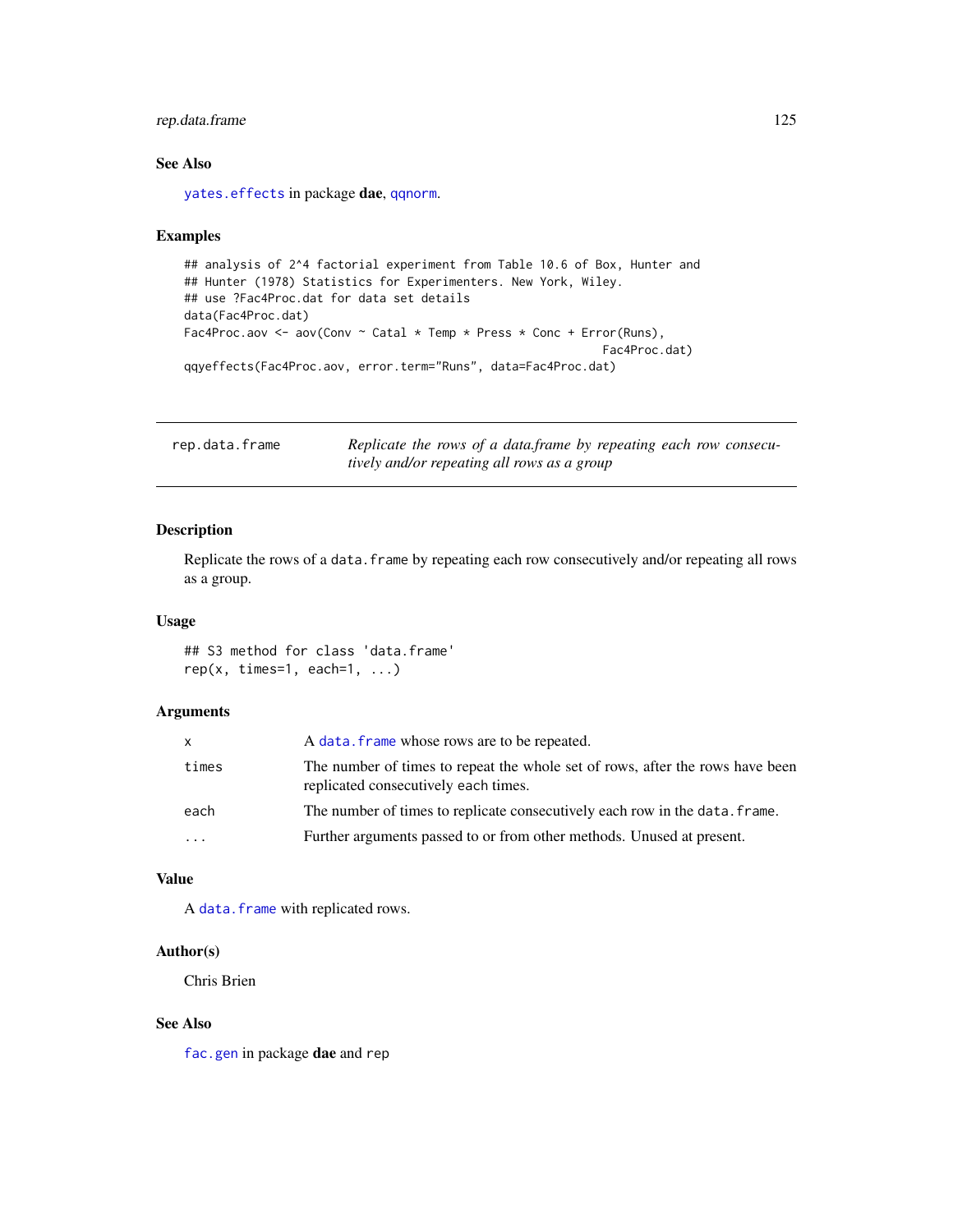## <span id="page-124-0"></span>rep.data.frame 125

## See Also

[yates.effects](#page-137-0) in package dae, [qqnorm](#page-0-0).

## Examples

```
## analysis of 2^4 factorial experiment from Table 10.6 of Box, Hunter and
## Hunter (1978) Statistics for Experimenters. New York, Wiley.
## use ?Fac4Proc.dat for data set details
data(Fac4Proc.dat)
Fac4Proc.aov <- aov(Conv \sim Catal * Temp * Press * Conc + Error(Runs),
                                                             Fac4Proc.dat)
qqyeffects(Fac4Proc.aov, error.term="Runs", data=Fac4Proc.dat)
```

| rep.data.frame | Replicate the rows of a data frame by repeating each row consecu- |
|----------------|-------------------------------------------------------------------|
|                | tively and/or repeating all rows as a group                       |

## Description

Replicate the rows of a data. frame by repeating each row consecutively and/or repeating all rows as a group.

#### Usage

## S3 method for class 'data.frame'  $rep(x, times=1, each=1, ...)$ 

## Arguments

| x     | A data. frame whose rows are to be repeated.                                                                          |
|-------|-----------------------------------------------------------------------------------------------------------------------|
| times | The number of times to repeat the whole set of rows, after the rows have been<br>replicated consecutively each times. |
| each  | The number of times to replicate consecutively each row in the data. frame.                                           |
| .     | Further arguments passed to or from other methods. Unused at present.                                                 |

## Value

A [data.frame](#page-0-0) with replicated rows.

## Author(s)

Chris Brien

## See Also

[fac.gen](#page-51-0) in package dae and rep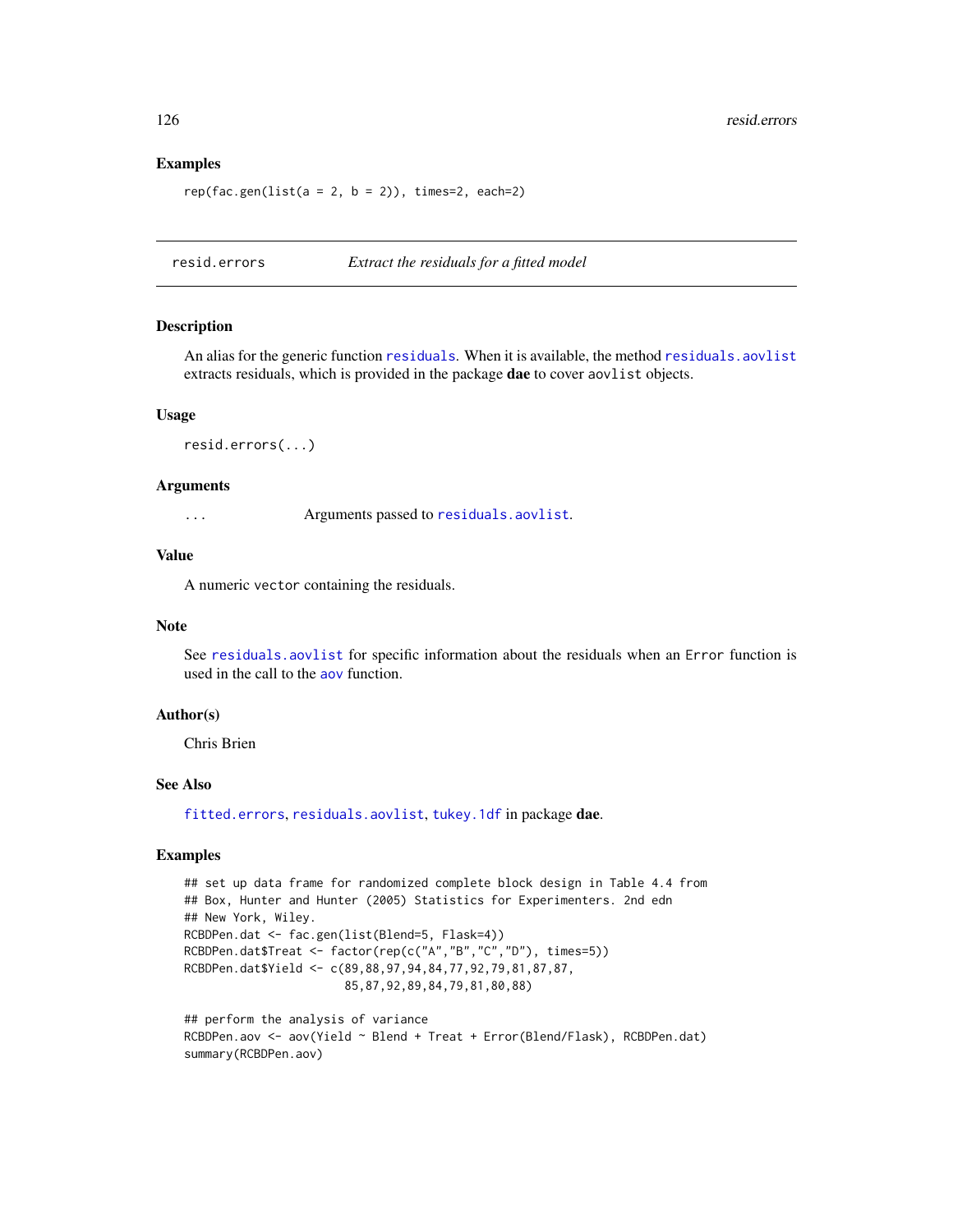#### Examples

```
rep(fac.gen(list(a = 2, b = 2)), times=2, each=2)
```
<span id="page-125-0"></span>resid.errors *Extract the residuals for a fitted model*

#### Description

An alias for the generic function [residuals](#page-126-0). When it is available, the method [residuals.aovlist](#page-126-1) extracts residuals, which is provided in the package dae to cover aovlist objects.

#### Usage

```
resid.errors(...)
```
#### Arguments

... Arguments passed to [residuals.aovlist](#page-126-1).

#### Value

A numeric vector containing the residuals.

## Note

See [residuals.aovlist](#page-126-1) for specific information about the residuals when an Error function is used in the call to the [aov](#page-0-0) function.

## Author(s)

Chris Brien

#### See Also

[fitted.errors](#page-68-0), [residuals.aovlist](#page-126-1), [tukey.1df](#page-135-0) in package dae.

## Examples

```
## set up data frame for randomized complete block design in Table 4.4 from
## Box, Hunter and Hunter (2005) Statistics for Experimenters. 2nd edn
## New York, Wiley.
RCBDPen.dat <- fac.gen(list(Blend=5, Flask=4))
RCBDPen.dat$Treat <- factor(rep(c("A","B","C","D"), times=5))
RCBDPen.dat$Yield <- c(89,88,97,94,84,77,92,79,81,87,87,
                       85,87,92,89,84,79,81,80,88)
```

```
## perform the analysis of variance
RCBDPen.aov <- aov(Yield ~ Blend + Treat + Error(Blend/Flask), RCBDPen.dat)
summary(RCBDPen.aov)
```
<span id="page-125-1"></span>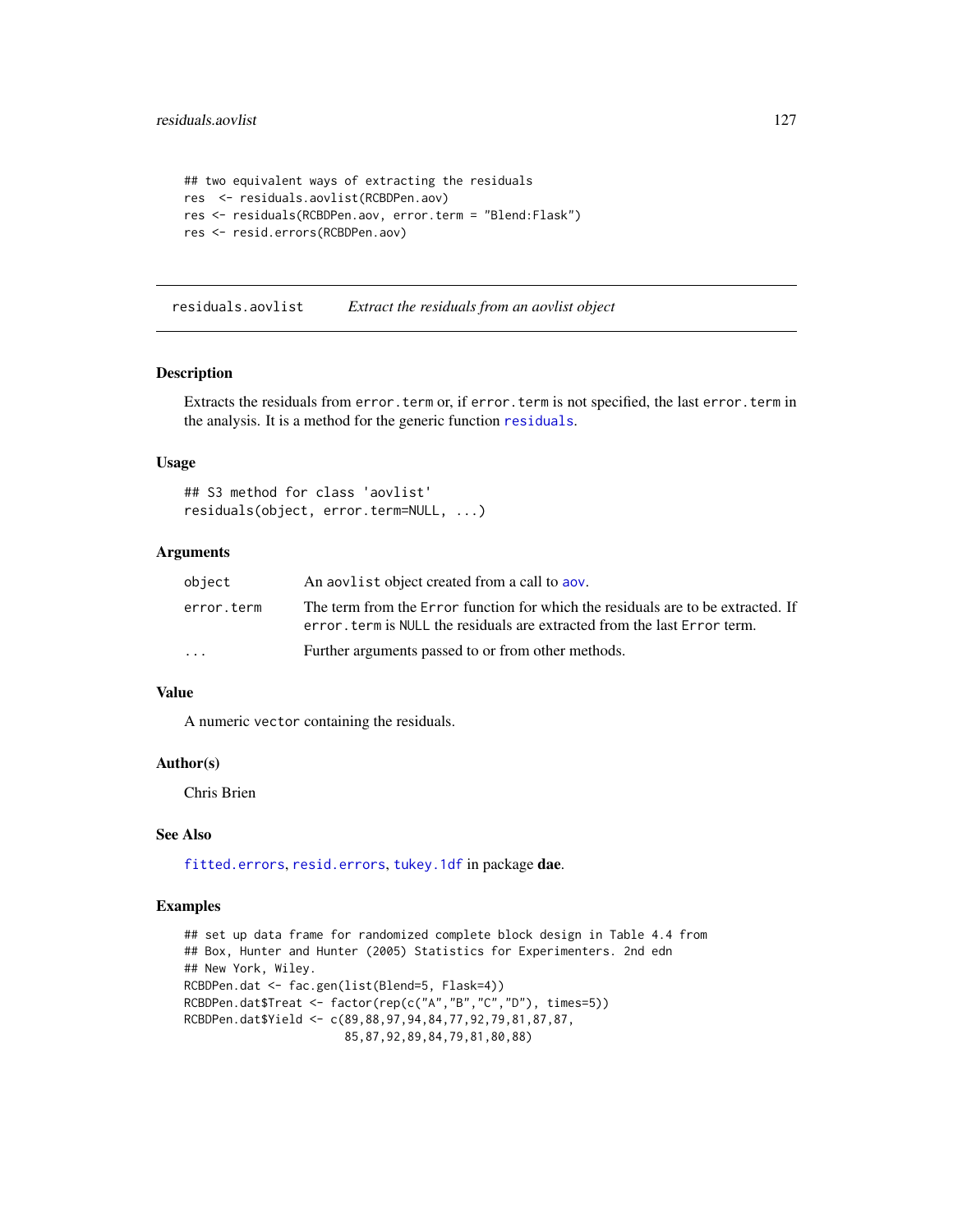```
## two equivalent ways of extracting the residuals
res <- residuals.aovlist(RCBDPen.aov)
res <- residuals(RCBDPen.aov, error.term = "Blend:Flask")
res <- resid.errors(RCBDPen.aov)
```
<span id="page-126-1"></span>residuals.aovlist *Extract the residuals from an aovlist object*

#### <span id="page-126-0"></span>Description

Extracts the residuals from error.term or, if error.term is not specified, the last error.term in the analysis. It is a method for the generic function [residuals](#page-126-0).

#### Usage

```
## S3 method for class 'aovlist'
residuals(object, error.term=NULL, ...)
```
## Arguments

| object                  | An about a biect created from a call to abov.                                                                                                                 |
|-------------------------|---------------------------------------------------------------------------------------------------------------------------------------------------------------|
| error.term              | The term from the Error function for which the residuals are to be extracted. If<br>error, term is NULL the residuals are extracted from the last Error term. |
| $\cdot$ $\cdot$ $\cdot$ | Further arguments passed to or from other methods.                                                                                                            |

## Value

A numeric vector containing the residuals.

#### Author(s)

Chris Brien

## See Also

[fitted.errors](#page-68-0), [resid.errors](#page-125-0), [tukey.1df](#page-135-0) in package dae.

## Examples

```
## set up data frame for randomized complete block design in Table 4.4 from
## Box, Hunter and Hunter (2005) Statistics for Experimenters. 2nd edn
## New York, Wiley.
RCBDPen.dat <- fac.gen(list(Blend=5, Flask=4))
RCBDPen.dat$Treat <- factor(rep(c("A","B","C","D"), times=5))
RCBDPen.dat$Yield <- c(89,88,97,94,84,77,92,79,81,87,87,
                       85,87,92,89,84,79,81,80,88)
```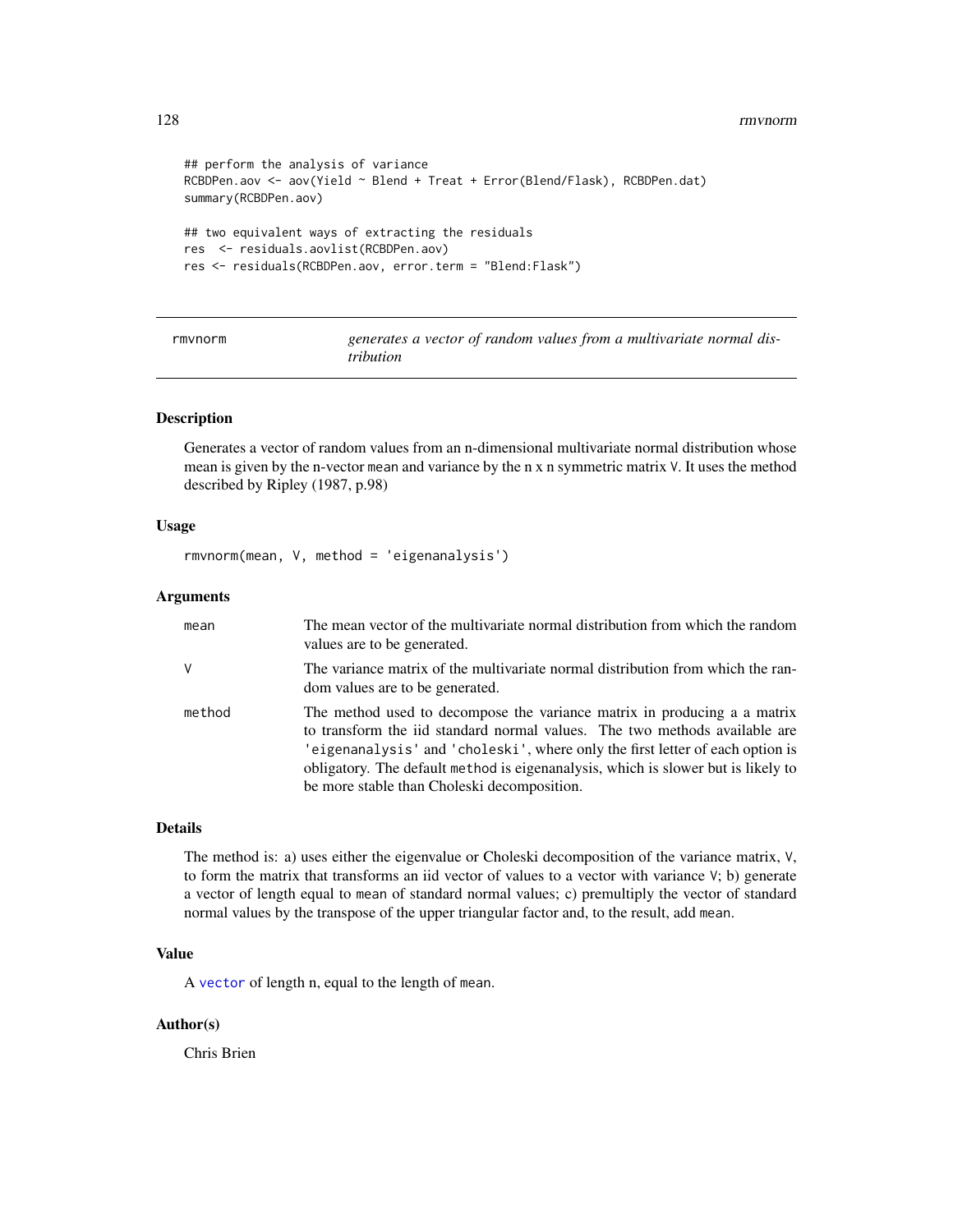#### 128 rmvnorm

```
## perform the analysis of variance
RCBDPen.aov <- aov(Yield ~ Blend + Treat + Error(Blend/Flask), RCBDPen.dat)
summary(RCBDPen.aov)
## two equivalent ways of extracting the residuals
res <- residuals.aovlist(RCBDPen.aov)
res <- residuals(RCBDPen.aov, error.term = "Blend:Flask")
```

| rmvnorm | generates a vector of random values from a multivariate normal dis- |  |  |  |
|---------|---------------------------------------------------------------------|--|--|--|
|         | tribution                                                           |  |  |  |

## **Description**

Generates a vector of random values from an n-dimensional multivariate normal distribution whose mean is given by the n-vector mean and variance by the n x n symmetric matrix V. It uses the method described by Ripley (1987, p.98)

#### Usage

```
rmvnorm(mean, V, method = 'eigenanalysis')
```
## Arguments

| mean   | The mean vector of the multivariate normal distribution from which the random<br>values are to be generated.                                                                                                                                                                                                                                                                |
|--------|-----------------------------------------------------------------------------------------------------------------------------------------------------------------------------------------------------------------------------------------------------------------------------------------------------------------------------------------------------------------------------|
| v      | The variance matrix of the multivariate normal distribution from which the ran-<br>dom values are to be generated.                                                                                                                                                                                                                                                          |
| method | The method used to decompose the variance matrix in producing a a matrix<br>to transform the iid standard normal values. The two methods available are<br>'eigenanalysis' and 'choleski', where only the first letter of each option is<br>obligatory. The default method is eigenanalysis, which is slower but is likely to<br>be more stable than Choleski decomposition. |

# Details

The method is: a) uses either the eigenvalue or Choleski decomposition of the variance matrix, V, to form the matrix that transforms an iid vector of values to a vector with variance V; b) generate a vector of length equal to mean of standard normal values; c) premultiply the vector of standard normal values by the transpose of the upper triangular factor and, to the result, add mean.

## Value

A [vector](#page-0-0) of length n, equal to the length of mean.

## Author(s)

Chris Brien

<span id="page-127-0"></span>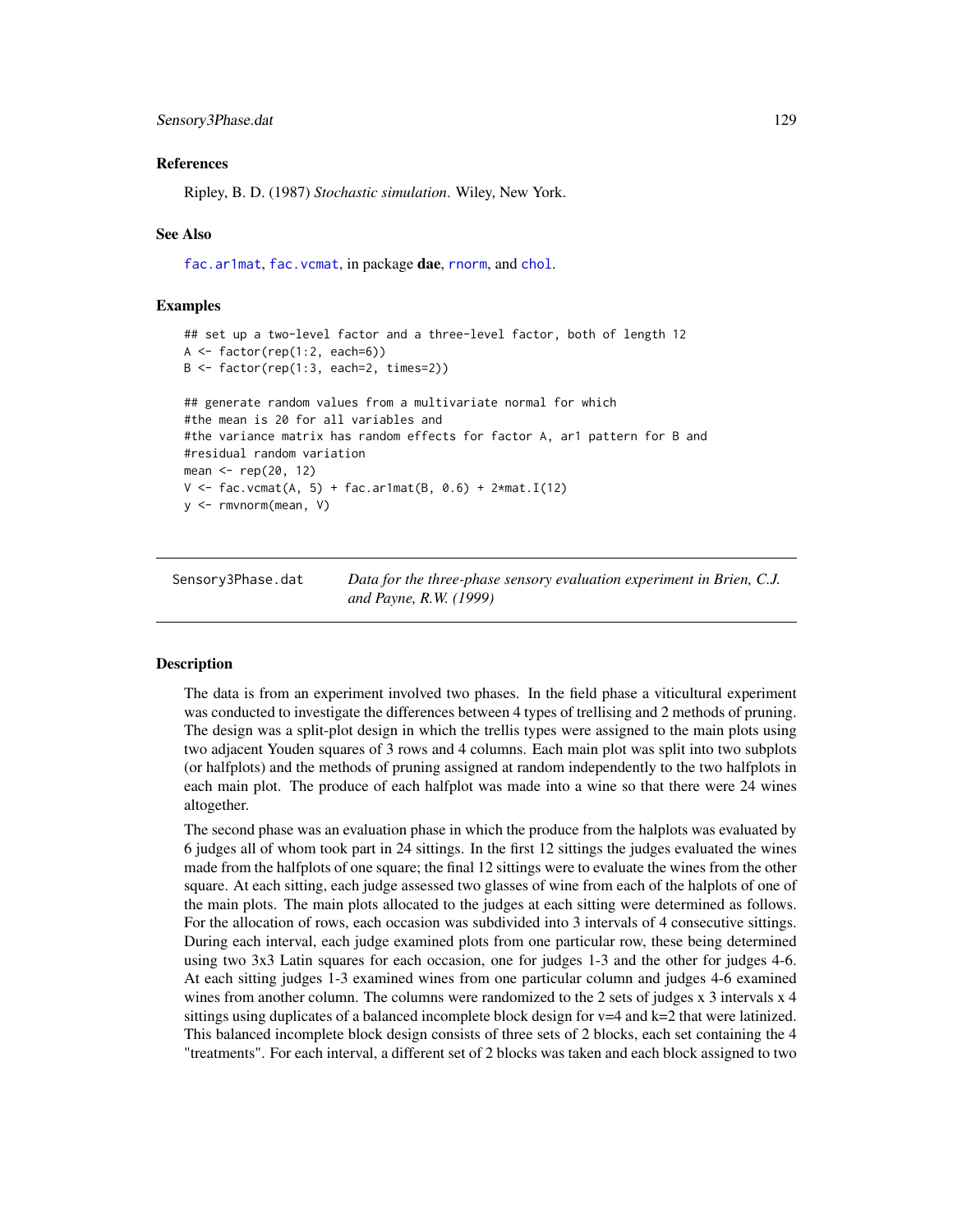#### <span id="page-128-0"></span>References

Ripley, B. D. (1987) *Stochastic simulation*. Wiley, New York.

#### See Also

[fac.ar1mat](#page-47-0), [fac.vcmat](#page-65-0), in package dae, [rnorm](#page-0-0), and [chol](#page-0-0).

#### Examples

```
## set up a two-level factor and a three-level factor, both of length 12
A \leftarrow factor(rep(1:2, each=6))B <- factor(rep(1:3, each=2, times=2))
## generate random values from a multivariate normal for which
#the mean is 20 for all variables and
#the variance matrix has random effects for factor A, ar1 pattern for B and
#residual random variation
mean <- rep(20, 12)
V \le - fac.vcmat(A, 5) + fac.ar1mat(B, 0.6) + 2*mat.I(12)
y <- rmvnorm(mean, V)
```
Sensory3Phase.dat *Data for the three-phase sensory evaluation experiment in Brien, C.J. and Payne, R.W. (1999)*

## Description

The data is from an experiment involved two phases. In the field phase a viticultural experiment was conducted to investigate the differences between 4 types of trellising and 2 methods of pruning. The design was a split-plot design in which the trellis types were assigned to the main plots using two adjacent Youden squares of 3 rows and 4 columns. Each main plot was split into two subplots (or halfplots) and the methods of pruning assigned at random independently to the two halfplots in each main plot. The produce of each halfplot was made into a wine so that there were 24 wines altogether.

The second phase was an evaluation phase in which the produce from the halplots was evaluated by 6 judges all of whom took part in 24 sittings. In the first 12 sittings the judges evaluated the wines made from the halfplots of one square; the final 12 sittings were to evaluate the wines from the other square. At each sitting, each judge assessed two glasses of wine from each of the halplots of one of the main plots. The main plots allocated to the judges at each sitting were determined as follows. For the allocation of rows, each occasion was subdivided into 3 intervals of 4 consecutive sittings. During each interval, each judge examined plots from one particular row, these being determined using two 3x3 Latin squares for each occasion, one for judges 1-3 and the other for judges 4-6. At each sitting judges 1-3 examined wines from one particular column and judges 4-6 examined wines from another column. The columns were randomized to the 2 sets of judges x 3 intervals x 4 sittings using duplicates of a balanced incomplete block design for  $v=4$  and k=2 that were latinized. This balanced incomplete block design consists of three sets of 2 blocks, each set containing the 4 "treatments". For each interval, a different set of 2 blocks was taken and each block assigned to two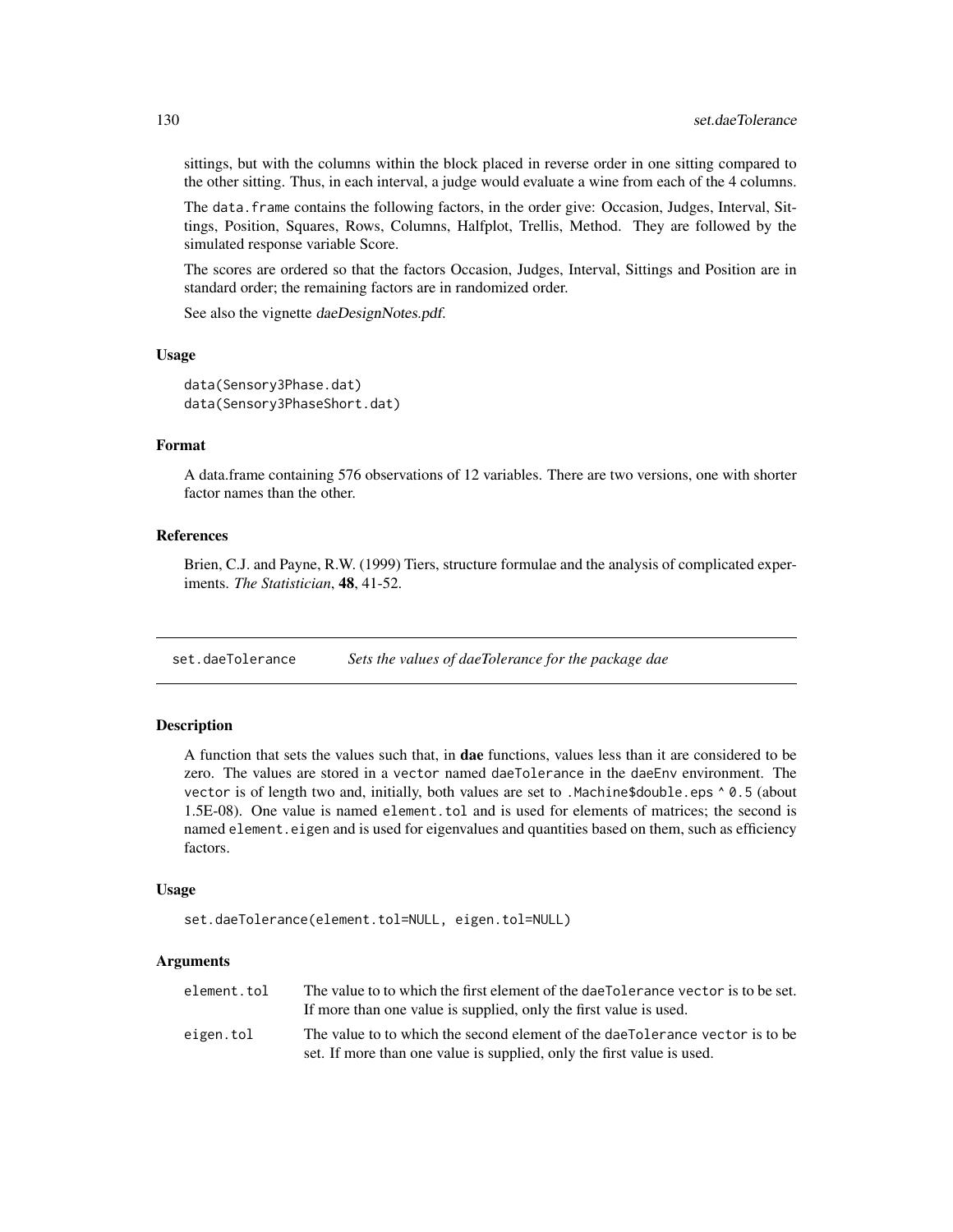sittings, but with the columns within the block placed in reverse order in one sitting compared to the other sitting. Thus, in each interval, a judge would evaluate a wine from each of the 4 columns.

The data. frame contains the following factors, in the order give: Occasion, Judges, Interval, Sittings, Position, Squares, Rows, Columns, Halfplot, Trellis, Method. They are followed by the simulated response variable Score.

The scores are ordered so that the factors Occasion, Judges, Interval, Sittings and Position are in standard order; the remaining factors are in randomized order.

See also the vignette daeDesignNotes.pdf.

#### Usage

```
data(Sensory3Phase.dat)
data(Sensory3PhaseShort.dat)
```
## Format

A data.frame containing 576 observations of 12 variables. There are two versions, one with shorter factor names than the other.

#### References

Brien, C.J. and Payne, R.W. (1999) Tiers, structure formulae and the analysis of complicated experiments. *The Statistician*, 48, 41-52.

<span id="page-129-0"></span>set.daeTolerance *Sets the values of daeTolerance for the package dae*

## Description

A function that sets the values such that, in **dae** functions, values less than it are considered to be zero. The values are stored in a vector named daeTolerance in the daeEnv environment. The vector is of length two and, initially, both values are set to .Machine\$double.eps ^ 0.5 (about 1.5E-08). One value is named element.tol and is used for elements of matrices; the second is named element.eigen and is used for eigenvalues and quantities based on them, such as efficiency factors.

#### Usage

```
set.daeTolerance(element.tol=NULL, eigen.tol=NULL)
```
## Arguments

| element.tol | The value to to which the first element of the daeTolerance vector is to be set. |
|-------------|----------------------------------------------------------------------------------|
|             | If more than one value is supplied, only the first value is used.                |
| eigen.tol   | The value to to which the second element of the daeTolerance vector is to be     |
|             | set. If more than one value is supplied, only the first value is used.           |

<span id="page-129-1"></span>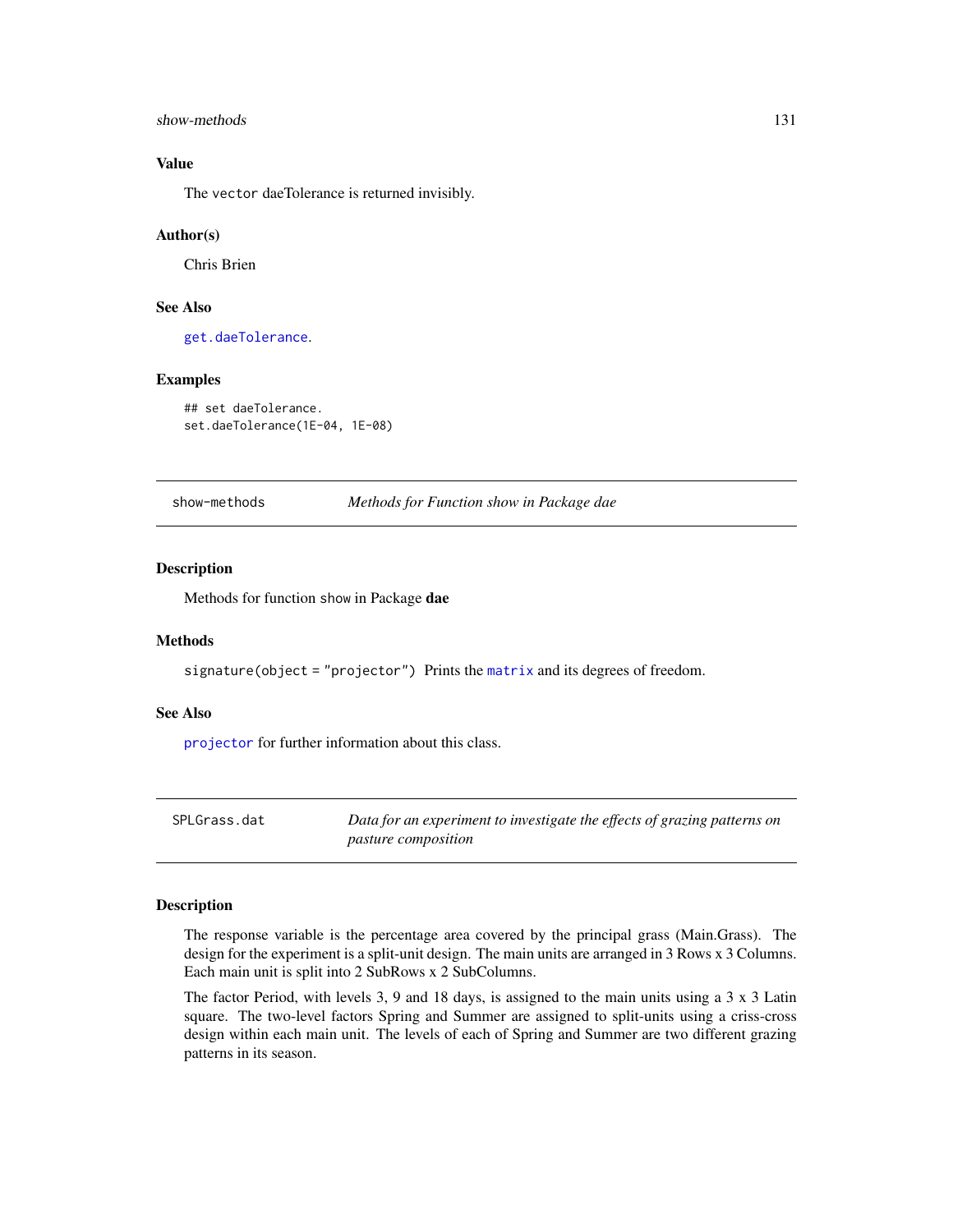#### <span id="page-130-0"></span>show-methods 131

## Value

The vector daeTolerance is returned invisibly.

#### Author(s)

Chris Brien

# See Also

[get.daeTolerance](#page-69-0).

#### Examples

## set daeTolerance. set.daeTolerance(1E-04, 1E-08)

show-methods *Methods for Function show in Package dae*

## Description

Methods for function show in Package dae

## Methods

signature(object = "projector") Prints the [matrix](#page-0-0) and its degrees of freedom.

#### See Also

[projector](#page-114-0) for further information about this class.

SPLGrass.dat *Data for an experiment to investigate the effects of grazing patterns on pasture composition*

#### Description

The response variable is the percentage area covered by the principal grass (Main.Grass). The design for the experiment is a split-unit design. The main units are arranged in 3 Rows x 3 Columns. Each main unit is split into 2 SubRows x 2 SubColumns.

The factor Period, with levels 3, 9 and 18 days, is assigned to the main units using a  $3 \times 3$  Latin square. The two-level factors Spring and Summer are assigned to split-units using a criss-cross design within each main unit. The levels of each of Spring and Summer are two different grazing patterns in its season.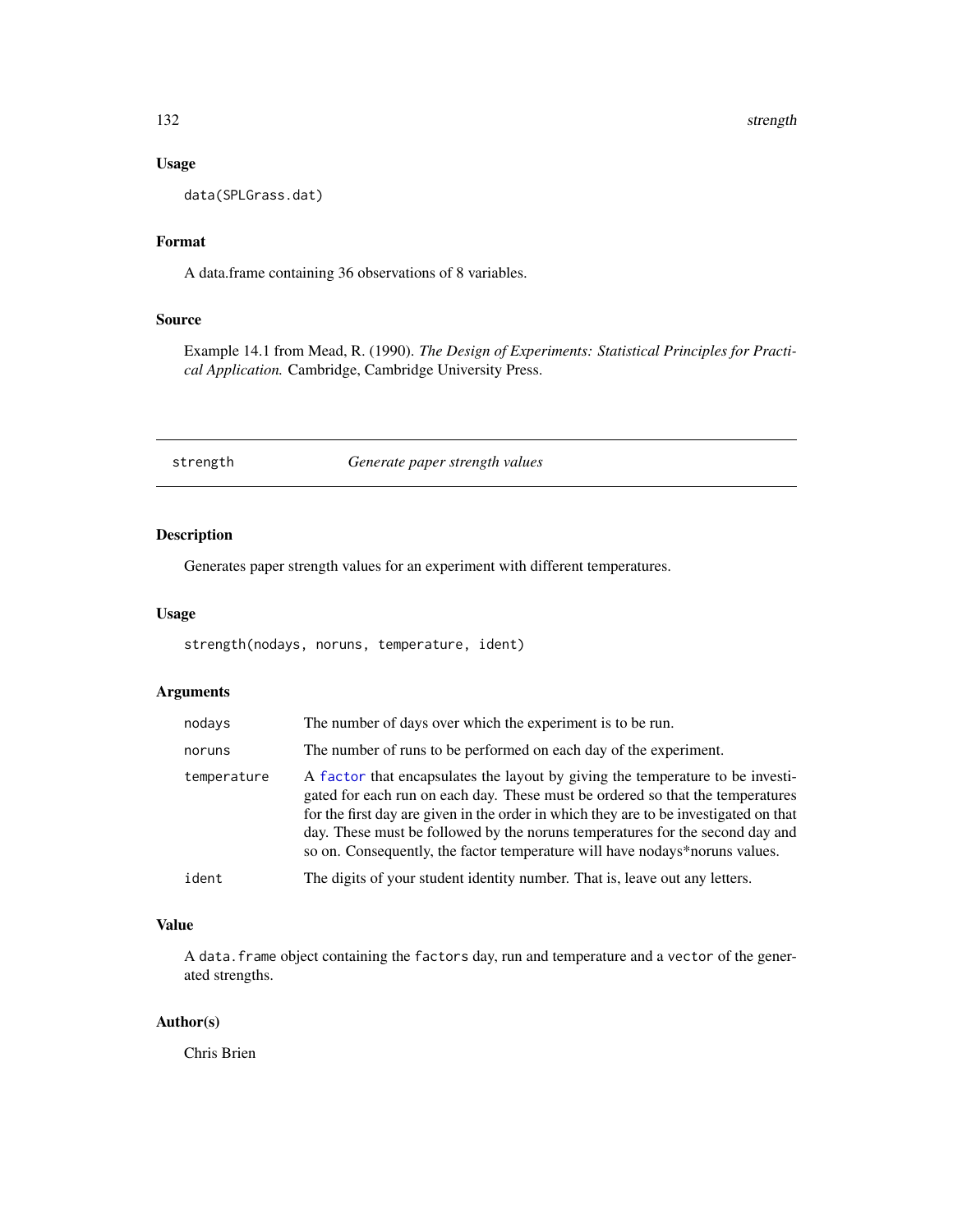#### <span id="page-131-0"></span>132 strength

## Usage

data(SPLGrass.dat)

## Format

A data.frame containing 36 observations of 8 variables.

#### Source

Example 14.1 from Mead, R. (1990). *The Design of Experiments: Statistical Principles for Practical Application.* Cambridge, Cambridge University Press.

strength *Generate paper strength values*

## Description

Generates paper strength values for an experiment with different temperatures.

#### Usage

strength(nodays, noruns, temperature, ident)

## Arguments

| nodays      | The number of days over which the experiment is to be run.                                                                                                                                                                                                                                                                                                                                                                |
|-------------|---------------------------------------------------------------------------------------------------------------------------------------------------------------------------------------------------------------------------------------------------------------------------------------------------------------------------------------------------------------------------------------------------------------------------|
| noruns      | The number of runs to be performed on each day of the experiment.                                                                                                                                                                                                                                                                                                                                                         |
| temperature | A factor that encapsulates the layout by giving the temperature to be investi-<br>gated for each run on each day. These must be ordered so that the temperatures<br>for the first day are given in the order in which they are to be investigated on that<br>day. These must be followed by the noruns temperatures for the second day and<br>so on. Consequently, the factor temperature will have nodays*noruns values. |
| ident       | The digits of your student identity number. That is, leave out any letters.                                                                                                                                                                                                                                                                                                                                               |

## Value

A data.frame object containing the factors day, run and temperature and a vector of the generated strengths.

## Author(s)

Chris Brien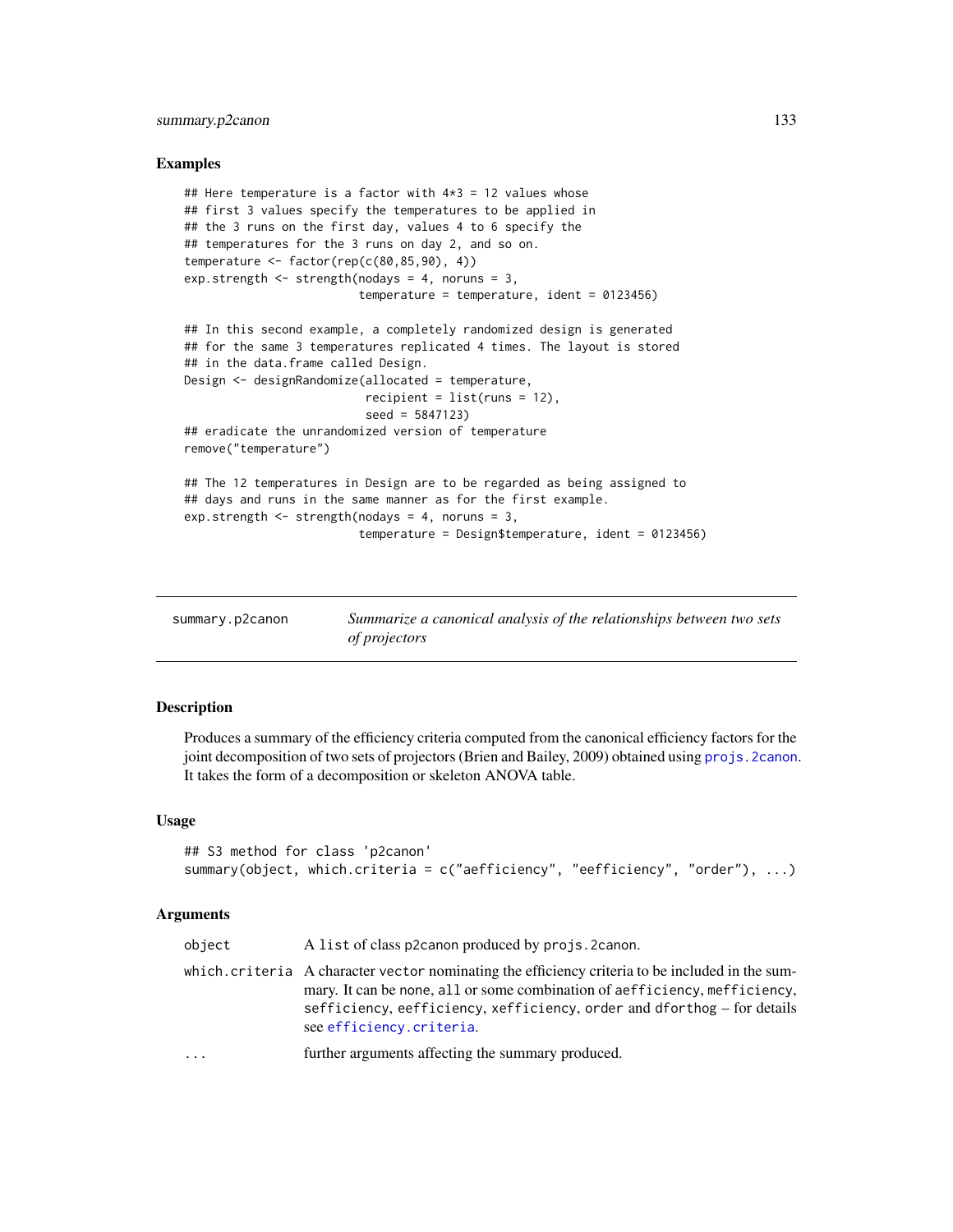## <span id="page-132-1"></span>summary.p2canon 133

#### Examples

```
## Here temperature is a factor with 4*3 = 12 values whose
## first 3 values specify the temperatures to be applied in
## the 3 runs on the first day, values 4 to 6 specify the
## temperatures for the 3 runs on day 2, and so on.
temperature <- factor(rep(c(80,85,90), 4))
exp.strength \le strength(nodays = 4, noruns = 3,
                         temperature = temperature, ident = 0123456)
## In this second example, a completely randomized design is generated
## for the same 3 temperatures replicated 4 times. The layout is stored
## in the data.frame called Design.
Design <- designRandomize(allocated = temperature,
                          recipient = list(runs = 12),
                          seed = 5847123)
## eradicate the unrandomized version of temperature
remove("temperature")
## The 12 temperatures in Design are to be regarded as being assigned to
## days and runs in the same manner as for the first example.
exp.strength \leq strength(nodays = 4, noruns = 3,
                         temperature = Design$temperature, ident = 0123456)
```
<span id="page-132-0"></span>

| summary.p2canon | Summarize a canonical analysis of the relationships between two sets |
|-----------------|----------------------------------------------------------------------|

*of projectors*

## Description

Produces a summary of the efficiency criteria computed from the canonical efficiency factors for the joint decomposition of two sets of projectors (Brien and Bailey, 2009) obtained using [projs.2canon](#page-116-0). It takes the form of a decomposition or skeleton ANOVA table.

## Usage

```
## S3 method for class 'p2canon'
summary(object, which.criteria = c("aefficiency", "eefficiency", "order"), ...)
```
#### Arguments

| object | A list of class p2canon produced by projs. 2canon.                                                                                                                                                                                                                                   |
|--------|--------------------------------------------------------------------------------------------------------------------------------------------------------------------------------------------------------------------------------------------------------------------------------------|
|        | which.criteria A character vector nominating the efficiency criteria to be included in the sum-<br>mary. It can be none, all or some combination of aefficiency, mefficiency,<br>sefficiency, eefficiency, xefficiency, order and dforthog – for details<br>see efficiency.criteria. |
| .      | further arguments affecting the summary produced.                                                                                                                                                                                                                                    |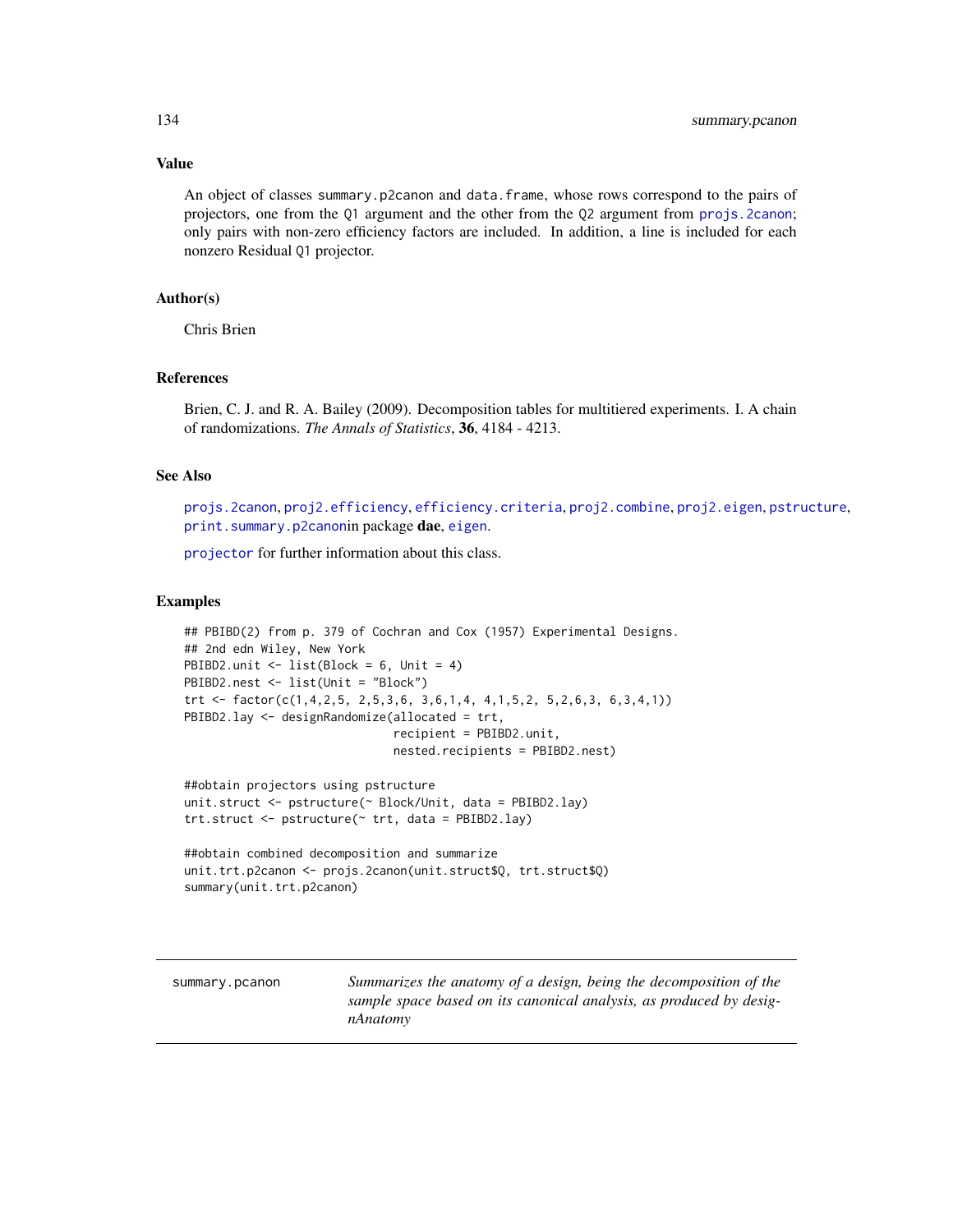## Value

An object of classes summary.p2canon and data.frame, whose rows correspond to the pairs of projectors, one from the Q1 argument and the other from the Q2 argument from [projs.2canon](#page-116-0); only pairs with non-zero efficiency factors are included. In addition, a line is included for each nonzero Residual Q1 projector.

## Author(s)

Chris Brien

#### References

Brien, C. J. and R. A. Bailey (2009). Decomposition tables for multitiered experiments. I. A chain of randomizations. *The Annals of Statistics*, 36, 4184 - 4213.

#### See Also

[projs.2canon](#page-116-0), [proj2.efficiency](#page-110-0), [efficiency.criteria](#page-43-0), [proj2.combine](#page-109-0), [proj2.eigen](#page-112-0), [pstructure](#page-118-0), [print.summary.p2canon](#page-107-0)in package dae, [eigen](#page-0-0).

[projector](#page-114-0) for further information about this class.

#### Examples

```
## PBIBD(2) from p. 379 of Cochran and Cox (1957) Experimental Designs.
## 2nd edn Wiley, New York
PBIBD2.unit <- list(Block = 6, Unit = 4)
PBIBD2.nest <- list(Unit = "Block")
trt <- factor(c(1,4,2,5, 2,5,3,6, 3,6,1,4, 4,1,5,2, 5,2,6,3, 6,3,4,1))
PBIBD2.lay <- designRandomize(allocated = trt,
                              recipient = PBIBD2.unit,
                              nested.recipients = PBIBD2.nest)
```

```
##obtain projectors using pstructure
unit.struct <- pstructure(~ Block/Unit, data = PBIBD2.lay)
trt.struct <- pstructure(~ trt, data = PBIBD2.lay)
```

```
##obtain combined decomposition and summarize
unit.trt.p2canon <- projs.2canon(unit.struct$Q, trt.struct$Q)
summary(unit.trt.p2canon)
```
<span id="page-133-0"></span>summary.pcanon *Summarizes the anatomy of a design, being the decomposition of the sample space based on its canonical analysis, as produced by designAnatomy*

<span id="page-133-1"></span>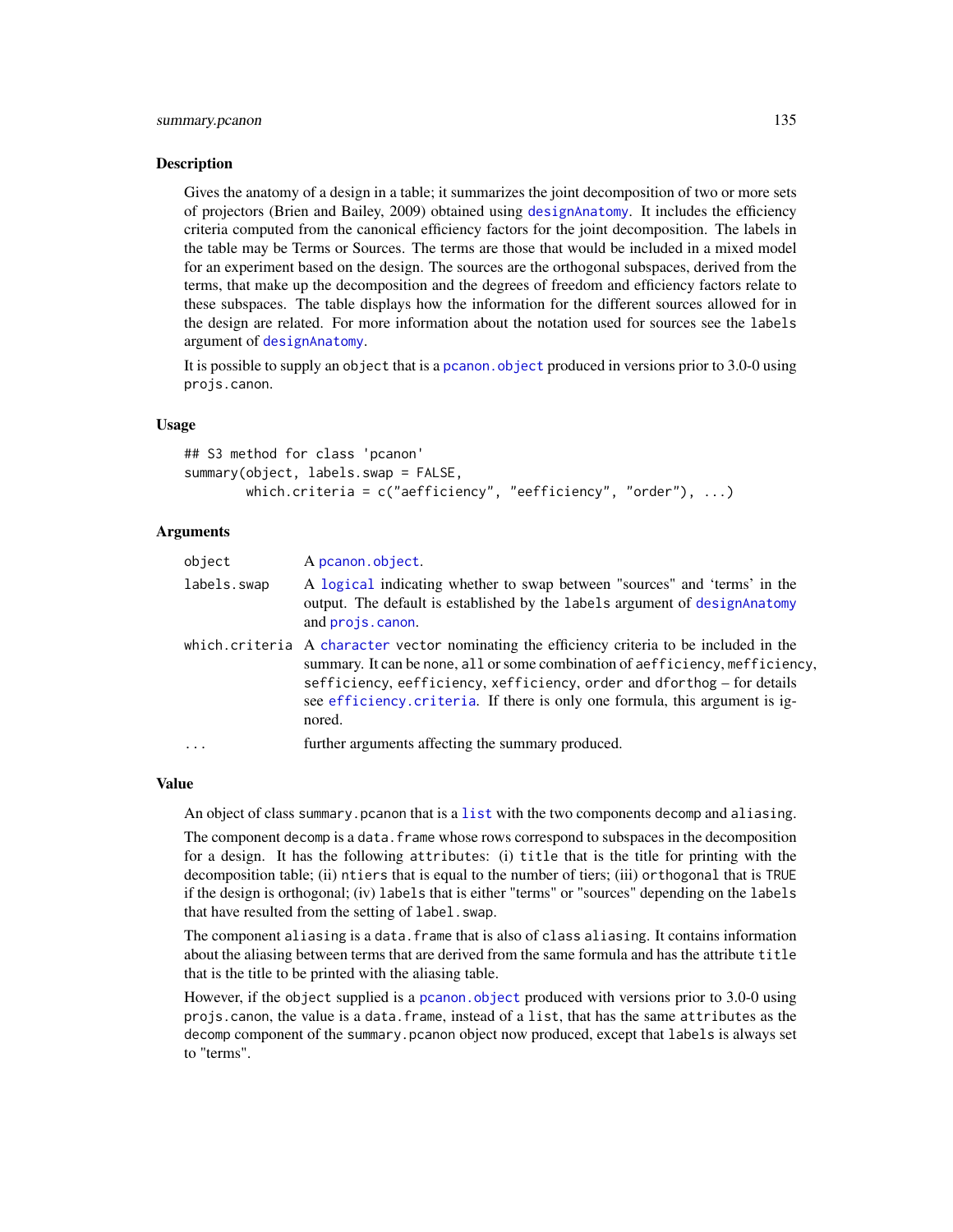#### <span id="page-134-0"></span>Description

Gives the anatomy of a design in a table; it summarizes the joint decomposition of two or more sets of projectors (Brien and Bailey, 2009) obtained using [designAnatomy](#page-21-0). It includes the efficiency criteria computed from the canonical efficiency factors for the joint decomposition. The labels in the table may be Terms or Sources. The terms are those that would be included in a mixed model for an experiment based on the design. The sources are the orthogonal subspaces, derived from the terms, that make up the decomposition and the degrees of freedom and efficiency factors relate to these subspaces. The table displays how the information for the different sources allowed for in the design are related. For more information about the notation used for sources see the labels argument of [designAnatomy](#page-21-0).

It is possible to supply an object that is a pcanon. object produced in versions prior to 3.0-0 using projs.canon.

#### Usage

## S3 method for class 'pcanon' summary(object, labels.swap = FALSE, which.criteria = c("aefficiency", "eefficiency", "order"), ...)

#### Arguments

| object      | A pcanon.object.                                                                                                                                                                                                                                                                                                                                 |
|-------------|--------------------------------------------------------------------------------------------------------------------------------------------------------------------------------------------------------------------------------------------------------------------------------------------------------------------------------------------------|
| labels.swap | A logical indicating whether to swap between "sources" and 'terms' in the<br>output. The default is established by the labels argument of designAnatomy<br>and projs.canon.                                                                                                                                                                      |
|             | which criteria A character vector nominating the efficiency criteria to be included in the<br>summary. It can be none, all or some combination of aefficiency, mefficiency,<br>sefficiency, eefficiency, xefficiency, order and dforthog - for details<br>see efficiency. criteria. If there is only one formula, this argument is ig-<br>nored. |
| $\ddots$ .  | further arguments affecting the summary produced.                                                                                                                                                                                                                                                                                                |

#### Value

An object of class summary.pcanon that is a [list](#page-0-0) with the two components decomp and aliasing.

The component decomp is a data. frame whose rows correspond to subspaces in the decomposition for a design. It has the following attributes: (i) title that is the title for printing with the decomposition table; (ii) ntiers that is equal to the number of tiers; (iii) orthogonal that is TRUE if the design is orthogonal; (iv) labels that is either "terms" or "sources" depending on the labels that have resulted from the setting of label.swap.

The component aliasing is a data.frame that is also of class aliasing. It contains information about the aliasing between terms that are derived from the same formula and has the attribute title that is the title to be printed with the aliasing table.

However, if the object supplied is a [pcanon.object](#page-102-0) produced with versions prior to 3.0-0 using projs.canon, the value is a data.frame, instead of a list, that has the same attributes as the decomp component of the summary.pcanon object now produced, except that labels is always set to "terms".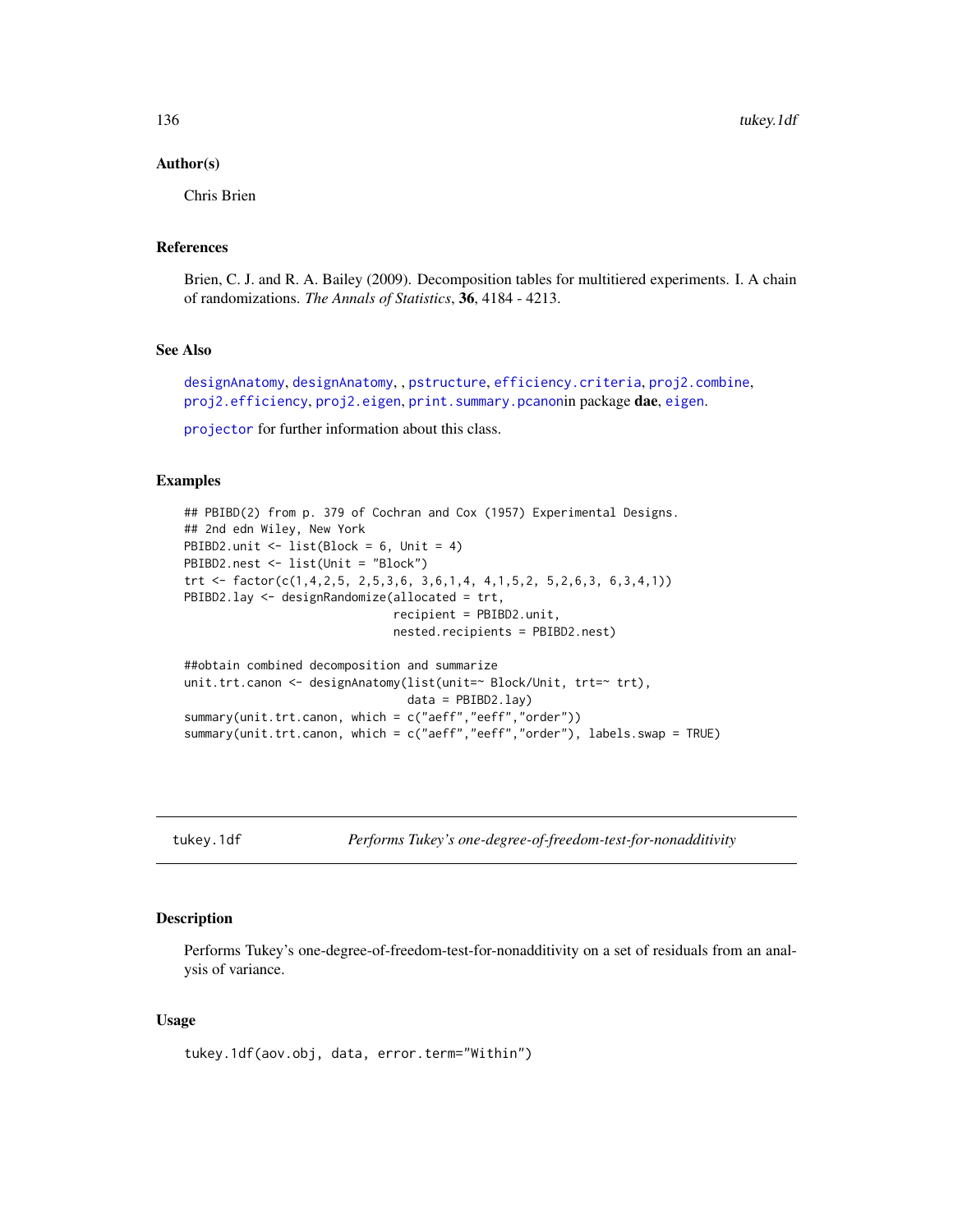#### <span id="page-135-1"></span>Author(s)

Chris Brien

## References

Brien, C. J. and R. A. Bailey (2009). Decomposition tables for multitiered experiments. I. A chain of randomizations. *The Annals of Statistics*, 36, 4184 - 4213.

## See Also

[designAnatomy](#page-21-0), [designAnatomy](#page-21-0), , [pstructure](#page-118-0), [efficiency.criteria](#page-43-0), [proj2.combine](#page-109-0), [proj2.efficiency](#page-110-0), [proj2.eigen](#page-112-0), [print.summary.pcanon](#page-108-0)in package dae, [eigen](#page-0-0).

[projector](#page-114-0) for further information about this class.

## Examples

```
## PBIBD(2) from p. 379 of Cochran and Cox (1957) Experimental Designs.
## 2nd edn Wiley, New York
PBIBD2.unit <- list(Block = 6, Unit = 4)
PBIBD2.nest <- list(Unit = "Block")
trt <- factor(c(1,4,2,5, 2,5,3,6, 3,6,1,4, 4,1,5,2, 5,2,6,3, 6,3,4,1))
PBIBD2.lay <- designRandomize(allocated = trt,
                              recipient = PBIBD2.unit,
                              nested.recipients = PBIBD2.nest)
##obtain combined decomposition and summarize
unit.trt.canon <- designAnatomy(list(unit=~ Block/Unit, trt=~ trt),
                                data = PBIBD2.lay)
summary(unit.trt.canon, which = c("aeff","eeff","order"))
summary(unit.trt.canon, which = c("aeff","eeff","order"), labels.swap = TRUE)
```
<span id="page-135-0"></span>tukey.1df *Performs Tukey's one-degree-of-freedom-test-for-nonadditivity*

#### Description

Performs Tukey's one-degree-of-freedom-test-for-nonadditivity on a set of residuals from an analysis of variance.

#### Usage

tukey.1df(aov.obj, data, error.term="Within")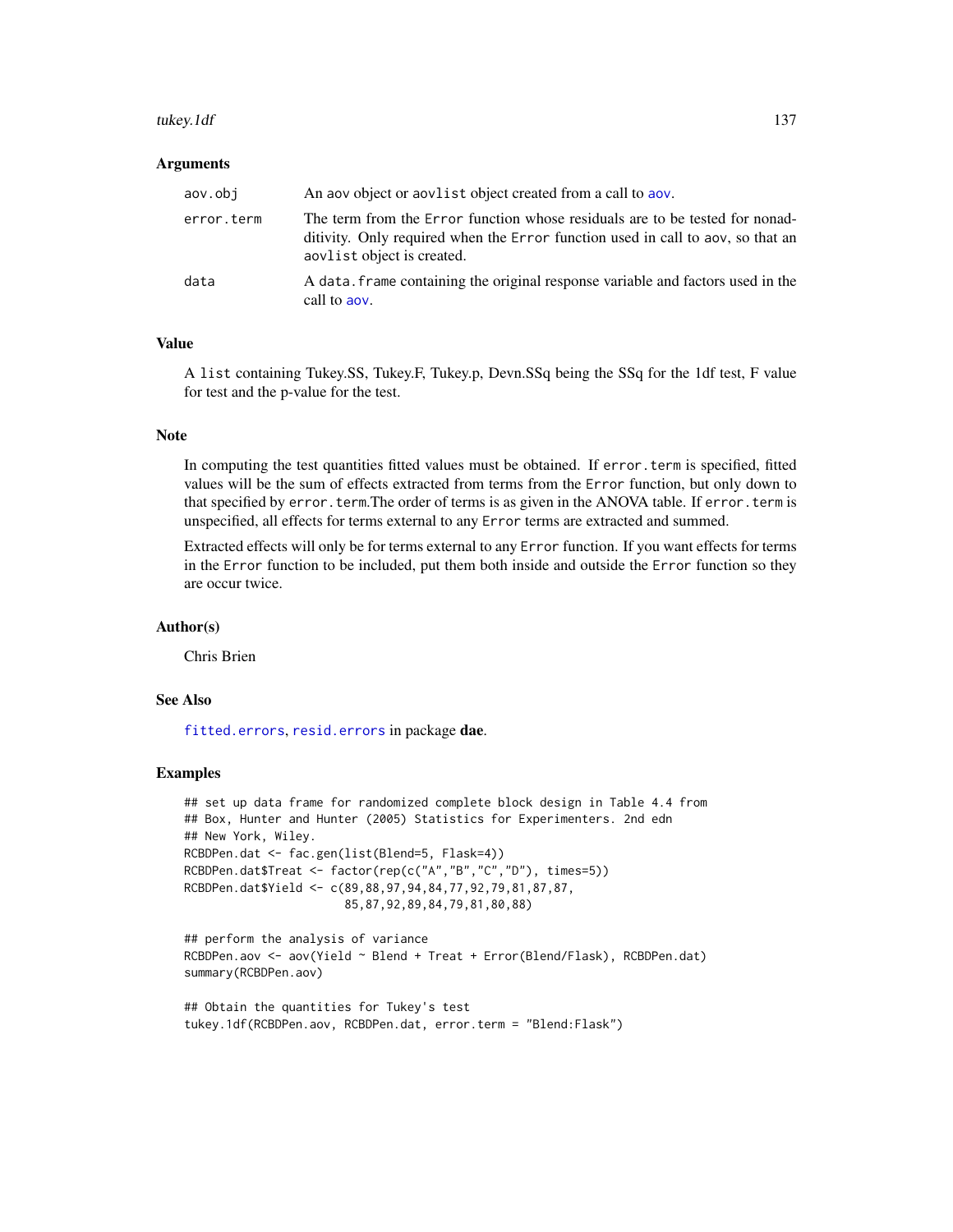#### <span id="page-136-0"></span>tukey.1df 137

#### Arguments

| aov.obi    | An aov object or aovlist object created from a call to aov.                                                                                                                                   |
|------------|-----------------------------------------------------------------------------------------------------------------------------------------------------------------------------------------------|
| error.term | The term from the Error function whose residuals are to be tested for nonad-<br>ditivity. Only required when the Error function used in call to aov, so that an<br>aovlist object is created. |
| data       | A data, frame containing the original response variable and factors used in the<br>call to aov.                                                                                               |

## Value

A list containing Tukey.SS, Tukey.F, Tukey.p, Devn.SSq being the SSq for the 1df test, F value for test and the p-value for the test.

#### **Note**

In computing the test quantities fitted values must be obtained. If error.term is specified, fitted values will be the sum of effects extracted from terms from the Error function, but only down to that specified by error.term.The order of terms is as given in the ANOVA table. If error.term is unspecified, all effects for terms external to any Error terms are extracted and summed.

Extracted effects will only be for terms external to any Error function. If you want effects for terms in the Error function to be included, put them both inside and outside the Error function so they are occur twice.

#### Author(s)

Chris Brien

# See Also

[fitted.errors](#page-68-0), [resid.errors](#page-125-0) in package dae.

#### Examples

```
## set up data frame for randomized complete block design in Table 4.4 from
## Box, Hunter and Hunter (2005) Statistics for Experimenters. 2nd edn
## New York, Wiley.
RCBDPen.dat <- fac.gen(list(Blend=5, Flask=4))
RCBDPen.dat$Treat <- factor(rep(c("A","B","C","D"), times=5))
RCBDPen.dat$Yield <- c(89,88,97,94,84,77,92,79,81,87,87,
                       85,87,92,89,84,79,81,80,88)
```

```
## perform the analysis of variance
RCBDPen.aov <- aov(Yield ~ Blend + Treat + Error(Blend/Flask), RCBDPen.dat)
summary(RCBDPen.aov)
```

```
## Obtain the quantities for Tukey's test
tukey.1df(RCBDPen.aov, RCBDPen.dat, error.term = "Blend:Flask")
```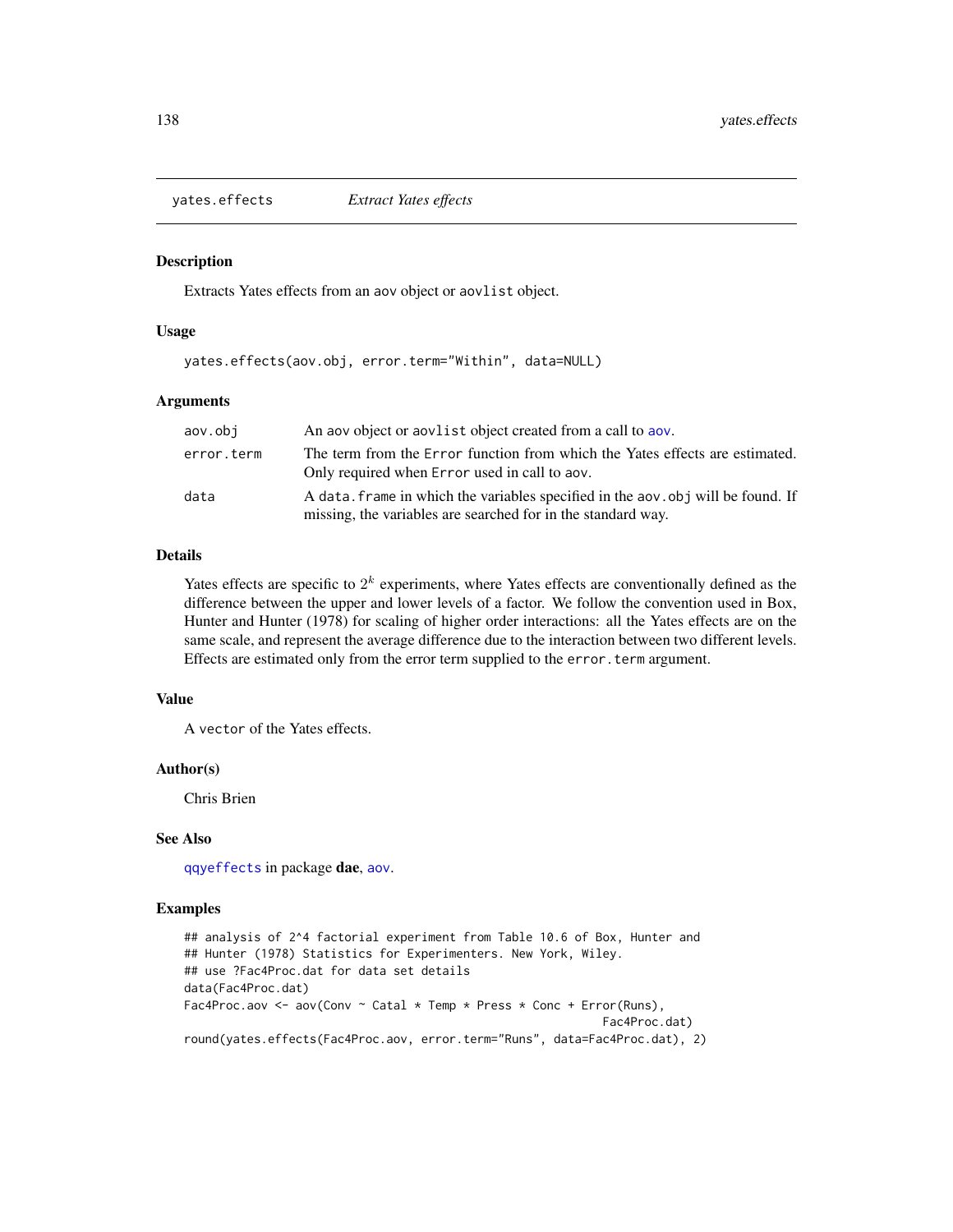<span id="page-137-1"></span><span id="page-137-0"></span>yates.effects *Extract Yates effects*

#### Description

Extracts Yates effects from an aov object or aovlist object.

#### Usage

yates.effects(aov.obj, error.term="Within", data=NULL)

#### Arguments

| aov.obi    | An above object or a available object created from a call to abov.                                                                               |
|------------|--------------------------------------------------------------------------------------------------------------------------------------------------|
| error.term | The term from the Error function from which the Yates effects are estimated.<br>Only required when Error used in call to aov.                    |
| data       | A data, frame in which the variables specified in the aov, obj will be found. If<br>missing, the variables are searched for in the standard way. |

# Details

Yates effects are specific to  $2^k$  experiments, where Yates effects are conventionally defined as the difference between the upper and lower levels of a factor. We follow the convention used in Box, Hunter and Hunter (1978) for scaling of higher order interactions: all the Yates effects are on the same scale, and represent the average difference due to the interaction between two different levels. Effects are estimated only from the error term supplied to the error.term argument.

## Value

A vector of the Yates effects.

## Author(s)

Chris Brien

## See Also

[qqyeffects](#page-123-0) in package dae, [aov](#page-0-0).

## Examples

```
## analysis of 2^4 factorial experiment from Table 10.6 of Box, Hunter and
## Hunter (1978) Statistics for Experimenters. New York, Wiley.
## use ?Fac4Proc.dat for data set details
data(Fac4Proc.dat)
Fac4Proc.aov <- aov(Conv \sim Catal * Temp * Press * Conc + Error(Runs),
                                                             Fac4Proc.dat)
round(yates.effects(Fac4Proc.aov, error.term="Runs", data=Fac4Proc.dat), 2)
```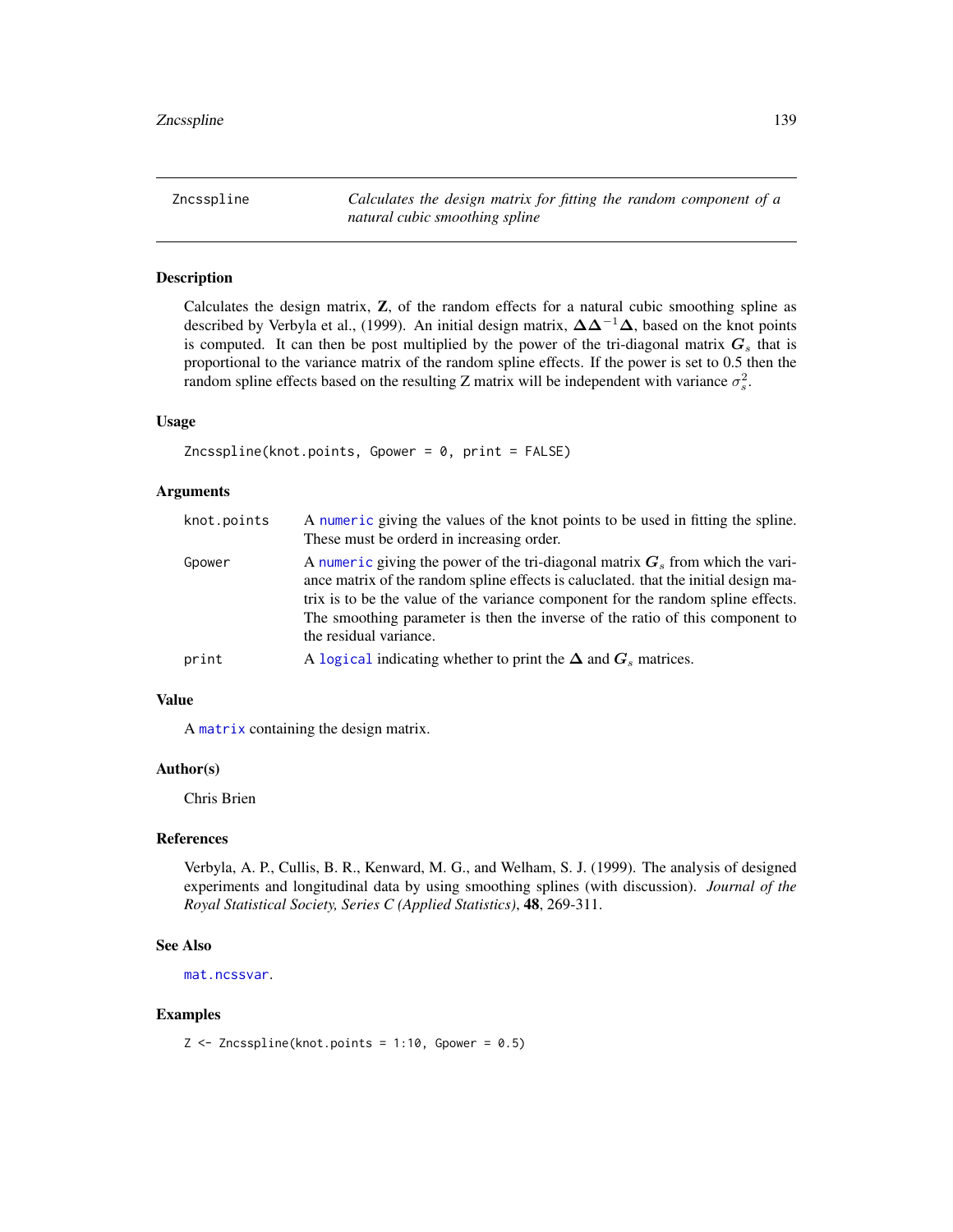<span id="page-138-0"></span>Zncsspline *Calculates the design matrix for fitting the random component of a natural cubic smoothing spline*

## Description

Calculates the design matrix, Z, of the random effects for a natural cubic smoothing spline as described by Verbyla et al., (1999). An initial design matrix,  $\Delta \Delta^{-1} \Delta$ , based on the knot points is computed. It can then be post multiplied by the power of the tri-diagonal matrix  $G_s$  that is proportional to the variance matrix of the random spline effects. If the power is set to 0.5 then the random spline effects based on the resulting Z matrix will be independent with variance  $\sigma_s^2$ .

#### Usage

```
Zncsspline(knot.points, Gpower = 0, print = FALSE)
```
#### **Arguments**

| knot.points | A numeric giving the values of the knot points to be used in fitting the spline.<br>These must be orderd in increasing order.                                                                                                                                                                                                                                          |
|-------------|------------------------------------------------------------------------------------------------------------------------------------------------------------------------------------------------------------------------------------------------------------------------------------------------------------------------------------------------------------------------|
| Gpower      | A numeric giving the power of the tri-diagonal matrix $G_s$ from which the vari-<br>ance matrix of the random spline effects is caluclated, that the initial design ma-<br>trix is to be the value of the variance component for the random spline effects.<br>The smoothing parameter is then the inverse of the ratio of this component to<br>the residual variance. |
| print       | A logical indicating whether to print the $\Delta$ and $G_s$ matrices.                                                                                                                                                                                                                                                                                                 |

## Value

A [matrix](#page-0-0) containing the design matrix.

## Author(s)

Chris Brien

## References

Verbyla, A. P., Cullis, B. R., Kenward, M. G., and Welham, S. J. (1999). The analysis of designed experiments and longitudinal data by using smoothing splines (with discussion). *Journal of the Royal Statistical Society, Series C (Applied Statistics)*, 48, 269-311.

#### See Also

[mat.ncssvar](#page-87-0).

#### Examples

 $Z \leq Z$ ncsspline(knot.points = 1:10, Gpower = 0.5)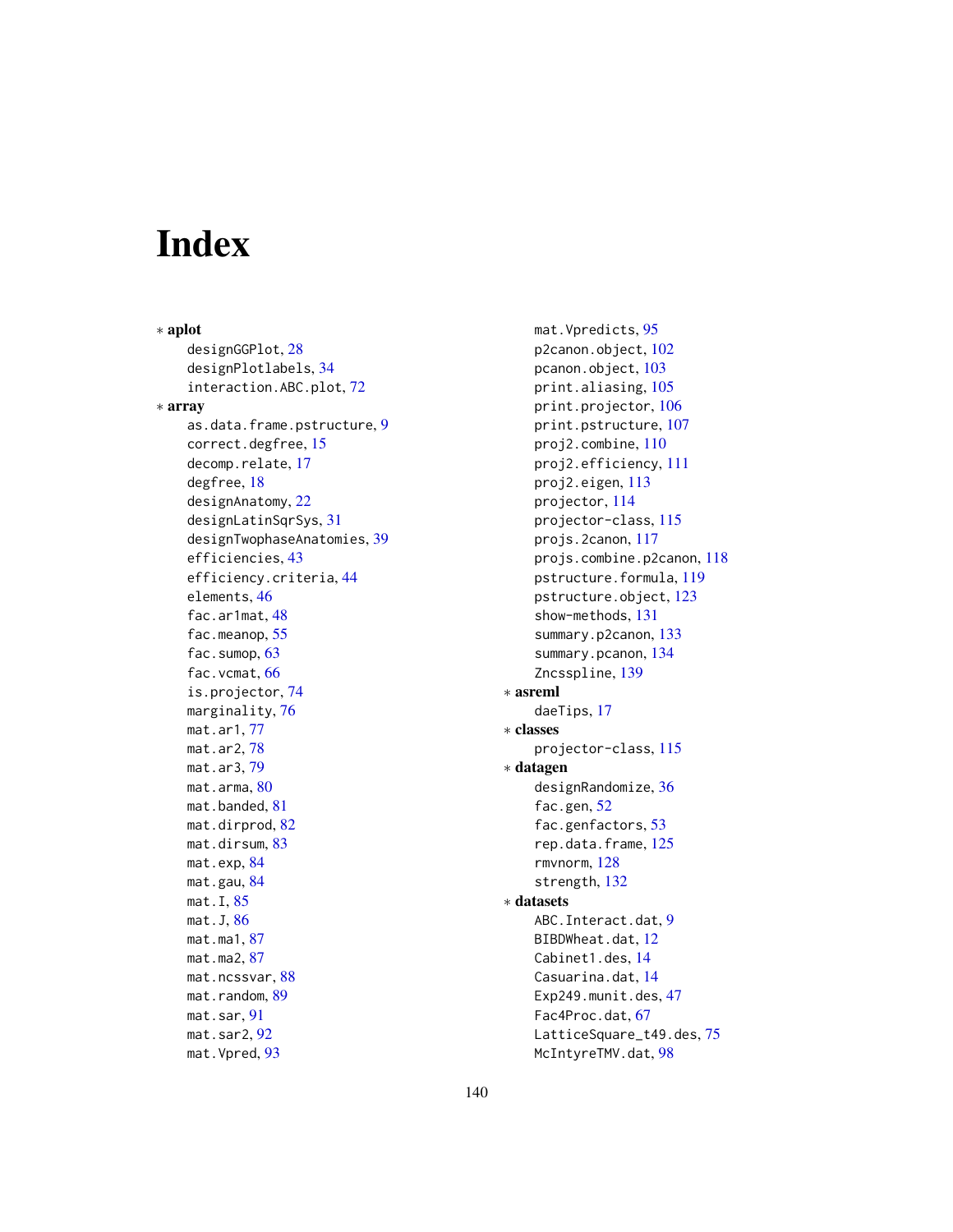# **Index**

∗ aplot designGGPlot, [28](#page-27-0) designPlotlabels, [34](#page-33-0) interaction.ABC.plot, [72](#page-71-0) ∗ array as.data.frame.pstructure, [9](#page-8-0) correct.degfree, [15](#page-14-1) decomp.relate, [17](#page-16-1) degfree, [18](#page-17-1) designAnatomy, [22](#page-21-1) designLatinSqrSys, [31](#page-30-0) designTwophaseAnatomies, [39](#page-38-0) efficiencies, [43](#page-42-1) efficiency.criteria, [44](#page-43-1) elements, [46](#page-45-0) fac.ar1mat, [48](#page-47-1) fac.meanop, [55](#page-54-0) fac.sumop, [63](#page-62-0) fac.vcmat, [66](#page-65-1) is.projector, [74](#page-73-1) marginality, [76](#page-75-0) mat.ar1, [77](#page-76-0) mat.ar2, [78](#page-77-0) mat.ar3, [79](#page-78-0) mat.arma, [80](#page-79-0) mat.banded, [81](#page-80-0) mat.dirprod, [82](#page-81-0) mat.dirsum, [83](#page-82-0) mat.exp, [84](#page-83-0) mat.gau, [84](#page-83-0) mat.I, [85](#page-84-0) mat.J, [86](#page-85-0) mat.ma1, [87](#page-86-0) mat.ma2, [87](#page-86-0) mat.ncssvar, [88](#page-87-1) mat.random, [89](#page-88-0) mat.sar, [91](#page-90-0) mat.sar2, [92](#page-91-0) mat.Vpred, [93](#page-92-0)

mat.Vpredicts, [95](#page-94-0) p2canon.object, [102](#page-101-1) pcanon.object, [103](#page-102-1) print.aliasing, [105](#page-104-0) print.projector, [106](#page-105-0) print.pstructure, [107](#page-106-0) proj2.combine, [110](#page-109-1) proj2.efficiency, [111](#page-110-1) proj2.eigen, [113](#page-112-1) projector, [114](#page-113-1) projector-class, [115](#page-114-1) projs.2canon, [117](#page-116-1) projs.combine.p2canon, [118](#page-117-1) pstructure.formula, [119](#page-118-2) pstructure.object, [123](#page-122-1) show-methods, [131](#page-130-0) summary.p2canon, [133](#page-132-1) summary.pcanon, [134](#page-133-1) Zncsspline, [139](#page-138-0) ∗ asreml daeTips, [17](#page-16-1) ∗ classes projector-class, [115](#page-114-1) ∗ datagen designRandomize, [36](#page-35-0) fac.gen, [52](#page-51-1) fac.genfactors, [53](#page-52-0) rep.data.frame, [125](#page-124-0) rmvnorm, [128](#page-127-0) strength, [132](#page-131-0) ∗ datasets ABC.Interact.dat, [9](#page-8-0) BIBDWheat.dat, [12](#page-11-0) Cabinet1.des, [14](#page-13-0) Casuarina.dat, [14](#page-13-0) Exp249.munit.des, [47](#page-46-0) Fac4Proc.dat, [67](#page-66-0) LatticeSquare\_t49.des, [75](#page-74-0) McIntyreTMV.dat, [98](#page-97-0)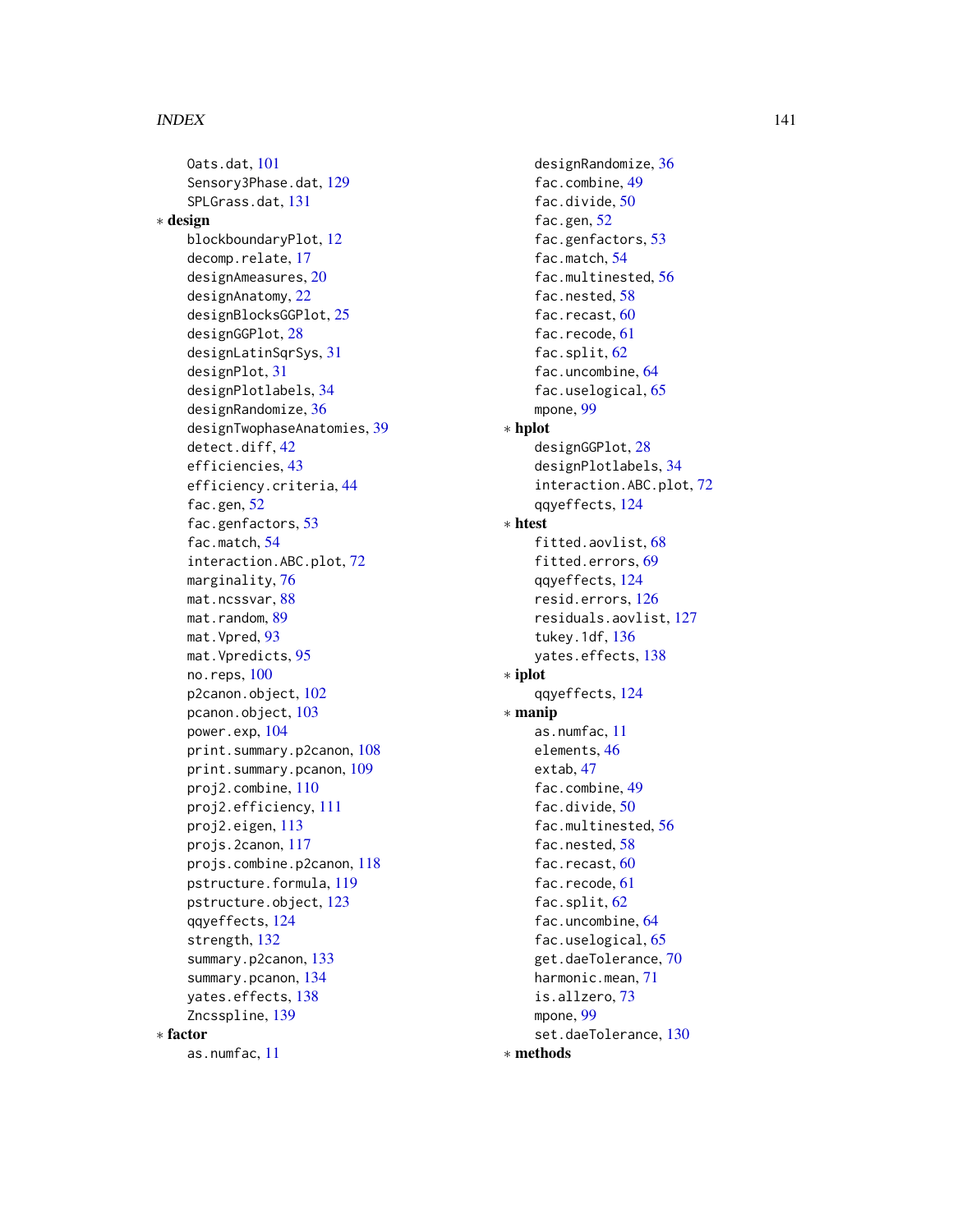#### INDEX 141

Oats.dat, [101](#page-100-0) Sensory3Phase.dat, [129](#page-128-0) SPLGrass.dat, [131](#page-130-0) ∗ design blockboundaryPlot, [12](#page-11-0) decomp.relate, [17](#page-16-1) designAmeasures, [20](#page-19-0) designAnatomy, [22](#page-21-1) designBlocksGGPlot, [25](#page-24-0) designGGPlot, [28](#page-27-0) designLatinSqrSys, [31](#page-30-0) designPlot, [31](#page-30-0) designPlotlabels, [34](#page-33-0) designRandomize, [36](#page-35-0) designTwophaseAnatomies, [39](#page-38-0) detect.diff, [42](#page-41-0) efficiencies, [43](#page-42-1) efficiency.criteria, [44](#page-43-1) fac.gen, [52](#page-51-1) fac.genfactors, [53](#page-52-0) fac.match, [54](#page-53-0) interaction.ABC.plot, [72](#page-71-0) marginality, [76](#page-75-0) mat.ncssvar, [88](#page-87-1) mat.random, [89](#page-88-0) mat.Vpred, [93](#page-92-0) mat.Vpredicts, [95](#page-94-0) no.reps, [100](#page-99-0) p2canon.object, [102](#page-101-1) pcanon.object, [103](#page-102-1) power.exp, [104](#page-103-0) print.summary.p2canon, [108](#page-107-1) print.summary.pcanon, [109](#page-108-1) proj2.combine, [110](#page-109-1) proj2.efficiency, [111](#page-110-1) proj2.eigen, [113](#page-112-1) projs.2canon, [117](#page-116-1) projs.combine.p2canon, [118](#page-117-1) pstructure.formula, [119](#page-118-2) pstructure.object, [123](#page-122-1) qqyeffects, [124](#page-123-1) strength, [132](#page-131-0) summary.p2canon, [133](#page-132-1) summary.pcanon, [134](#page-133-1) yates.effects, [138](#page-137-1) Zncsspline, [139](#page-138-0) ∗ factor as.numfac, [11](#page-10-0)

designRandomize, [36](#page-35-0) fac.combine, [49](#page-48-0) fac.divide, [50](#page-49-0) fac.gen, [52](#page-51-1) fac.genfactors, [53](#page-52-0) fac.match, [54](#page-53-0) fac.multinested, [56](#page-55-0) fac.nested, [58](#page-57-0) fac.recast, [60](#page-59-0) fac.recode, [61](#page-60-0) fac.split, [62](#page-61-0) fac.uncombine, [64](#page-63-0) fac.uselogical, [65](#page-64-0) mpone, [99](#page-98-0) ∗ hplot designGGPlot, [28](#page-27-0) designPlotlabels, [34](#page-33-0) interaction.ABC.plot, [72](#page-71-0) qqyeffects, [124](#page-123-1) ∗ htest fitted.aovlist, [68](#page-67-0) fitted.errors, [69](#page-68-1) qqyeffects, [124](#page-123-1) resid.errors, [126](#page-125-1) residuals.aovlist, [127](#page-126-2) tukey.1df, [136](#page-135-1) yates.effects, [138](#page-137-1) ∗ iplot qqyeffects, [124](#page-123-1) ∗ manip as.numfac, [11](#page-10-0) elements, [46](#page-45-0) extab, [47](#page-46-0) fac.combine, [49](#page-48-0) fac.divide, [50](#page-49-0) fac.multinested, [56](#page-55-0) fac.nested, [58](#page-57-0) fac.recast, [60](#page-59-0) fac.recode, [61](#page-60-0) fac.split, [62](#page-61-0) fac.uncombine, [64](#page-63-0) fac.uselogical, [65](#page-64-0) get.daeTolerance, [70](#page-69-1) harmonic.mean, [71](#page-70-0) is.allzero, [73](#page-72-0) mpone, [99](#page-98-0) set.daeTolerance, [130](#page-129-1)

∗ methods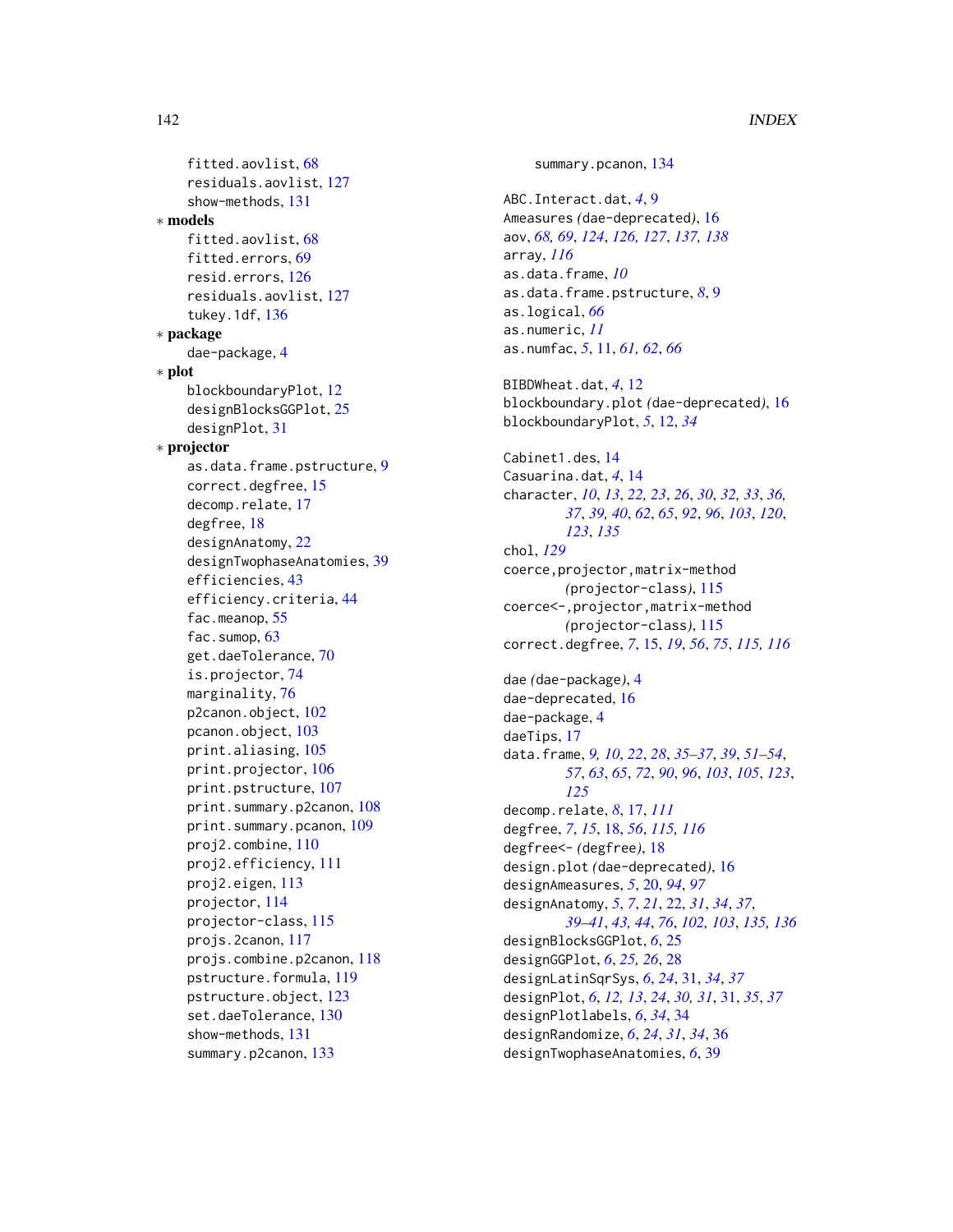fitted.aovlist, [68](#page-67-0) residuals.aovlist, [127](#page-126-2) show-methods, [131](#page-130-0) ∗ models fitted.aovlist, [68](#page-67-0) fitted.errors, [69](#page-68-1) resid.errors, [126](#page-125-1) residuals.aovlist, [127](#page-126-2) tukey.1df, [136](#page-135-1) ∗ package dae-package, [4](#page-3-0) ∗ plot blockboundaryPlot, [12](#page-11-0) designBlocksGGPlot, [25](#page-24-0) designPlot, [31](#page-30-0) ∗ projector as.data.frame.pstructure, [9](#page-8-0) correct.degfree, [15](#page-14-1) decomp.relate, [17](#page-16-1) degfree, [18](#page-17-1) designAnatomy, [22](#page-21-1) designTwophaseAnatomies, [39](#page-38-0) efficiencies, [43](#page-42-1) efficiency.criteria, [44](#page-43-1) fac.meanop, [55](#page-54-0) fac.sumop, [63](#page-62-0) get.daeTolerance, [70](#page-69-1) is.projector, [74](#page-73-1) marginality, [76](#page-75-0) p2canon.object, [102](#page-101-1) pcanon.object, [103](#page-102-1) print.aliasing, [105](#page-104-0) print.projector, [106](#page-105-0) print.pstructure, [107](#page-106-0) print.summary.p2canon, [108](#page-107-1) print.summary.pcanon, [109](#page-108-1) proj2.combine, [110](#page-109-1) proj2.efficiency, [111](#page-110-1) proj2.eigen, [113](#page-112-1) projector, [114](#page-113-1) projector-class, [115](#page-114-1) projs.2canon, [117](#page-116-1) projs.combine.p2canon, [118](#page-117-1) pstructure.formula, [119](#page-118-2) pstructure.object, [123](#page-122-1) set.daeTolerance, [130](#page-129-1) show-methods, [131](#page-130-0) summary.p2canon, [133](#page-132-1)

summary.pcanon, [134](#page-133-1) ABC.Interact.dat, *[4](#page-3-0)*, [9](#page-8-0) Ameasures *(*dae-deprecated*)*, [16](#page-15-1) aov, *[68,](#page-67-0) [69](#page-68-1)*, *[124](#page-123-1)*, *[126,](#page-125-1) [127](#page-126-2)*, *[137,](#page-136-0) [138](#page-137-1)* array, *[116](#page-115-0)* as.data.frame, *[10](#page-9-0)* as.data.frame.pstructure, *[8](#page-7-0)*, [9](#page-8-0) as.logical, *[66](#page-65-1)* as.numeric, *[11](#page-10-0)* as.numfac, *[5](#page-4-0)*, [11,](#page-10-0) *[61,](#page-60-0) [62](#page-61-0)*, *[66](#page-65-1)* BIBDWheat.dat, *[4](#page-3-0)*, [12](#page-11-0) blockboundary.plot *(*dae-deprecated*)*, [16](#page-15-1) blockboundaryPlot, *[5](#page-4-0)*, [12,](#page-11-0) *[34](#page-33-0)* Cabinet1.des, [14](#page-13-0) Casuarina.dat, *[4](#page-3-0)*, [14](#page-13-0) character, *[10](#page-9-0)*, *[13](#page-12-0)*, *[22,](#page-21-1) [23](#page-22-0)*, *[26](#page-25-0)*, *[30](#page-29-0)*, *[32,](#page-31-0) [33](#page-32-0)*, *[36,](#page-35-0) [37](#page-36-0)*, *[39,](#page-38-0) [40](#page-39-0)*, *[62](#page-61-0)*, *[65](#page-64-0)*, *[92](#page-91-0)*, *[96](#page-95-0)*, *[103](#page-102-1)*, *[120](#page-119-0)*, *[123](#page-122-1)*, *[135](#page-134-0)* chol, *[129](#page-128-0)* coerce,projector,matrix-method *(*projector-class*)*, [115](#page-114-1) coerce<-,projector,matrix-method *(*projector-class*)*, [115](#page-114-1) correct.degfree, *[7](#page-6-0)*, [15,](#page-14-1) *[19](#page-18-0)*, *[56](#page-55-0)*, *[75](#page-74-0)*, *[115,](#page-114-1) [116](#page-115-0)* dae *(*dae-package*)*, [4](#page-3-0) dae-deprecated, [16](#page-15-1) dae-package, [4](#page-3-0) daeTips, [17](#page-16-1) data.frame, *[9,](#page-8-0) [10](#page-9-0)*, *[22](#page-21-1)*, *[28](#page-27-0)*, *[35](#page-34-0)[–37](#page-36-0)*, *[39](#page-38-0)*, *[51](#page-50-0)[–54](#page-53-0)*, *[57](#page-56-0)*, *[63](#page-62-0)*, *[65](#page-64-0)*, *[72](#page-71-0)*, *[90](#page-89-0)*, *[96](#page-95-0)*, *[103](#page-102-1)*, *[105](#page-104-0)*, *[123](#page-122-1)*, *[125](#page-124-0)* decomp.relate, *[8](#page-7-0)*, [17,](#page-16-1) *[111](#page-110-1)* degfree, *[7](#page-6-0)*, *[15](#page-14-1)*, [18,](#page-17-1) *[56](#page-55-0)*, *[115,](#page-114-1) [116](#page-115-0)* degfree<- *(*degfree*)*, [18](#page-17-1) design.plot *(*dae-deprecated*)*, [16](#page-15-1) designAmeasures, *[5](#page-4-0)*, [20,](#page-19-0) *[94](#page-93-0)*, *[97](#page-96-0)* designAnatomy, *[5](#page-4-0)*, *[7](#page-6-0)*, *[21](#page-20-0)*, [22,](#page-21-1) *[31](#page-30-0)*, *[34](#page-33-0)*, *[37](#page-36-0)*, *[39](#page-38-0)[–41](#page-40-0)*, *[43,](#page-42-1) [44](#page-43-1)*, *[76](#page-75-0)*, *[102,](#page-101-1) [103](#page-102-1)*, *[135,](#page-134-0) [136](#page-135-1)* designBlocksGGPlot, *[6](#page-5-0)*, [25](#page-24-0) designGGPlot, *[6](#page-5-0)*, *[25,](#page-24-0) [26](#page-25-0)*, [28](#page-27-0) designLatinSqrSys, *[6](#page-5-0)*, *[24](#page-23-0)*, [31,](#page-30-0) *[34](#page-33-0)*, *[37](#page-36-0)* designPlot, *[6](#page-5-0)*, *[12,](#page-11-0) [13](#page-12-0)*, *[24](#page-23-0)*, *[30,](#page-29-0) [31](#page-30-0)*, [31,](#page-30-0) *[35](#page-34-0)*, *[37](#page-36-0)* designPlotlabels, *[6](#page-5-0)*, *[34](#page-33-0)*, [34](#page-33-0) designRandomize, *[6](#page-5-0)*, *[24](#page-23-0)*, *[31](#page-30-0)*, *[34](#page-33-0)*, [36](#page-35-0) designTwophaseAnatomies, *[6](#page-5-0)*, [39](#page-38-0)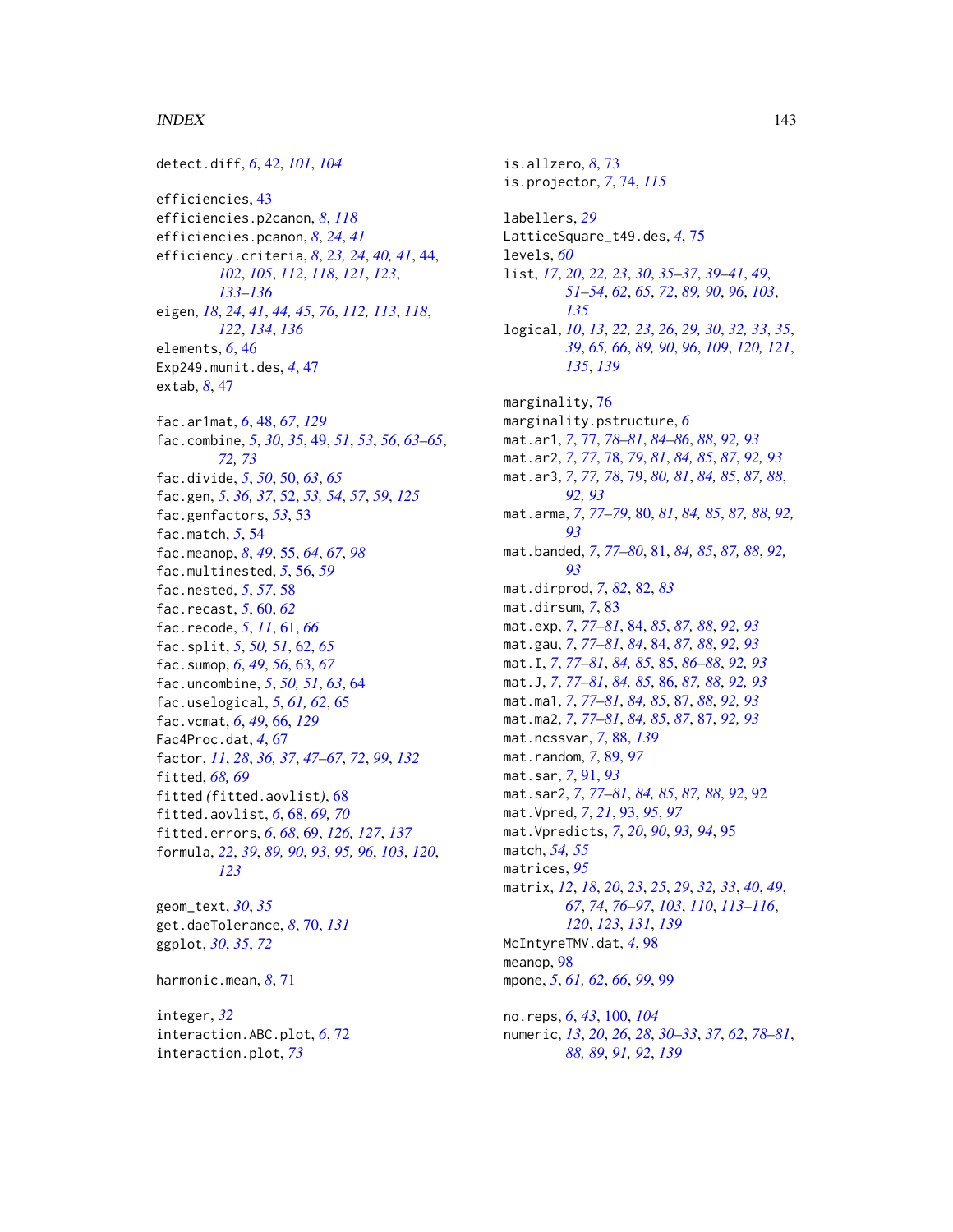#### INDEX 143

detect.diff, *[6](#page-5-0)*, [42,](#page-41-0) *[101](#page-100-0)*, *[104](#page-103-0)* efficiencies, [43](#page-42-1) efficiencies.p2canon, *[8](#page-7-0)*, *[118](#page-117-1)* efficiencies.pcanon, *[8](#page-7-0)*, *[24](#page-23-0)*, *[41](#page-40-0)* efficiency.criteria, *[8](#page-7-0)*, *[23,](#page-22-0) [24](#page-23-0)*, *[40,](#page-39-0) [41](#page-40-0)*, [44,](#page-43-1) *[102](#page-101-1)*, *[105](#page-104-0)*, *[112](#page-111-0)*, *[118](#page-117-1)*, *[121](#page-120-0)*, *[123](#page-122-1)*, *[133](#page-132-1)[–136](#page-135-1)* eigen, *[18](#page-17-1)*, *[24](#page-23-0)*, *[41](#page-40-0)*, *[44,](#page-43-1) [45](#page-44-0)*, *[76](#page-75-0)*, *[112,](#page-111-0) [113](#page-112-1)*, *[118](#page-117-1)*, *[122](#page-121-0)*, *[134](#page-133-1)*, *[136](#page-135-1)* elements, *[6](#page-5-0)*, [46](#page-45-0) Exp249.munit.des, *[4](#page-3-0)*, [47](#page-46-0) extab, *[8](#page-7-0)*, [47](#page-46-0) fac.ar1mat, *[6](#page-5-0)*, [48,](#page-47-1) *[67](#page-66-0)*, *[129](#page-128-0)* fac.combine, *[5](#page-4-0)*, *[30](#page-29-0)*, *[35](#page-34-0)*, [49,](#page-48-0) *[51](#page-50-0)*, *[53](#page-52-0)*, *[56](#page-55-0)*, *[63–](#page-62-0)[65](#page-64-0)*, *[72,](#page-71-0) [73](#page-72-0)* fac.divide, *[5](#page-4-0)*, *[50](#page-49-0)*, [50,](#page-49-0) *[63](#page-62-0)*, *[65](#page-64-0)* fac.gen, *[5](#page-4-0)*, *[36,](#page-35-0) [37](#page-36-0)*, [52,](#page-51-1) *[53,](#page-52-0) [54](#page-53-0)*, *[57](#page-56-0)*, *[59](#page-58-0)*, *[125](#page-124-0)* fac.genfactors, *[53](#page-52-0)*, [53](#page-52-0) fac.match, *[5](#page-4-0)*, [54](#page-53-0) fac.meanop, *[8](#page-7-0)*, *[49](#page-48-0)*, [55,](#page-54-0) *[64](#page-63-0)*, *[67](#page-66-0)*, *[98](#page-97-0)* fac.multinested, *[5](#page-4-0)*, [56,](#page-55-0) *[59](#page-58-0)* fac.nested, *[5](#page-4-0)*, *[57](#page-56-0)*, [58](#page-57-0) fac.recast, *[5](#page-4-0)*, [60,](#page-59-0) *[62](#page-61-0)* fac.recode, *[5](#page-4-0)*, *[11](#page-10-0)*, [61,](#page-60-0) *[66](#page-65-1)* fac.split, *[5](#page-4-0)*, *[50,](#page-49-0) [51](#page-50-0)*, [62,](#page-61-0) *[65](#page-64-0)* fac.sumop, *[6](#page-5-0)*, *[49](#page-48-0)*, *[56](#page-55-0)*, [63,](#page-62-0) *[67](#page-66-0)* fac.uncombine, *[5](#page-4-0)*, *[50,](#page-49-0) [51](#page-50-0)*, *[63](#page-62-0)*, [64](#page-63-0) fac.uselogical, *[5](#page-4-0)*, *[61,](#page-60-0) [62](#page-61-0)*, [65](#page-64-0) fac.vcmat, *[6](#page-5-0)*, *[49](#page-48-0)*, [66,](#page-65-1) *[129](#page-128-0)* Fac4Proc.dat, *[4](#page-3-0)*, [67](#page-66-0) factor, *[11](#page-10-0)*, *[28](#page-27-0)*, *[36,](#page-35-0) [37](#page-36-0)*, *[47–](#page-46-0)[67](#page-66-0)*, *[72](#page-71-0)*, *[99](#page-98-0)*, *[132](#page-131-0)* fitted, *[68,](#page-67-0) [69](#page-68-1)* fitted *(*fitted.aovlist*)*, [68](#page-67-0) fitted.aovlist, *[6](#page-5-0)*, [68,](#page-67-0) *[69,](#page-68-1) [70](#page-69-1)* fitted.errors, *[6](#page-5-0)*, *[68](#page-67-0)*, [69,](#page-68-1) *[126,](#page-125-1) [127](#page-126-2)*, *[137](#page-136-0)* formula, *[22](#page-21-1)*, *[39](#page-38-0)*, *[89,](#page-88-0) [90](#page-89-0)*, *[93](#page-92-0)*, *[95,](#page-94-0) [96](#page-95-0)*, *[103](#page-102-1)*, *[120](#page-119-0)*, *[123](#page-122-1)* geom\_text, *[30](#page-29-0)*, *[35](#page-34-0)* get.daeTolerance, *[8](#page-7-0)*, [70,](#page-69-1) *[131](#page-130-0)* ggplot, *[30](#page-29-0)*, *[35](#page-34-0)*, *[72](#page-71-0)*

integer, *[32](#page-31-0)* interaction.ABC.plot, *[6](#page-5-0)*, [72](#page-71-0) interaction.plot, *[73](#page-72-0)*

harmonic.mean, *[8](#page-7-0)*, [71](#page-70-0)

is.allzero, *[8](#page-7-0)*, [73](#page-72-0) is.projector, *[7](#page-6-0)*, [74,](#page-73-1) *[115](#page-114-1)* labellers, *[29](#page-28-0)* LatticeSquare\_t49.des, *[4](#page-3-0)*, [75](#page-74-0) levels, *[60](#page-59-0)* list, *[17](#page-16-1)*, *[20](#page-19-0)*, *[22,](#page-21-1) [23](#page-22-0)*, *[30](#page-29-0)*, *[35](#page-34-0)[–37](#page-36-0)*, *[39](#page-38-0)[–41](#page-40-0)*, *[49](#page-48-0)*, *[51](#page-50-0)[–54](#page-53-0)*, *[62](#page-61-0)*, *[65](#page-64-0)*, *[72](#page-71-0)*, *[89,](#page-88-0) [90](#page-89-0)*, *[96](#page-95-0)*, *[103](#page-102-1)*, *[135](#page-134-0)* logical, *[10](#page-9-0)*, *[13](#page-12-0)*, *[22,](#page-21-1) [23](#page-22-0)*, *[26](#page-25-0)*, *[29,](#page-28-0) [30](#page-29-0)*, *[32,](#page-31-0) [33](#page-32-0)*, *[35](#page-34-0)*, *[39](#page-38-0)*, *[65,](#page-64-0) [66](#page-65-1)*, *[89,](#page-88-0) [90](#page-89-0)*, *[96](#page-95-0)*, *[109](#page-108-1)*, *[120,](#page-119-0) [121](#page-120-0)*, *[135](#page-134-0)*, *[139](#page-138-0)* marginality, [76](#page-75-0) marginality.pstructure, *[6](#page-5-0)* mat.ar1, *[7](#page-6-0)*, [77,](#page-76-0) *[78](#page-77-0)[–81](#page-80-0)*, *[84](#page-83-0)[–86](#page-85-0)*, *[88](#page-87-1)*, *[92,](#page-91-0) [93](#page-92-0)* mat.ar2, *[7](#page-6-0)*, *[77](#page-76-0)*, [78,](#page-77-0) *[79](#page-78-0)*, *[81](#page-80-0)*, *[84,](#page-83-0) [85](#page-84-0)*, *[87](#page-86-0)*, *[92,](#page-91-0) [93](#page-92-0)* mat.ar3, *[7](#page-6-0)*, *[77,](#page-76-0) [78](#page-77-0)*, [79,](#page-78-0) *[80,](#page-79-0) [81](#page-80-0)*, *[84,](#page-83-0) [85](#page-84-0)*, *[87,](#page-86-0) [88](#page-87-1)*, *[92,](#page-91-0) [93](#page-92-0)* mat.arma, *[7](#page-6-0)*, *[77](#page-76-0)[–79](#page-78-0)*, [80,](#page-79-0) *[81](#page-80-0)*, *[84,](#page-83-0) [85](#page-84-0)*, *[87,](#page-86-0) [88](#page-87-1)*, *[92,](#page-91-0) [93](#page-92-0)* mat.banded, *[7](#page-6-0)*, *[77](#page-76-0)[–80](#page-79-0)*, [81,](#page-80-0) *[84,](#page-83-0) [85](#page-84-0)*, *[87,](#page-86-0) [88](#page-87-1)*, *[92,](#page-91-0) [93](#page-92-0)* mat.dirprod, *[7](#page-6-0)*, *[82](#page-81-0)*, [82,](#page-81-0) *[83](#page-82-0)* mat.dirsum, *[7](#page-6-0)*, [83](#page-82-0) mat.exp, *[7](#page-6-0)*, *[77](#page-76-0)[–81](#page-80-0)*, [84,](#page-83-0) *[85](#page-84-0)*, *[87,](#page-86-0) [88](#page-87-1)*, *[92,](#page-91-0) [93](#page-92-0)* mat.gau, *[7](#page-6-0)*, *[77](#page-76-0)[–81](#page-80-0)*, *[84](#page-83-0)*, [84,](#page-83-0) *[87,](#page-86-0) [88](#page-87-1)*, *[92,](#page-91-0) [93](#page-92-0)* mat.I, *[7](#page-6-0)*, *[77](#page-76-0)[–81](#page-80-0)*, *[84,](#page-83-0) [85](#page-84-0)*, [85,](#page-84-0) *[86](#page-85-0)[–88](#page-87-1)*, *[92,](#page-91-0) [93](#page-92-0)* mat.J, *[7](#page-6-0)*, *[77](#page-76-0)[–81](#page-80-0)*, *[84,](#page-83-0) [85](#page-84-0)*, [86,](#page-85-0) *[87,](#page-86-0) [88](#page-87-1)*, *[92,](#page-91-0) [93](#page-92-0)* mat.ma1, *[7](#page-6-0)*, *[77](#page-76-0)[–81](#page-80-0)*, *[84,](#page-83-0) [85](#page-84-0)*, [87,](#page-86-0) *[88](#page-87-1)*, *[92,](#page-91-0) [93](#page-92-0)* mat.ma2, *[7](#page-6-0)*, *[77](#page-76-0)[–81](#page-80-0)*, *[84,](#page-83-0) [85](#page-84-0)*, *[87](#page-86-0)*, [87,](#page-86-0) *[92,](#page-91-0) [93](#page-92-0)* mat.ncssvar, *[7](#page-6-0)*, [88,](#page-87-1) *[139](#page-138-0)* mat.random, *[7](#page-6-0)*, [89,](#page-88-0) *[97](#page-96-0)* mat.sar, *[7](#page-6-0)*, [91,](#page-90-0) *[93](#page-92-0)* mat.sar2, *[7](#page-6-0)*, *[77](#page-76-0)[–81](#page-80-0)*, *[84,](#page-83-0) [85](#page-84-0)*, *[87,](#page-86-0) [88](#page-87-1)*, *[92](#page-91-0)*, [92](#page-91-0) mat.Vpred, *[7](#page-6-0)*, *[21](#page-20-0)*, [93,](#page-92-0) *[95](#page-94-0)*, *[97](#page-96-0)* mat.Vpredicts, *[7](#page-6-0)*, *[20](#page-19-0)*, *[90](#page-89-0)*, *[93,](#page-92-0) [94](#page-93-0)*, [95](#page-94-0) match, *[54,](#page-53-0) [55](#page-54-0)* matrices, *[95](#page-94-0)* matrix, *[12](#page-11-0)*, *[18](#page-17-1)*, *[20](#page-19-0)*, *[23](#page-22-0)*, *[25](#page-24-0)*, *[29](#page-28-0)*, *[32,](#page-31-0) [33](#page-32-0)*, *[40](#page-39-0)*, *[49](#page-48-0)*, *[67](#page-66-0)*, *[74](#page-73-1)*, *[76](#page-75-0)[–97](#page-96-0)*, *[103](#page-102-1)*, *[110](#page-109-1)*, *[113](#page-112-1)[–116](#page-115-0)*, *[120](#page-119-0)*, *[123](#page-122-1)*, *[131](#page-130-0)*, *[139](#page-138-0)* McIntyreTMV.dat, *[4](#page-3-0)*, [98](#page-97-0) meanop, [98](#page-97-0) mpone, *[5](#page-4-0)*, *[61,](#page-60-0) [62](#page-61-0)*, *[66](#page-65-1)*, *[99](#page-98-0)*, [99](#page-98-0) no.reps, *[6](#page-5-0)*, *[43](#page-42-1)*, [100,](#page-99-0) *[104](#page-103-0)* numeric, *[13](#page-12-0)*, *[20](#page-19-0)*, *[26](#page-25-0)*, *[28](#page-27-0)*, *[30](#page-29-0)[–33](#page-32-0)*, *[37](#page-36-0)*, *[62](#page-61-0)*, *[78](#page-77-0)[–81](#page-80-0)*, *[88,](#page-87-1) [89](#page-88-0)*, *[91,](#page-90-0) [92](#page-91-0)*, *[139](#page-138-0)*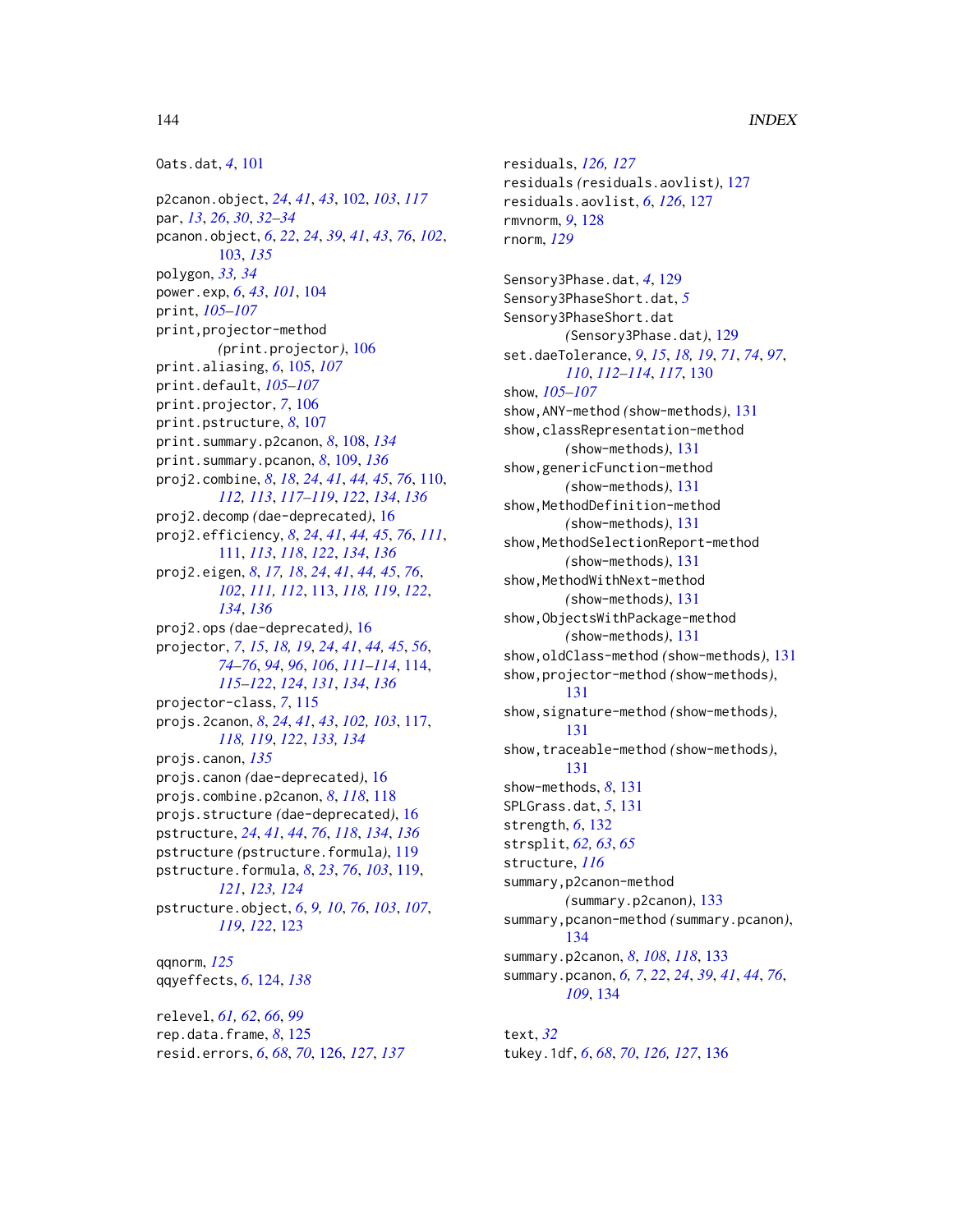```
Oats.dat, 4, 101
```
p2canon.object, *[24](#page-23-0)*, *[41](#page-40-0)*, *[43](#page-42-1)*, [102,](#page-101-1) *[103](#page-102-1)*, *[117](#page-116-1)* par, *[13](#page-12-0)*, *[26](#page-25-0)*, *[30](#page-29-0)*, *[32](#page-31-0)[–34](#page-33-0)* pcanon.object, *[6](#page-5-0)*, *[22](#page-21-1)*, *[24](#page-23-0)*, *[39](#page-38-0)*, *[41](#page-40-0)*, *[43](#page-42-1)*, *[76](#page-75-0)*, *[102](#page-101-1)*, [103,](#page-102-1) *[135](#page-134-0)* polygon, *[33,](#page-32-0) [34](#page-33-0)* power.exp, *[6](#page-5-0)*, *[43](#page-42-1)*, *[101](#page-100-0)*, [104](#page-103-0) print, *[105](#page-104-0)[–107](#page-106-0)* print,projector-method *(*print.projector*)*, [106](#page-105-0) print.aliasing, *[6](#page-5-0)*, [105,](#page-104-0) *[107](#page-106-0)* print.default, *[105](#page-104-0)[–107](#page-106-0)* print.projector, *[7](#page-6-0)*, [106](#page-105-0) print.pstructure, *[8](#page-7-0)*, [107](#page-106-0) print.summary.p2canon, *[8](#page-7-0)*, [108,](#page-107-1) *[134](#page-133-1)* print.summary.pcanon, *[8](#page-7-0)*, [109,](#page-108-1) *[136](#page-135-1)* proj2.combine, *[8](#page-7-0)*, *[18](#page-17-1)*, *[24](#page-23-0)*, *[41](#page-40-0)*, *[44,](#page-43-1) [45](#page-44-0)*, *[76](#page-75-0)*, [110,](#page-109-1) *[112,](#page-111-0) [113](#page-112-1)*, *[117–](#page-116-1)[119](#page-118-2)*, *[122](#page-121-0)*, *[134](#page-133-1)*, *[136](#page-135-1)* proj2.decomp *(*dae-deprecated*)*, [16](#page-15-1) proj2.efficiency, *[8](#page-7-0)*, *[24](#page-23-0)*, *[41](#page-40-0)*, *[44,](#page-43-1) [45](#page-44-0)*, *[76](#page-75-0)*, *[111](#page-110-1)*, [111,](#page-110-1) *[113](#page-112-1)*, *[118](#page-117-1)*, *[122](#page-121-0)*, *[134](#page-133-1)*, *[136](#page-135-1)* proj2.eigen, *[8](#page-7-0)*, *[17,](#page-16-1) [18](#page-17-1)*, *[24](#page-23-0)*, *[41](#page-40-0)*, *[44,](#page-43-1) [45](#page-44-0)*, *[76](#page-75-0)*, *[102](#page-101-1)*, *[111,](#page-110-1) [112](#page-111-0)*, [113,](#page-112-1) *[118,](#page-117-1) [119](#page-118-2)*, *[122](#page-121-0)*, *[134](#page-133-1)*, *[136](#page-135-1)* proj2.ops *(*dae-deprecated*)*, [16](#page-15-1) projector, *[7](#page-6-0)*, *[15](#page-14-1)*, *[18,](#page-17-1) [19](#page-18-0)*, *[24](#page-23-0)*, *[41](#page-40-0)*, *[44,](#page-43-1) [45](#page-44-0)*, *[56](#page-55-0)*, *[74](#page-73-1)[–76](#page-75-0)*, *[94](#page-93-0)*, *[96](#page-95-0)*, *[106](#page-105-0)*, *[111–](#page-110-1)[114](#page-113-1)*, [114,](#page-113-1) *[115](#page-114-1)[–122](#page-121-0)*, *[124](#page-123-1)*, *[131](#page-130-0)*, *[134](#page-133-1)*, *[136](#page-135-1)* projector-class, *[7](#page-6-0)*, [115](#page-114-1) projs.2canon, *[8](#page-7-0)*, *[24](#page-23-0)*, *[41](#page-40-0)*, *[43](#page-42-1)*, *[102,](#page-101-1) [103](#page-102-1)*, [117,](#page-116-1) *[118,](#page-117-1) [119](#page-118-2)*, *[122](#page-121-0)*, *[133,](#page-132-1) [134](#page-133-1)* projs.canon, *[135](#page-134-0)* projs.canon *(*dae-deprecated*)*, [16](#page-15-1) projs.combine.p2canon, *[8](#page-7-0)*, *[118](#page-117-1)*, [118](#page-117-1) projs.structure *(*dae-deprecated*)*, [16](#page-15-1) pstructure, *[24](#page-23-0)*, *[41](#page-40-0)*, *[44](#page-43-1)*, *[76](#page-75-0)*, *[118](#page-117-1)*, *[134](#page-133-1)*, *[136](#page-135-1)* pstructure *(*pstructure.formula*)*, [119](#page-118-2) pstructure.formula, *[8](#page-7-0)*, *[23](#page-22-0)*, *[76](#page-75-0)*, *[103](#page-102-1)*, [119,](#page-118-2) *[121](#page-120-0)*, *[123,](#page-122-1) [124](#page-123-1)* pstructure.object, *[6](#page-5-0)*, *[9,](#page-8-0) [10](#page-9-0)*, *[76](#page-75-0)*, *[103](#page-102-1)*, *[107](#page-106-0)*, *[119](#page-118-2)*, *[122](#page-121-0)*, [123](#page-122-1) qqnorm, *[125](#page-124-0)* qqyeffects, *[6](#page-5-0)*, [124,](#page-123-1) *[138](#page-137-1)*

relevel, *[61,](#page-60-0) [62](#page-61-0)*, *[66](#page-65-1)*, *[99](#page-98-0)* rep.data.frame, *[8](#page-7-0)*, [125](#page-124-0) resid.errors, *[6](#page-5-0)*, *[68](#page-67-0)*, *[70](#page-69-1)*, [126,](#page-125-1) *[127](#page-126-2)*, *[137](#page-136-0)* residuals, *[126,](#page-125-1) [127](#page-126-2)* residuals *(*residuals.aovlist*)*, [127](#page-126-2) residuals.aovlist, *[6](#page-5-0)*, *[126](#page-125-1)*, [127](#page-126-2) rmvnorm, *[9](#page-8-0)*, [128](#page-127-0) rnorm, *[129](#page-128-0)* Sensory3Phase.dat, *[4](#page-3-0)*, [129](#page-128-0) Sensory3PhaseShort.dat, *[5](#page-4-0)* Sensory3PhaseShort.dat *(*Sensory3Phase.dat*)*, [129](#page-128-0) set.daeTolerance, *[9](#page-8-0)*, *[15](#page-14-1)*, *[18,](#page-17-1) [19](#page-18-0)*, *[71](#page-70-0)*, *[74](#page-73-1)*, *[97](#page-96-0)*, *[110](#page-109-1)*, *[112](#page-111-0)[–114](#page-113-1)*, *[117](#page-116-1)*, [130](#page-129-1) show, *[105](#page-104-0)[–107](#page-106-0)* show,ANY-method *(*show-methods*)*, [131](#page-130-0) show,classRepresentation-method *(*show-methods*)*, [131](#page-130-0) show,genericFunction-method *(*show-methods*)*, [131](#page-130-0) show, MethodDefinition-method *(*show-methods*)*, [131](#page-130-0) show,MethodSelectionReport-method *(*show-methods*)*, [131](#page-130-0) show, MethodWithNext-method *(*show-methods*)*, [131](#page-130-0) show,ObjectsWithPackage-method *(*show-methods*)*, [131](#page-130-0) show,oldClass-method *(*show-methods*)*, [131](#page-130-0) show,projector-method *(*show-methods*)*, [131](#page-130-0) show,signature-method *(*show-methods*)*, [131](#page-130-0) show,traceable-method *(*show-methods*)*, [131](#page-130-0) show-methods, *[8](#page-7-0)*, [131](#page-130-0) SPLGrass.dat, *[5](#page-4-0)*, [131](#page-130-0) strength, *[6](#page-5-0)*, [132](#page-131-0) strsplit, *[62,](#page-61-0) [63](#page-62-0)*, *[65](#page-64-0)* structure, *[116](#page-115-0)* summary,p2canon-method *(*summary.p2canon*)*, [133](#page-132-1) summary,pcanon-method *(*summary.pcanon*)*, [134](#page-133-1) summary.p2canon, *[8](#page-7-0)*, *[108](#page-107-1)*, *[118](#page-117-1)*, [133](#page-132-1) summary.pcanon, *[6,](#page-5-0) [7](#page-6-0)*, *[22](#page-21-1)*, *[24](#page-23-0)*, *[39](#page-38-0)*, *[41](#page-40-0)*, *[44](#page-43-1)*, *[76](#page-75-0)*, *[109](#page-108-1)*, [134](#page-133-1)

text, *[32](#page-31-0)* tukey.1df, *[6](#page-5-0)*, *[68](#page-67-0)*, *[70](#page-69-1)*, *[126,](#page-125-1) [127](#page-126-2)*, [136](#page-135-1)